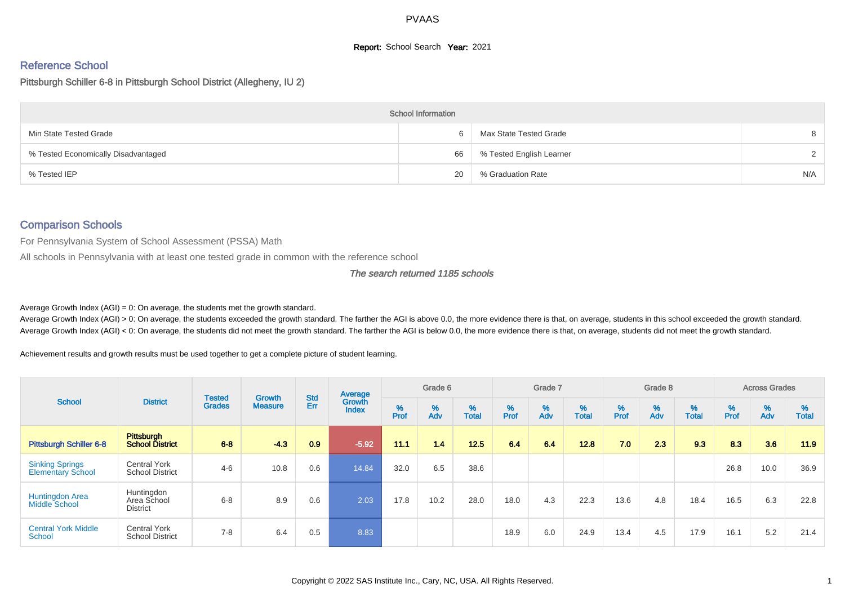## **Report:** School Search **Year:** 2021

## Reference School

Pittsburgh Schiller 6-8 in Pittsburgh School District (Allegheny, IU 2)

|                                     | <b>School Information</b> |                          |     |
|-------------------------------------|---------------------------|--------------------------|-----|
| Min State Tested Grade              | 6                         | Max State Tested Grade   |     |
| % Tested Economically Disadvantaged | 66                        | % Tested English Learner |     |
| % Tested IEP                        | 20                        | % Graduation Rate        | N/A |

# Comparison Schools

For Pennsylvania System of School Assessment (PSSA) Math

All schools in Pennsylvania with at least one tested grade in common with the reference school

#### The search returned 1185 schools

Average Growth Index  $(AGI) = 0$ : On average, the students met the growth standard.

Average Growth Index (AGI) > 0: On average, the students exceeded the growth standard. The farther the AGI is above 0.0, the more evidence there is that, on average, students in this school exceeded the growth standard. Average Growth Index (AGI) < 0: On average, the students did not meet the growth standard. The farther the AGI is below 0.0, the more evidence there is that, on average, students did not meet the growth standard.

Achievement results and growth results must be used together to get a complete picture of student learning.

| <b>District</b><br><b>School</b>                   |                                               |                                | <b>Growth</b>  |                   | Average                |           | Grade 6  |                   |           | Grade 7  |                   |           | Grade 8  |                   |           | <b>Across Grades</b> |                   |
|----------------------------------------------------|-----------------------------------------------|--------------------------------|----------------|-------------------|------------------------|-----------|----------|-------------------|-----------|----------|-------------------|-----------|----------|-------------------|-----------|----------------------|-------------------|
|                                                    |                                               | <b>Tested</b><br><b>Grades</b> | <b>Measure</b> | <b>Std</b><br>Err | Growth<br><b>Index</b> | %<br>Prof | %<br>Adv | %<br><b>Total</b> | %<br>Prof | %<br>Adv | %<br><b>Total</b> | %<br>Prof | %<br>Adv | %<br><b>Total</b> | %<br>Prof | %<br>Adv             | %<br><b>Total</b> |
| <b>Pittsburgh Schiller 6-8</b>                     | <b>Pittsburgh</b><br><b>School District</b>   | $6 - 8$                        | $-4.3$         | 0.9               | $-5.92$                | 11.1      | 1.4      | 12.5              | 6.4       | 6.4      | 12.8              | 7.0       | 2.3      | 9.3               | 8.3       | 3.6                  | 11.9              |
| <b>Sinking Springs</b><br><b>Elementary School</b> | <b>Central York</b><br><b>School District</b> | $4 - 6$                        | 10.8           | 0.6               | 14.84                  | 32.0      | 6.5      | 38.6              |           |          |                   |           |          |                   | 26.8      | 10.0                 | 36.9              |
| Huntingdon Area<br>Middle School                   | Huntingdon<br>Area School<br><b>District</b>  | $6 - 8$                        | 8.9            | 0.6               | 2.03                   | 17.8      | 10.2     | 28.0              | 18.0      | 4.3      | 22.3              | 13.6      | 4.8      | 18.4              | 16.5      | 6.3                  | 22.8              |
| <b>Central York Middle</b><br>School               | <b>Central York</b><br><b>School District</b> | $7 - 8$                        | 6.4            | 0.5               | 8.83                   |           |          |                   | 18.9      | 6.0      | 24.9              | 13.4      | 4.5      | 17.9              | 16.1      | 5.2                  | 21.4              |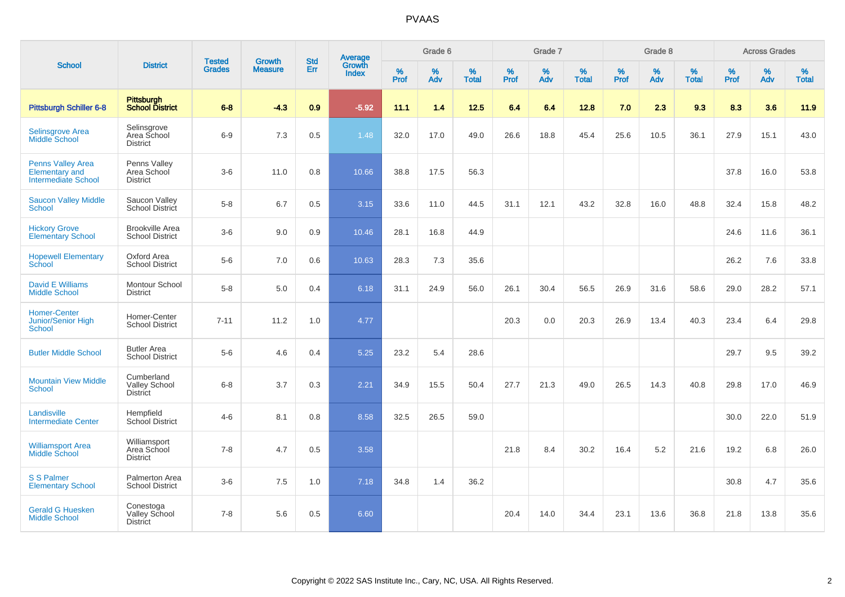|                                                                                 |                                                       |                                | <b>Growth</b>  | <b>Std</b> | <b>Average</b><br>Growth |                  | Grade 6  |                   |           | Grade 7  |                   |           | Grade 8  |                   |           | <b>Across Grades</b> |                   |
|---------------------------------------------------------------------------------|-------------------------------------------------------|--------------------------------|----------------|------------|--------------------------|------------------|----------|-------------------|-----------|----------|-------------------|-----------|----------|-------------------|-----------|----------------------|-------------------|
| <b>School</b>                                                                   | <b>District</b>                                       | <b>Tested</b><br><b>Grades</b> | <b>Measure</b> | Err        | <b>Index</b>             | %<br><b>Prof</b> | %<br>Adv | %<br><b>Total</b> | %<br>Prof | %<br>Adv | %<br><b>Total</b> | %<br>Prof | %<br>Adv | %<br><b>Total</b> | %<br>Prof | $\%$<br>Adv          | %<br><b>Total</b> |
| <b>Pittsburgh Schiller 6-8</b>                                                  | Pittsburgh<br>School District                         | $6 - 8$                        | $-4.3$         | 0.9        | $-5.92$                  | 11.1             | 1.4      | 12.5              | 6.4       | 6.4      | 12.8              | 7.0       | 2.3      | 9.3               | 8.3       | 3.6                  | 11.9              |
| <b>Selinsgrove Area</b><br><b>Middle School</b>                                 | Selinsgrove<br>Area School<br><b>District</b>         | $6-9$                          | 7.3            | 0.5        | 1.48                     | 32.0             | 17.0     | 49.0              | 26.6      | 18.8     | 45.4              | 25.6      | 10.5     | 36.1              | 27.9      | 15.1                 | 43.0              |
| <b>Penns Valley Area</b><br><b>Elementary and</b><br><b>Intermediate School</b> | Penns Valley<br>Area School<br><b>District</b>        | $3-6$                          | 11.0           | 0.8        | 10.66                    | 38.8             | 17.5     | 56.3              |           |          |                   |           |          |                   | 37.8      | 16.0                 | 53.8              |
| <b>Saucon Valley Middle</b><br>School                                           | Saucon Valley<br>School District                      | $5-8$                          | 6.7            | 0.5        | 3.15                     | 33.6             | 11.0     | 44.5              | 31.1      | 12.1     | 43.2              | 32.8      | 16.0     | 48.8              | 32.4      | 15.8                 | 48.2              |
| <b>Hickory Grove</b><br><b>Elementary School</b>                                | <b>Brookville Area</b><br><b>School District</b>      | $3-6$                          | 9.0            | 0.9        | 10.46                    | 28.1             | 16.8     | 44.9              |           |          |                   |           |          |                   | 24.6      | 11.6                 | 36.1              |
| <b>Hopewell Elementary</b><br>School                                            | Oxford Area<br><b>School District</b>                 | $5-6$                          | 7.0            | 0.6        | 10.63                    | 28.3             | 7.3      | 35.6              |           |          |                   |           |          |                   | 26.2      | 7.6                  | 33.8              |
| <b>David E Williams</b><br><b>Middle School</b>                                 | Montour School<br><b>District</b>                     | $5-8$                          | 5.0            | 0.4        | 6.18                     | 31.1             | 24.9     | 56.0              | 26.1      | 30.4     | 56.5              | 26.9      | 31.6     | 58.6              | 29.0      | 28.2                 | 57.1              |
| <b>Homer-Center</b><br><b>Junior/Senior High</b><br><b>School</b>               | Homer-Center<br><b>School District</b>                | $7 - 11$                       | 11.2           | 1.0        | 4.77                     |                  |          |                   | 20.3      | 0.0      | 20.3              | 26.9      | 13.4     | 40.3              | 23.4      | 6.4                  | 29.8              |
| <b>Butler Middle School</b>                                                     | <b>Butler Area</b><br><b>School District</b>          | $5-6$                          | 4.6            | 0.4        | 5.25                     | 23.2             | 5.4      | 28.6              |           |          |                   |           |          |                   | 29.7      | 9.5                  | 39.2              |
| <b>Mountain View Middle</b><br>School                                           | Cumberland<br><b>Valley School</b><br><b>District</b> | $6 - 8$                        | 3.7            | 0.3        | 2.21                     | 34.9             | 15.5     | 50.4              | 27.7      | 21.3     | 49.0              | 26.5      | 14.3     | 40.8              | 29.8      | 17.0                 | 46.9              |
| Landisville<br><b>Intermediate Center</b>                                       | Hempfield<br>School District                          | $4 - 6$                        | 8.1            | 0.8        | 8.58                     | 32.5             | 26.5     | 59.0              |           |          |                   |           |          |                   | 30.0      | 22.0                 | 51.9              |
| <b>Williamsport Area</b><br><b>Middle School</b>                                | Williamsport<br>Area School<br><b>District</b>        | $7 - 8$                        | 4.7            | 0.5        | 3.58                     |                  |          |                   | 21.8      | 8.4      | 30.2              | 16.4      | 5.2      | 21.6              | 19.2      | 6.8                  | 26.0              |
| <b>S S Palmer</b><br><b>Elementary School</b>                                   | Palmerton Area<br><b>School District</b>              | $3-6$                          | 7.5            | 1.0        | 7.18                     | 34.8             | 1.4      | 36.2              |           |          |                   |           |          |                   | 30.8      | 4.7                  | 35.6              |
| <b>Gerald G Huesken</b><br><b>Middle School</b>                                 | Conestoga<br>Valley School<br><b>District</b>         | $7 - 8$                        | 5.6            | 0.5        | 6.60                     |                  |          |                   | 20.4      | 14.0     | 34.4              | 23.1      | 13.6     | 36.8              | 21.8      | 13.8                 | 35.6              |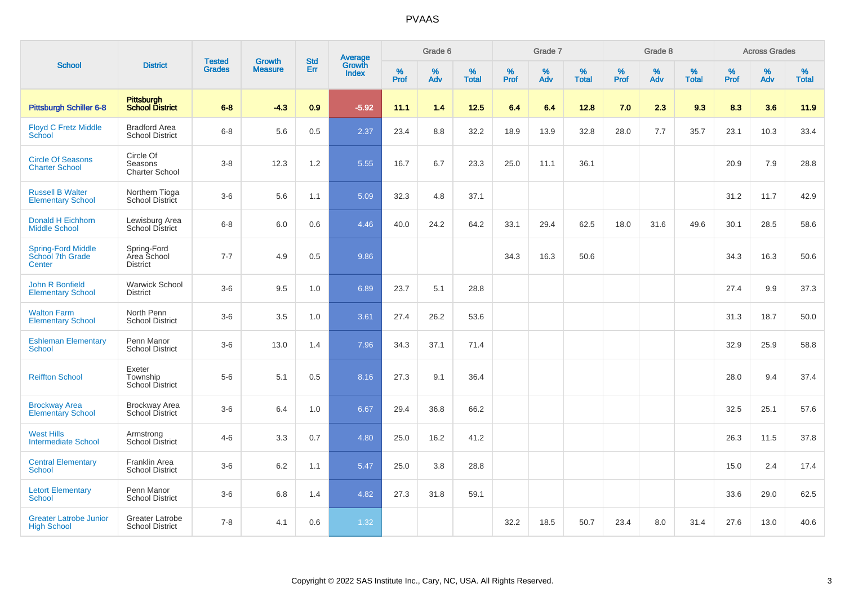|                                                         |                                                |                                |                                 | <b>Std</b> |                                          |           | Grade 6  |                   |           | Grade 7  |                   |           | Grade 8  |                   |              | <b>Across Grades</b> |                   |
|---------------------------------------------------------|------------------------------------------------|--------------------------------|---------------------------------|------------|------------------------------------------|-----------|----------|-------------------|-----------|----------|-------------------|-----------|----------|-------------------|--------------|----------------------|-------------------|
| <b>School</b>                                           | <b>District</b>                                | <b>Tested</b><br><b>Grades</b> | <b>Growth</b><br><b>Measure</b> | Err        | <b>Average</b><br>Growth<br><b>Index</b> | %<br>Prof | %<br>Adv | %<br><b>Total</b> | %<br>Prof | %<br>Adv | %<br><b>Total</b> | %<br>Prof | %<br>Adv | %<br><b>Total</b> | $\%$<br>Prof | %<br>Adv             | %<br><b>Total</b> |
| <b>Pittsburgh Schiller 6-8</b>                          | Pittsburgh<br>School District                  | $6 - 8$                        | $-4.3$                          | 0.9        | $-5.92$                                  | 11.1      | 1.4      | 12.5              | 6.4       | 6.4      | 12.8              | 7.0       | 2.3      | 9.3               | 8.3          | 3.6                  | 11.9              |
| <b>Floyd C Fretz Middle</b><br>School                   | <b>Bradford Area</b><br><b>School District</b> | $6 - 8$                        | 5.6                             | 0.5        | 2.37                                     | 23.4      | 8.8      | 32.2              | 18.9      | 13.9     | 32.8              | 28.0      | 7.7      | 35.7              | 23.1         | 10.3                 | 33.4              |
| <b>Circle Of Seasons</b><br><b>Charter School</b>       | Circle Of<br>Seasons<br><b>Charter School</b>  | $3 - 8$                        | 12.3                            | 1.2        | 5.55                                     | 16.7      | 6.7      | 23.3              | 25.0      | 11.1     | 36.1              |           |          |                   | 20.9         | 7.9                  | 28.8              |
| <b>Russell B Walter</b><br><b>Elementary School</b>     | Northern Tioga<br>School District              | $3-6$                          | 5.6                             | 1.1        | 5.09                                     | 32.3      | 4.8      | 37.1              |           |          |                   |           |          |                   | 31.2         | 11.7                 | 42.9              |
| <b>Donald H Eichhorn</b><br><b>Middle School</b>        | Lewisburg Area<br>School District              | $6-8$                          | 6.0                             | 0.6        | 4.46                                     | 40.0      | 24.2     | 64.2              | 33.1      | 29.4     | 62.5              | 18.0      | 31.6     | 49.6              | 30.1         | 28.5                 | 58.6              |
| <b>Spring-Ford Middle</b><br>School 7th Grade<br>Center | Spring-Ford<br>Area School<br><b>District</b>  | $7 - 7$                        | 4.9                             | 0.5        | 9.86                                     |           |          |                   | 34.3      | 16.3     | 50.6              |           |          |                   | 34.3         | 16.3                 | 50.6              |
| John R Bonfield<br><b>Elementary School</b>             | <b>Warwick School</b><br><b>District</b>       | $3-6$                          | 9.5                             | 1.0        | 6.89                                     | 23.7      | 5.1      | 28.8              |           |          |                   |           |          |                   | 27.4         | 9.9                  | 37.3              |
| <b>Walton Farm</b><br><b>Elementary School</b>          | North Penn<br><b>School District</b>           | $3-6$                          | 3.5                             | 1.0        | 3.61                                     | 27.4      | 26.2     | 53.6              |           |          |                   |           |          |                   | 31.3         | 18.7                 | 50.0              |
| <b>Eshleman Elementary</b><br><b>School</b>             | Penn Manor<br><b>School District</b>           | $3-6$                          | 13.0                            | 1.4        | 7.96                                     | 34.3      | 37.1     | 71.4              |           |          |                   |           |          |                   | 32.9         | 25.9                 | 58.8              |
| <b>Reiffton School</b>                                  | Exeter<br>Township<br>School District          | $5-6$                          | 5.1                             | 0.5        | 8.16                                     | 27.3      | 9.1      | 36.4              |           |          |                   |           |          |                   | 28.0         | 9.4                  | 37.4              |
| <b>Brockway Area</b><br><b>Elementary School</b>        | <b>Brockway Area</b><br>School District        | $3-6$                          | 6.4                             | 1.0        | 6.67                                     | 29.4      | 36.8     | 66.2              |           |          |                   |           |          |                   | 32.5         | 25.1                 | 57.6              |
| <b>West Hills</b><br><b>Intermediate School</b>         | Armstrong<br>School District                   | $4 - 6$                        | 3.3                             | 0.7        | 4.80                                     | 25.0      | 16.2     | 41.2              |           |          |                   |           |          |                   | 26.3         | 11.5                 | 37.8              |
| <b>Central Elementary</b><br><b>School</b>              | Franklin Area<br><b>School District</b>        | $3-6$                          | 6.2                             | 1.1        | 5.47                                     | 25.0      | 3.8      | 28.8              |           |          |                   |           |          |                   | 15.0         | 2.4                  | 17.4              |
| <b>Letort Elementary</b><br><b>School</b>               | Penn Manor<br><b>School District</b>           | $3-6$                          | 6.8                             | 1.4        | 4.82                                     | 27.3      | 31.8     | 59.1              |           |          |                   |           |          |                   | 33.6         | 29.0                 | 62.5              |
| <b>Greater Latrobe Junior</b><br><b>High School</b>     | Greater Latrobe<br><b>School District</b>      | $7 - 8$                        | 4.1                             | 0.6        | 1.32                                     |           |          |                   | 32.2      | 18.5     | 50.7              | 23.4      | 8.0      | 31.4              | 27.6         | 13.0                 | 40.6              |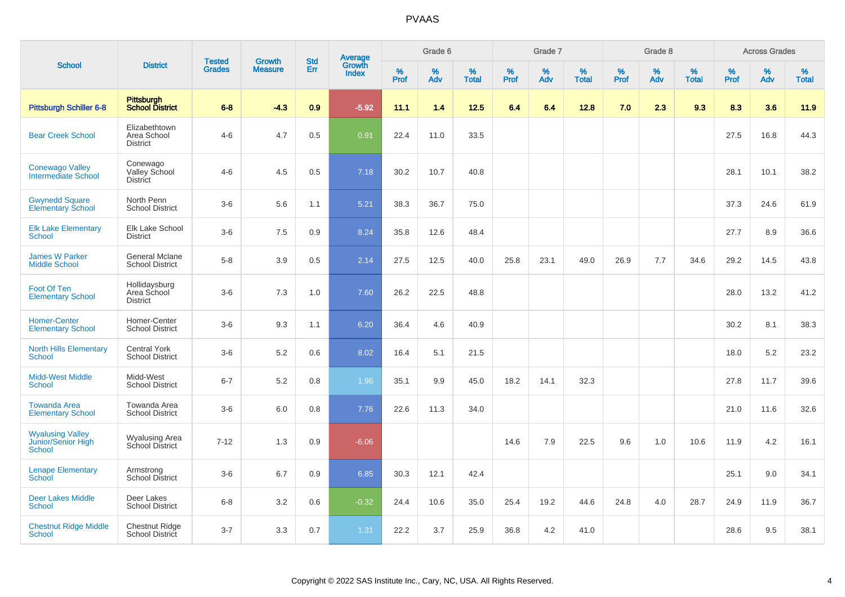|                                                         |                                                 |                                |                                 |                   |                                          |           | Grade 6     |                   |           | Grade 7     |                   |           | Grade 8  |                   |              | <b>Across Grades</b> |                   |
|---------------------------------------------------------|-------------------------------------------------|--------------------------------|---------------------------------|-------------------|------------------------------------------|-----------|-------------|-------------------|-----------|-------------|-------------------|-----------|----------|-------------------|--------------|----------------------|-------------------|
| <b>School</b>                                           | <b>District</b>                                 | <b>Tested</b><br><b>Grades</b> | <b>Growth</b><br><b>Measure</b> | <b>Std</b><br>Err | <b>Average</b><br>Growth<br><b>Index</b> | %<br>Prof | $\%$<br>Adv | %<br><b>Total</b> | %<br>Prof | $\%$<br>Adv | %<br><b>Total</b> | %<br>Prof | %<br>Adv | %<br><b>Total</b> | $\%$<br>Prof | %<br>Adv             | %<br><b>Total</b> |
| Pittsburgh Schiller 6-8                                 | <b>Pittsburgh</b><br><b>School District</b>     | $6 - 8$                        | $-4.3$                          | 0.9               | $-5.92$                                  | 11.1      | 1.4         | 12.5              | 6.4       | 6.4         | 12.8              | 7.0       | 2.3      | 9.3               | 8.3          | 3.6                  | 11.9              |
| <b>Bear Creek School</b>                                | Elizabethtown<br>Area School<br><b>District</b> | $4 - 6$                        | 4.7                             | 0.5               | 0.91                                     | 22.4      | 11.0        | 33.5              |           |             |                   |           |          |                   | 27.5         | 16.8                 | 44.3              |
| <b>Conewago Valley</b><br>Intermediate School           | Conewago<br>Valley School<br><b>District</b>    | $4-6$                          | 4.5                             | 0.5               | 7.18                                     | 30.2      | 10.7        | 40.8              |           |             |                   |           |          |                   | 28.1         | 10.1                 | 38.2              |
| <b>Gwynedd Square</b><br><b>Elementary School</b>       | North Penn<br><b>School District</b>            | $3-6$                          | 5.6                             | 1.1               | 5.21                                     | 38.3      | 36.7        | 75.0              |           |             |                   |           |          |                   | 37.3         | 24.6                 | 61.9              |
| <b>Elk Lake Elementary</b><br><b>School</b>             | Elk Lake School<br><b>District</b>              | $3-6$                          | 7.5                             | 0.9               | 8.24                                     | 35.8      | 12.6        | 48.4              |           |             |                   |           |          |                   | 27.7         | 8.9                  | 36.6              |
| <b>James W Parker</b><br><b>Middle School</b>           | <b>General Mclane</b><br><b>School District</b> | $5-8$                          | 3.9                             | 0.5               | 2.14                                     | 27.5      | 12.5        | 40.0              | 25.8      | 23.1        | 49.0              | 26.9      | 7.7      | 34.6              | 29.2         | 14.5                 | 43.8              |
| Foot Of Ten<br><b>Elementary School</b>                 | Hollidaysburg<br>Area School<br><b>District</b> | $3-6$                          | 7.3                             | 1.0               | 7.60                                     | 26.2      | 22.5        | 48.8              |           |             |                   |           |          |                   | 28.0         | 13.2                 | 41.2              |
| <b>Homer-Center</b><br><b>Elementary School</b>         | Homer-Center<br><b>School District</b>          | $3-6$                          | 9.3                             | 1.1               | 6.20                                     | 36.4      | 4.6         | 40.9              |           |             |                   |           |          |                   | 30.2         | 8.1                  | 38.3              |
| <b>North Hills Elementary</b><br><b>School</b>          | <b>Central York</b><br><b>School District</b>   | $3-6$                          | 5.2                             | 0.6               | 8.02                                     | 16.4      | 5.1         | 21.5              |           |             |                   |           |          |                   | 18.0         | 5.2                  | 23.2              |
| <b>Midd-West Middle</b><br><b>School</b>                | Midd-West<br><b>School District</b>             | $6 - 7$                        | 5.2                             | 0.8               | 1.96                                     | 35.1      | 9.9         | 45.0              | 18.2      | 14.1        | 32.3              |           |          |                   | 27.8         | 11.7                 | 39.6              |
| <b>Towanda Area</b><br><b>Elementary School</b>         | Towanda Area<br><b>School District</b>          | $3-6$                          | 6.0                             | 0.8               | 7.76                                     | 22.6      | 11.3        | 34.0              |           |             |                   |           |          |                   | 21.0         | 11.6                 | 32.6              |
| <b>Wyalusing Valley</b><br>Junior/Senior High<br>School | Wyalusing Area<br>School District               | $7 - 12$                       | 1.3                             | 0.9               | $-6.06$                                  |           |             |                   | 14.6      | 7.9         | 22.5              | 9.6       | 1.0      | 10.6              | 11.9         | 4.2                  | 16.1              |
| <b>Lenape Elementary</b><br><b>School</b>               | Armstrong<br>School District                    | $3-6$                          | 6.7                             | 0.9               | 6.85                                     | 30.3      | 12.1        | 42.4              |           |             |                   |           |          |                   | 25.1         | 9.0                  | 34.1              |
| <b>Deer Lakes Middle</b><br><b>School</b>               | Deer Lakes<br><b>School District</b>            | $6 - 8$                        | 3.2                             | 0.6               | $-0.32$                                  | 24.4      | 10.6        | 35.0              | 25.4      | 19.2        | 44.6              | 24.8      | 4.0      | 28.7              | 24.9         | 11.9                 | 36.7              |
| <b>Chestnut Ridge Middle</b><br><b>School</b>           | <b>Chestnut Ridge</b><br>School District        | $3 - 7$                        | 3.3                             | 0.7               | 1.31                                     | 22.2      | 3.7         | 25.9              | 36.8      | 4.2         | 41.0              |           |          |                   | 28.6         | 9.5                  | 38.1              |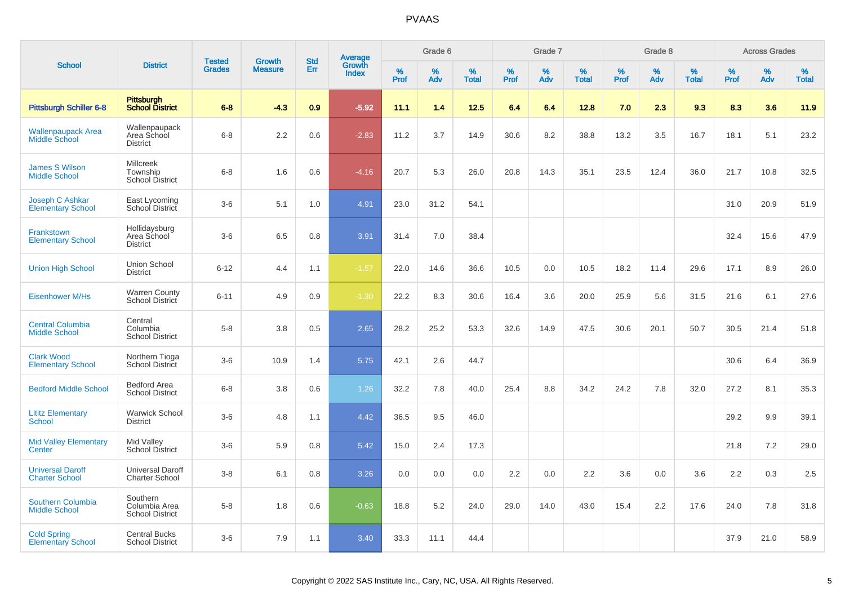|                                                  |                                                        | <b>Tested</b> | <b>Growth</b>  | <b>Std</b> | <b>Average</b><br>Growth |                  | Grade 6  |                   |           | Grade 7  |                   |           | Grade 8  |                   |           | <b>Across Grades</b> |                   |
|--------------------------------------------------|--------------------------------------------------------|---------------|----------------|------------|--------------------------|------------------|----------|-------------------|-----------|----------|-------------------|-----------|----------|-------------------|-----------|----------------------|-------------------|
| <b>School</b>                                    | <b>District</b>                                        | <b>Grades</b> | <b>Measure</b> | Err        | <b>Index</b>             | %<br><b>Prof</b> | %<br>Adv | %<br><b>Total</b> | %<br>Prof | %<br>Adv | %<br><b>Total</b> | %<br>Prof | %<br>Adv | %<br><b>Total</b> | %<br>Prof | %<br>Adv             | %<br><b>Total</b> |
| <b>Pittsburgh Schiller 6-8</b>                   | <b>Pittsburgh</b><br><b>School District</b>            | $6 - 8$       | $-4.3$         | 0.9        | $-5.92$                  | 11.1             | 1.4      | 12.5              | 6.4       | 6.4      | 12.8              | 7.0       | 2.3      | 9.3               | 8.3       | 3.6                  | 11.9              |
| <b>Wallenpaupack Area</b><br>Middle School       | Wallenpaupack<br>Area School<br><b>District</b>        | $6 - 8$       | 2.2            | 0.6        | $-2.83$                  | 11.2             | 3.7      | 14.9              | 30.6      | 8.2      | 38.8              | 13.2      | 3.5      | 16.7              | 18.1      | 5.1                  | 23.2              |
| <b>James S Wilson</b><br><b>Middle School</b>    | <b>Millcreek</b><br>Township<br><b>School District</b> | $6 - 8$       | 1.6            | 0.6        | $-4.16$                  | 20.7             | 5.3      | 26.0              | 20.8      | 14.3     | 35.1              | 23.5      | 12.4     | 36.0              | 21.7      | 10.8                 | 32.5              |
| Joseph C Ashkar<br><b>Elementary School</b>      | East Lycoming<br>School District                       | $3-6$         | 5.1            | 1.0        | 4.91                     | 23.0             | 31.2     | 54.1              |           |          |                   |           |          |                   | 31.0      | 20.9                 | 51.9              |
| Frankstown<br><b>Elementary School</b>           | Hollidaysburg<br>Area School<br><b>District</b>        | $3-6$         | 6.5            | 0.8        | 3.91                     | 31.4             | 7.0      | 38.4              |           |          |                   |           |          |                   | 32.4      | 15.6                 | 47.9              |
| <b>Union High School</b>                         | Union School<br><b>District</b>                        | $6 - 12$      | 4.4            | 1.1        | $-1.57$                  | 22.0             | 14.6     | 36.6              | 10.5      | 0.0      | 10.5              | 18.2      | 11.4     | 29.6              | 17.1      | 8.9                  | 26.0              |
| <b>Eisenhower M/Hs</b>                           | <b>Warren County</b><br>School District                | $6 - 11$      | 4.9            | 0.9        | $-1.30$                  | 22.2             | 8.3      | 30.6              | 16.4      | 3.6      | 20.0              | 25.9      | 5.6      | 31.5              | 21.6      | 6.1                  | 27.6              |
| <b>Central Columbia</b><br><b>Middle School</b>  | Central<br>Columbia<br><b>School District</b>          | $5-8$         | 3.8            | 0.5        | 2.65                     | 28.2             | 25.2     | 53.3              | 32.6      | 14.9     | 47.5              | 30.6      | 20.1     | 50.7              | 30.5      | 21.4                 | 51.8              |
| <b>Clark Wood</b><br><b>Elementary School</b>    | Northern Tioga<br>School District                      | $3-6$         | 10.9           | 1.4        | 5.75                     | 42.1             | 2.6      | 44.7              |           |          |                   |           |          |                   | 30.6      | 6.4                  | 36.9              |
| <b>Bedford Middle School</b>                     | <b>Bedford Area</b><br><b>School District</b>          | $6 - 8$       | 3.8            | 0.6        | 1.26                     | 32.2             | 7.8      | 40.0              | 25.4      | 8.8      | 34.2              | 24.2      | 7.8      | 32.0              | 27.2      | 8.1                  | 35.3              |
| <b>Lititz Elementary</b><br><b>School</b>        | <b>Warwick School</b><br><b>District</b>               | $3-6$         | 4.8            | 1.1        | 4.42                     | 36.5             | 9.5      | 46.0              |           |          |                   |           |          |                   | 29.2      | 9.9                  | 39.1              |
| <b>Mid Valley Elementary</b><br>Center           | Mid Valley<br><b>School District</b>                   | $3-6$         | 5.9            | 0.8        | 5.42                     | 15.0             | 2.4      | 17.3              |           |          |                   |           |          |                   | 21.8      | 7.2                  | 29.0              |
| <b>Universal Daroff</b><br><b>Charter School</b> | <b>Universal Daroff</b><br><b>Charter School</b>       | $3 - 8$       | 6.1            | 0.8        | 3.26                     | 0.0              | 0.0      | 0.0               | 2.2       | 0.0      | 2.2               | 3.6       | 0.0      | 3.6               | 2.2       | 0.3                  | 2.5               |
| <b>Southern Columbia</b><br><b>Middle School</b> | Southern<br>Columbia Area<br><b>School District</b>    | $5-8$         | 1.8            | 0.6        | $-0.63$                  | 18.8             | 5.2      | 24.0              | 29.0      | 14.0     | 43.0              | 15.4      | 2.2      | 17.6              | 24.0      | 7.8                  | 31.8              |
| <b>Cold Spring</b><br><b>Elementary School</b>   | <b>Central Bucks</b><br><b>School District</b>         | $3-6$         | 7.9            | 1.1        | 3.40                     | 33.3             | 11.1     | 44.4              |           |          |                   |           |          |                   | 37.9      | 21.0                 | 58.9              |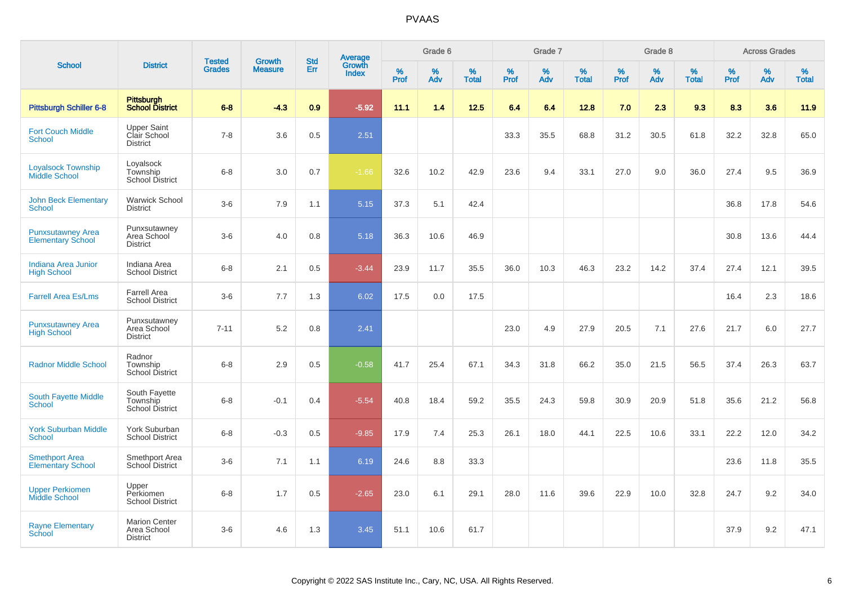|                                                      |                                                        |                                |                          |                   |                                          |                  | Grade 6  |                   |           | Grade 7  |                   |           | Grade 8  |                   |              | <b>Across Grades</b> |                   |
|------------------------------------------------------|--------------------------------------------------------|--------------------------------|--------------------------|-------------------|------------------------------------------|------------------|----------|-------------------|-----------|----------|-------------------|-----------|----------|-------------------|--------------|----------------------|-------------------|
| <b>School</b>                                        | <b>District</b>                                        | <b>Tested</b><br><b>Grades</b> | Growth<br><b>Measure</b> | <b>Std</b><br>Err | <b>Average</b><br>Growth<br><b>Index</b> | %<br><b>Prof</b> | %<br>Adv | %<br><b>Total</b> | %<br>Prof | %<br>Adv | %<br><b>Total</b> | %<br>Prof | %<br>Adv | %<br><b>Total</b> | $\%$<br>Prof | %<br>Adv             | %<br><b>Total</b> |
| <b>Pittsburgh Schiller 6-8</b>                       | <b>Pittsburgh</b><br><b>School District</b>            | $6 - 8$                        | $-4.3$                   | 0.9               | $-5.92$                                  | 11.1             | 1.4      | 12.5              | 6.4       | 6.4      | 12.8              | 7.0       | 2.3      | 9.3               | 8.3          | 3.6                  | 11.9              |
| <b>Fort Couch Middle</b><br>School                   | <b>Upper Saint</b><br>Clair School<br><b>District</b>  | $7 - 8$                        | 3.6                      | 0.5               | 2.51                                     |                  |          |                   | 33.3      | 35.5     | 68.8              | 31.2      | 30.5     | 61.8              | 32.2         | 32.8                 | 65.0              |
| <b>Loyalsock Township</b><br><b>Middle School</b>    | Loyalsock<br>Township<br><b>School District</b>        | $6 - 8$                        | 3.0                      | 0.7               | $-1.66$                                  | 32.6             | 10.2     | 42.9              | 23.6      | 9.4      | 33.1              | 27.0      | 9.0      | 36.0              | 27.4         | 9.5                  | 36.9              |
| <b>John Beck Elementary</b><br><b>School</b>         | <b>Warwick School</b><br><b>District</b>               | $3-6$                          | 7.9                      | 1.1               | 5.15                                     | 37.3             | 5.1      | 42.4              |           |          |                   |           |          |                   | 36.8         | 17.8                 | 54.6              |
| <b>Punxsutawney Area</b><br><b>Elementary School</b> | Punxsutawney<br>Area School<br><b>District</b>         | $3-6$                          | 4.0                      | 0.8               | 5.18                                     | 36.3             | 10.6     | 46.9              |           |          |                   |           |          |                   | 30.8         | 13.6                 | 44.4              |
| Indiana Area Junior<br><b>High School</b>            | Indiana Area<br><b>School District</b>                 | $6-8$                          | 2.1                      | 0.5               | $-3.44$                                  | 23.9             | 11.7     | 35.5              | 36.0      | 10.3     | 46.3              | 23.2      | 14.2     | 37.4              | 27.4         | 12.1                 | 39.5              |
| <b>Farrell Area Es/Lms</b>                           | <b>Farrell Area</b><br><b>School District</b>          | $3-6$                          | 7.7                      | 1.3               | 6.02                                     | 17.5             | 0.0      | 17.5              |           |          |                   |           |          |                   | 16.4         | 2.3                  | 18.6              |
| <b>Punxsutawney Area</b><br><b>High School</b>       | Punxsutawney<br>Area School<br><b>District</b>         | $7 - 11$                       | 5.2                      | 0.8               | 2.41                                     |                  |          |                   | 23.0      | 4.9      | 27.9              | 20.5      | 7.1      | 27.6              | 21.7         | 6.0                  | 27.7              |
| <b>Radnor Middle School</b>                          | Radnor<br>Township<br><b>School District</b>           | $6 - 8$                        | 2.9                      | 0.5               | $-0.58$                                  | 41.7             | 25.4     | 67.1              | 34.3      | 31.8     | 66.2              | 35.0      | 21.5     | 56.5              | 37.4         | 26.3                 | 63.7              |
| South Fayette Middle<br>School                       | South Fayette<br>Township<br><b>School District</b>    | $6 - 8$                        | $-0.1$                   | 0.4               | $-5.54$                                  | 40.8             | 18.4     | 59.2              | 35.5      | 24.3     | 59.8              | 30.9      | 20.9     | 51.8              | 35.6         | 21.2                 | 56.8              |
| <b>York Suburban Middle</b><br>School                | York Suburban<br><b>School District</b>                | $6 - 8$                        | $-0.3$                   | 0.5               | $-9.85$                                  | 17.9             | 7.4      | 25.3              | 26.1      | 18.0     | 44.1              | 22.5      | 10.6     | 33.1              | 22.2         | 12.0                 | 34.2              |
| <b>Smethport Area</b><br><b>Elementary School</b>    | Smethport Area<br>School District                      | $3-6$                          | 7.1                      | 1.1               | 6.19                                     | 24.6             | 8.8      | 33.3              |           |          |                   |           |          |                   | 23.6         | 11.8                 | 35.5              |
| <b>Upper Perkiomen</b><br>Middle School              | Upper<br>Perkiomen<br><b>School District</b>           | $6 - 8$                        | 1.7                      | 0.5               | $-2.65$                                  | 23.0             | 6.1      | 29.1              | 28.0      | 11.6     | 39.6              | 22.9      | 10.0     | 32.8              | 24.7         | 9.2                  | 34.0              |
| <b>Rayne Elementary</b><br>School                    | <b>Marion Center</b><br>Area School<br><b>District</b> | $3-6$                          | 4.6                      | 1.3               | 3.45                                     | 51.1             | 10.6     | 61.7              |           |          |                   |           |          |                   | 37.9         | 9.2                  | 47.1              |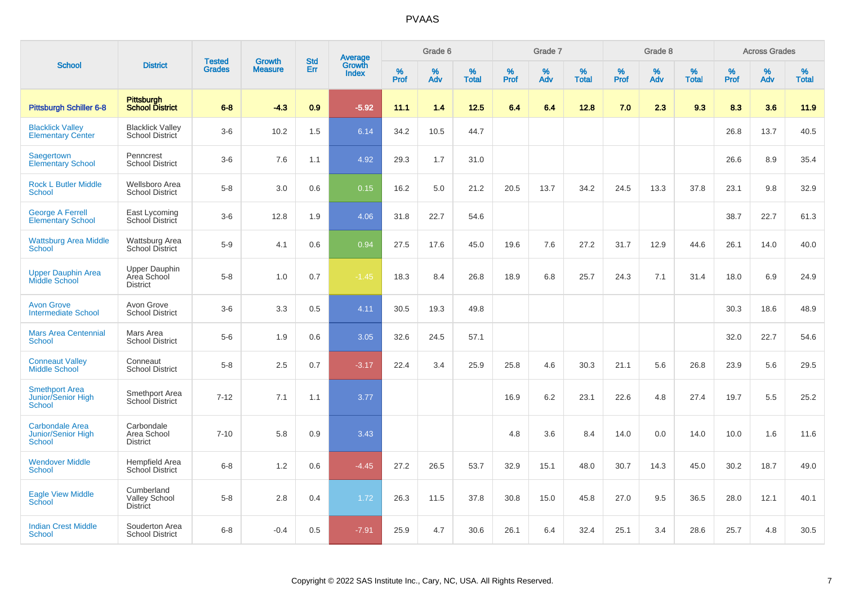|                                                                      |                                                        | <b>Tested</b> | <b>Growth</b>  | <b>Std</b> |                                          |                  | Grade 6  |                   |                  | Grade 7     |                   |           | Grade 8  |                   |                  | <b>Across Grades</b> |                   |
|----------------------------------------------------------------------|--------------------------------------------------------|---------------|----------------|------------|------------------------------------------|------------------|----------|-------------------|------------------|-------------|-------------------|-----------|----------|-------------------|------------------|----------------------|-------------------|
| <b>School</b>                                                        | <b>District</b>                                        | <b>Grades</b> | <b>Measure</b> | Err        | <b>Average</b><br>Growth<br><b>Index</b> | %<br><b>Prof</b> | %<br>Adv | %<br><b>Total</b> | %<br><b>Prof</b> | $\%$<br>Adv | %<br><b>Total</b> | %<br>Prof | %<br>Adv | %<br><b>Total</b> | %<br><b>Prof</b> | $\%$<br>Adv          | %<br><b>Total</b> |
| <b>Pittsburgh Schiller 6-8</b>                                       | <b>Pittsburgh</b><br><b>School District</b>            | $6 - 8$       | $-4.3$         | 0.9        | $-5.92$                                  | 11.1             | 1.4      | 12.5              | 6.4              | 6.4         | 12.8              | 7.0       | 2.3      | 9.3               | 8.3              | 3.6                  | 11.9              |
| <b>Blacklick Valley</b><br><b>Elementary Center</b>                  | <b>Blacklick Valley</b><br>School District             | $3-6$         | 10.2           | 1.5        | 6.14                                     | 34.2             | 10.5     | 44.7              |                  |             |                   |           |          |                   | 26.8             | 13.7                 | 40.5              |
| Saegertown<br><b>Elementary School</b>                               | Penncrest<br><b>School District</b>                    | $3-6$         | 7.6            | 1.1        | 4.92                                     | 29.3             | 1.7      | 31.0              |                  |             |                   |           |          |                   | 26.6             | 8.9                  | 35.4              |
| <b>Rock L Butler Middle</b><br><b>School</b>                         | Wellsboro Area<br><b>School District</b>               | $5-8$         | 3.0            | 0.6        | 0.15                                     | 16.2             | 5.0      | 21.2              | 20.5             | 13.7        | 34.2              | 24.5      | 13.3     | 37.8              | 23.1             | 9.8                  | 32.9              |
| <b>George A Ferrell</b><br><b>Elementary School</b>                  | East Lycoming<br>School District                       | $3-6$         | 12.8           | 1.9        | 4.06                                     | 31.8             | 22.7     | 54.6              |                  |             |                   |           |          |                   | 38.7             | 22.7                 | 61.3              |
| <b>Wattsburg Area Middle</b><br>School                               | Wattsburg Area<br><b>School District</b>               | $5-9$         | 4.1            | 0.6        | 0.94                                     | 27.5             | 17.6     | 45.0              | 19.6             | 7.6         | 27.2              | 31.7      | 12.9     | 44.6              | 26.1             | 14.0                 | 40.0              |
| <b>Upper Dauphin Area</b><br>Middle School                           | <b>Upper Dauphin</b><br>Area School<br><b>District</b> | $5-8$         | 1.0            | 0.7        | $-1.45$                                  | 18.3             | 8.4      | 26.8              | 18.9             | 6.8         | 25.7              | 24.3      | 7.1      | 31.4              | 18.0             | 6.9                  | 24.9              |
| <b>Avon Grove</b><br><b>Intermediate School</b>                      | Avon Grove<br><b>School District</b>                   | $3-6$         | 3.3            | 0.5        | 4.11                                     | 30.5             | 19.3     | 49.8              |                  |             |                   |           |          |                   | 30.3             | 18.6                 | 48.9              |
| <b>Mars Area Centennial</b><br>School                                | Mars Area<br><b>School District</b>                    | $5-6$         | 1.9            | 0.6        | 3.05                                     | 32.6             | 24.5     | 57.1              |                  |             |                   |           |          |                   | 32.0             | 22.7                 | 54.6              |
| <b>Conneaut Valley</b><br><b>Middle School</b>                       | Conneaut<br><b>School District</b>                     | $5-8$         | 2.5            | 0.7        | $-3.17$                                  | 22.4             | 3.4      | 25.9              | 25.8             | 4.6         | 30.3              | 21.1      | 5.6      | 26.8              | 23.9             | 5.6                  | 29.5              |
| <b>Smethport Area</b><br>Junior/Senior High<br><b>School</b>         | Smethport Area<br>School District                      | $7 - 12$      | 7.1            | 1.1        | 3.77                                     |                  |          |                   | 16.9             | 6.2         | 23.1              | 22.6      | 4.8      | 27.4              | 19.7             | 5.5                  | 25.2              |
| <b>Carbondale Area</b><br><b>Junior/Senior High</b><br><b>School</b> | Carbondale<br>Area School<br><b>District</b>           | $7 - 10$      | 5.8            | 0.9        | 3.43                                     |                  |          |                   | 4.8              | 3.6         | 8.4               | 14.0      | 0.0      | 14.0              | 10.0             | 1.6                  | 11.6              |
| <b>Wendover Middle</b><br>School                                     | Hempfield Area<br><b>School District</b>               | $6 - 8$       | 1.2            | 0.6        | $-4.45$                                  | 27.2             | 26.5     | 53.7              | 32.9             | 15.1        | 48.0              | 30.7      | 14.3     | 45.0              | 30.2             | 18.7                 | 49.0              |
| <b>Eagle View Middle</b><br>School                                   | Cumberland<br><b>Valley School</b><br><b>District</b>  | $5-8$         | 2.8            | 0.4        | 1.72                                     | 26.3             | 11.5     | 37.8              | 30.8             | 15.0        | 45.8              | 27.0      | 9.5      | 36.5              | 28.0             | 12.1                 | 40.1              |
| <b>Indian Crest Middle</b><br>School                                 | Souderton Area<br><b>School District</b>               | $6 - 8$       | $-0.4$         | 0.5        | $-7.91$                                  | 25.9             | 4.7      | 30.6              | 26.1             | 6.4         | 32.4              | 25.1      | 3.4      | 28.6              | 25.7             | 4.8                  | 30.5              |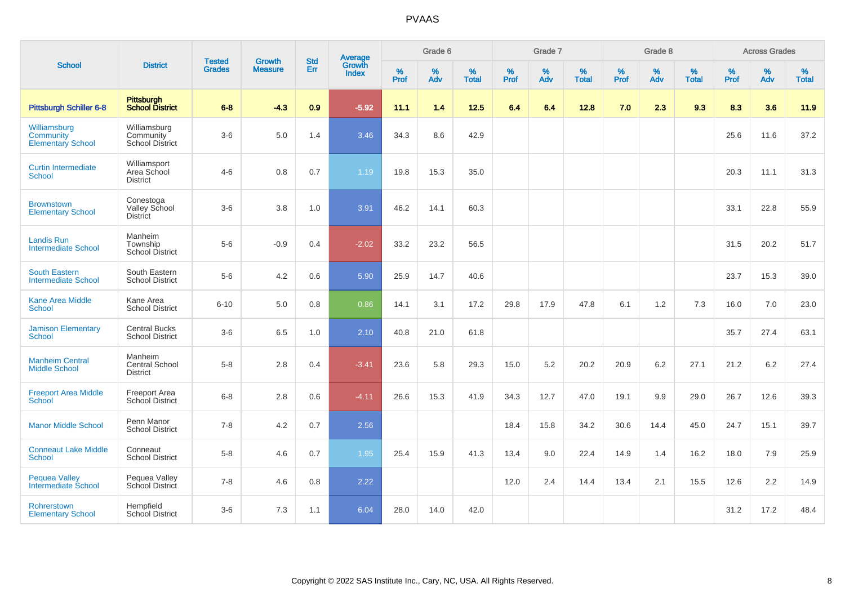|                                                       |                                                | <b>Tested</b> | <b>Growth</b>  | <b>Std</b> |                                          |                  | Grade 6     |                   |              | Grade 7     |                      |              | Grade 8  |                   |           | <b>Across Grades</b> |                      |
|-------------------------------------------------------|------------------------------------------------|---------------|----------------|------------|------------------------------------------|------------------|-------------|-------------------|--------------|-------------|----------------------|--------------|----------|-------------------|-----------|----------------------|----------------------|
| <b>School</b>                                         | <b>District</b>                                | <b>Grades</b> | <b>Measure</b> | Err        | <b>Average</b><br>Growth<br><b>Index</b> | %<br><b>Prof</b> | $\%$<br>Adv | %<br><b>Total</b> | $\%$<br>Prof | $\%$<br>Adv | $\%$<br><b>Total</b> | $\%$<br>Prof | %<br>Adv | %<br><b>Total</b> | %<br>Prof | $\%$<br>Adv          | $\%$<br><b>Total</b> |
| <b>Pittsburgh Schiller 6-8</b>                        | Pittsburgh<br>School District                  | $6 - 8$       | $-4.3$         | 0.9        | $-5.92$                                  | 11.1             | 1.4         | 12.5              | 6.4          | 6.4         | 12.8                 | 7.0          | 2.3      | 9.3               | 8.3       | 3.6                  | 11.9                 |
| Williamsburg<br>Community<br><b>Elementary School</b> | Williamsburg<br>Community<br>School District   | $3-6$         | 5.0            | 1.4        | 3.46                                     | 34.3             | 8.6         | 42.9              |              |             |                      |              |          |                   | 25.6      | 11.6                 | 37.2                 |
| <b>Curtin Intermediate</b><br>School                  | Williamsport<br>Area School<br><b>District</b> | $4 - 6$       | 0.8            | 0.7        | 1.19                                     | 19.8             | 15.3        | 35.0              |              |             |                      |              |          |                   | 20.3      | 11.1                 | 31.3                 |
| <b>Brownstown</b><br><b>Elementary School</b>         | Conestoga<br>Valley School<br><b>District</b>  | $3-6$         | 3.8            | 1.0        | 3.91                                     | 46.2             | 14.1        | 60.3              |              |             |                      |              |          |                   | 33.1      | 22.8                 | 55.9                 |
| <b>Landis Run</b><br><b>Intermediate School</b>       | Manheim<br>Township<br><b>School District</b>  | $5-6$         | $-0.9$         | 0.4        | $-2.02$                                  | 33.2             | 23.2        | 56.5              |              |             |                      |              |          |                   | 31.5      | 20.2                 | 51.7                 |
| <b>South Eastern</b><br><b>Intermediate School</b>    | South Eastern<br><b>School District</b>        | $5-6$         | 4.2            | 0.6        | 5.90                                     | 25.9             | 14.7        | 40.6              |              |             |                      |              |          |                   | 23.7      | 15.3                 | 39.0                 |
| <b>Kane Area Middle</b><br><b>School</b>              | Kane Area<br><b>School District</b>            | $6 - 10$      | 5.0            | 0.8        | 0.86                                     | 14.1             | 3.1         | 17.2              | 29.8         | 17.9        | 47.8                 | 6.1          | 1.2      | 7.3               | 16.0      | 7.0                  | 23.0                 |
| <b>Jamison Elementary</b><br>School                   | <b>Central Bucks</b><br><b>School District</b> | $3-6$         | 6.5            | 1.0        | 2.10                                     | 40.8             | 21.0        | 61.8              |              |             |                      |              |          |                   | 35.7      | 27.4                 | 63.1                 |
| <b>Manheim Central</b><br><b>Middle School</b>        | Manheim<br>Central School<br><b>District</b>   | $5 - 8$       | 2.8            | 0.4        | $-3.41$                                  | 23.6             | 5.8         | 29.3              | 15.0         | 5.2         | 20.2                 | 20.9         | 6.2      | 27.1              | 21.2      | 6.2                  | 27.4                 |
| <b>Freeport Area Middle</b><br><b>School</b>          | <b>Freeport Area</b><br>School District        | $6 - 8$       | 2.8            | 0.6        | $-4.11$                                  | 26.6             | 15.3        | 41.9              | 34.3         | 12.7        | 47.0                 | 19.1         | 9.9      | 29.0              | 26.7      | 12.6                 | 39.3                 |
| <b>Manor Middle School</b>                            | Penn Manor<br><b>School District</b>           | $7 - 8$       | 4.2            | 0.7        | 2.56                                     |                  |             |                   | 18.4         | 15.8        | 34.2                 | 30.6         | 14.4     | 45.0              | 24.7      | 15.1                 | 39.7                 |
| <b>Conneaut Lake Middle</b><br><b>School</b>          | Conneaut<br><b>School District</b>             | $5 - 8$       | 4.6            | 0.7        | 1.95                                     | 25.4             | 15.9        | 41.3              | 13.4         | 9.0         | 22.4                 | 14.9         | 1.4      | 16.2              | 18.0      | 7.9                  | 25.9                 |
| <b>Pequea Valley</b><br>Intermediate School           | Pequea Valley<br>School District               | $7 - 8$       | 4.6            | 0.8        | 2.22                                     |                  |             |                   | 12.0         | 2.4         | 14.4                 | 13.4         | 2.1      | 15.5              | 12.6      | 2.2                  | 14.9                 |
| Rohrerstown<br><b>Elementary School</b>               | Hempfield<br><b>School District</b>            | $3-6$         | 7.3            | 1.1        | 6.04                                     | 28.0             | 14.0        | 42.0              |              |             |                      |              |          |                   | 31.2      | 17.2                 | 48.4                 |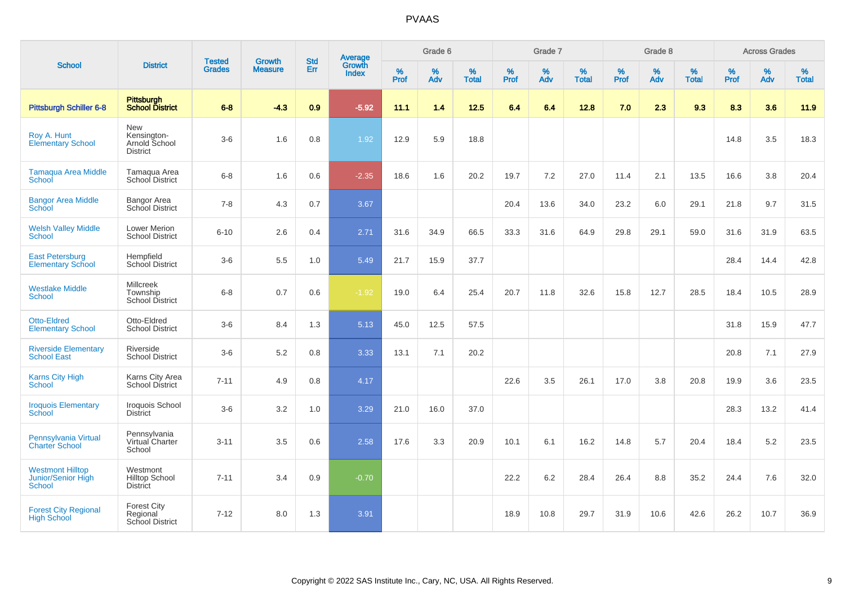|                                                                |                                                               | <b>Tested</b> | <b>Growth</b>  | <b>Std</b> |                                          |                  | Grade 6  |                   |           | Grade 7  |                   |           | Grade 8  |                   |           | <b>Across Grades</b> |                   |
|----------------------------------------------------------------|---------------------------------------------------------------|---------------|----------------|------------|------------------------------------------|------------------|----------|-------------------|-----------|----------|-------------------|-----------|----------|-------------------|-----------|----------------------|-------------------|
| <b>School</b>                                                  | <b>District</b>                                               | <b>Grades</b> | <b>Measure</b> | Err        | <b>Average</b><br>Growth<br><b>Index</b> | %<br><b>Prof</b> | %<br>Adv | %<br><b>Total</b> | %<br>Prof | %<br>Adv | %<br><b>Total</b> | %<br>Prof | %<br>Adv | %<br><b>Total</b> | %<br>Prof | $\%$<br>Adv          | %<br><b>Total</b> |
| <b>Pittsburgh Schiller 6-8</b>                                 | Pittsburgh<br>School District                                 | $6 - 8$       | $-4.3$         | 0.9        | $-5.92$                                  | 11.1             | 1.4      | 12.5              | 6.4       | 6.4      | 12.8              | 7.0       | 2.3      | 9.3               | 8.3       | 3.6                  | 11.9              |
| Roy A. Hunt<br><b>Elementary School</b>                        | <b>New</b><br>Kensington-<br>Arnold School<br><b>District</b> | $3-6$         | 1.6            | 0.8        | 1.92                                     | 12.9             | 5.9      | 18.8              |           |          |                   |           |          |                   | 14.8      | 3.5                  | 18.3              |
| <b>Tamaqua Area Middle</b><br>School                           | Tamagua Area<br>School District                               | $6 - 8$       | 1.6            | 0.6        | $-2.35$                                  | 18.6             | 1.6      | 20.2              | 19.7      | 7.2      | 27.0              | 11.4      | 2.1      | 13.5              | 16.6      | 3.8                  | 20.4              |
| <b>Bangor Area Middle</b><br>School                            | <b>Bangor Area</b><br>School District                         | $7 - 8$       | 4.3            | 0.7        | 3.67                                     |                  |          |                   | 20.4      | 13.6     | 34.0              | 23.2      | 6.0      | 29.1              | 21.8      | 9.7                  | 31.5              |
| <b>Welsh Valley Middle</b><br><b>School</b>                    | Lower Merion<br><b>School District</b>                        | $6 - 10$      | 2.6            | 0.4        | 2.71                                     | 31.6             | 34.9     | 66.5              | 33.3      | 31.6     | 64.9              | 29.8      | 29.1     | 59.0              | 31.6      | 31.9                 | 63.5              |
| <b>East Petersburg</b><br><b>Elementary School</b>             | Hempfield<br>School District                                  | $3-6$         | 5.5            | 1.0        | 5.49                                     | 21.7             | 15.9     | 37.7              |           |          |                   |           |          |                   | 28.4      | 14.4                 | 42.8              |
| <b>Westlake Middle</b><br>School                               | <b>Millcreek</b><br>Township<br><b>School District</b>        | $6 - 8$       | 0.7            | 0.6        | $-1.92$                                  | 19.0             | 6.4      | 25.4              | 20.7      | 11.8     | 32.6              | 15.8      | 12.7     | 28.5              | 18.4      | 10.5                 | 28.9              |
| <b>Otto-Eldred</b><br><b>Elementary School</b>                 | Otto-Eldred<br><b>School District</b>                         | $3-6$         | 8.4            | 1.3        | 5.13                                     | 45.0             | 12.5     | 57.5              |           |          |                   |           |          |                   | 31.8      | 15.9                 | 47.7              |
| <b>Riverside Elementary</b><br><b>School East</b>              | Riverside<br><b>School District</b>                           | $3-6$         | 5.2            | 0.8        | 3.33                                     | 13.1             | 7.1      | 20.2              |           |          |                   |           |          |                   | 20.8      | 7.1                  | 27.9              |
| <b>Karns City High</b><br>School                               | Karns City Area<br>School District                            | $7 - 11$      | 4.9            | 0.8        | 4.17                                     |                  |          |                   | 22.6      | 3.5      | 26.1              | 17.0      | 3.8      | 20.8              | 19.9      | 3.6                  | 23.5              |
| <b>Iroquois Elementary</b><br>School                           | Iroquois School<br><b>District</b>                            | $3-6$         | 3.2            | 1.0        | 3.29                                     | 21.0             | 16.0     | 37.0              |           |          |                   |           |          |                   | 28.3      | 13.2                 | 41.4              |
| Pennsylvania Virtual<br><b>Charter School</b>                  | Pennsylvania<br>Virtual Charter<br>School                     | $3 - 11$      | 3.5            | 0.6        | 2.58                                     | 17.6             | 3.3      | 20.9              | 10.1      | 6.1      | 16.2              | 14.8      | 5.7      | 20.4              | 18.4      | 5.2                  | 23.5              |
| <b>Westmont Hilltop</b><br><b>Junior/Senior High</b><br>School | Westmont<br><b>Hilltop School</b><br><b>District</b>          | $7 - 11$      | 3.4            | 0.9        | $-0.70$                                  |                  |          |                   | 22.2      | 6.2      | 28.4              | 26.4      | 8.8      | 35.2              | 24.4      | 7.6                  | 32.0              |
| <b>Forest City Regional</b><br><b>High School</b>              | <b>Forest City</b><br>Regional<br><b>School District</b>      | $7 - 12$      | 8.0            | 1.3        | 3.91                                     |                  |          |                   | 18.9      | 10.8     | 29.7              | 31.9      | 10.6     | 42.6              | 26.2      | 10.7                 | 36.9              |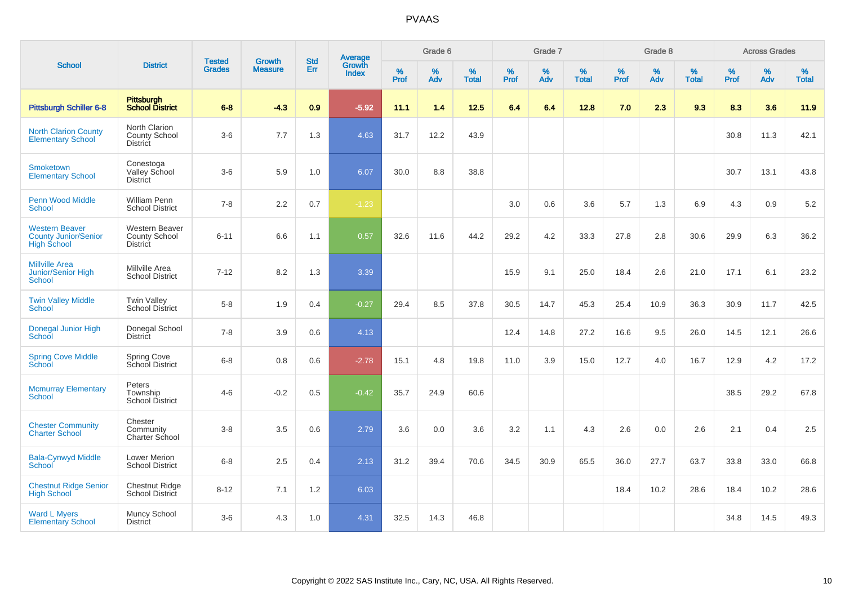|                                                                            |                                                           |                                | <b>Growth</b>  | <b>Std</b> | <b>Average</b><br>Growth |           | Grade 6  |                   |           | Grade 7     |                   |           | Grade 8  |                   |           | <b>Across Grades</b> |                   |
|----------------------------------------------------------------------------|-----------------------------------------------------------|--------------------------------|----------------|------------|--------------------------|-----------|----------|-------------------|-----------|-------------|-------------------|-----------|----------|-------------------|-----------|----------------------|-------------------|
| <b>School</b>                                                              | <b>District</b>                                           | <b>Tested</b><br><b>Grades</b> | <b>Measure</b> | Err        | <b>Index</b>             | %<br>Prof | %<br>Adv | %<br><b>Total</b> | %<br>Prof | $\%$<br>Adv | %<br><b>Total</b> | %<br>Prof | %<br>Adv | %<br><b>Total</b> | %<br>Prof | $\%$<br>Adv          | %<br><b>Total</b> |
| <b>Pittsburgh Schiller 6-8</b>                                             | Pittsburgh<br>School District                             | $6 - 8$                        | $-4.3$         | 0.9        | $-5.92$                  | 11.1      | 1.4      | 12.5              | 6.4       | 6.4         | 12.8              | 7.0       | 2.3      | 9.3               | 8.3       | 3.6                  | 11.9              |
| <b>North Clarion County</b><br><b>Elementary School</b>                    | North Clarion<br><b>County School</b><br><b>District</b>  | $3-6$                          | 7.7            | 1.3        | 4.63                     | 31.7      | 12.2     | 43.9              |           |             |                   |           |          |                   | 30.8      | 11.3                 | 42.1              |
| Smoketown<br><b>Elementary School</b>                                      | Conestoga<br>Valley School<br><b>District</b>             | $3-6$                          | 5.9            | 1.0        | 6.07                     | 30.0      | 8.8      | 38.8              |           |             |                   |           |          |                   | 30.7      | 13.1                 | 43.8              |
| <b>Penn Wood Middle</b><br>School                                          | <b>William Penn</b><br><b>School District</b>             | $7 - 8$                        | 2.2            | 0.7        | $-1.23$                  |           |          |                   | 3.0       | 0.6         | 3.6               | 5.7       | 1.3      | 6.9               | 4.3       | 0.9                  | 5.2               |
| <b>Western Beaver</b><br><b>County Junior/Senior</b><br><b>High School</b> | Western Beaver<br><b>County School</b><br><b>District</b> | $6 - 11$                       | 6.6            | 1.1        | 0.57                     | 32.6      | 11.6     | 44.2              | 29.2      | 4.2         | 33.3              | 27.8      | 2.8      | 30.6              | 29.9      | 6.3                  | 36.2              |
| <b>Millville Area</b><br>Junior/Senior High<br>School                      | Millville Area<br><b>School District</b>                  | $7 - 12$                       | 8.2            | 1.3        | 3.39                     |           |          |                   | 15.9      | 9.1         | 25.0              | 18.4      | 2.6      | 21.0              | 17.1      | 6.1                  | 23.2              |
| <b>Twin Valley Middle</b><br>School                                        | <b>Twin Valley</b><br><b>School District</b>              | $5-8$                          | 1.9            | 0.4        | $-0.27$                  | 29.4      | 8.5      | 37.8              | 30.5      | 14.7        | 45.3              | 25.4      | 10.9     | 36.3              | 30.9      | 11.7                 | 42.5              |
| Donegal Junior High<br>School                                              | Donegal School<br><b>District</b>                         | $7 - 8$                        | 3.9            | 0.6        | 4.13                     |           |          |                   | 12.4      | 14.8        | 27.2              | 16.6      | 9.5      | 26.0              | 14.5      | 12.1                 | 26.6              |
| <b>Spring Cove Middle</b><br>School                                        | <b>Spring Cove</b><br>School District                     | $6 - 8$                        | 0.8            | 0.6        | $-2.78$                  | 15.1      | 4.8      | 19.8              | 11.0      | 3.9         | 15.0              | 12.7      | 4.0      | 16.7              | 12.9      | 4.2                  | 17.2              |
| <b>Mcmurray Elementary</b><br>School                                       | Peters<br>Township<br><b>School District</b>              | $4 - 6$                        | $-0.2$         | 0.5        | $-0.42$                  | 35.7      | 24.9     | 60.6              |           |             |                   |           |          |                   | 38.5      | 29.2                 | 67.8              |
| <b>Chester Community</b><br><b>Charter School</b>                          | Chester<br>Community<br>Charter School                    | $3-8$                          | 3.5            | 0.6        | 2.79                     | 3.6       | 0.0      | 3.6               | 3.2       | 1.1         | 4.3               | 2.6       | 0.0      | 2.6               | 2.1       | 0.4                  | 2.5               |
| <b>Bala-Cynwyd Middle</b><br>School                                        | Lower Merion<br><b>School District</b>                    | $6 - 8$                        | 2.5            | 0.4        | 2.13                     | 31.2      | 39.4     | 70.6              | 34.5      | 30.9        | 65.5              | 36.0      | 27.7     | 63.7              | 33.8      | 33.0                 | 66.8              |
| <b>Chestnut Ridge Senior</b><br><b>High School</b>                         | Chestnut Ridge<br>School District                         | $8 - 12$                       | 7.1            | 1.2        | 6.03                     |           |          |                   |           |             |                   | 18.4      | 10.2     | 28.6              | 18.4      | 10.2                 | 28.6              |
| <b>Ward L Myers</b><br><b>Elementary School</b>                            | Muncy School<br><b>District</b>                           | $3-6$                          | 4.3            | 1.0        | 4.31                     | 32.5      | 14.3     | 46.8              |           |             |                   |           |          |                   | 34.8      | 14.5                 | 49.3              |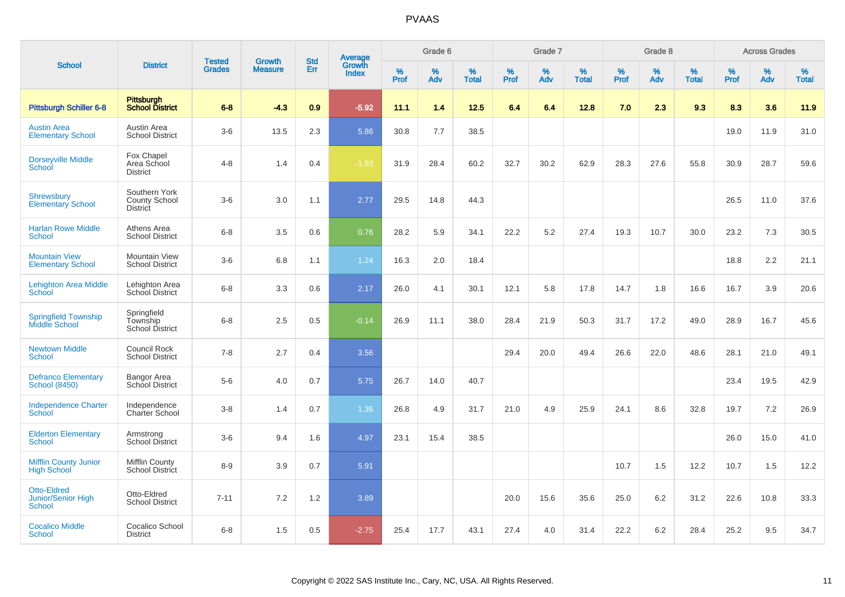|                                                    |                                                          |                                | <b>Growth</b>  | <b>Std</b> |                                          |                  | Grade 6  |                   |              | Grade 7  |                   |                  | Grade 8  |                   |                     | <b>Across Grades</b> |                   |
|----------------------------------------------------|----------------------------------------------------------|--------------------------------|----------------|------------|------------------------------------------|------------------|----------|-------------------|--------------|----------|-------------------|------------------|----------|-------------------|---------------------|----------------------|-------------------|
| <b>School</b>                                      | <b>District</b>                                          | <b>Tested</b><br><b>Grades</b> | <b>Measure</b> | Err        | <b>Average</b><br>Growth<br><b>Index</b> | %<br><b>Prof</b> | %<br>Adv | %<br><b>Total</b> | $\%$<br>Prof | %<br>Adv | %<br><b>Total</b> | %<br><b>Prof</b> | %<br>Adv | %<br><b>Total</b> | $\%$<br><b>Prof</b> | $\%$<br>Adv          | %<br><b>Total</b> |
| <b>Pittsburgh Schiller 6-8</b>                     | <b>Pittsburgh</b><br><b>School District</b>              | $6 - 8$                        | $-4.3$         | 0.9        | $-5.92$                                  | 11.1             | 1.4      | 12.5              | 6.4          | 6.4      | 12.8              | 7.0              | 2.3      | 9.3               | 8.3                 | 3.6                  | 11.9              |
| <b>Austin Area</b><br><b>Elementary School</b>     | Austin Area<br><b>School District</b>                    | $3-6$                          | 13.5           | 2.3        | 5.86                                     | 30.8             | 7.7      | 38.5              |              |          |                   |                  |          |                   | 19.0                | 11.9                 | 31.0              |
| <b>Dorseyville Middle</b><br><b>School</b>         | Fox Chapel<br>Area School<br><b>District</b>             | $4 - 8$                        | 1.4            | 0.4        | $-1.93$                                  | 31.9             | 28.4     | 60.2              | 32.7         | 30.2     | 62.9              | 28.3             | 27.6     | 55.8              | 30.9                | 28.7                 | 59.6              |
| <b>Shrewsbury</b><br><b>Elementary School</b>      | Southern York<br><b>County School</b><br><b>District</b> | $3-6$                          | 3.0            | 1.1        | 2.77                                     | 29.5             | 14.8     | 44.3              |              |          |                   |                  |          |                   | 26.5                | 11.0                 | 37.6              |
| <b>Harlan Rowe Middle</b><br><b>School</b>         | Athens Area<br><b>School District</b>                    | $6 - 8$                        | 3.5            | 0.6        | 0.76                                     | 28.2             | 5.9      | 34.1              | 22.2         | 5.2      | 27.4              | 19.3             | 10.7     | 30.0              | 23.2                | 7.3                  | 30.5              |
| <b>Mountain View</b><br><b>Elementary School</b>   | <b>Mountain View</b><br><b>School District</b>           | $3-6$                          | 6.8            | 1.1        | 1.24                                     | 16.3             | 2.0      | 18.4              |              |          |                   |                  |          |                   | 18.8                | 2.2                  | 21.1              |
| <b>Lehighton Area Middle</b><br>School             | Lehighton Area<br>School District                        | $6 - 8$                        | 3.3            | 0.6        | 2.17                                     | 26.0             | 4.1      | 30.1              | 12.1         | 5.8      | 17.8              | 14.7             | 1.8      | 16.6              | 16.7                | 3.9                  | 20.6              |
| <b>Springfield Township</b><br>Middle School       | Springfield<br>Township<br><b>School District</b>        | $6 - 8$                        | 2.5            | 0.5        | $-0.14$                                  | 26.9             | 11.1     | 38.0              | 28.4         | 21.9     | 50.3              | 31.7             | 17.2     | 49.0              | 28.9                | 16.7                 | 45.6              |
| <b>Newtown Middle</b><br><b>School</b>             | Council Rock<br><b>School District</b>                   | $7 - 8$                        | 2.7            | 0.4        | 3.56                                     |                  |          |                   | 29.4         | 20.0     | 49.4              | 26.6             | 22.0     | 48.6              | 28.1                | 21.0                 | 49.1              |
| <b>Defranco Elementary</b><br><b>School (8450)</b> | Bangor Area<br>School District                           | $5-6$                          | 4.0            | 0.7        | 5.75                                     | 26.7             | 14.0     | 40.7              |              |          |                   |                  |          |                   | 23.4                | 19.5                 | 42.9              |
| <b>Independence Charter</b><br>School              | Independence<br>Charter School                           | $3-8$                          | 1.4            | 0.7        | 1.36                                     | 26.8             | 4.9      | 31.7              | 21.0         | 4.9      | 25.9              | 24.1             | 8.6      | 32.8              | 19.7                | 7.2                  | 26.9              |
| <b>Elderton Elementary</b><br><b>School</b>        | Armstrong<br><b>School District</b>                      | $3-6$                          | 9.4            | 1.6        | 4.97                                     | 23.1             | 15.4     | 38.5              |              |          |                   |                  |          |                   | 26.0                | 15.0                 | 41.0              |
| <b>Mifflin County Junior</b><br><b>High School</b> | <b>Mifflin County</b><br><b>School District</b>          | $8 - 9$                        | 3.9            | 0.7        | 5.91                                     |                  |          |                   |              |          |                   | 10.7             | 1.5      | 12.2              | 10.7                | 1.5                  | 12.2              |
| <b>Otto-Eldred</b><br>Junior/Senior High<br>School | Otto-Eldred<br><b>School District</b>                    | $7 - 11$                       | 7.2            | 1.2        | 3.89                                     |                  |          |                   | 20.0         | 15.6     | 35.6              | 25.0             | 6.2      | 31.2              | 22.6                | 10.8                 | 33.3              |
| <b>Cocalico Middle</b><br><b>School</b>            | <b>Cocalico School</b><br><b>District</b>                | $6 - 8$                        | 1.5            | 0.5        | $-2.75$                                  | 25.4             | 17.7     | 43.1              | 27.4         | 4.0      | 31.4              | 22.2             | 6.2      | 28.4              | 25.2                | 9.5                  | 34.7              |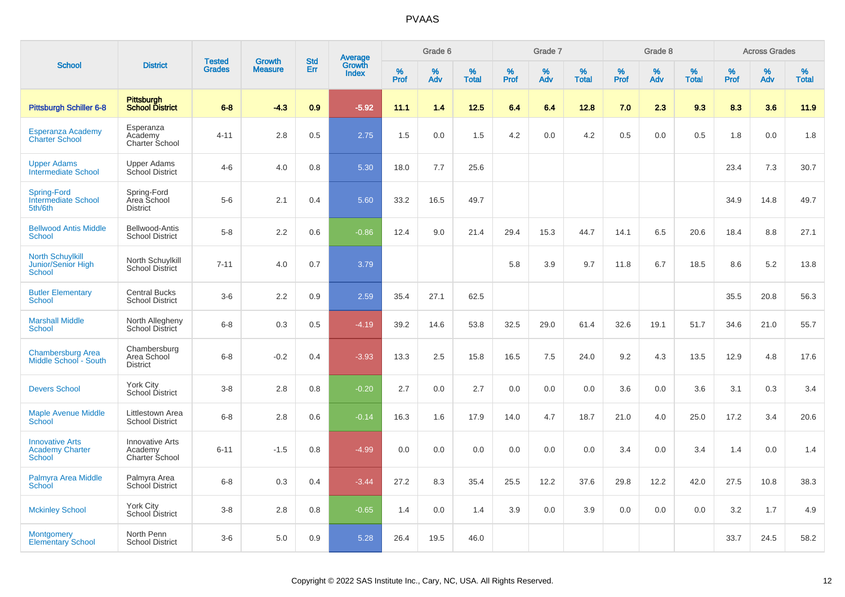|                                                                |                                                     | <b>Tested</b> | <b>Growth</b>  | <b>Std</b> |                                          |                  | Grade 6  |                   |           | Grade 7  |                   |           | Grade 8  |                   |           | <b>Across Grades</b> |                   |
|----------------------------------------------------------------|-----------------------------------------------------|---------------|----------------|------------|------------------------------------------|------------------|----------|-------------------|-----------|----------|-------------------|-----------|----------|-------------------|-----------|----------------------|-------------------|
| <b>School</b>                                                  | <b>District</b>                                     | <b>Grades</b> | <b>Measure</b> | Err        | <b>Average</b><br>Growth<br><b>Index</b> | %<br><b>Prof</b> | %<br>Adv | %<br><b>Total</b> | %<br>Prof | %<br>Adv | %<br><b>Total</b> | %<br>Prof | %<br>Adv | %<br><b>Total</b> | %<br>Prof | %<br>Adv             | %<br><b>Total</b> |
| <b>Pittsburgh Schiller 6-8</b>                                 | <b>Pittsburgh</b><br><b>School District</b>         | $6 - 8$       | $-4.3$         | 0.9        | $-5.92$                                  | 11.1             | 1.4      | $12.5$            | 6.4       | 6.4      | 12.8              | 7.0       | 2.3      | 9.3               | 8.3       | 3.6                  | 11.9              |
| Esperanza Academy<br><b>Charter School</b>                     | Esperanza<br>Academy<br>Charter School              | $4 - 11$      | 2.8            | 0.5        | 2.75                                     | 1.5              | 0.0      | 1.5               | 4.2       | 0.0      | 4.2               | 0.5       | 0.0      | 0.5               | 1.8       | 0.0                  | 1.8               |
| <b>Upper Adams</b><br><b>Intermediate School</b>               | <b>Upper Adams</b><br>School District               | $4 - 6$       | 4.0            | 0.8        | 5.30                                     | 18.0             | 7.7      | 25.6              |           |          |                   |           |          |                   | 23.4      | 7.3                  | 30.7              |
| Spring-Ford<br>Intermediate School<br>5th/6th                  | Spring-Ford<br>Area School<br><b>District</b>       | $5-6$         | 2.1            | 0.4        | 5.60                                     | 33.2             | 16.5     | 49.7              |           |          |                   |           |          |                   | 34.9      | 14.8                 | 49.7              |
| <b>Bellwood Antis Middle</b><br><b>School</b>                  | Bellwood-Antis<br><b>School District</b>            | $5-8$         | 2.2            | 0.6        | $-0.86$                                  | 12.4             | 9.0      | 21.4              | 29.4      | 15.3     | 44.7              | 14.1      | 6.5      | 20.6              | 18.4      | 8.8                  | 27.1              |
| <b>North Schuylkill</b><br>Junior/Senior High<br><b>School</b> | North Schuylkill<br><b>School District</b>          | $7 - 11$      | 4.0            | 0.7        | 3.79                                     |                  |          |                   | 5.8       | 3.9      | 9.7               | 11.8      | 6.7      | 18.5              | 8.6       | 5.2                  | 13.8              |
| <b>Butler Elementary</b><br>School                             | <b>Central Bucks</b><br><b>School District</b>      | $3-6$         | 2.2            | 0.9        | 2.59                                     | 35.4             | 27.1     | 62.5              |           |          |                   |           |          |                   | 35.5      | 20.8                 | 56.3              |
| <b>Marshall Middle</b><br><b>School</b>                        | North Allegheny<br><b>School District</b>           | $6 - 8$       | 0.3            | 0.5        | $-4.19$                                  | 39.2             | 14.6     | 53.8              | 32.5      | 29.0     | 61.4              | 32.6      | 19.1     | 51.7              | 34.6      | 21.0                 | 55.7              |
| <b>Chambersburg Area</b><br>Middle School - South              | Chambersburg<br>Area School<br><b>District</b>      | $6-8$         | $-0.2$         | 0.4        | $-3.93$                                  | 13.3             | 2.5      | 15.8              | 16.5      | 7.5      | 24.0              | 9.2       | 4.3      | 13.5              | 12.9      | 4.8                  | 17.6              |
| <b>Devers School</b>                                           | York City<br>School District                        | $3-8$         | 2.8            | 0.8        | $-0.20$                                  | 2.7              | 0.0      | 2.7               | 0.0       | 0.0      | 0.0               | 3.6       | 0.0      | 3.6               | 3.1       | 0.3                  | 3.4               |
| <b>Maple Avenue Middle</b><br>School                           | Littlestown Area<br><b>School District</b>          | $6 - 8$       | 2.8            | 0.6        | $-0.14$                                  | 16.3             | 1.6      | 17.9              | 14.0      | 4.7      | 18.7              | 21.0      | 4.0      | 25.0              | 17.2      | 3.4                  | 20.6              |
| <b>Innovative Arts</b><br><b>Academy Charter</b><br>School     | <b>Innovative Arts</b><br>Academy<br>Charter School | $6 - 11$      | $-1.5$         | 0.8        | $-4.99$                                  | 0.0              | 0.0      | 0.0               | 0.0       | 0.0      | 0.0               | 3.4       | 0.0      | 3.4               | 1.4       | 0.0                  | 1.4               |
| Palmyra Area Middle<br>School                                  | Palmyra Area<br>School District                     | $6-8$         | 0.3            | 0.4        | $-3.44$                                  | 27.2             | 8.3      | 35.4              | 25.5      | 12.2     | 37.6              | 29.8      | 12.2     | 42.0              | 27.5      | 10.8                 | 38.3              |
| <b>Mckinley School</b>                                         | York City<br>School District                        | $3-8$         | 2.8            | 0.8        | $-0.65$                                  | 1.4              | 0.0      | 1.4               | 3.9       | 0.0      | 3.9               | 0.0       | 0.0      | 0.0               | 3.2       | 1.7                  | 4.9               |
| <b>Montgomery</b><br><b>Elementary School</b>                  | North Penn<br><b>School District</b>                | $3-6$         | 5.0            | 0.9        | 5.28                                     | 26.4             | 19.5     | 46.0              |           |          |                   |           |          |                   | 33.7      | 24.5                 | 58.2              |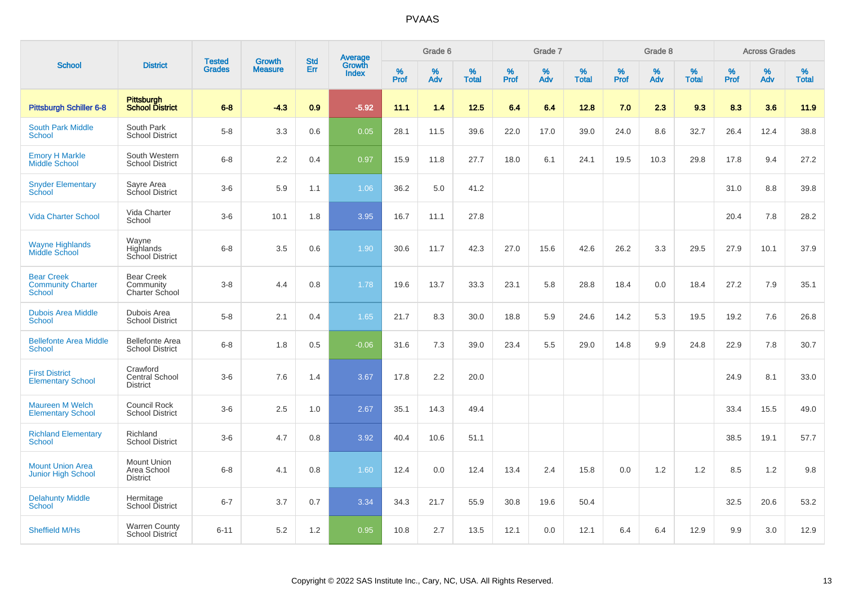|                                                         |                                                      |                                | <b>Growth</b>  | <b>Std</b> |                                          |                  | Grade 6     |                   |              | Grade 7  |                   |              | Grade 8  |                   |                     | <b>Across Grades</b> |                   |
|---------------------------------------------------------|------------------------------------------------------|--------------------------------|----------------|------------|------------------------------------------|------------------|-------------|-------------------|--------------|----------|-------------------|--------------|----------|-------------------|---------------------|----------------------|-------------------|
| <b>School</b>                                           | <b>District</b>                                      | <b>Tested</b><br><b>Grades</b> | <b>Measure</b> | Err        | <b>Average</b><br>Growth<br><b>Index</b> | %<br><b>Prof</b> | $\%$<br>Adv | %<br><b>Total</b> | $\%$<br>Prof | %<br>Adv | %<br><b>Total</b> | $\%$<br>Prof | %<br>Adv | %<br><b>Total</b> | $\%$<br><b>Prof</b> | $\%$<br>Adv          | %<br><b>Total</b> |
| Pittsburgh Schiller 6-8                                 | <b>Pittsburgh</b><br><b>School District</b>          | $6 - 8$                        | $-4.3$         | 0.9        | $-5.92$                                  | 11.1             | 1.4         | 12.5              | 6.4          | 6.4      | 12.8              | 7.0          | 2.3      | 9.3               | 8.3                 | 3.6                  | 11.9              |
| <b>South Park Middle</b><br>School                      | South Park<br><b>School District</b>                 | $5-8$                          | 3.3            | 0.6        | 0.05                                     | 28.1             | 11.5        | 39.6              | 22.0         | 17.0     | 39.0              | 24.0         | 8.6      | 32.7              | 26.4                | 12.4                 | 38.8              |
| <b>Emory H Markle</b><br>Middle School                  | South Western<br><b>School District</b>              | $6 - 8$                        | 2.2            | 0.4        | 0.97                                     | 15.9             | 11.8        | 27.7              | 18.0         | 6.1      | 24.1              | 19.5         | 10.3     | 29.8              | 17.8                | 9.4                  | 27.2              |
| <b>Snyder Elementary</b><br>School                      | Sayre Area<br>School District                        | $3-6$                          | 5.9            | 1.1        | 1.06                                     | 36.2             | 5.0         | 41.2              |              |          |                   |              |          |                   | 31.0                | 8.8                  | 39.8              |
| <b>Vida Charter School</b>                              | Vida Charter<br>School                               | $3-6$                          | 10.1           | 1.8        | 3.95                                     | 16.7             | 11.1        | 27.8              |              |          |                   |              |          |                   | 20.4                | 7.8                  | 28.2              |
| <b>Wayne Highlands</b><br>Middle School                 | Wayne<br>Highlands<br>School District                | $6 - 8$                        | 3.5            | 0.6        | 1.90                                     | 30.6             | 11.7        | 42.3              | 27.0         | 15.6     | 42.6              | 26.2         | 3.3      | 29.5              | 27.9                | 10.1                 | 37.9              |
| <b>Bear Creek</b><br><b>Community Charter</b><br>School | <b>Bear Creek</b><br>Community<br>Charter School     | $3 - 8$                        | 4.4            | 0.8        | 1.78                                     | 19.6             | 13.7        | 33.3              | 23.1         | 5.8      | 28.8              | 18.4         | 0.0      | 18.4              | 27.2                | 7.9                  | 35.1              |
| <b>Dubois Area Middle</b><br><b>School</b>              | Dubois Area<br><b>School District</b>                | $5 - 8$                        | 2.1            | 0.4        | 1.65                                     | 21.7             | 8.3         | 30.0              | 18.8         | 5.9      | 24.6              | 14.2         | 5.3      | 19.5              | 19.2                | 7.6                  | 26.8              |
| <b>Bellefonte Area Middle</b><br>School                 | <b>Bellefonte Area</b><br><b>School District</b>     | $6-8$                          | 1.8            | 0.5        | $-0.06$                                  | 31.6             | 7.3         | 39.0              | 23.4         | 5.5      | 29.0              | 14.8         | 9.9      | 24.8              | 22.9                | 7.8                  | 30.7              |
| <b>First District</b><br><b>Elementary School</b>       | Crawford<br>Central School<br><b>District</b>        | $3-6$                          | 7.6            | 1.4        | 3.67                                     | 17.8             | 2.2         | 20.0              |              |          |                   |              |          |                   | 24.9                | 8.1                  | 33.0              |
| <b>Maureen M Welch</b><br><b>Elementary School</b>      | <b>Council Rock</b><br><b>School District</b>        | $3-6$                          | 2.5            | 1.0        | 2.67                                     | 35.1             | 14.3        | 49.4              |              |          |                   |              |          |                   | 33.4                | 15.5                 | 49.0              |
| <b>Richland Elementary</b><br><b>School</b>             | Richland<br><b>School District</b>                   | $3-6$                          | 4.7            | 0.8        | 3.92                                     | 40.4             | 10.6        | 51.1              |              |          |                   |              |          |                   | 38.5                | 19.1                 | 57.7              |
| <b>Mount Union Area</b><br><b>Junior High School</b>    | <b>Mount Union</b><br>Area School<br><b>District</b> | $6 - 8$                        | 4.1            | 0.8        | 1.60                                     | 12.4             | 0.0         | 12.4              | 13.4         | 2.4      | 15.8              | 0.0          | 1.2      | 1.2               | 8.5                 | $1.2$                | 9.8               |
| <b>Delahunty Middle</b><br>School                       | Hermitage<br>School District                         | $6 - 7$                        | 3.7            | 0.7        | 3.34                                     | 34.3             | 21.7        | 55.9              | 30.8         | 19.6     | 50.4              |              |          |                   | 32.5                | 20.6                 | 53.2              |
| Sheffield M/Hs                                          | <b>Warren County</b><br>School District              | $6 - 11$                       | 5.2            | 1.2        | 0.95                                     | 10.8             | 2.7         | 13.5              | 12.1         | 0.0      | 12.1              | 6.4          | 6.4      | 12.9              | 9.9                 | 3.0                  | 12.9              |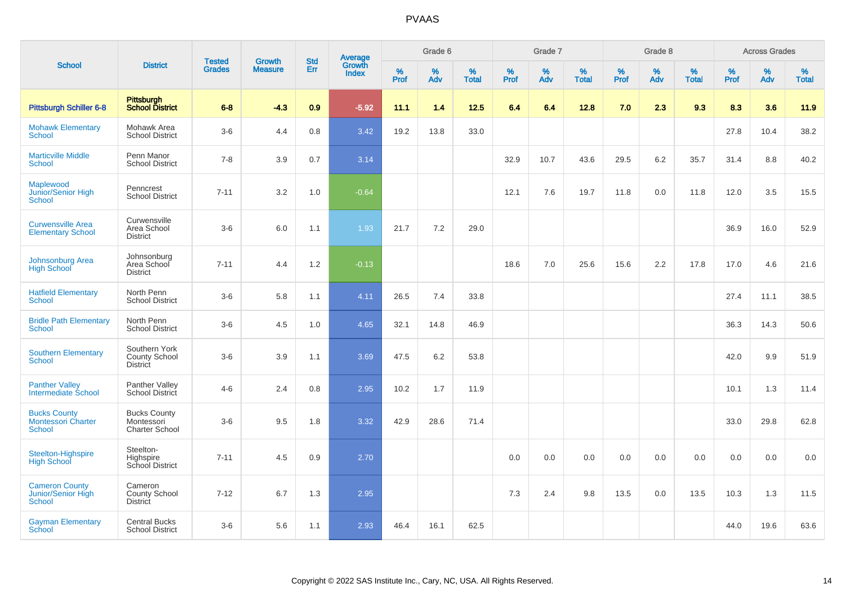|                                                            |                                                            | <b>Tested</b> | Growth         | <b>Std</b> |                                          |           | Grade 6  |                   |           | Grade 7  |                   |           | Grade 8  |                   |           | <b>Across Grades</b> |                   |
|------------------------------------------------------------|------------------------------------------------------------|---------------|----------------|------------|------------------------------------------|-----------|----------|-------------------|-----------|----------|-------------------|-----------|----------|-------------------|-----------|----------------------|-------------------|
| <b>School</b>                                              | <b>District</b>                                            | <b>Grades</b> | <b>Measure</b> | Err        | <b>Average</b><br>Growth<br><b>Index</b> | %<br>Prof | %<br>Adv | %<br><b>Total</b> | %<br>Prof | %<br>Adv | %<br><b>Total</b> | %<br>Prof | %<br>Adv | %<br><b>Total</b> | %<br>Prof | $\%$<br>Adv          | %<br><b>Total</b> |
| <b>Pittsburgh Schiller 6-8</b>                             | Pittsburgh<br>School District                              | $6 - 8$       | $-4.3$         | 0.9        | $-5.92$                                  | 11.1      | 1.4      | 12.5              | 6.4       | 6.4      | 12.8              | 7.0       | 2.3      | 9.3               | 8.3       | 3.6                  | 11.9              |
| <b>Mohawk Elementary</b><br><b>School</b>                  | Mohawk Area<br><b>School District</b>                      | $3-6$         | 4.4            | 0.8        | 3.42                                     | 19.2      | 13.8     | 33.0              |           |          |                   |           |          |                   | 27.8      | 10.4                 | 38.2              |
| <b>Marticville Middle</b><br><b>School</b>                 | Penn Manor<br><b>School District</b>                       | $7 - 8$       | 3.9            | 0.7        | 3.14                                     |           |          |                   | 32.9      | 10.7     | 43.6              | 29.5      | 6.2      | 35.7              | 31.4      | 8.8                  | 40.2              |
| Maplewood<br>Junior/Senior High<br>School                  | Penncrest<br><b>School District</b>                        | $7 - 11$      | 3.2            | 1.0        | $-0.64$                                  |           |          |                   | 12.1      | 7.6      | 19.7              | 11.8      | 0.0      | 11.8              | 12.0      | 3.5                  | 15.5              |
| <b>Curwensville Area</b><br><b>Elementary School</b>       | Curwensville<br>Area School<br><b>District</b>             | $3-6$         | 6.0            | 1.1        | 1.93                                     | 21.7      | 7.2      | 29.0              |           |          |                   |           |          |                   | 36.9      | 16.0                 | 52.9              |
| Johnsonburg Area<br><b>High School</b>                     | Johnsonburg<br>Area School<br><b>District</b>              | $7 - 11$      | 4.4            | 1.2        | $-0.13$                                  |           |          |                   | 18.6      | 7.0      | 25.6              | 15.6      | 2.2      | 17.8              | 17.0      | 4.6                  | 21.6              |
| <b>Hatfield Elementary</b><br><b>School</b>                | North Penn<br><b>School District</b>                       | $3-6$         | 5.8            | 1.1        | 4.11                                     | 26.5      | 7.4      | 33.8              |           |          |                   |           |          |                   | 27.4      | 11.1                 | 38.5              |
| <b>Bridle Path Elementary</b><br><b>School</b>             | North Penn<br><b>School District</b>                       | $3-6$         | 4.5            | 1.0        | 4.65                                     | 32.1      | 14.8     | 46.9              |           |          |                   |           |          |                   | 36.3      | 14.3                 | 50.6              |
| <b>Southern Elementary</b><br>School                       | Southern York<br>County School<br><b>District</b>          | $3-6$         | 3.9            | 1.1        | 3.69                                     | 47.5      | 6.2      | 53.8              |           |          |                   |           |          |                   | 42.0      | 9.9                  | 51.9              |
| <b>Panther Valley</b><br>Intermediate School               | Panther Valley<br><b>School District</b>                   | $4 - 6$       | 2.4            | 0.8        | 2.95                                     | 10.2      | 1.7      | 11.9              |           |          |                   |           |          |                   | 10.1      | 1.3                  | 11.4              |
| <b>Bucks County</b><br><b>Montessori Charter</b><br>School | <b>Bucks County</b><br>Montessori<br><b>Charter School</b> | $3-6$         | 9.5            | 1.8        | 3.32                                     | 42.9      | 28.6     | 71.4              |           |          |                   |           |          |                   | 33.0      | 29.8                 | 62.8              |
| Steelton-Highspire<br><b>High School</b>                   | Steelton-<br>Highspire<br>School District                  | $7 - 11$      | 4.5            | 0.9        | 2.70                                     |           |          |                   | 0.0       | 0.0      | 0.0               | 0.0       | 0.0      | 0.0               | 0.0       | 0.0                  | 0.0               |
| <b>Cameron County</b><br>Junior/Senior High<br>School      | Cameron<br>County School<br><b>District</b>                | $7 - 12$      | 6.7            | 1.3        | 2.95                                     |           |          |                   | 7.3       | 2.4      | 9.8               | 13.5      | 0.0      | 13.5              | 10.3      | 1.3                  | 11.5              |
| <b>Gayman Elementary</b><br>School                         | <b>Central Bucks</b><br><b>School District</b>             | $3-6$         | 5.6            | 1.1        | 2.93                                     | 46.4      | 16.1     | 62.5              |           |          |                   |           |          |                   | 44.0      | 19.6                 | 63.6              |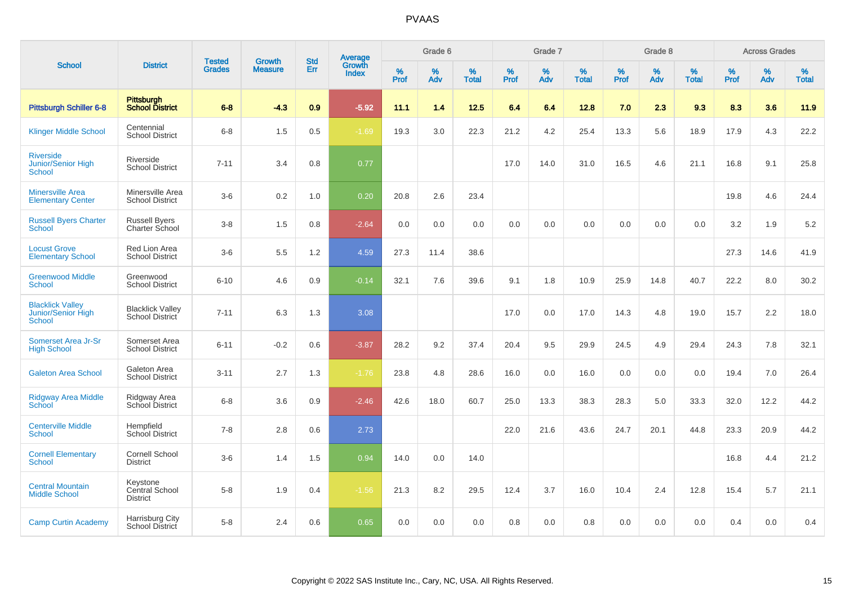|                                                         |                                               |                                | <b>Growth</b>  | <b>Std</b> |                                          |                  | Grade 6  |                   |           | Grade 7     |                   |           | Grade 8  |                   |              | <b>Across Grades</b> |                   |
|---------------------------------------------------------|-----------------------------------------------|--------------------------------|----------------|------------|------------------------------------------|------------------|----------|-------------------|-----------|-------------|-------------------|-----------|----------|-------------------|--------------|----------------------|-------------------|
| <b>School</b>                                           | <b>District</b>                               | <b>Tested</b><br><b>Grades</b> | <b>Measure</b> | Err        | <b>Average</b><br>Growth<br><b>Index</b> | %<br><b>Prof</b> | %<br>Adv | %<br><b>Total</b> | %<br>Prof | $\%$<br>Adv | %<br><b>Total</b> | %<br>Prof | %<br>Adv | %<br><b>Total</b> | $\%$<br>Prof | $\%$<br>Adv          | %<br><b>Total</b> |
| Pittsburgh Schiller 6-8                                 | Pittsburgh<br>School District                 | $6 - 8$                        | $-4.3$         | 0.9        | $-5.92$                                  | 11.1             | 1.4      | 12.5              | 6.4       | 6.4         | 12.8              | 7.0       | 2.3      | 9.3               | 8.3          | 3.6                  | 11.9              |
| <b>Klinger Middle School</b>                            | Centennial<br><b>School District</b>          | $6 - 8$                        | 1.5            | 0.5        | $-1.69$                                  | 19.3             | 3.0      | 22.3              | 21.2      | 4.2         | 25.4              | 13.3      | 5.6      | 18.9              | 17.9         | 4.3                  | 22.2              |
| <b>Riverside</b><br>Junior/Senior High<br><b>School</b> | Riverside<br><b>School District</b>           | $7 - 11$                       | 3.4            | 0.8        | 0.77                                     |                  |          |                   | 17.0      | 14.0        | 31.0              | 16.5      | 4.6      | 21.1              | 16.8         | 9.1                  | 25.8              |
| <b>Minersville Area</b><br><b>Elementary Center</b>     | Minersville Area<br><b>School District</b>    | $3-6$                          | 0.2            | 1.0        | 0.20                                     | 20.8             | 2.6      | 23.4              |           |             |                   |           |          |                   | 19.8         | 4.6                  | 24.4              |
| <b>Russell Byers Charter</b><br><b>School</b>           | <b>Russell Byers</b><br>Charter School        | $3 - 8$                        | 1.5            | 0.8        | $-2.64$                                  | 0.0              | 0.0      | 0.0               | 0.0       | 0.0         | 0.0               | 0.0       | 0.0      | 0.0               | 3.2          | 1.9                  | 5.2               |
| <b>Locust Grove</b><br><b>Elementary School</b>         | Red Lion Area<br><b>School District</b>       | $3-6$                          | 5.5            | 1.2        | 4.59                                     | 27.3             | 11.4     | 38.6              |           |             |                   |           |          |                   | 27.3         | 14.6                 | 41.9              |
| <b>Greenwood Middle</b><br><b>School</b>                | Greenwood<br><b>School District</b>           | $6 - 10$                       | 4.6            | 0.9        | $-0.14$                                  | 32.1             | 7.6      | 39.6              | 9.1       | 1.8         | 10.9              | 25.9      | 14.8     | 40.7              | 22.2         | 8.0                  | 30.2              |
| <b>Blacklick Valley</b><br>Junior/Senior High<br>School | <b>Blacklick Valley</b><br>School District    | $7 - 11$                       | 6.3            | 1.3        | 3.08                                     |                  |          |                   | 17.0      | 0.0         | 17.0              | 14.3      | 4.8      | 19.0              | 15.7         | 2.2                  | 18.0              |
| Somerset Area Jr-Sr<br><b>High School</b>               | Somerset Area<br><b>School District</b>       | $6 - 11$                       | $-0.2$         | 0.6        | $-3.87$                                  | 28.2             | 9.2      | 37.4              | 20.4      | 9.5         | 29.9              | 24.5      | 4.9      | 29.4              | 24.3         | 7.8                  | 32.1              |
| <b>Galeton Area School</b>                              | Galeton Area<br><b>School District</b>        | $3 - 11$                       | 2.7            | 1.3        | $-1.76$                                  | 23.8             | 4.8      | 28.6              | 16.0      | 0.0         | 16.0              | 0.0       | 0.0      | 0.0               | 19.4         | 7.0                  | 26.4              |
| <b>Ridgway Area Middle</b><br><b>School</b>             | Ridgway Area<br>School District               | $6 - 8$                        | 3.6            | 0.9        | $-2.46$                                  | 42.6             | 18.0     | 60.7              | 25.0      | 13.3        | 38.3              | 28.3      | 5.0      | 33.3              | 32.0         | 12.2                 | 44.2              |
| <b>Centerville Middle</b><br>School                     | Hempfield<br><b>School District</b>           | $7 - 8$                        | 2.8            | 0.6        | 2.73                                     |                  |          |                   | 22.0      | 21.6        | 43.6              | 24.7      | 20.1     | 44.8              | 23.3         | 20.9                 | 44.2              |
| <b>Cornell Elementary</b><br><b>School</b>              | Cornell School<br><b>District</b>             | $3-6$                          | 1.4            | 1.5        | 0.94                                     | 14.0             | 0.0      | 14.0              |           |             |                   |           |          |                   | 16.8         | 4.4                  | 21.2              |
| <b>Central Mountain</b><br><b>Middle School</b>         | Keystone<br>Central School<br><b>District</b> | $5-8$                          | 1.9            | 0.4        | $-1.56$                                  | 21.3             | 8.2      | 29.5              | 12.4      | 3.7         | 16.0              | 10.4      | 2.4      | 12.8              | 15.4         | 5.7                  | 21.1              |
| <b>Camp Curtin Academy</b>                              | Harrisburg City<br>School District            | $5-8$                          | 2.4            | 0.6        | 0.65                                     | 0.0              | 0.0      | 0.0               | 0.8       | 0.0         | 0.8               | 0.0       | 0.0      | 0.0               | 0.4          | 0.0                  | 0.4               |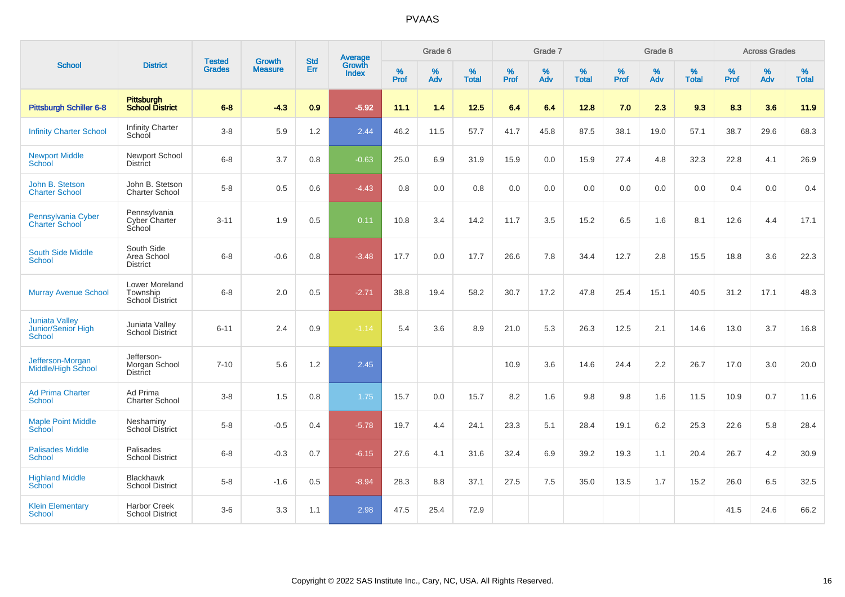| <b>School</b>                                                |                                                             |                                |                                 | <b>Std</b> | Average                |                  | Grade 6  |                   |                  | Grade 7  |                   |                  | Grade 8  |                   |                  | <b>Across Grades</b> |                   |
|--------------------------------------------------------------|-------------------------------------------------------------|--------------------------------|---------------------------------|------------|------------------------|------------------|----------|-------------------|------------------|----------|-------------------|------------------|----------|-------------------|------------------|----------------------|-------------------|
|                                                              | <b>District</b>                                             | <b>Tested</b><br><b>Grades</b> | <b>Growth</b><br><b>Measure</b> | Err        | Growth<br><b>Index</b> | %<br><b>Prof</b> | %<br>Adv | %<br><b>Total</b> | %<br><b>Prof</b> | %<br>Adv | %<br><b>Total</b> | %<br><b>Prof</b> | %<br>Adv | %<br><b>Total</b> | %<br><b>Prof</b> | %<br>Adv             | %<br><b>Total</b> |
| Pittsburgh Schiller 6-8                                      | Pittsburgh<br><b>School District</b>                        | $6 - 8$                        | $-4.3$                          | 0.9        | $-5.92$                | 11.1             | 1.4      | 12.5              | 6.4              | 6.4      | 12.8              | 7.0              | 2.3      | 9.3               | 8.3              | 3.6                  | 11.9              |
| <b>Infinity Charter School</b>                               | <b>Infinity Charter</b><br>School                           | $3-8$                          | 5.9                             | 1.2        | 2.44                   | 46.2             | 11.5     | 57.7              | 41.7             | 45.8     | 87.5              | 38.1             | 19.0     | 57.1              | 38.7             | 29.6                 | 68.3              |
| <b>Newport Middle</b><br><b>School</b>                       | Newport School<br><b>District</b>                           | $6 - 8$                        | 3.7                             | 0.8        | $-0.63$                | 25.0             | 6.9      | 31.9              | 15.9             | 0.0      | 15.9              | 27.4             | 4.8      | 32.3              | 22.8             | 4.1                  | 26.9              |
| John B. Stetson<br><b>Charter School</b>                     | John B. Stetson<br><b>Charter School</b>                    | $5-8$                          | 0.5                             | 0.6        | $-4.43$                | 0.8              | 0.0      | 0.8               | 0.0              | 0.0      | 0.0               | 0.0              | 0.0      | 0.0               | 0.4              | 0.0                  | 0.4               |
| Pennsylvania Cyber<br><b>Charter School</b>                  | Pennsylvania<br>Cyber Charter<br>School                     | $3 - 11$                       | 1.9                             | 0.5        | 0.11                   | 10.8             | 3.4      | 14.2              | 11.7             | 3.5      | 15.2              | 6.5              | 1.6      | 8.1               | 12.6             | 4.4                  | 17.1              |
| <b>South Side Middle</b><br><b>School</b>                    | South Side<br>Area School<br><b>District</b>                | $6 - 8$                        | $-0.6$                          | 0.8        | $-3.48$                | 17.7             | 0.0      | 17.7              | 26.6             | 7.8      | 34.4              | 12.7             | 2.8      | 15.5              | 18.8             | 3.6                  | 22.3              |
| <b>Murray Avenue School</b>                                  | <b>Lower Moreland</b><br>Township<br><b>School District</b> | $6 - 8$                        | 2.0                             | 0.5        | $-2.71$                | 38.8             | 19.4     | 58.2              | 30.7             | 17.2     | 47.8              | 25.4             | 15.1     | 40.5              | 31.2             | 17.1                 | 48.3              |
| <b>Juniata Valley</b><br>Junior/Senior High<br><b>School</b> | Juniata Valley<br><b>School District</b>                    | $6 - 11$                       | 2.4                             | 0.9        | $-1.14$                | 5.4              | 3.6      | 8.9               | 21.0             | 5.3      | 26.3              | 12.5             | 2.1      | 14.6              | 13.0             | 3.7                  | 16.8              |
| Jefferson-Morgan<br><b>Middle/High School</b>                | Jefferson-<br>Morgan School<br><b>District</b>              | $7 - 10$                       | 5.6                             | 1.2        | 2.45                   |                  |          |                   | 10.9             | 3.6      | 14.6              | 24.4             | 2.2      | 26.7              | 17.0             | 3.0                  | 20.0              |
| <b>Ad Prima Charter</b><br><b>School</b>                     | Ad Prima<br><b>Charter School</b>                           | $3-8$                          | 1.5                             | 0.8        | 1.75                   | 15.7             | 0.0      | 15.7              | 8.2              | 1.6      | 9.8               | 9.8              | 1.6      | 11.5              | 10.9             | 0.7                  | 11.6              |
| <b>Maple Point Middle</b><br>School                          | Neshaminy<br><b>School District</b>                         | $5 - 8$                        | $-0.5$                          | 0.4        | $-5.78$                | 19.7             | 4.4      | 24.1              | 23.3             | 5.1      | 28.4              | 19.1             | 6.2      | 25.3              | 22.6             | 5.8                  | 28.4              |
| <b>Palisades Middle</b><br><b>School</b>                     | Palisades<br><b>School District</b>                         | $6 - 8$                        | $-0.3$                          | 0.7        | $-6.15$                | 27.6             | 4.1      | 31.6              | 32.4             | 6.9      | 39.2              | 19.3             | 1.1      | 20.4              | 26.7             | 4.2                  | 30.9              |
| <b>Highland Middle</b><br>School                             | <b>Blackhawk</b><br><b>School District</b>                  | $5 - 8$                        | $-1.6$                          | 0.5        | $-8.94$                | 28.3             | 8.8      | 37.1              | 27.5             | 7.5      | 35.0              | 13.5             | 1.7      | 15.2              | 26.0             | 6.5                  | 32.5              |
| <b>Klein Elementary</b><br>School                            | <b>Harbor Creek</b><br><b>School District</b>               | $3-6$                          | 3.3                             | 1.1        | 2.98                   | 47.5             | 25.4     | 72.9              |                  |          |                   |                  |          |                   | 41.5             | 24.6                 | 66.2              |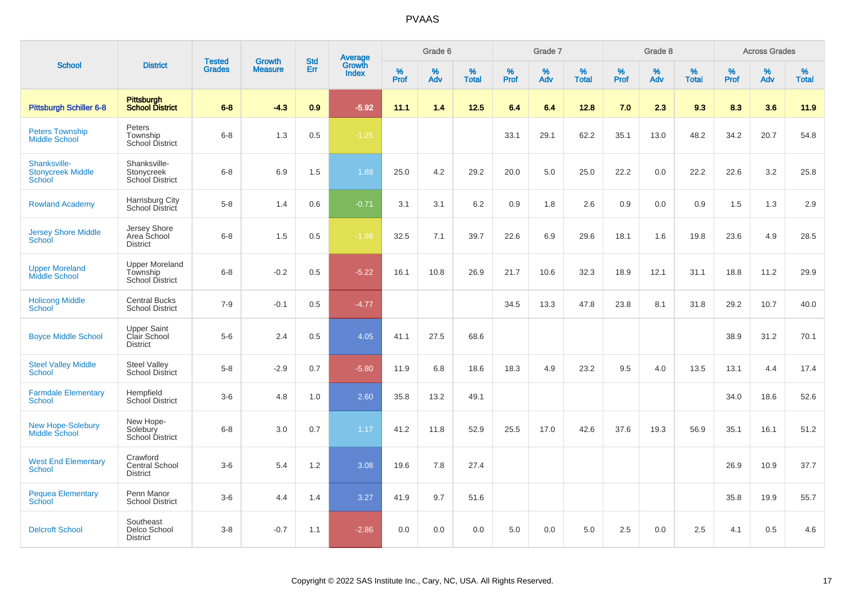|                                                           |                                                             |                                | <b>Growth</b>  | <b>Std</b> |                                          |                     | Grade 6  |                   |              | Grade 7     |                   |           | Grade 8  |                   |              | <b>Across Grades</b> |                   |
|-----------------------------------------------------------|-------------------------------------------------------------|--------------------------------|----------------|------------|------------------------------------------|---------------------|----------|-------------------|--------------|-------------|-------------------|-----------|----------|-------------------|--------------|----------------------|-------------------|
| <b>School</b>                                             | <b>District</b>                                             | <b>Tested</b><br><b>Grades</b> | <b>Measure</b> | Err        | <b>Average</b><br>Growth<br><b>Index</b> | $\%$<br><b>Prof</b> | %<br>Adv | %<br><b>Total</b> | $\%$<br>Prof | $\%$<br>Adv | %<br><b>Total</b> | %<br>Prof | %<br>Adv | %<br><b>Total</b> | $\%$<br>Prof | $\%$<br>Adv          | %<br><b>Total</b> |
| <b>Pittsburgh Schiller 6-8</b>                            | <b>Pittsburgh</b><br><b>School District</b>                 | $6 - 8$                        | $-4.3$         | 0.9        | $-5.92$                                  | 11.1                | 1.4      | 12.5              | 6.4          | 6.4         | 12.8              | 7.0       | 2.3      | 9.3               | 8.3          | 3.6                  | 11.9              |
| <b>Peters Township</b><br><b>Middle School</b>            | Peters<br>Township<br><b>School District</b>                | $6 - 8$                        | 1.3            | 0.5        | $-1.25$                                  |                     |          |                   | 33.1         | 29.1        | 62.2              | 35.1      | 13.0     | 48.2              | 34.2         | 20.7                 | 54.8              |
| Shanksville-<br><b>Stonycreek Middle</b><br><b>School</b> | Shanksville-<br>Stonycreek<br>School District               | $6 - 8$                        | 6.9            | 1.5        | 1.88                                     | 25.0                | 4.2      | 29.2              | 20.0         | 5.0         | 25.0              | 22.2      | 0.0      | 22.2              | 22.6         | 3.2                  | 25.8              |
| <b>Rowland Academy</b>                                    | Harrisburg City<br>School District                          | $5-8$                          | 1.4            | 0.6        | $-0.71$                                  | 3.1                 | 3.1      | 6.2               | 0.9          | 1.8         | 2.6               | 0.9       | 0.0      | 0.9               | 1.5          | 1.3                  | 2.9               |
| <b>Jersey Shore Middle</b><br>School                      | Jersey Shore<br>Area School<br><b>District</b>              | $6 - 8$                        | 1.5            | 0.5        | $-1.98$                                  | 32.5                | 7.1      | 39.7              | 22.6         | 6.9         | 29.6              | 18.1      | 1.6      | 19.8              | 23.6         | 4.9                  | 28.5              |
| <b>Upper Moreland</b><br><b>Middle School</b>             | <b>Upper Moreland</b><br>Township<br><b>School District</b> | $6 - 8$                        | $-0.2$         | 0.5        | $-5.22$                                  | 16.1                | 10.8     | 26.9              | 21.7         | 10.6        | 32.3              | 18.9      | 12.1     | 31.1              | 18.8         | 11.2                 | 29.9              |
| <b>Holicong Middle</b><br><b>School</b>                   | <b>Central Bucks</b><br><b>School District</b>              | $7 - 9$                        | $-0.1$         | 0.5        | $-4.77$                                  |                     |          |                   | 34.5         | 13.3        | 47.8              | 23.8      | 8.1      | 31.8              | 29.2         | 10.7                 | 40.0              |
| <b>Boyce Middle School</b>                                | <b>Upper Saint</b><br>Clair School<br><b>District</b>       | $5-6$                          | 2.4            | 0.5        | 4.05                                     | 41.1                | 27.5     | 68.6              |              |             |                   |           |          |                   | 38.9         | 31.2                 | 70.1              |
| <b>Steel Valley Middle</b><br><b>School</b>               | <b>Steel Valley</b><br><b>School District</b>               | $5-8$                          | $-2.9$         | 0.7        | $-5.80$                                  | 11.9                | 6.8      | 18.6              | 18.3         | 4.9         | 23.2              | 9.5       | 4.0      | 13.5              | 13.1         | 4.4                  | 17.4              |
| <b>Farmdale Elementary</b><br><b>School</b>               | Hempfield<br><b>School District</b>                         | $3-6$                          | 4.8            | 1.0        | 2.60                                     | 35.8                | 13.2     | 49.1              |              |             |                   |           |          |                   | 34.0         | 18.6                 | 52.6              |
| <b>New Hope-Solebury</b><br><b>Middle School</b>          | New Hope-<br>Solebury<br>School District                    | $6 - 8$                        | 3.0            | 0.7        | 1.17                                     | 41.2                | 11.8     | 52.9              | 25.5         | 17.0        | 42.6              | 37.6      | 19.3     | 56.9              | 35.1         | 16.1                 | 51.2              |
| <b>West End Elementary</b><br><b>School</b>               | Crawford<br><b>Central School</b><br><b>District</b>        | $3-6$                          | 5.4            | 1.2        | 3.08                                     | 19.6                | 7.8      | 27.4              |              |             |                   |           |          |                   | 26.9         | 10.9                 | 37.7              |
| <b>Pequea Elementary</b><br><b>School</b>                 | Penn Manor<br><b>School District</b>                        | $3-6$                          | 4.4            | 1.4        | 3.27                                     | 41.9                | 9.7      | 51.6              |              |             |                   |           |          |                   | 35.8         | 19.9                 | 55.7              |
| <b>Delcroft School</b>                                    | Southeast<br>Delco School<br><b>District</b>                | $3 - 8$                        | $-0.7$         | 1.1        | $-2.86$                                  | 0.0                 | 0.0      | 0.0               | 5.0          | 0.0         | 5.0               | 2.5       | 0.0      | 2.5               | 4.1          | 0.5                  | 4.6               |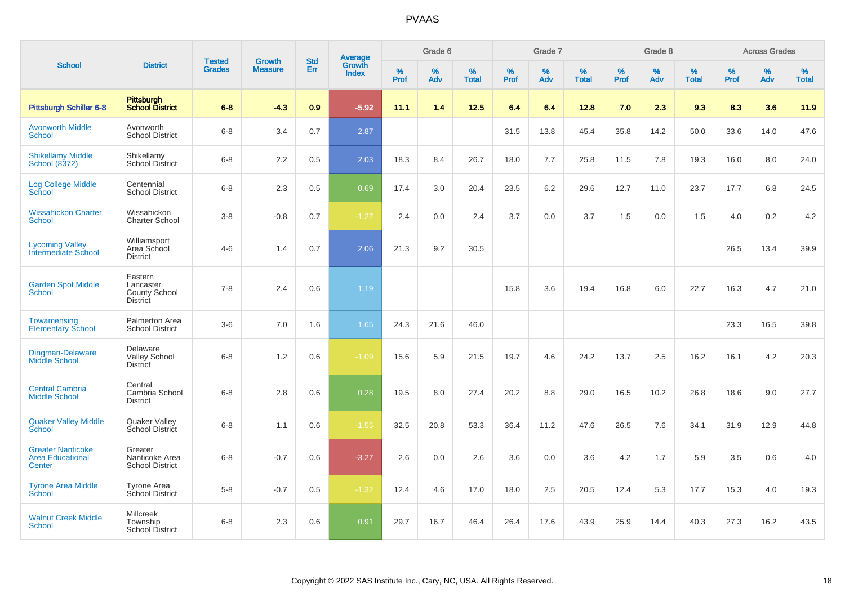| <b>School</b>                                                 |                                                          |                         |                                 |                   |                                          |           | Grade 6  |                   |           | Grade 7  |                   |           | Grade 8  |                   |           | <b>Across Grades</b> |                   |
|---------------------------------------------------------------|----------------------------------------------------------|-------------------------|---------------------------------|-------------------|------------------------------------------|-----------|----------|-------------------|-----------|----------|-------------------|-----------|----------|-------------------|-----------|----------------------|-------------------|
|                                                               | <b>District</b>                                          | Tested<br><b>Grades</b> | <b>Growth</b><br><b>Measure</b> | <b>Std</b><br>Err | <b>Average</b><br>Growth<br><b>Index</b> | %<br>Prof | %<br>Adv | %<br><b>Total</b> | %<br>Prof | %<br>Adv | %<br><b>Total</b> | %<br>Prof | %<br>Adv | %<br><b>Total</b> | %<br>Prof | $\%$<br>Adv          | %<br><b>Total</b> |
| Pittsburgh Schiller 6-8                                       | <b>Pittsburgh</b><br><b>School District</b>              | $6 - 8$                 | $-4.3$                          | 0.9               | $-5.92$                                  | 11.1      | 1.4      | 12.5              | 6.4       | 6.4      | 12.8              | 7.0       | 2.3      | 9.3               | 8.3       | 3.6                  | 11.9              |
| <b>Avonworth Middle</b><br>School                             | Avonworth<br><b>School District</b>                      | $6 - 8$                 | 3.4                             | 0.7               | 2.87                                     |           |          |                   | 31.5      | 13.8     | 45.4              | 35.8      | 14.2     | 50.0              | 33.6      | 14.0                 | 47.6              |
| <b>Shikellamy Middle</b><br>School (8372)                     | Shikellamy<br><b>School District</b>                     | $6 - 8$                 | 2.2                             | 0.5               | 2.03                                     | 18.3      | 8.4      | 26.7              | 18.0      | 7.7      | 25.8              | 11.5      | 7.8      | 19.3              | 16.0      | 8.0                  | 24.0              |
| <b>Log College Middle</b><br>School                           | Centennial<br><b>School District</b>                     | $6 - 8$                 | 2.3                             | 0.5               | 0.69                                     | 17.4      | 3.0      | 20.4              | 23.5      | 6.2      | 29.6              | 12.7      | 11.0     | 23.7              | 17.7      | 6.8                  | 24.5              |
| <b>Wissahickon Charter</b><br><b>School</b>                   | Wissahickon<br><b>Charter School</b>                     | $3 - 8$                 | $-0.8$                          | 0.7               | $-1.27$                                  | 2.4       | 0.0      | 2.4               | 3.7       | 0.0      | 3.7               | 1.5       | 0.0      | 1.5               | 4.0       | 0.2                  | 4.2               |
| <b>Lycoming Valley</b><br><b>Intermediate School</b>          | Williamsport<br>Area School<br><b>District</b>           | $4 - 6$                 | 1.4                             | 0.7               | 2.06                                     | 21.3      | 9.2      | 30.5              |           |          |                   |           |          |                   | 26.5      | 13.4                 | 39.9              |
| <b>Garden Spot Middle</b><br><b>School</b>                    | Eastern<br>Lancaster<br>County School<br><b>District</b> | $7 - 8$                 | 2.4                             | 0.6               | 1.19                                     |           |          |                   | 15.8      | 3.6      | 19.4              | 16.8      | 6.0      | 22.7              | 16.3      | 4.7                  | 21.0              |
| Towamensing<br><b>Elementary School</b>                       | Palmerton Area<br><b>School District</b>                 | $3-6$                   | 7.0                             | 1.6               | 1.65                                     | 24.3      | 21.6     | 46.0              |           |          |                   |           |          |                   | 23.3      | 16.5                 | 39.8              |
| Dingman-Delaware<br><b>Middle School</b>                      | Delaware<br><b>Valley School</b><br><b>District</b>      | $6 - 8$                 | 1.2                             | 0.6               | $-1.09$                                  | 15.6      | 5.9      | 21.5              | 19.7      | 4.6      | 24.2              | 13.7      | 2.5      | 16.2              | 16.1      | 4.2                  | 20.3              |
| <b>Central Cambria</b><br><b>Middle School</b>                | Central<br>Cambria School<br><b>District</b>             | $6 - 8$                 | 2.8                             | 0.6               | 0.28                                     | 19.5      | 8.0      | 27.4              | 20.2      | 8.8      | 29.0              | 16.5      | 10.2     | 26.8              | 18.6      | 9.0                  | 27.7              |
| <b>Quaker Valley Middle</b><br>School                         | Quaker Valley<br>School District                         | $6 - 8$                 | 1.1                             | 0.6               | $-1.55$                                  | 32.5      | 20.8     | 53.3              | 36.4      | 11.2     | 47.6              | 26.5      | 7.6      | 34.1              | 31.9      | 12.9                 | 44.8              |
| <b>Greater Nanticoke</b><br><b>Area Educational</b><br>Center | Greater<br>Nanticoke Area<br><b>School District</b>      | $6 - 8$                 | $-0.7$                          | 0.6               | $-3.27$                                  | 2.6       | 0.0      | 2.6               | 3.6       | 0.0      | 3.6               | 4.2       | 1.7      | 5.9               | 3.5       | 0.6                  | 4.0               |
| <b>Tyrone Area Middle</b><br>School                           | Tyrone Area<br>School District                           | $5-8$                   | $-0.7$                          | 0.5               | $-1.32$                                  | 12.4      | 4.6      | 17.0              | 18.0      | 2.5      | 20.5              | 12.4      | 5.3      | 17.7              | 15.3      | 4.0                  | 19.3              |
| <b>Walnut Creek Middle</b><br><b>School</b>                   | <b>Millcreek</b><br>Township<br>School District          | $6 - 8$                 | 2.3                             | 0.6               | 0.91                                     | 29.7      | 16.7     | 46.4              | 26.4      | 17.6     | 43.9              | 25.9      | 14.4     | 40.3              | 27.3      | 16.2                 | 43.5              |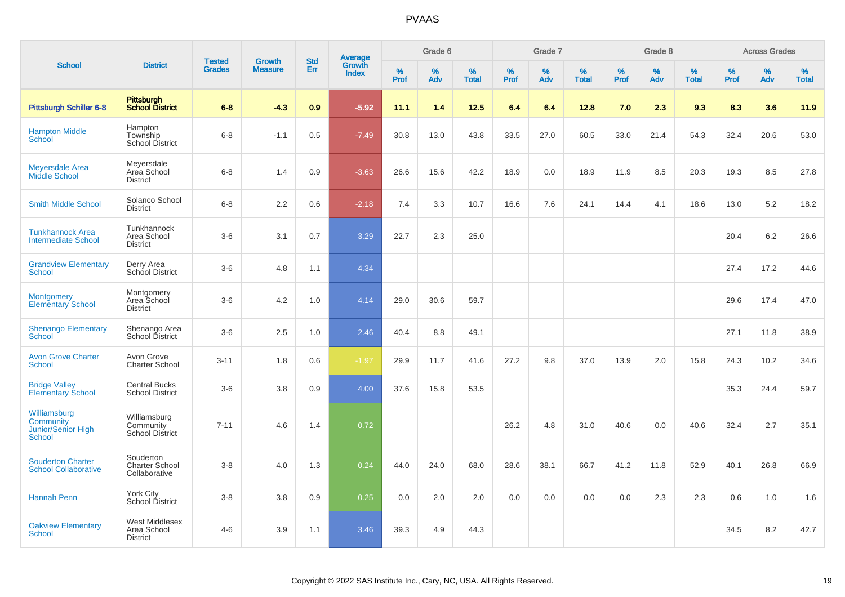|                                                                  |                                                     |                                |                          |                   |                                          |                     | Grade 6     |                   |              | Grade 7     |                      |              | Grade 8  |                      |              | <b>Across Grades</b> |                   |
|------------------------------------------------------------------|-----------------------------------------------------|--------------------------------|--------------------------|-------------------|------------------------------------------|---------------------|-------------|-------------------|--------------|-------------|----------------------|--------------|----------|----------------------|--------------|----------------------|-------------------|
| <b>School</b>                                                    | <b>District</b>                                     | <b>Tested</b><br><b>Grades</b> | Growth<br><b>Measure</b> | <b>Std</b><br>Err | <b>Average</b><br>Growth<br><b>Index</b> | $\%$<br><b>Prof</b> | $\%$<br>Adv | %<br><b>Total</b> | $\%$<br>Prof | $\%$<br>Adv | $\%$<br><b>Total</b> | $\%$<br>Prof | %<br>Adv | $\%$<br><b>Total</b> | $\%$<br>Prof | $\%$<br>Adv          | %<br><b>Total</b> |
| <b>Pittsburgh Schiller 6-8</b>                                   | <b>Pittsburgh</b><br><b>School District</b>         | $6 - 8$                        | $-4.3$                   | 0.9               | $-5.92$                                  | 11.1                | 1.4         | 12.5              | 6.4          | 6.4         | 12.8                 | 7.0          | 2.3      | 9.3                  | 8.3          | 3.6                  | 11.9              |
| <b>Hampton Middle</b><br><b>School</b>                           | Hampton<br>Township<br><b>School District</b>       | $6 - 8$                        | $-1.1$                   | 0.5               | $-7.49$                                  | 30.8                | 13.0        | 43.8              | 33.5         | 27.0        | 60.5                 | 33.0         | 21.4     | 54.3                 | 32.4         | 20.6                 | 53.0              |
| <b>Meyersdale Area</b><br>Middle School                          | Meyersdale<br>Area School<br><b>District</b>        | $6 - 8$                        | 1.4                      | 0.9               | $-3.63$                                  | 26.6                | 15.6        | 42.2              | 18.9         | 0.0         | 18.9                 | 11.9         | 8.5      | 20.3                 | 19.3         | 8.5                  | 27.8              |
| <b>Smith Middle School</b>                                       | Solanco School<br><b>District</b>                   | $6 - 8$                        | 2.2                      | 0.6               | $-2.18$                                  | 7.4                 | 3.3         | 10.7              | 16.6         | 7.6         | 24.1                 | 14.4         | 4.1      | 18.6                 | 13.0         | 5.2                  | 18.2              |
| <b>Tunkhannock Area</b><br><b>Intermediate School</b>            | Tunkhannock<br>Area School<br><b>District</b>       | $3-6$                          | 3.1                      | 0.7               | 3.29                                     | 22.7                | 2.3         | 25.0              |              |             |                      |              |          |                      | 20.4         | 6.2                  | 26.6              |
| <b>Grandview Elementary</b><br>School                            | Derry Area<br>School District                       | $3-6$                          | 4.8                      | 1.1               | 4.34                                     |                     |             |                   |              |             |                      |              |          |                      | 27.4         | 17.2                 | 44.6              |
| <b>Montgomery</b><br><b>Elementary School</b>                    | Montgomery<br>Area School<br><b>District</b>        | $3-6$                          | 4.2                      | 1.0               | 4.14                                     | 29.0                | 30.6        | 59.7              |              |             |                      |              |          |                      | 29.6         | 17.4                 | 47.0              |
| <b>Shenango Elementary</b><br>School                             | Shenango Area<br>School District                    | $3-6$                          | 2.5                      | 1.0               | 2.46                                     | 40.4                | 8.8         | 49.1              |              |             |                      |              |          |                      | 27.1         | 11.8                 | 38.9              |
| <b>Avon Grove Charter</b><br><b>School</b>                       | Avon Grove<br><b>Charter School</b>                 | $3 - 11$                       | 1.8                      | 0.6               | $-1.97$                                  | 29.9                | 11.7        | 41.6              | 27.2         | 9.8         | 37.0                 | 13.9         | 2.0      | 15.8                 | 24.3         | 10.2                 | 34.6              |
| <b>Bridge Valley</b><br><b>Elementary School</b>                 | <b>Central Bucks</b><br><b>School District</b>      | $3-6$                          | 3.8                      | 0.9               | 4.00                                     | 37.6                | 15.8        | 53.5              |              |             |                      |              |          |                      | 35.3         | 24.4                 | 59.7              |
| Williamsburg<br>Community<br>Junior/Senior High<br><b>School</b> | Williamsburg<br>Community<br><b>School District</b> | $7 - 11$                       | 4.6                      | 1.4               | 0.72                                     |                     |             |                   | 26.2         | 4.8         | 31.0                 | 40.6         | 0.0      | 40.6                 | 32.4         | 2.7                  | 35.1              |
| <b>Souderton Charter</b><br><b>School Collaborative</b>          | Souderton<br><b>Charter School</b><br>Collaborative | $3 - 8$                        | 4.0                      | 1.3               | 0.24                                     | 44.0                | 24.0        | 68.0              | 28.6         | 38.1        | 66.7                 | 41.2         | 11.8     | 52.9                 | 40.1         | 26.8                 | 66.9              |
| <b>Hannah Penn</b>                                               | <b>York City</b><br>School District                 | $3-8$                          | 3.8                      | 0.9               | 0.25                                     | 0.0                 | 2.0         | 2.0               | 0.0          | 0.0         | 0.0                  | 0.0          | 2.3      | 2.3                  | 0.6          | 1.0                  | 1.6               |
| <b>Oakview Elementary</b><br><b>School</b>                       | West Middlesex<br>Area School<br><b>District</b>    | $4-6$                          | 3.9                      | 1.1               | 3.46                                     | 39.3                | 4.9         | 44.3              |              |             |                      |              |          |                      | 34.5         | 8.2                  | 42.7              |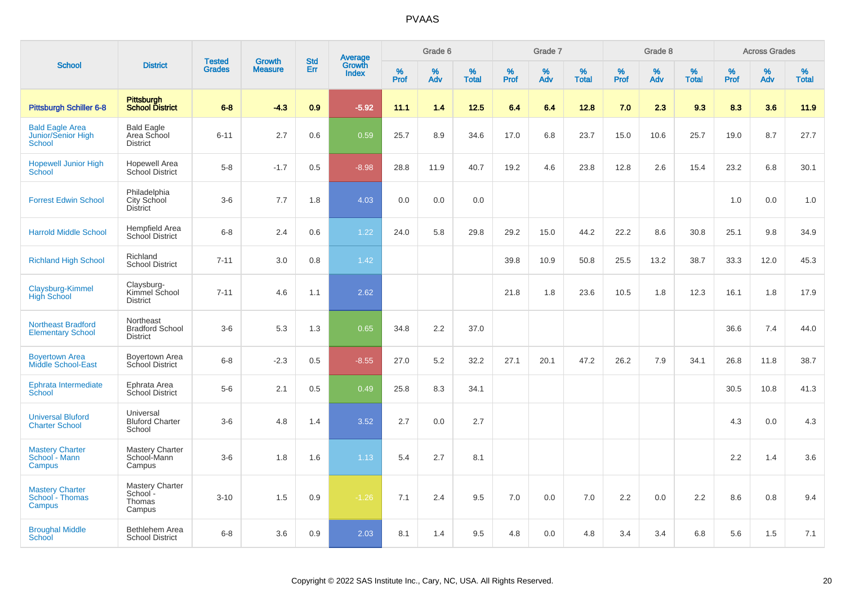|                                                        |                                                        |                                | <b>Growth</b>  |                   |                                          |                  | Grade 6     |                   |              | Grade 7     |                      |              | Grade 8  |                   |              | <b>Across Grades</b> |                   |
|--------------------------------------------------------|--------------------------------------------------------|--------------------------------|----------------|-------------------|------------------------------------------|------------------|-------------|-------------------|--------------|-------------|----------------------|--------------|----------|-------------------|--------------|----------------------|-------------------|
| <b>School</b>                                          | <b>District</b>                                        | <b>Tested</b><br><b>Grades</b> | <b>Measure</b> | <b>Std</b><br>Err | <b>Average</b><br>Growth<br><b>Index</b> | %<br><b>Prof</b> | $\%$<br>Adv | %<br><b>Total</b> | $\%$<br>Prof | $\%$<br>Adv | $\%$<br><b>Total</b> | $\%$<br>Prof | %<br>Adv | %<br><b>Total</b> | $\%$<br>Prof | $\%$<br>Adv          | %<br><b>Total</b> |
| <b>Pittsburgh Schiller 6-8</b>                         | <b>Pittsburgh</b><br><b>School District</b>            | $6 - 8$                        | $-4.3$         | 0.9               | $-5.92$                                  | 11.1             | 1.4         | 12.5              | 6.4          | 6.4         | 12.8                 | 7.0          | 2.3      | 9.3               | 8.3          | 3.6                  | 11.9              |
| <b>Bald Eagle Area</b><br>Junior/Senior High<br>School | <b>Bald Eagle</b><br>Area School<br><b>District</b>    | $6 - 11$                       | 2.7            | 0.6               | 0.59                                     | 25.7             | 8.9         | 34.6              | 17.0         | 6.8         | 23.7                 | 15.0         | 10.6     | 25.7              | 19.0         | 8.7                  | 27.7              |
| <b>Hopewell Junior High</b><br>School                  | <b>Hopewell Area</b><br>School District                | $5-8$                          | $-1.7$         | 0.5               | $-8.98$                                  | 28.8             | 11.9        | 40.7              | 19.2         | 4.6         | 23.8                 | 12.8         | 2.6      | 15.4              | 23.2         | 6.8                  | 30.1              |
| <b>Forrest Edwin School</b>                            | Philadelphia<br>City School<br><b>District</b>         | $3-6$                          | 7.7            | 1.8               | 4.03                                     | 0.0              | 0.0         | 0.0               |              |             |                      |              |          |                   | 1.0          | 0.0                  | 1.0               |
| <b>Harrold Middle School</b>                           | <b>Hempfield Area</b><br>School District               | $6 - 8$                        | 2.4            | 0.6               | 1.22                                     | 24.0             | 5.8         | 29.8              | 29.2         | 15.0        | 44.2                 | 22.2         | 8.6      | 30.8              | 25.1         | 9.8                  | 34.9              |
| <b>Richland High School</b>                            | Richland<br><b>School District</b>                     | $7 - 11$                       | 3.0            | 0.8               | 1.42                                     |                  |             |                   | 39.8         | 10.9        | 50.8                 | 25.5         | 13.2     | 38.7              | 33.3         | 12.0                 | 45.3              |
| Claysburg-Kimmel<br><b>High School</b>                 | Claysburg-<br>Kimmel School<br><b>District</b>         | $7 - 11$                       | 4.6            | 1.1               | 2.62                                     |                  |             |                   | 21.8         | 1.8         | 23.6                 | 10.5         | 1.8      | 12.3              | 16.1         | 1.8                  | 17.9              |
| <b>Northeast Bradford</b><br><b>Elementary School</b>  | Northeast<br><b>Bradford School</b><br><b>District</b> | $3-6$                          | 5.3            | 1.3               | 0.65                                     | 34.8             | 2.2         | 37.0              |              |             |                      |              |          |                   | 36.6         | 7.4                  | 44.0              |
| <b>Boyertown Area</b><br><b>Middle School-East</b>     | Boyertown Area<br>School District                      | $6 - 8$                        | $-2.3$         | 0.5               | $-8.55$                                  | 27.0             | 5.2         | 32.2              | 27.1         | 20.1        | 47.2                 | 26.2         | 7.9      | 34.1              | 26.8         | 11.8                 | 38.7              |
| Ephrata Intermediate<br>School                         | Ephrata Area<br>School District                        | $5-6$                          | 2.1            | 0.5               | 0.49                                     | 25.8             | 8.3         | 34.1              |              |             |                      |              |          |                   | 30.5         | 10.8                 | 41.3              |
| <b>Universal Bluford</b><br><b>Charter School</b>      | Universal<br><b>Bluford Charter</b><br>School          | $3-6$                          | 4.8            | 1.4               | 3.52                                     | 2.7              | 0.0         | 2.7               |              |             |                      |              |          |                   | 4.3          | 0.0                  | 4.3               |
| <b>Mastery Charter</b><br>School - Mann<br>Campus      | Mastery Charter<br>School-Mann<br>Campus               | $3-6$                          | 1.8            | 1.6               | 1.13                                     | 5.4              | 2.7         | 8.1               |              |             |                      |              |          |                   | 2.2          | 1.4                  | 3.6               |
| <b>Mastery Charter</b><br>School - Thomas<br>Campus    | <b>Mastery Charter</b><br>School -<br>Thomas<br>Campus | $3 - 10$                       | 1.5            | 0.9               | $-1.26$                                  | 7.1              | 2.4         | 9.5               | 7.0          | 0.0         | 7.0                  | 2.2          | 0.0      | 2.2               | 8.6          | 0.8                  | 9.4               |
| <b>Broughal Middle</b><br>School                       | Bethlehem Area<br><b>School District</b>               | $6 - 8$                        | 3.6            | 0.9               | 2.03                                     | 8.1              | 1.4         | 9.5               | 4.8          | 0.0         | 4.8                  | 3.4          | 3.4      | 6.8               | 5.6          | 1.5                  | 7.1               |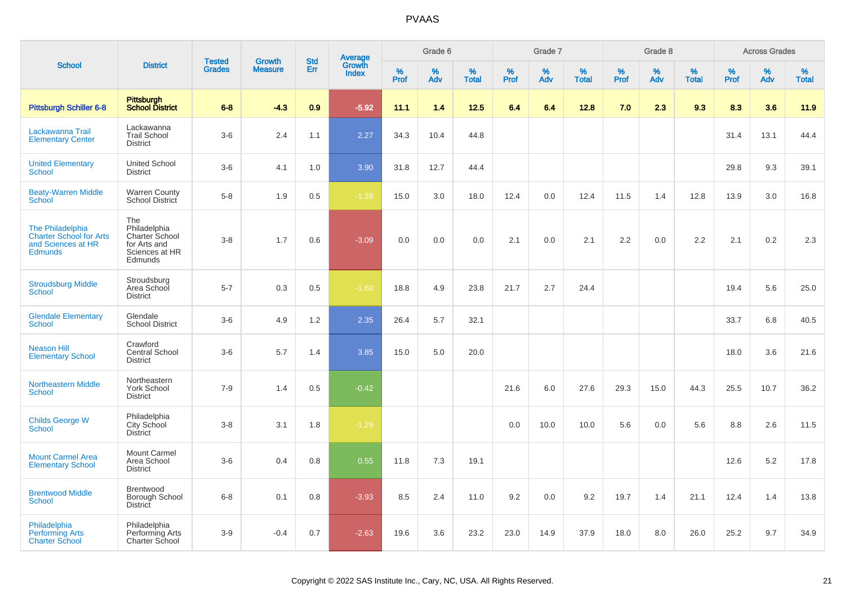|                                                                                            |                                                                                    |                                |                          |                   |                                          |                  | Grade 6  |            |           | Grade 7  |                   |           | Grade 8     |                   |           | <b>Across Grades</b> |                   |
|--------------------------------------------------------------------------------------------|------------------------------------------------------------------------------------|--------------------------------|--------------------------|-------------------|------------------------------------------|------------------|----------|------------|-----------|----------|-------------------|-----------|-------------|-------------------|-----------|----------------------|-------------------|
| <b>School</b>                                                                              | <b>District</b>                                                                    | <b>Tested</b><br><b>Grades</b> | Growth<br><b>Measure</b> | <b>Std</b><br>Err | <b>Average</b><br>Growth<br><b>Index</b> | %<br><b>Prof</b> | %<br>Adv | %<br>Total | %<br>Prof | %<br>Adv | %<br><b>Total</b> | %<br>Prof | $\%$<br>Adv | %<br><b>Total</b> | %<br>Prof | %<br>Adv             | %<br><b>Total</b> |
| <b>Pittsburgh Schiller 6-8</b>                                                             | Pittsburgh<br><b>School District</b>                                               | $6 - 8$                        | $-4.3$                   | 0.9               | $-5.92$                                  | 11.1             | 1.4      | 12.5       | 6.4       | 6.4      | 12.8              | 7.0       | 2.3         | 9.3               | 8.3       | 3.6                  | 11.9              |
| Lackawanna Trail<br><b>Elementary Center</b>                                               | Lackawanna<br><b>Trail School</b><br><b>District</b>                               | $3-6$                          | 2.4                      | 1.1               | 2.27                                     | 34.3             | 10.4     | 44.8       |           |          |                   |           |             |                   | 31.4      | 13.1                 | 44.4              |
| <b>United Elementary</b><br><b>School</b>                                                  | <b>United School</b><br><b>District</b>                                            | $3-6$                          | 4.1                      | 1.0               | 3.90                                     | 31.8             | 12.7     | 44.4       |           |          |                   |           |             |                   | 29.8      | 9.3                  | 39.1              |
| <b>Beaty-Warren Middle</b><br>School                                                       | Warren County<br>School District                                                   | $5-8$                          | 1.9                      | 0.5               | $-1.28$                                  | 15.0             | 3.0      | 18.0       | 12.4      | 0.0      | 12.4              | 11.5      | 1.4         | 12.8              | 13.9      | 3.0                  | 16.8              |
| The Philadelphia<br><b>Charter School for Arts</b><br>and Sciences at HR<br><b>Edmunds</b> | The<br>Philadelphia<br>Charter School<br>for Arts and<br>Sciences at HR<br>Edmunds | $3 - 8$                        | 1.7                      | 0.6               | $-3.09$                                  | 0.0              | 0.0      | $0.0\,$    | 2.1       | 0.0      | 2.1               | 2.2       | 0.0         | 2.2               | 2.1       | 0.2                  | 2.3               |
| <b>Stroudsburg Middle</b><br><b>School</b>                                                 | Stroudsburg<br>Area School<br><b>District</b>                                      | $5 - 7$                        | 0.3                      | 0.5               | $-1.60$                                  | 18.8             | 4.9      | 23.8       | 21.7      | 2.7      | 24.4              |           |             |                   | 19.4      | 5.6                  | 25.0              |
| <b>Glendale Elementary</b><br><b>School</b>                                                | Glendale<br><b>School District</b>                                                 | $3-6$                          | 4.9                      | 1.2               | 2.35                                     | 26.4             | 5.7      | 32.1       |           |          |                   |           |             |                   | 33.7      | 6.8                  | 40.5              |
| <b>Neason Hill</b><br><b>Elementary School</b>                                             | Crawford<br>Central School<br><b>District</b>                                      | $3-6$                          | 5.7                      | 1.4               | 3.85                                     | 15.0             | 5.0      | 20.0       |           |          |                   |           |             |                   | 18.0      | 3.6                  | 21.6              |
| <b>Northeastern Middle</b><br>School                                                       | Northeastern<br><b>York School</b><br><b>District</b>                              | $7-9$                          | 1.4                      | 0.5               | $-0.42$                                  |                  |          |            | 21.6      | 6.0      | 27.6              | 29.3      | 15.0        | 44.3              | 25.5      | 10.7                 | 36.2              |
| <b>Childs George W</b><br>School                                                           | Philadelphia<br>City School<br><b>District</b>                                     | $3 - 8$                        | 3.1                      | 1.8               | $-1.29$                                  |                  |          |            | 0.0       | 10.0     | 10.0              | 5.6       | 0.0         | 5.6               | 8.8       | 2.6                  | 11.5              |
| <b>Mount Carmel Area</b><br><b>Elementary School</b>                                       | <b>Mount Carmel</b><br>Area School<br><b>District</b>                              | $3-6$                          | 0.4                      | 0.8               | 0.55                                     | 11.8             | 7.3      | 19.1       |           |          |                   |           |             |                   | 12.6      | 5.2                  | 17.8              |
| <b>Brentwood Middle</b><br><b>School</b>                                                   | Brentwood<br>Borough School<br><b>District</b>                                     | $6 - 8$                        | 0.1                      | 0.8               | $-3.93$                                  | 8.5              | 2.4      | 11.0       | 9.2       | 0.0      | 9.2               | 19.7      | 1.4         | 21.1              | 12.4      | 1.4                  | 13.8              |
| Philadelphia<br><b>Performing Arts</b><br><b>Charter School</b>                            | Philadelphia<br>Performing Arts<br>Charter School                                  | $3-9$                          | $-0.4$                   | 0.7               | $-2.63$                                  | 19.6             | 3.6      | 23.2       | 23.0      | 14.9     | 37.9              | 18.0      | 8.0         | 26.0              | 25.2      | 9.7                  | 34.9              |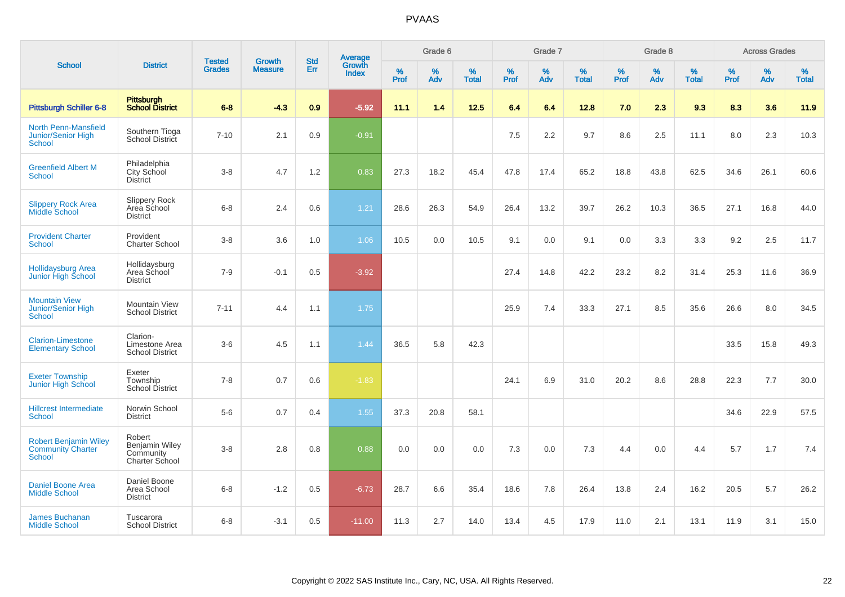|                                                                           |                                                         |                                | <b>Growth</b>  | <b>Std</b> | <b>Average</b><br>Growth |                  | Grade 6  |                   |           | Grade 7  |                   |           | Grade 8  |                   |           | <b>Across Grades</b> |                   |
|---------------------------------------------------------------------------|---------------------------------------------------------|--------------------------------|----------------|------------|--------------------------|------------------|----------|-------------------|-----------|----------|-------------------|-----------|----------|-------------------|-----------|----------------------|-------------------|
| <b>School</b>                                                             | <b>District</b>                                         | <b>Tested</b><br><b>Grades</b> | <b>Measure</b> | Err        | <b>Index</b>             | %<br><b>Prof</b> | %<br>Adv | %<br><b>Total</b> | %<br>Prof | %<br>Adv | %<br><b>Total</b> | %<br>Prof | %<br>Adv | %<br><b>Total</b> | %<br>Prof | $\%$<br>Adv          | %<br><b>Total</b> |
| <b>Pittsburgh Schiller 6-8</b>                                            | Pittsburgh<br>School District                           | $6 - 8$                        | $-4.3$         | 0.9        | $-5.92$                  | 11.1             | 1.4      | $12.5$            | 6.4       | 6.4      | 12.8              | 7.0       | 2.3      | 9.3               | 8.3       | 3.6                  | 11.9              |
| North Penn-Mansfield<br><b>Junior/Senior High</b><br>School               | Southern Tioga<br>School District                       | $7 - 10$                       | 2.1            | 0.9        | $-0.91$                  |                  |          |                   | 7.5       | 2.2      | 9.7               | 8.6       | 2.5      | 11.1              | 8.0       | 2.3                  | 10.3              |
| <b>Greenfield Albert M</b><br><b>School</b>                               | Philadelphia<br>City School<br><b>District</b>          | $3-8$                          | 4.7            | 1.2        | 0.83                     | 27.3             | 18.2     | 45.4              | 47.8      | 17.4     | 65.2              | 18.8      | 43.8     | 62.5              | 34.6      | 26.1                 | 60.6              |
| <b>Slippery Rock Area</b><br><b>Middle School</b>                         | Slippery Rock<br>Area School<br><b>District</b>         | $6 - 8$                        | 2.4            | 0.6        | 1.21                     | 28.6             | 26.3     | 54.9              | 26.4      | 13.2     | 39.7              | 26.2      | 10.3     | 36.5              | 27.1      | 16.8                 | 44.0              |
| <b>Provident Charter</b><br><b>School</b>                                 | Provident<br><b>Charter School</b>                      | $3 - 8$                        | 3.6            | 1.0        | 1.06                     | 10.5             | 0.0      | 10.5              | 9.1       | 0.0      | 9.1               | 0.0       | 3.3      | 3.3               | 9.2       | 2.5                  | 11.7              |
| Hollidaysburg Area<br>Junior High School                                  | Hollidaysburg<br>Area School<br><b>District</b>         | $7 - 9$                        | $-0.1$         | 0.5        | $-3.92$                  |                  |          |                   | 27.4      | 14.8     | 42.2              | 23.2      | 8.2      | 31.4              | 25.3      | 11.6                 | 36.9              |
| <b>Mountain View</b><br>Junior/Senior High<br><b>School</b>               | Mountain View<br><b>School District</b>                 | $7 - 11$                       | 4.4            | 1.1        | 1.75                     |                  |          |                   | 25.9      | 7.4      | 33.3              | 27.1      | 8.5      | 35.6              | 26.6      | 8.0                  | 34.5              |
| <b>Clarion-Limestone</b><br><b>Elementary School</b>                      | Clarion-<br>Limestone Area<br><b>School District</b>    | $3-6$                          | 4.5            | 1.1        | 1.44                     | 36.5             | 5.8      | 42.3              |           |          |                   |           |          |                   | 33.5      | 15.8                 | 49.3              |
| <b>Exeter Township</b><br>Junior High School                              | Exeter<br>Township<br><b>School District</b>            | $7 - 8$                        | 0.7            | 0.6        | $-1.83$                  |                  |          |                   | 24.1      | 6.9      | 31.0              | 20.2      | 8.6      | 28.8              | 22.3      | 7.7                  | 30.0              |
| <b>Hillcrest Intermediate</b><br>School                                   | Norwin School<br><b>District</b>                        | $5-6$                          | 0.7            | 0.4        | 1.55                     | 37.3             | 20.8     | 58.1              |           |          |                   |           |          |                   | 34.6      | 22.9                 | 57.5              |
| <b>Robert Benjamin Wiley</b><br><b>Community Charter</b><br><b>School</b> | Robert<br>Benjamin Wiley<br>Community<br>Charter School | $3-8$                          | 2.8            | 0.8        | 0.88                     | 0.0              | 0.0      | 0.0               | 7.3       | 0.0      | 7.3               | 4.4       | 0.0      | 4.4               | 5.7       | 1.7                  | 7.4               |
| <b>Daniel Boone Area</b><br><b>Middle School</b>                          | Daniel Boone<br>Area School<br><b>District</b>          | $6 - 8$                        | $-1.2$         | 0.5        | $-6.73$                  | 28.7             | 6.6      | 35.4              | 18.6      | 7.8      | 26.4              | 13.8      | 2.4      | 16.2              | 20.5      | 5.7                  | 26.2              |
| <b>James Buchanan</b><br><b>Middle School</b>                             | Tuscarora<br><b>School District</b>                     | $6 - 8$                        | $-3.1$         | 0.5        | $-11.00$                 | 11.3             | 2.7      | 14.0              | 13.4      | 4.5      | 17.9              | 11.0      | 2.1      | 13.1              | 11.9      | 3.1                  | 15.0              |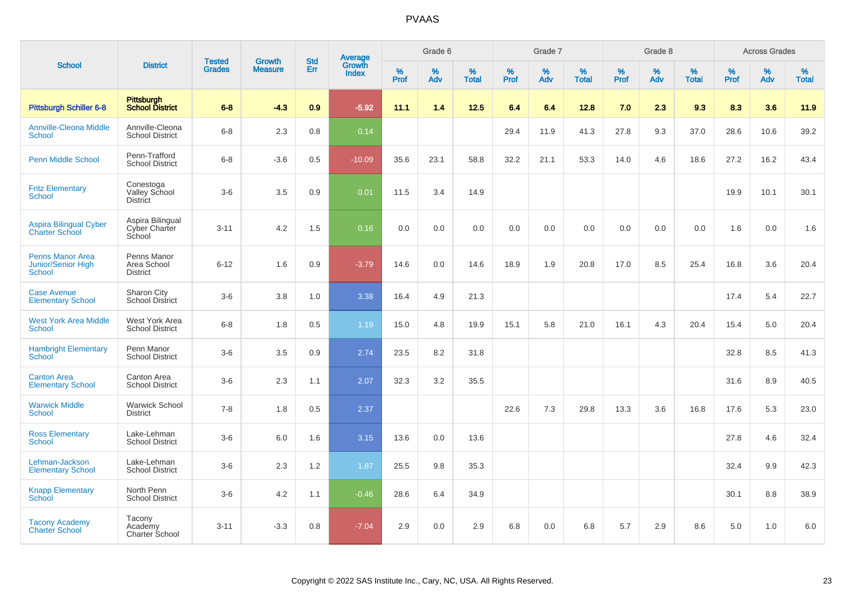|                                                                       |                                               |                                | <b>Growth</b>  | <b>Std</b> |                                          |                  | Grade 6  |                   |           | Grade 7     |                   |           | Grade 8  |                   |              | <b>Across Grades</b> |                   |
|-----------------------------------------------------------------------|-----------------------------------------------|--------------------------------|----------------|------------|------------------------------------------|------------------|----------|-------------------|-----------|-------------|-------------------|-----------|----------|-------------------|--------------|----------------------|-------------------|
| <b>School</b>                                                         | <b>District</b>                               | <b>Tested</b><br><b>Grades</b> | <b>Measure</b> | Err        | <b>Average</b><br>Growth<br><b>Index</b> | %<br><b>Prof</b> | %<br>Adv | %<br><b>Total</b> | %<br>Prof | $\%$<br>Adv | %<br><b>Total</b> | %<br>Prof | %<br>Adv | %<br><b>Total</b> | $\%$<br>Prof | $\%$<br>Adv          | %<br><b>Total</b> |
| Pittsburgh Schiller 6-8                                               | <b>Pittsburgh</b><br><b>School District</b>   | $6 - 8$                        | $-4.3$         | 0.9        | $-5.92$                                  | 11.1             | 1.4      | 12.5              | 6.4       | 6.4         | 12.8              | 7.0       | 2.3      | 9.3               | 8.3          | 3.6                  | 11.9              |
| <b>Annville-Cleona Middle</b><br>School                               | Annville-Cleona<br><b>School District</b>     | $6 - 8$                        | 2.3            | 0.8        | 0.14                                     |                  |          |                   | 29.4      | 11.9        | 41.3              | 27.8      | 9.3      | 37.0              | 28.6         | 10.6                 | 39.2              |
| <b>Penn Middle School</b>                                             | Penn-Trafford<br><b>School District</b>       | $6-8$                          | $-3.6$         | 0.5        | $-10.09$                                 | 35.6             | 23.1     | 58.8              | 32.2      | 21.1        | 53.3              | 14.0      | 4.6      | 18.6              | 27.2         | 16.2                 | 43.4              |
| <b>Fritz Elementary</b><br><b>School</b>                              | Conestoga<br>Valley School<br><b>District</b> | $3-6$                          | 3.5            | 0.9        | 0.01                                     | 11.5             | 3.4      | 14.9              |           |             |                   |           |          |                   | 19.9         | 10.1                 | 30.1              |
| <b>Aspira Bilingual Cyber</b><br><b>Charter School</b>                | Aspira Bilingual<br>Cyber Charter<br>School   | $3 - 11$                       | 4.2            | 1.5        | 0.16                                     | 0.0              | 0.0      | 0.0               | 0.0       | 0.0         | 0.0               | 0.0       | 0.0      | 0.0               | 1.6          | 0.0                  | 1.6               |
| <b>Penns Manor Area</b><br><b>Junior/Senior High</b><br><b>School</b> | Penns Manor<br>Area School<br><b>District</b> | $6 - 12$                       | 1.6            | 0.9        | $-3.79$                                  | 14.6             | 0.0      | 14.6              | 18.9      | 1.9         | 20.8              | 17.0      | 8.5      | 25.4              | 16.8         | 3.6                  | 20.4              |
| <b>Case Avenue</b><br><b>Elementary School</b>                        | Sharon City<br><b>School District</b>         | $3-6$                          | 3.8            | 1.0        | 3.38                                     | 16.4             | 4.9      | 21.3              |           |             |                   |           |          |                   | 17.4         | 5.4                  | 22.7              |
| <b>West York Area Middle</b><br><b>School</b>                         | West York Area<br><b>School District</b>      | $6 - 8$                        | 1.8            | 0.5        | 1.19                                     | 15.0             | 4.8      | 19.9              | 15.1      | 5.8         | 21.0              | 16.1      | 4.3      | 20.4              | 15.4         | 5.0                  | 20.4              |
| <b>Hambright Elementary</b><br><b>School</b>                          | Penn Manor<br><b>School District</b>          | $3-6$                          | 3.5            | 0.9        | 2.74                                     | 23.5             | 8.2      | 31.8              |           |             |                   |           |          |                   | 32.8         | 8.5                  | 41.3              |
| <b>Canton Area</b><br><b>Elementary School</b>                        | Canton Area<br><b>School District</b>         | $3-6$                          | 2.3            | 1.1        | 2.07                                     | 32.3             | 3.2      | 35.5              |           |             |                   |           |          |                   | 31.6         | 8.9                  | 40.5              |
| <b>Warwick Middle</b><br><b>School</b>                                | <b>Warwick School</b><br><b>District</b>      | $7 - 8$                        | 1.8            | 0.5        | 2.37                                     |                  |          |                   | 22.6      | 7.3         | 29.8              | 13.3      | 3.6      | 16.8              | 17.6         | 5.3                  | 23.0              |
| <b>Ross Elementary</b><br><b>School</b>                               | Lake-Lehman<br><b>School District</b>         | $3-6$                          | 6.0            | 1.6        | 3.15                                     | 13.6             | 0.0      | 13.6              |           |             |                   |           |          |                   | 27.8         | 4.6                  | 32.4              |
| Lehman-Jackson<br><b>Elementary School</b>                            | Lake-Lehman<br><b>School District</b>         | $3-6$                          | 2.3            | 1.2        | 1.87                                     | 25.5             | 9.8      | 35.3              |           |             |                   |           |          |                   | 32.4         | 9.9                  | 42.3              |
| <b>Knapp Elementary</b><br>School                                     | North Penn<br><b>School District</b>          | $3-6$                          | 4.2            | 1.1        | $-0.46$                                  | 28.6             | 6.4      | 34.9              |           |             |                   |           |          |                   | 30.1         | 8.8                  | 38.9              |
| <b>Tacony Academy</b><br><b>Charter School</b>                        | Tacony<br>Academy<br>Charter School           | $3 - 11$                       | $-3.3$         | 0.8        | $-7.04$                                  | 2.9              | 0.0      | 2.9               | 6.8       | 0.0         | 6.8               | 5.7       | 2.9      | 8.6               | 5.0          | 1.0                  | 6.0               |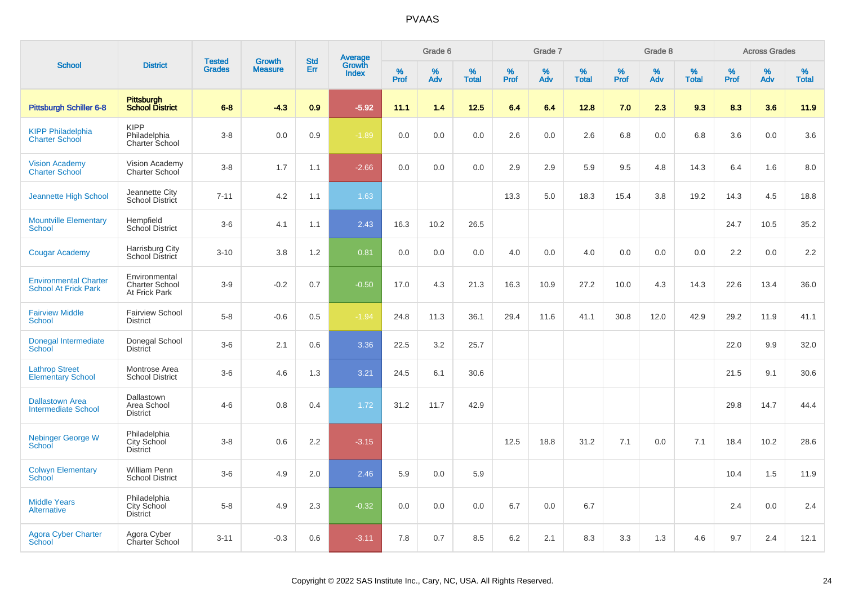|                                                             |                                                  |                                |                                 | <b>Std</b> |                                          |                     | Grade 6     |                   |              | Grade 7     |                      |              | Grade 8  |                   |                     | <b>Across Grades</b> |                   |
|-------------------------------------------------------------|--------------------------------------------------|--------------------------------|---------------------------------|------------|------------------------------------------|---------------------|-------------|-------------------|--------------|-------------|----------------------|--------------|----------|-------------------|---------------------|----------------------|-------------------|
| <b>School</b>                                               | <b>District</b>                                  | <b>Tested</b><br><b>Grades</b> | <b>Growth</b><br><b>Measure</b> | Err        | <b>Average</b><br>Growth<br><b>Index</b> | $\%$<br><b>Prof</b> | $\%$<br>Adv | %<br><b>Total</b> | $\%$<br>Prof | $\%$<br>Adv | $\%$<br><b>Total</b> | $\%$<br>Prof | %<br>Adv | %<br><b>Total</b> | $\%$<br><b>Prof</b> | $\%$<br>Adv          | %<br><b>Total</b> |
| <b>Pittsburgh Schiller 6-8</b>                              | Pittsburgh<br>School District                    | $6 - 8$                        | $-4.3$                          | 0.9        | $-5.92$                                  | 11.1                | 1.4         | 12.5              | 6.4          | 6.4         | 12.8                 | 7.0          | 2.3      | 9.3               | 8.3                 | 3.6                  | 11.9              |
| <b>KIPP Philadelphia</b><br><b>Charter School</b>           | <b>KIPP</b><br>Philadelphia<br>Charter School    | $3-8$                          | 0.0                             | 0.9        | $-1.89$                                  | 0.0                 | 0.0         | 0.0               | 2.6          | 0.0         | 2.6                  | 6.8          | 0.0      | 6.8               | 3.6                 | 0.0                  | 3.6               |
| <b>Vision Academy</b><br><b>Charter School</b>              | Vision Academy<br>Charter School                 | $3-8$                          | 1.7                             | 1.1        | $-2.66$                                  | 0.0                 | 0.0         | 0.0               | 2.9          | 2.9         | 5.9                  | 9.5          | 4.8      | 14.3              | 6.4                 | 1.6                  | 8.0               |
| <b>Jeannette High School</b>                                | Jeannette City<br>School District                | $7 - 11$                       | 4.2                             | 1.1        | 1.63                                     |                     |             |                   | 13.3         | 5.0         | 18.3                 | 15.4         | 3.8      | 19.2              | 14.3                | 4.5                  | 18.8              |
| <b>Mountville Elementary</b><br><b>School</b>               | Hempfield<br>School District                     | $3-6$                          | 4.1                             | 1.1        | 2.43                                     | 16.3                | 10.2        | 26.5              |              |             |                      |              |          |                   | 24.7                | 10.5                 | 35.2              |
| <b>Cougar Academy</b>                                       | Harrisburg City<br>School District               | $3 - 10$                       | 3.8                             | 1.2        | 0.81                                     | 0.0                 | 0.0         | 0.0               | 4.0          | 0.0         | 4.0                  | 0.0          | 0.0      | 0.0               | 2.2                 | 0.0                  | 2.2               |
| <b>Environmental Charter</b><br><b>School At Frick Park</b> | Environmental<br>Charter School<br>At Frick Park | $3-9$                          | $-0.2$                          | 0.7        | $-0.50$                                  | 17.0                | 4.3         | 21.3              | 16.3         | 10.9        | 27.2                 | 10.0         | 4.3      | 14.3              | 22.6                | 13.4                 | 36.0              |
| <b>Fairview Middle</b><br><b>School</b>                     | <b>Fairview School</b><br><b>District</b>        | $5-8$                          | $-0.6$                          | 0.5        | $-1.94$                                  | 24.8                | 11.3        | 36.1              | 29.4         | 11.6        | 41.1                 | 30.8         | 12.0     | 42.9              | 29.2                | 11.9                 | 41.1              |
| Donegal Intermediate<br>School                              | Donegal School<br><b>District</b>                | $3-6$                          | 2.1                             | 0.6        | 3.36                                     | 22.5                | 3.2         | 25.7              |              |             |                      |              |          |                   | 22.0                | 9.9                  | 32.0              |
| <b>Lathrop Street</b><br><b>Elementary School</b>           | Montrose Area<br><b>School District</b>          | $3-6$                          | 4.6                             | 1.3        | 3.21                                     | 24.5                | 6.1         | 30.6              |              |             |                      |              |          |                   | 21.5                | 9.1                  | 30.6              |
| <b>Dallastown Area</b><br>Intermediate School               | Dallastown<br>Area School<br><b>District</b>     | $4 - 6$                        | 0.8                             | 0.4        | 1.72                                     | 31.2                | 11.7        | 42.9              |              |             |                      |              |          |                   | 29.8                | 14.7                 | 44.4              |
| <b>Nebinger George W</b><br>School                          | Philadelphia<br>City School<br><b>District</b>   | $3-8$                          | 0.6                             | 2.2        | $-3.15$                                  |                     |             |                   | 12.5         | 18.8        | 31.2                 | 7.1          | 0.0      | 7.1               | 18.4                | 10.2                 | 28.6              |
| <b>Colwyn Elementary</b><br><b>School</b>                   | William Penn<br><b>School District</b>           | $3-6$                          | 4.9                             | 2.0        | 2.46                                     | 5.9                 | 0.0         | 5.9               |              |             |                      |              |          |                   | 10.4                | 1.5                  | 11.9              |
| <b>Middle Years</b><br><b>Alternative</b>                   | Philadelphia<br>City School<br><b>District</b>   | $5-8$                          | 4.9                             | 2.3        | $-0.32$                                  | 0.0                 | 0.0         | 0.0               | 6.7          | 0.0         | 6.7                  |              |          |                   | 2.4                 | 0.0                  | 2.4               |
| <b>Agora Cyber Charter</b><br>School                        | Agora Cyber<br>Charter School                    | $3 - 11$                       | $-0.3$                          | 0.6        | $-3.11$                                  | 7.8                 | 0.7         | 8.5               | 6.2          | 2.1         | 8.3                  | 3.3          | 1.3      | 4.6               | 9.7                 | 2.4                  | 12.1              |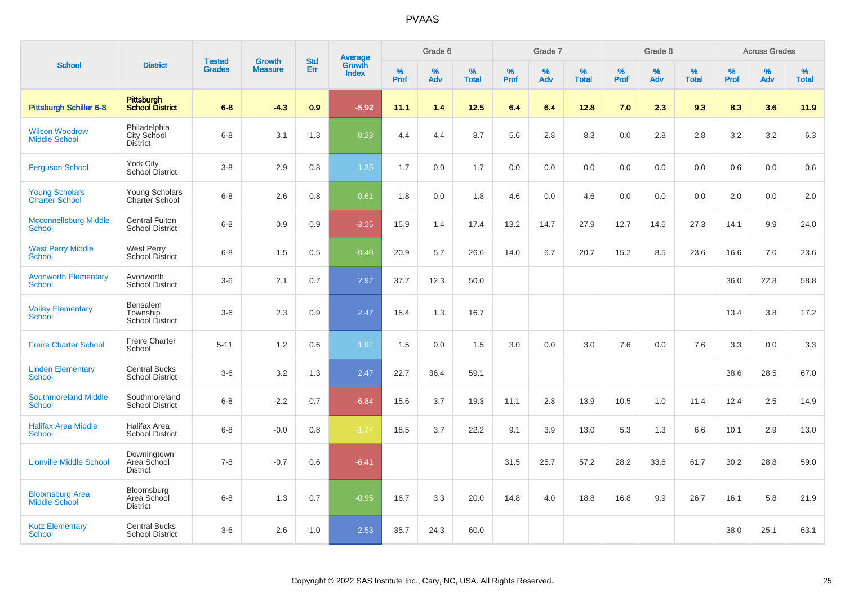|                                                |                                                 |                                |                                 | <b>Std</b> |                                          |           | Grade 6  |                   |           | Grade 7  |                   |           | Grade 8  |                   |              | <b>Across Grades</b> |                   |
|------------------------------------------------|-------------------------------------------------|--------------------------------|---------------------------------|------------|------------------------------------------|-----------|----------|-------------------|-----------|----------|-------------------|-----------|----------|-------------------|--------------|----------------------|-------------------|
| <b>School</b>                                  | <b>District</b>                                 | <b>Tested</b><br><b>Grades</b> | <b>Growth</b><br><b>Measure</b> | Err        | <b>Average</b><br>Growth<br><b>Index</b> | %<br>Prof | %<br>Adv | %<br><b>Total</b> | %<br>Prof | %<br>Adv | %<br><b>Total</b> | %<br>Prof | %<br>Adv | %<br><b>Total</b> | $\%$<br>Prof | $\%$<br>Adv          | %<br><b>Total</b> |
| Pittsburgh Schiller 6-8                        | <b>Pittsburgh</b><br><b>School District</b>     | $6 - 8$                        | $-4.3$                          | 0.9        | $-5.92$                                  | 11.1      | 1.4      | 12.5              | 6.4       | 6.4      | 12.8              | 7.0       | 2.3      | 9.3               | 8.3          | 3.6                  | 11.9              |
| <b>Wilson Woodrow</b><br><b>Middle School</b>  | Philadelphia<br>City School<br><b>District</b>  | $6 - 8$                        | 3.1                             | 1.3        | 0.23                                     | 4.4       | 4.4      | 8.7               | 5.6       | 2.8      | 8.3               | 0.0       | 2.8      | 2.8               | 3.2          | 3.2                  | 6.3               |
| <b>Ferguson School</b>                         | <b>York City</b><br>School District             | $3 - 8$                        | 2.9                             | 0.8        | 1.35                                     | 1.7       | 0.0      | 1.7               | 0.0       | 0.0      | 0.0               | 0.0       | 0.0      | 0.0               | 0.6          | 0.0                  | 0.6               |
| <b>Young Scholars</b><br><b>Charter School</b> | Young Scholars<br>Charter School                | $6 - 8$                        | 2.6                             | 0.8        | 0.61                                     | 1.8       | 0.0      | 1.8               | 4.6       | 0.0      | 4.6               | 0.0       | 0.0      | 0.0               | 2.0          | 0.0                  | 2.0               |
| <b>Mcconnellsburg Middle</b><br>School         | <b>Central Fulton</b><br><b>School District</b> | $6 - 8$                        | 0.9                             | 0.9        | $-3.25$                                  | 15.9      | 1.4      | 17.4              | 13.2      | 14.7     | 27.9              | 12.7      | 14.6     | 27.3              | 14.1         | 9.9                  | 24.0              |
| <b>West Perry Middle</b><br><b>School</b>      | <b>West Perry</b><br><b>School District</b>     | $6 - 8$                        | 1.5                             | 0.5        | $-0.40$                                  | 20.9      | 5.7      | 26.6              | 14.0      | 6.7      | 20.7              | 15.2      | 8.5      | 23.6              | 16.6         | 7.0                  | 23.6              |
| <b>Avonworth Elementary</b><br><b>School</b>   | Avonworth<br><b>School District</b>             | $3-6$                          | 2.1                             | 0.7        | 2.97                                     | 37.7      | 12.3     | 50.0              |           |          |                   |           |          |                   | 36.0         | 22.8                 | 58.8              |
| <b>Valley Elementary</b><br><b>School</b>      | Bensalem<br>Township<br>School District         | $3-6$                          | 2.3                             | 0.9        | 2.47                                     | 15.4      | 1.3      | 16.7              |           |          |                   |           |          |                   | 13.4         | 3.8                  | 17.2              |
| <b>Freire Charter School</b>                   | <b>Freire Charter</b><br>School                 | $5 - 11$                       | 1.2                             | 0.6        | 1.92                                     | 1.5       | 0.0      | 1.5               | 3.0       | 0.0      | 3.0               | 7.6       | 0.0      | 7.6               | 3.3          | 0.0                  | 3.3               |
| <b>Linden Elementary</b><br><b>School</b>      | <b>Central Bucks</b><br><b>School District</b>  | $3-6$                          | 3.2                             | 1.3        | 2.47                                     | 22.7      | 36.4     | 59.1              |           |          |                   |           |          |                   | 38.6         | 28.5                 | 67.0              |
| <b>Southmoreland Middle</b><br><b>School</b>   | Southmoreland<br><b>School District</b>         | $6 - 8$                        | $-2.2$                          | 0.7        | $-6.84$                                  | 15.6      | 3.7      | 19.3              | 11.1      | 2.8      | 13.9              | 10.5      | 1.0      | 11.4              | 12.4         | 2.5                  | 14.9              |
| <b>Halifax Area Middle</b><br><b>School</b>    | Halifax Area<br><b>School District</b>          | $6 - 8$                        | $-0.0$                          | 0.8        | $-1.74$                                  | 18.5      | 3.7      | 22.2              | 9.1       | 3.9      | 13.0              | 5.3       | 1.3      | 6.6               | 10.1         | 2.9                  | 13.0              |
| <b>Lionville Middle School</b>                 | Downingtown<br>Area School<br><b>District</b>   | $7 - 8$                        | $-0.7$                          | 0.6        | $-6.41$                                  |           |          |                   | 31.5      | 25.7     | 57.2              | 28.2      | 33.6     | 61.7              | 30.2         | 28.8                 | 59.0              |
| <b>Bloomsburg Area</b><br><b>Middle School</b> | Bloomsburg<br>Area School<br><b>District</b>    | $6 - 8$                        | 1.3                             | 0.7        | $-0.95$                                  | 16.7      | 3.3      | 20.0              | 14.8      | 4.0      | 18.8              | 16.8      | 9.9      | 26.7              | 16.1         | 5.8                  | 21.9              |
| <b>Kutz Elementary</b><br><b>School</b>        | <b>Central Bucks</b><br><b>School District</b>  | $3-6$                          | 2.6                             | 1.0        | 2.53                                     | 35.7      | 24.3     | 60.0              |           |          |                   |           |          |                   | 38.0         | 25.1                 | 63.1              |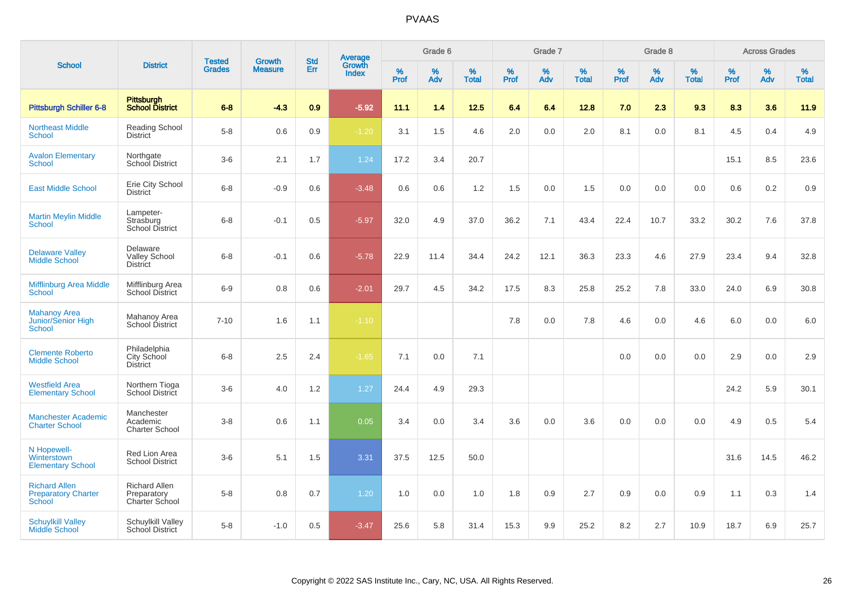| <b>School</b>                                                |                                                       | <b>Tested</b> | <b>Growth</b>  | <b>Std</b> |                                          |                     | Grade 6     |                   |              | Grade 7     |                      |              | Grade 8  |                   |              | <b>Across Grades</b> |                   |
|--------------------------------------------------------------|-------------------------------------------------------|---------------|----------------|------------|------------------------------------------|---------------------|-------------|-------------------|--------------|-------------|----------------------|--------------|----------|-------------------|--------------|----------------------|-------------------|
|                                                              | <b>District</b>                                       | <b>Grades</b> | <b>Measure</b> | <b>Err</b> | <b>Average</b><br>Growth<br><b>Index</b> | $\%$<br><b>Prof</b> | $\%$<br>Adv | %<br><b>Total</b> | $\%$<br>Prof | $\%$<br>Adv | $\%$<br><b>Total</b> | $\%$<br>Prof | %<br>Adv | %<br><b>Total</b> | $\%$<br>Prof | $\%$<br>Adv          | %<br><b>Total</b> |
| Pittsburgh Schiller 6-8                                      | <b>Pittsburgh</b><br><b>School District</b>           | $6 - 8$       | $-4.3$         | 0.9        | $-5.92$                                  | 11.1                | 1.4         | 12.5              | 6.4          | 6.4         | 12.8                 | 7.0          | 2.3      | 9.3               | 8.3          | 3.6                  | 11.9              |
| <b>Northeast Middle</b><br>School                            | <b>Reading School</b><br><b>District</b>              | $5-8$         | 0.6            | 0.9        | $-1.20$                                  | 3.1                 | 1.5         | 4.6               | 2.0          | 0.0         | 2.0                  | 8.1          | 0.0      | 8.1               | 4.5          | 0.4                  | 4.9               |
| <b>Avalon Elementary</b><br>School                           | Northgate<br>School District                          | $3-6$         | 2.1            | 1.7        | 1.24                                     | 17.2                | 3.4         | 20.7              |              |             |                      |              |          |                   | 15.1         | 8.5                  | 23.6              |
| <b>East Middle School</b>                                    | Erie City School<br><b>District</b>                   | $6 - 8$       | $-0.9$         | 0.6        | $-3.48$                                  | 0.6                 | 0.6         | 1.2               | 1.5          | 0.0         | 1.5                  | 0.0          | 0.0      | 0.0               | 0.6          | 0.2                  | 0.9               |
| <b>Martin Meylin Middle</b><br><b>School</b>                 | Lampeter-<br>Strasburg<br>School District             | $6 - 8$       | $-0.1$         | 0.5        | $-5.97$                                  | 32.0                | 4.9         | 37.0              | 36.2         | 7.1         | 43.4                 | 22.4         | 10.7     | 33.2              | 30.2         | 7.6                  | 37.8              |
| <b>Delaware Valley</b><br><b>Middle School</b>               | Delaware<br><b>Valley School</b><br><b>District</b>   | $6 - 8$       | $-0.1$         | 0.6        | $-5.78$                                  | 22.9                | 11.4        | 34.4              | 24.2         | 12.1        | 36.3                 | 23.3         | 4.6      | 27.9              | 23.4         | 9.4                  | 32.8              |
| <b>Mifflinburg Area Middle</b><br>School                     | Mifflinburg Area<br>School District                   | $6 - 9$       | 0.8            | 0.6        | $-2.01$                                  | 29.7                | 4.5         | 34.2              | 17.5         | 8.3         | 25.8                 | 25.2         | 7.8      | 33.0              | 24.0         | 6.9                  | 30.8              |
| <b>Mahanoy Area</b><br><b>Junior/Senior High</b><br>School   | Mahanoy Area<br>School District                       | $7 - 10$      | 1.6            | 1.1        | $-1.10$                                  |                     |             |                   | 7.8          | 0.0         | 7.8                  | 4.6          | 0.0      | 4.6               | 6.0          | 0.0                  | 6.0               |
| <b>Clemente Roberto</b><br><b>Middle School</b>              | Philadelphia<br>City School<br><b>District</b>        | $6 - 8$       | 2.5            | 2.4        | $-1.65$                                  | 7.1                 | 0.0         | 7.1               |              |             |                      | 0.0          | 0.0      | 0.0               | 2.9          | 0.0                  | 2.9               |
| <b>Westfield Area</b><br><b>Elementary School</b>            | Northern Tioga<br><b>School District</b>              | $3-6$         | 4.0            | 1.2        | 1.27                                     | 24.4                | 4.9         | 29.3              |              |             |                      |              |          |                   | 24.2         | 5.9                  | 30.1              |
| <b>Manchester Academic</b><br><b>Charter School</b>          | Manchester<br>Academic<br><b>Charter School</b>       | $3-8$         | 0.6            | 1.1        | 0.05                                     | 3.4                 | 0.0         | 3.4               | 3.6          | 0.0         | 3.6                  | 0.0          | 0.0      | 0.0               | 4.9          | 0.5                  | 5.4               |
| N Hopewell-<br>Winterstown<br><b>Elementary School</b>       | Red Lion Area<br><b>School District</b>               | $3-6$         | 5.1            | 1.5        | 3.31                                     | 37.5                | 12.5        | 50.0              |              |             |                      |              |          |                   | 31.6         | 14.5                 | 46.2              |
| <b>Richard Allen</b><br><b>Preparatory Charter</b><br>School | <b>Richard Allen</b><br>Preparatory<br>Charter School | $5 - 8$       | 0.8            | 0.7        | 1.20                                     | 1.0                 | 0.0         | 1.0               | 1.8          | 0.9         | 2.7                  | 0.9          | 0.0      | 0.9               | 1.1          | 0.3                  | 1.4               |
| <b>Schuylkill Valley</b><br>Middle School                    | Schuylkill Valley<br>School District                  | $5-8$         | $-1.0$         | 0.5        | $-3.47$                                  | 25.6                | 5.8         | 31.4              | 15.3         | 9.9         | 25.2                 | 8.2          | 2.7      | 10.9              | 18.7         | 6.9                  | 25.7              |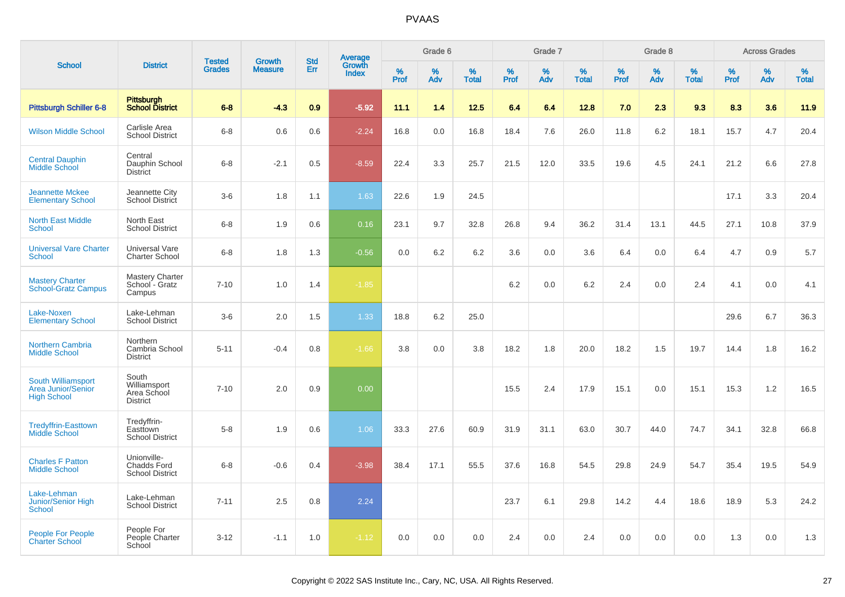|                                                                              |                                                             | <b>Tested</b> | <b>Growth</b>  | <b>Std</b> |                                          |                  | Grade 6  |                   |           | Grade 7  |                   |           | Grade 8  |                   |           | <b>Across Grades</b> |                   |
|------------------------------------------------------------------------------|-------------------------------------------------------------|---------------|----------------|------------|------------------------------------------|------------------|----------|-------------------|-----------|----------|-------------------|-----------|----------|-------------------|-----------|----------------------|-------------------|
| <b>School</b>                                                                | <b>District</b>                                             | <b>Grades</b> | <b>Measure</b> | Err        | <b>Average</b><br>Growth<br><b>Index</b> | %<br><b>Prof</b> | %<br>Adv | %<br><b>Total</b> | %<br>Prof | %<br>Adv | %<br><b>Total</b> | %<br>Prof | %<br>Adv | %<br><b>Total</b> | %<br>Prof | %<br>Adv             | %<br><b>Total</b> |
| <b>Pittsburgh Schiller 6-8</b>                                               | Pittsburgh<br><b>School District</b>                        | $6 - 8$       | $-4.3$         | 0.9        | $-5.92$                                  | 11.1             | 1.4      | 12.5              | 6.4       | 6.4      | 12.8              | 7.0       | 2.3      | 9.3               | 8.3       | 3.6                  | 11.9              |
| <b>Wilson Middle School</b>                                                  | Carlisle Area<br><b>School District</b>                     | $6 - 8$       | 0.6            | 0.6        | $-2.24$                                  | 16.8             | 0.0      | 16.8              | 18.4      | 7.6      | 26.0              | 11.8      | 6.2      | 18.1              | 15.7      | 4.7                  | 20.4              |
| <b>Central Dauphin</b><br>Middle School                                      | Central<br>Dauphin School<br><b>District</b>                | $6 - 8$       | $-2.1$         | 0.5        | $-8.59$                                  | 22.4             | 3.3      | 25.7              | 21.5      | 12.0     | 33.5              | 19.6      | 4.5      | 24.1              | 21.2      | 6.6                  | 27.8              |
| <b>Jeannette Mckee</b><br><b>Elementary School</b>                           | Jeannette City<br>School District                           | $3-6$         | 1.8            | 1.1        | 1.63                                     | 22.6             | 1.9      | 24.5              |           |          |                   |           |          |                   | 17.1      | 3.3                  | 20.4              |
| <b>North East Middle</b><br>School                                           | North East<br><b>School District</b>                        | $6 - 8$       | 1.9            | 0.6        | 0.16                                     | 23.1             | 9.7      | 32.8              | 26.8      | 9.4      | 36.2              | 31.4      | 13.1     | 44.5              | 27.1      | 10.8                 | 37.9              |
| <b>Universal Vare Charter</b><br><b>School</b>                               | Universal Vare<br><b>Charter School</b>                     | $6 - 8$       | 1.8            | 1.3        | $-0.56$                                  | 0.0              | 6.2      | 6.2               | 3.6       | 0.0      | 3.6               | 6.4       | 0.0      | 6.4               | 4.7       | 0.9                  | 5.7               |
| <b>Mastery Charter</b><br><b>School-Gratz Campus</b>                         | <b>Mastery Charter</b><br>School - Gratz<br>Campus          | $7 - 10$      | 1.0            | 1.4        | $-1.85$                                  |                  |          |                   | 6.2       | 0.0      | 6.2               | 2.4       | 0.0      | 2.4               | 4.1       | 0.0                  | 4.1               |
| Lake-Noxen<br><b>Elementary School</b>                                       | Lake-Lehman<br><b>School District</b>                       | $3-6$         | 2.0            | 1.5        | 1.33                                     | 18.8             | 6.2      | 25.0              |           |          |                   |           |          |                   | 29.6      | 6.7                  | 36.3              |
| <b>Northern Cambria</b><br><b>Middle School</b>                              | Northern<br>Cambria School<br><b>District</b>               | $5 - 11$      | $-0.4$         | 0.8        | $-1.66$                                  | 3.8              | 0.0      | 3.8               | 18.2      | 1.8      | 20.0              | 18.2      | 1.5      | 19.7              | 14.4      | 1.8                  | 16.2              |
| <b>South Williamsport</b><br><b>Area Junior/Senior</b><br><b>High School</b> | South<br>Williamsport<br>Area School<br><b>District</b>     | $7 - 10$      | 2.0            | 0.9        | 0.00                                     |                  |          |                   | 15.5      | 2.4      | 17.9              | 15.1      | 0.0      | 15.1              | 15.3      | 1.2                  | 16.5              |
| <b>Tredyffrin-Easttown</b><br><b>Middle School</b>                           | Tredyffrin-<br>Easttown<br><b>School District</b>           | $5 - 8$       | 1.9            | 0.6        | 1.06                                     | 33.3             | 27.6     | 60.9              | 31.9      | 31.1     | 63.0              | 30.7      | 44.0     | 74.7              | 34.1      | 32.8                 | 66.8              |
| <b>Charles F Patton</b><br><b>Middle School</b>                              | Unionville-<br><b>Chadds Ford</b><br><b>School District</b> | $6 - 8$       | $-0.6$         | 0.4        | $-3.98$                                  | 38.4             | 17.1     | 55.5              | 37.6      | 16.8     | 54.5              | 29.8      | 24.9     | 54.7              | 35.4      | 19.5                 | 54.9              |
| Lake-Lehman<br>Junior/Senior High<br>School                                  | Lake-Lehman<br><b>School District</b>                       | $7 - 11$      | 2.5            | 0.8        | 2.24                                     |                  |          |                   | 23.7      | 6.1      | 29.8              | 14.2      | 4.4      | 18.6              | 18.9      | 5.3                  | 24.2              |
| <b>People For People</b><br><b>Charter School</b>                            | People For<br>People Charter<br>School                      | $3 - 12$      | $-1.1$         | 1.0        | $-1.12$                                  | 0.0              | 0.0      | 0.0               | 2.4       | 0.0      | 2.4               | 0.0       | 0.0      | 0.0               | 1.3       | 0.0                  | 1.3               |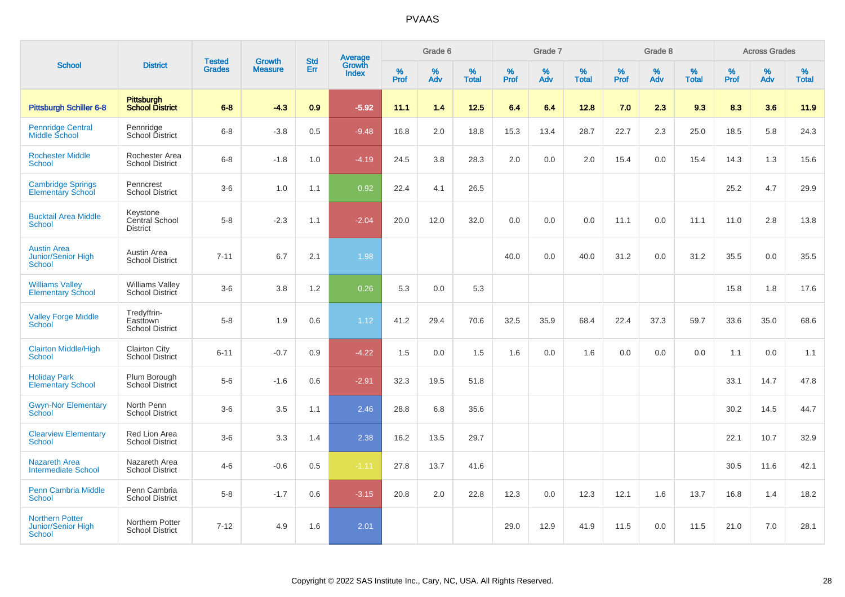| <b>School</b>                                                 |                                                   |                                | <b>Growth</b>  | <b>Std</b> |                                          |           | Grade 6  |                   |           | Grade 7  |                   |           | Grade 8  |                   |              | <b>Across Grades</b> |                   |
|---------------------------------------------------------------|---------------------------------------------------|--------------------------------|----------------|------------|------------------------------------------|-----------|----------|-------------------|-----------|----------|-------------------|-----------|----------|-------------------|--------------|----------------------|-------------------|
|                                                               | <b>District</b>                                   | <b>Tested</b><br><b>Grades</b> | <b>Measure</b> | Err        | <b>Average</b><br>Growth<br><b>Index</b> | %<br>Prof | %<br>Adv | %<br><b>Total</b> | %<br>Prof | %<br>Adv | %<br><b>Total</b> | %<br>Prof | %<br>Adv | %<br><b>Total</b> | $\%$<br>Prof | $\%$<br>Adv          | %<br><b>Total</b> |
| <b>Pittsburgh Schiller 6-8</b>                                | <b>Pittsburgh</b><br><b>School District</b>       | $6 - 8$                        | $-4.3$         | 0.9        | $-5.92$                                  | 11.1      | 1.4      | 12.5              | 6.4       | 6.4      | 12.8              | 7.0       | 2.3      | 9.3               | 8.3          | 3.6                  | 11.9              |
| <b>Pennridge Central</b><br><b>Middle School</b>              | Pennridge<br>School District                      | $6 - 8$                        | $-3.8$         | 0.5        | $-9.48$                                  | 16.8      | 2.0      | 18.8              | 15.3      | 13.4     | 28.7              | 22.7      | 2.3      | 25.0              | 18.5         | 5.8                  | 24.3              |
| <b>Rochester Middle</b><br>School                             | Rochester Area<br><b>School District</b>          | $6 - 8$                        | $-1.8$         | 1.0        | $-4.19$                                  | 24.5      | 3.8      | 28.3              | 2.0       | 0.0      | 2.0               | 15.4      | 0.0      | 15.4              | 14.3         | 1.3                  | 15.6              |
| <b>Cambridge Springs</b><br><b>Elementary School</b>          | Penncrest<br><b>School District</b>               | $3-6$                          | 1.0            | 1.1        | 0.92                                     | 22.4      | 4.1      | 26.5              |           |          |                   |           |          |                   | 25.2         | 4.7                  | 29.9              |
| <b>Bucktail Area Middle</b><br><b>School</b>                  | Keystone<br>Central School<br><b>District</b>     | $5-8$                          | $-2.3$         | 1.1        | $-2.04$                                  | 20.0      | 12.0     | 32.0              | 0.0       | 0.0      | 0.0               | 11.1      | 0.0      | 11.1              | 11.0         | 2.8                  | 13.8              |
| <b>Austin Area</b><br>Junior/Senior High<br><b>School</b>     | Austin Area<br><b>School District</b>             | $7 - 11$                       | 6.7            | 2.1        | 1.98                                     |           |          |                   | 40.0      | 0.0      | 40.0              | 31.2      | 0.0      | 31.2              | 35.5         | 0.0                  | 35.5              |
| <b>Williams Valley</b><br><b>Elementary School</b>            | <b>Williams Valley</b><br>School District         | $3-6$                          | 3.8            | 1.2        | 0.26                                     | 5.3       | 0.0      | 5.3               |           |          |                   |           |          |                   | 15.8         | 1.8                  | 17.6              |
| <b>Valley Forge Middle</b><br>School                          | Tredyffrin-<br>Easttown<br><b>School District</b> | $5-8$                          | 1.9            | 0.6        | 1.12                                     | 41.2      | 29.4     | 70.6              | 32.5      | 35.9     | 68.4              | 22.4      | 37.3     | 59.7              | 33.6         | 35.0                 | 68.6              |
| <b>Clairton Middle/High</b><br><b>School</b>                  | <b>Clairton City</b><br><b>School District</b>    | $6 - 11$                       | $-0.7$         | 0.9        | $-4.22$                                  | 1.5       | 0.0      | 1.5               | 1.6       | 0.0      | 1.6               | 0.0       | 0.0      | 0.0               | 1.1          | 0.0                  | 1.1               |
| <b>Holiday Park</b><br><b>Elementary School</b>               | Plum Borough<br><b>School District</b>            | $5-6$                          | $-1.6$         | 0.6        | $-2.91$                                  | 32.3      | 19.5     | 51.8              |           |          |                   |           |          |                   | 33.1         | 14.7                 | 47.8              |
| <b>Gwyn-Nor Elementary</b><br>School                          | North Penn<br><b>School District</b>              | $3-6$                          | 3.5            | 1.1        | 2.46                                     | 28.8      | 6.8      | 35.6              |           |          |                   |           |          |                   | 30.2         | 14.5                 | 44.7              |
| <b>Clearview Elementary</b><br><b>School</b>                  | Red Lion Area<br><b>School District</b>           | $3-6$                          | 3.3            | 1.4        | 2.38                                     | 16.2      | 13.5     | 29.7              |           |          |                   |           |          |                   | 22.1         | 10.7                 | 32.9              |
| <b>Nazareth Area</b><br><b>Intermediate School</b>            | Nazareth Area<br><b>School District</b>           | $4 - 6$                        | $-0.6$         | 0.5        | $-1.11$                                  | 27.8      | 13.7     | 41.6              |           |          |                   |           |          |                   | 30.5         | 11.6                 | 42.1              |
| <b>Penn Cambria Middle</b><br>School                          | Penn Cambria<br><b>School District</b>            | $5-8$                          | $-1.7$         | 0.6        | $-3.15$                                  | 20.8      | 2.0      | 22.8              | 12.3      | 0.0      | 12.3              | 12.1      | 1.6      | 13.7              | 16.8         | 1.4                  | 18.2              |
| <b>Northern Potter</b><br><b>Junior/Senior High</b><br>School | Northern Potter<br><b>School District</b>         | $7 - 12$                       | 4.9            | 1.6        | 2.01                                     |           |          |                   | 29.0      | 12.9     | 41.9              | 11.5      | 0.0      | 11.5              | 21.0         | 7.0                  | 28.1              |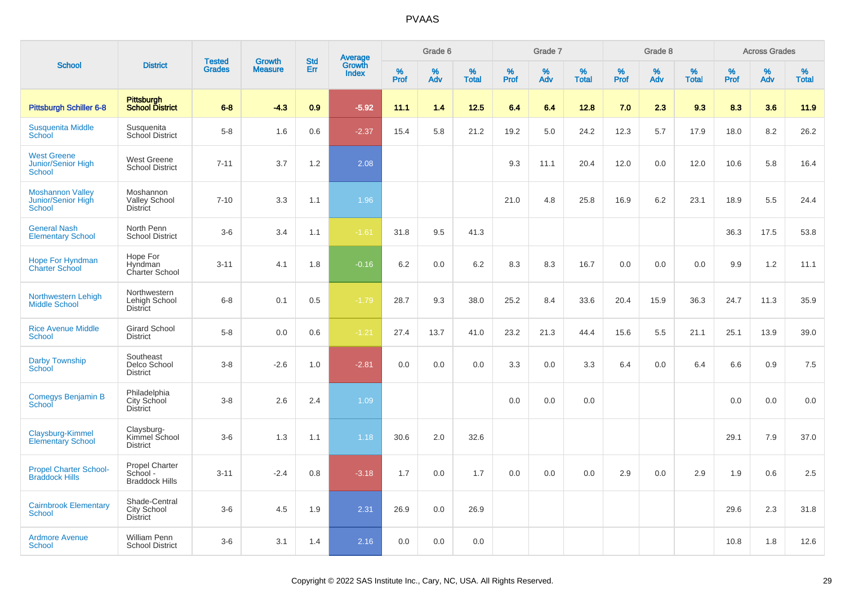|                                                                  |                                                            |                                |                                 | <b>Std</b> |                                          |           | Grade 6  |                   |           | Grade 7  |                   |           | Grade 8  |                   |           | <b>Across Grades</b> |                   |
|------------------------------------------------------------------|------------------------------------------------------------|--------------------------------|---------------------------------|------------|------------------------------------------|-----------|----------|-------------------|-----------|----------|-------------------|-----------|----------|-------------------|-----------|----------------------|-------------------|
| <b>School</b>                                                    | <b>District</b>                                            | <b>Tested</b><br><b>Grades</b> | <b>Growth</b><br><b>Measure</b> | Err        | <b>Average</b><br>Growth<br><b>Index</b> | %<br>Prof | %<br>Adv | %<br><b>Total</b> | %<br>Prof | %<br>Adv | %<br><b>Total</b> | %<br>Prof | %<br>Adv | %<br><b>Total</b> | %<br>Prof | %<br>Adv             | %<br><b>Total</b> |
| <b>Pittsburgh Schiller 6-8</b>                                   | Pittsburgh<br><b>School District</b>                       | $6 - 8$                        | $-4.3$                          | 0.9        | $-5.92$                                  | 11.1      | 1.4      | 12.5              | 6.4       | 6.4      | 12.8              | 7.0       | 2.3      | 9.3               | 8.3       | 3.6                  | 11.9              |
| <b>Susquenita Middle</b><br>School                               | Susquenita<br>School District                              | $5-8$                          | 1.6                             | 0.6        | $-2.37$                                  | 15.4      | 5.8      | 21.2              | 19.2      | 5.0      | 24.2              | 12.3      | 5.7      | 17.9              | 18.0      | 8.2                  | 26.2              |
| <b>West Greene</b><br><b>Junior/Senior High</b><br><b>School</b> | <b>West Greene</b><br><b>School District</b>               | $7 - 11$                       | 3.7                             | 1.2        | 2.08                                     |           |          |                   | 9.3       | 11.1     | 20.4              | 12.0      | 0.0      | 12.0              | 10.6      | 5.8                  | 16.4              |
| <b>Moshannon Valley</b><br>Junior/Senior High<br><b>School</b>   | Moshannon<br><b>Valley School</b><br><b>District</b>       | $7 - 10$                       | 3.3                             | 1.1        | 1.96                                     |           |          |                   | 21.0      | 4.8      | 25.8              | 16.9      | 6.2      | 23.1              | 18.9      | 5.5                  | 24.4              |
| <b>General Nash</b><br><b>Elementary School</b>                  | North Penn<br><b>School District</b>                       | $3-6$                          | 3.4                             | 1.1        | $-1.61$                                  | 31.8      | 9.5      | 41.3              |           |          |                   |           |          |                   | 36.3      | 17.5                 | 53.8              |
| <b>Hope For Hyndman</b><br><b>Charter School</b>                 | Hope For<br>Hyndman<br>Charter School                      | $3 - 11$                       | 4.1                             | 1.8        | $-0.16$                                  | 6.2       | 0.0      | 6.2               | 8.3       | 8.3      | 16.7              | 0.0       | 0.0      | 0.0               | 9.9       | 1.2                  | 11.1              |
| Northwestern Lehigh<br><b>Middle School</b>                      | Northwestern<br>Lehigh School<br><b>District</b>           | $6 - 8$                        | 0.1                             | 0.5        | $-1.79$                                  | 28.7      | 9.3      | 38.0              | 25.2      | 8.4      | 33.6              | 20.4      | 15.9     | 36.3              | 24.7      | 11.3                 | 35.9              |
| <b>Rice Avenue Middle</b><br>School                              | <b>Girard School</b><br><b>District</b>                    | $5 - 8$                        | 0.0                             | 0.6        | $-1.21$                                  | 27.4      | 13.7     | 41.0              | 23.2      | 21.3     | 44.4              | 15.6      | 5.5      | 21.1              | 25.1      | 13.9                 | 39.0              |
| <b>Darby Township</b><br><b>School</b>                           | Southeast<br>Delco School<br><b>District</b>               | $3-8$                          | $-2.6$                          | 1.0        | $-2.81$                                  | 0.0       | 0.0      | 0.0               | 3.3       | 0.0      | 3.3               | 6.4       | 0.0      | 6.4               | 6.6       | 0.9                  | 7.5               |
| <b>Comegys Benjamin B</b><br>School                              | Philadelphia<br>City School<br><b>District</b>             | $3-8$                          | 2.6                             | 2.4        | 1.09                                     |           |          |                   | 0.0       | 0.0      | 0.0               |           |          |                   | 0.0       | 0.0                  | 0.0               |
| Claysburg-Kimmel<br><b>Elementary School</b>                     | Claysburg-<br>Kimmel School<br><b>District</b>             | $3-6$                          | 1.3                             | 1.1        | 1.18                                     | 30.6      | 2.0      | 32.6              |           |          |                   |           |          |                   | 29.1      | 7.9                  | 37.0              |
| <b>Propel Charter School-</b><br><b>Braddock Hills</b>           | <b>Propel Charter</b><br>School -<br><b>Braddock Hills</b> | $3 - 11$                       | $-2.4$                          | 0.8        | $-3.18$                                  | 1.7       | 0.0      | 1.7               | 0.0       | 0.0      | 0.0               | 2.9       | 0.0      | 2.9               | 1.9       | 0.6                  | 2.5               |
| <b>Cairnbrook Elementary</b><br><b>School</b>                    | Shade-Central<br>City School<br><b>District</b>            | $3-6$                          | 4.5                             | 1.9        | 2.31                                     | 26.9      | 0.0      | 26.9              |           |          |                   |           |          |                   | 29.6      | 2.3                  | 31.8              |
| <b>Ardmore Avenue</b><br><b>School</b>                           | <b>William Penn</b><br><b>School District</b>              | $3-6$                          | 3.1                             | 1.4        | 2.16                                     | 0.0       | 0.0      | 0.0               |           |          |                   |           |          |                   | 10.8      | 1.8                  | 12.6              |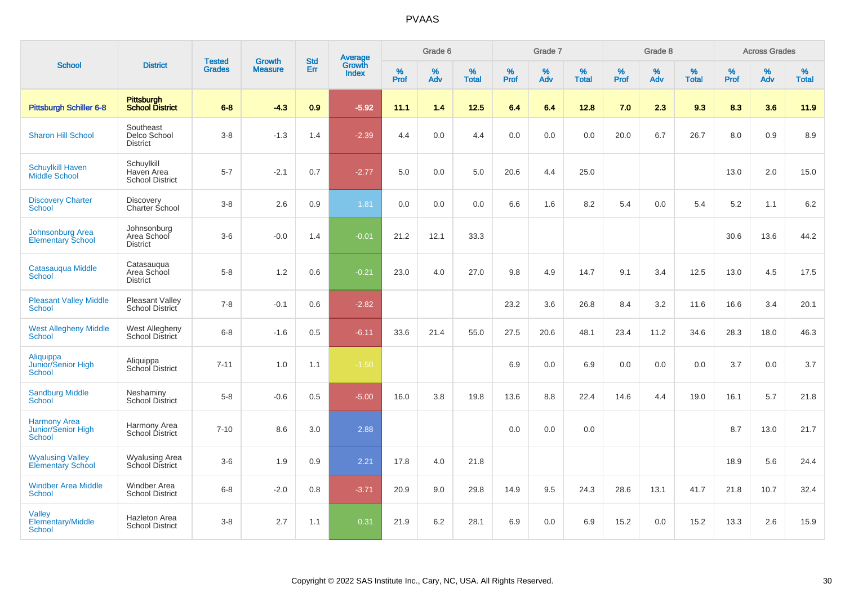|                                                            |                                                    |                                |                          | <b>Std</b> |                                          |                  | Grade 6  |                   |           | Grade 7  |                   |           | Grade 8  |                   |           | <b>Across Grades</b> |                   |
|------------------------------------------------------------|----------------------------------------------------|--------------------------------|--------------------------|------------|------------------------------------------|------------------|----------|-------------------|-----------|----------|-------------------|-----------|----------|-------------------|-----------|----------------------|-------------------|
| <b>School</b>                                              | <b>District</b>                                    | <b>Tested</b><br><b>Grades</b> | Growth<br><b>Measure</b> | Err        | <b>Average</b><br>Growth<br><b>Index</b> | %<br><b>Prof</b> | %<br>Adv | %<br><b>Total</b> | %<br>Prof | %<br>Adv | %<br><b>Total</b> | %<br>Prof | %<br>Adv | %<br><b>Total</b> | %<br>Prof | $\%$<br>Adv          | %<br><b>Total</b> |
| <b>Pittsburgh Schiller 6-8</b>                             | <b>Pittsburgh</b><br><b>School District</b>        | $6 - 8$                        | $-4.3$                   | 0.9        | $-5.92$                                  | 11.1             | 1.4      | 12.5              | 6.4       | 6.4      | 12.8              | 7.0       | 2.3      | 9.3               | 8.3       | 3.6                  | 11.9              |
| <b>Sharon Hill School</b>                                  | Southeast<br>Delco School<br><b>District</b>       | $3-8$                          | $-1.3$                   | 1.4        | $-2.39$                                  | 4.4              | 0.0      | 4.4               | 0.0       | 0.0      | 0.0               | 20.0      | 6.7      | 26.7              | 8.0       | 0.9                  | 8.9               |
| <b>Schuylkill Haven</b><br>Middle School                   | Schuylkill<br>Haven Area<br><b>School District</b> | $5 - 7$                        | $-2.1$                   | 0.7        | $-2.77$                                  | 5.0              | 0.0      | 5.0               | 20.6      | 4.4      | 25.0              |           |          |                   | 13.0      | 2.0                  | 15.0              |
| <b>Discovery Charter</b><br><b>School</b>                  | <b>Discovery</b><br><b>Charter School</b>          | $3 - 8$                        | 2.6                      | 0.9        | 1.81                                     | 0.0              | 0.0      | 0.0               | 6.6       | 1.6      | 8.2               | 5.4       | 0.0      | 5.4               | 5.2       | 1.1                  | 6.2               |
| <b>Johnsonburg Area</b><br><b>Elementary School</b>        | Johnsonburg<br>Area School<br><b>District</b>      | $3-6$                          | $-0.0$                   | 1.4        | $-0.01$                                  | 21.2             | 12.1     | 33.3              |           |          |                   |           |          |                   | 30.6      | 13.6                 | 44.2              |
| Catasauqua Middle<br><b>School</b>                         | Catasauqua<br>Area School<br><b>District</b>       | $5-8$                          | 1.2                      | 0.6        | $-0.21$                                  | 23.0             | 4.0      | 27.0              | 9.8       | 4.9      | 14.7              | 9.1       | 3.4      | 12.5              | 13.0      | 4.5                  | 17.5              |
| <b>Pleasant Valley Middle</b><br><b>School</b>             | <b>Pleasant Valley</b><br>School District          | $7 - 8$                        | $-0.1$                   | 0.6        | $-2.82$                                  |                  |          |                   | 23.2      | 3.6      | 26.8              | 8.4       | 3.2      | 11.6              | 16.6      | 3.4                  | 20.1              |
| <b>West Allegheny Middle</b><br><b>School</b>              | West Allegheny<br>School District                  | $6 - 8$                        | $-1.6$                   | 0.5        | $-6.11$                                  | 33.6             | 21.4     | 55.0              | 27.5      | 20.6     | 48.1              | 23.4      | 11.2     | 34.6              | 28.3      | 18.0                 | 46.3              |
| Aliquippa<br>Junior/Senior High<br><b>School</b>           | Aliquippa<br>School District                       | $7 - 11$                       | 1.0                      | 1.1        | $-1.50$                                  |                  |          |                   | 6.9       | 0.0      | 6.9               | 0.0       | 0.0      | 0.0               | 3.7       | 0.0                  | 3.7               |
| <b>Sandburg Middle</b><br>School                           | Neshaminy<br>School District                       | $5 - 8$                        | $-0.6$                   | 0.5        | $-5.00$                                  | 16.0             | 3.8      | 19.8              | 13.6      | 8.8      | 22.4              | 14.6      | 4.4      | 19.0              | 16.1      | 5.7                  | 21.8              |
| <b>Harmony Area</b><br><b>Junior/Senior High</b><br>School | Harmony Area<br>School District                    | $7 - 10$                       | 8.6                      | 3.0        | 2.88                                     |                  |          |                   | 0.0       | 0.0      | 0.0               |           |          |                   | 8.7       | 13.0                 | 21.7              |
| <b>Wyalusing Valley</b><br><b>Elementary School</b>        | <b>Wyalusing Area</b><br>School District           | $3-6$                          | 1.9                      | 0.9        | 2.21                                     | 17.8             | 4.0      | 21.8              |           |          |                   |           |          |                   | 18.9      | 5.6                  | 24.4              |
| <b>Windber Area Middle</b><br><b>School</b>                | Windber Area<br><b>School District</b>             | $6 - 8$                        | $-2.0$                   | 0.8        | $-3.71$                                  | 20.9             | 9.0      | 29.8              | 14.9      | 9.5      | 24.3              | 28.6      | 13.1     | 41.7              | 21.8      | 10.7                 | 32.4              |
| Valley<br><b>Elementary/Middle</b><br>School               | <b>Hazleton Area</b><br><b>School District</b>     | $3-8$                          | 2.7                      | 1.1        | 0.31                                     | 21.9             | 6.2      | 28.1              | 6.9       | 0.0      | 6.9               | 15.2      | 0.0      | 15.2              | 13.3      | 2.6                  | 15.9              |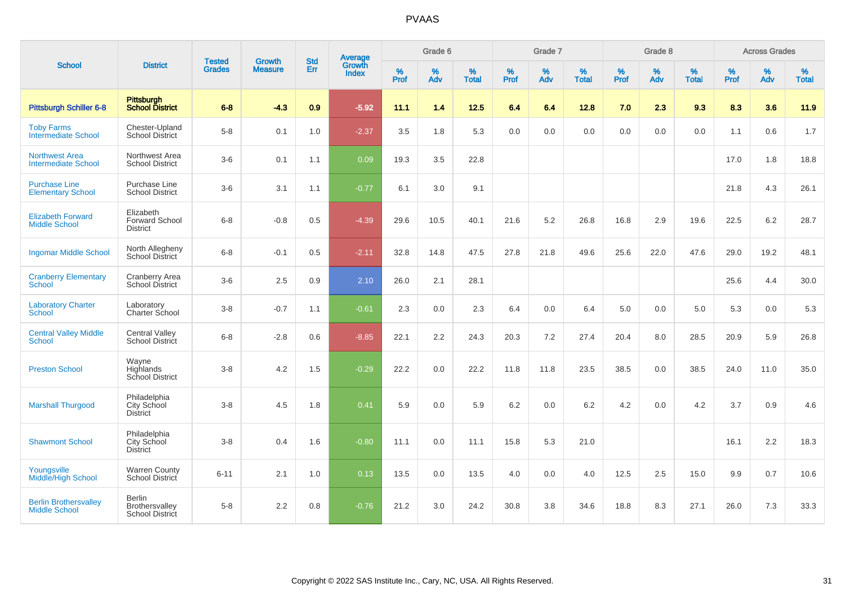|                                                      |                                                       |                                |                                 | <b>Std</b> |                                          |                  | Grade 6  |                   |                  | Grade 7  |                   |                  | Grade 8  |                   |                  | <b>Across Grades</b> |                   |
|------------------------------------------------------|-------------------------------------------------------|--------------------------------|---------------------------------|------------|------------------------------------------|------------------|----------|-------------------|------------------|----------|-------------------|------------------|----------|-------------------|------------------|----------------------|-------------------|
| <b>School</b>                                        | <b>District</b>                                       | <b>Tested</b><br><b>Grades</b> | <b>Growth</b><br><b>Measure</b> | Err        | <b>Average</b><br>Growth<br><b>Index</b> | %<br><b>Prof</b> | %<br>Adv | %<br><b>Total</b> | %<br><b>Prof</b> | %<br>Adv | %<br><b>Total</b> | %<br><b>Prof</b> | %<br>Adv | %<br><b>Total</b> | %<br><b>Prof</b> | %<br>Adv             | %<br><b>Total</b> |
| Pittsburgh Schiller 6-8                              | Pittsburgh<br>School District                         | $6 - 8$                        | $-4.3$                          | 0.9        | $-5.92$                                  | 11.1             | 1.4      | 12.5              | 6.4              | 6.4      | 12.8              | 7.0              | 2.3      | 9.3               | 8.3              | 3.6                  | 11.9              |
| <b>Toby Farms</b><br><b>Intermediate School</b>      | Chester-Upland<br><b>School District</b>              | $5-8$                          | 0.1                             | 1.0        | $-2.37$                                  | 3.5              | 1.8      | 5.3               | 0.0              | 0.0      | 0.0               | 0.0              | 0.0      | 0.0               | 1.1              | 0.6                  | 1.7               |
| <b>Northwest Area</b><br><b>Intermediate School</b>  | Northwest Area<br><b>School District</b>              | $3-6$                          | 0.1                             | 1.1        | 0.09                                     | 19.3             | 3.5      | 22.8              |                  |          |                   |                  |          |                   | 17.0             | 1.8                  | 18.8              |
| <b>Purchase Line</b><br><b>Elementary School</b>     | Purchase Line<br><b>School District</b>               | $3-6$                          | 3.1                             | 1.1        | $-0.77$                                  | 6.1              | 3.0      | 9.1               |                  |          |                   |                  |          |                   | 21.8             | 4.3                  | 26.1              |
| <b>Elizabeth Forward</b><br><b>Middle School</b>     | Elizabeth<br><b>Forward School</b><br><b>District</b> | $6 - 8$                        | $-0.8$                          | 0.5        | $-4.39$                                  | 29.6             | 10.5     | 40.1              | 21.6             | 5.2      | 26.8              | 16.8             | 2.9      | 19.6              | 22.5             | 6.2                  | 28.7              |
| <b>Ingomar Middle School</b>                         | North Allegheny<br>School District                    | $6 - 8$                        | $-0.1$                          | 0.5        | $-2.11$                                  | 32.8             | 14.8     | 47.5              | 27.8             | 21.8     | 49.6              | 25.6             | 22.0     | 47.6              | 29.0             | 19.2                 | 48.1              |
| <b>Cranberry Elementary</b><br>School                | Cranberry Area<br>School District                     | $3-6$                          | 2.5                             | 0.9        | 2.10                                     | 26.0             | 2.1      | 28.1              |                  |          |                   |                  |          |                   | 25.6             | 4.4                  | 30.0              |
| <b>Laboratory Charter</b><br>School                  | Laboratory<br>Charter School                          | $3-8$                          | $-0.7$                          | 1.1        | $-0.61$                                  | 2.3              | 0.0      | 2.3               | 6.4              | 0.0      | 6.4               | $5.0\,$          | 0.0      | 5.0               | 5.3              | 0.0                  | 5.3               |
| <b>Central Valley Middle</b><br>School               | <b>Central Valley</b><br>School District              | $6-8$                          | $-2.8$                          | 0.6        | $-8.85$                                  | 22.1             | 2.2      | 24.3              | 20.3             | 7.2      | 27.4              | 20.4             | 8.0      | 28.5              | 20.9             | 5.9                  | 26.8              |
| <b>Preston School</b>                                | Wayne<br>Highlands<br>School District                 | $3-8$                          | 4.2                             | 1.5        | $-0.29$                                  | 22.2             | 0.0      | 22.2              | 11.8             | 11.8     | 23.5              | 38.5             | 0.0      | 38.5              | 24.0             | 11.0                 | 35.0              |
| <b>Marshall Thurgood</b>                             | Philadelphia<br>City School<br><b>District</b>        | $3-8$                          | 4.5                             | 1.8        | 0.41                                     | 5.9              | 0.0      | 5.9               | 6.2              | 0.0      | 6.2               | 4.2              | 0.0      | 4.2               | 3.7              | 0.9                  | 4.6               |
| <b>Shawmont School</b>                               | Philadelphia<br>City School<br>District               | $3 - 8$                        | 0.4                             | 1.6        | $-0.80$                                  | 11.1             | 0.0      | 11.1              | 15.8             | 5.3      | 21.0              |                  |          |                   | 16.1             | 2.2                  | 18.3              |
| Youngsville<br>Middle/High School                    | <b>Warren County</b><br>School District               | $6 - 11$                       | 2.1                             | 1.0        | 0.13                                     | 13.5             | 0.0      | 13.5              | 4.0              | 0.0      | 4.0               | 12.5             | 2.5      | 15.0              | 9.9              | 0.7                  | 10.6              |
| <b>Berlin Brothersvalley</b><br><b>Middle School</b> | <b>Berlin</b><br>Brothersvalley<br>School District    | $5 - 8$                        | 2.2                             | 0.8        | $-0.76$                                  | 21.2             | 3.0      | 24.2              | 30.8             | 3.8      | 34.6              | 18.8             | 8.3      | 27.1              | 26.0             | 7.3                  | 33.3              |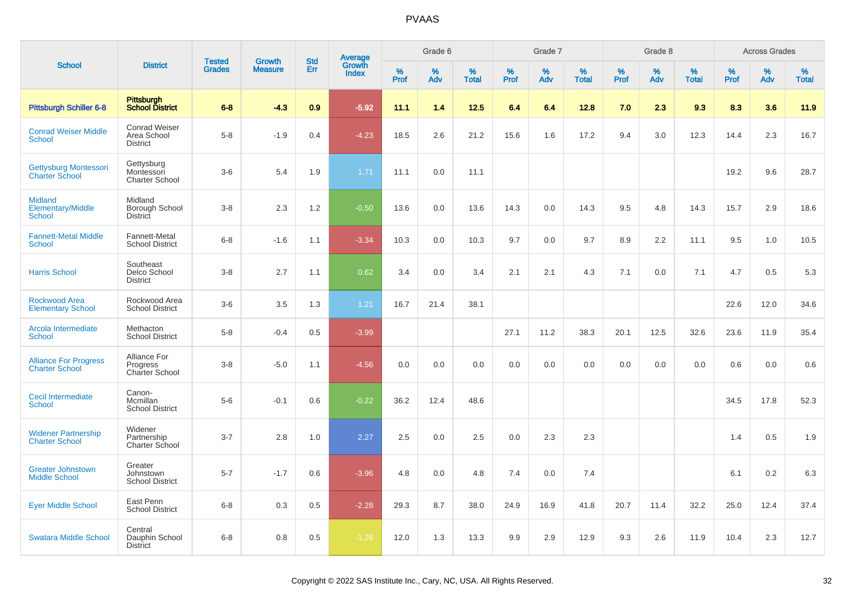|                                                             |                                                        |                                |                                 |                   |                                          |                  | Grade 6     |                   |              | Grade 7  |                   |           | Grade 8  |                   |              | <b>Across Grades</b> |                   |
|-------------------------------------------------------------|--------------------------------------------------------|--------------------------------|---------------------------------|-------------------|------------------------------------------|------------------|-------------|-------------------|--------------|----------|-------------------|-----------|----------|-------------------|--------------|----------------------|-------------------|
| <b>School</b>                                               | <b>District</b>                                        | <b>Tested</b><br><b>Grades</b> | <b>Growth</b><br><b>Measure</b> | <b>Std</b><br>Err | <b>Average</b><br>Growth<br><b>Index</b> | %<br><b>Prof</b> | $\%$<br>Adv | %<br><b>Total</b> | $\%$<br>Prof | %<br>Adv | %<br><b>Total</b> | %<br>Prof | %<br>Adv | %<br><b>Total</b> | $\%$<br>Prof | $\%$<br>Adv          | %<br><b>Total</b> |
| <b>Pittsburgh Schiller 6-8</b>                              | <b>Pittsburgh</b><br><b>School District</b>            | $6 - 8$                        | $-4.3$                          | 0.9               | $-5.92$                                  | 11.1             | 1.4         | 12.5              | 6.4          | 6.4      | 12.8              | 7.0       | 2.3      | 9.3               | 8.3          | 3.6                  | 11.9              |
| <b>Conrad Weiser Middle</b><br><b>School</b>                | <b>Conrad Weiser</b><br>Area School<br><b>District</b> | $5-8$                          | $-1.9$                          | 0.4               | $-4.23$                                  | 18.5             | 2.6         | 21.2              | 15.6         | 1.6      | 17.2              | 9.4       | 3.0      | 12.3              | 14.4         | 2.3                  | 16.7              |
| Gettysburg Montessori<br><b>Charter School</b>              | Gettysburg<br>Montessori<br><b>Charter School</b>      | $3-6$                          | 5.4                             | 1.9               | 1.71                                     | 11.1             | 0.0         | 11.1              |              |          |                   |           |          |                   | 19.2         | 9.6                  | 28.7              |
| <b>Midland</b><br><b>Elementary/Middle</b><br><b>School</b> | Midland<br>Borough School<br>District                  | $3 - 8$                        | 2.3                             | 1.2               | $-0.50$                                  | 13.6             | 0.0         | 13.6              | 14.3         | 0.0      | 14.3              | 9.5       | 4.8      | 14.3              | 15.7         | 2.9                  | 18.6              |
| <b>Fannett-Metal Middle</b><br><b>School</b>                | Fannett-Metal<br><b>School District</b>                | $6 - 8$                        | $-1.6$                          | 1.1               | $-3.34$                                  | 10.3             | 0.0         | 10.3              | 9.7          | 0.0      | 9.7               | 8.9       | 2.2      | 11.1              | 9.5          | 1.0                  | 10.5              |
| <b>Harris School</b>                                        | Southeast<br>Delco School<br><b>District</b>           | $3 - 8$                        | 2.7                             | 1.1               | 0.62                                     | 3.4              | 0.0         | 3.4               | 2.1          | 2.1      | 4.3               | 7.1       | 0.0      | 7.1               | 4.7          | 0.5                  | 5.3               |
| <b>Rockwood Area</b><br><b>Elementary School</b>            | Rockwood Area<br><b>School District</b>                | $3-6$                          | 3.5                             | 1.3               | 1.21                                     | 16.7             | 21.4        | 38.1              |              |          |                   |           |          |                   | 22.6         | 12.0                 | 34.6              |
| Arcola Intermediate<br><b>School</b>                        | Methacton<br><b>School District</b>                    | $5-8$                          | $-0.4$                          | 0.5               | $-3.99$                                  |                  |             |                   | 27.1         | 11.2     | 38.3              | 20.1      | 12.5     | 32.6              | 23.6         | 11.9                 | 35.4              |
| <b>Alliance For Progress</b><br><b>Charter School</b>       | Alliance For<br>Progress<br>Charter School             | $3 - 8$                        | $-5.0$                          | 1.1               | $-4.56$                                  | 0.0              | 0.0         | 0.0               | 0.0          | 0.0      | 0.0               | 0.0       | 0.0      | 0.0               | 0.6          | 0.0                  | 0.6               |
| Cecil Intermediate<br><b>School</b>                         | Canon-<br>Mcmillan<br><b>School District</b>           | $5-6$                          | $-0.1$                          | 0.6               | $-0.22$                                  | 36.2             | 12.4        | 48.6              |              |          |                   |           |          |                   | 34.5         | 17.8                 | 52.3              |
| <b>Widener Partnership</b><br><b>Charter School</b>         | Widener<br>Partnership<br><b>Charter School</b>        | $3 - 7$                        | 2.8                             | 1.0               | 2.27                                     | 2.5              | 0.0         | 2.5               | 0.0          | 2.3      | 2.3               |           |          |                   | 1.4          | 0.5                  | 1.9               |
| <b>Greater Johnstown</b><br><b>Middle School</b>            | Greater<br>Johnstown<br><b>School District</b>         | $5 - 7$                        | $-1.7$                          | 0.6               | $-3.96$                                  | 4.8              | 0.0         | 4.8               | 7.4          | 0.0      | 7.4               |           |          |                   | 6.1          | 0.2                  | 6.3               |
| <b>Eyer Middle School</b>                                   | East Penn<br><b>School District</b>                    | $6 - 8$                        | 0.3                             | 0.5               | $-2.28$                                  | 29.3             | 8.7         | 38.0              | 24.9         | 16.9     | 41.8              | 20.7      | 11.4     | 32.2              | 25.0         | 12.4                 | 37.4              |
| <b>Swatara Middle School</b>                                | Central<br>Dauphin School<br><b>District</b>           | $6 - 8$                        | 0.8                             | 0.5               | $-1.26$                                  | 12.0             | 1.3         | 13.3              | 9.9          | 2.9      | 12.9              | 9.3       | 2.6      | 11.9              | 10.4         | 2.3                  | 12.7              |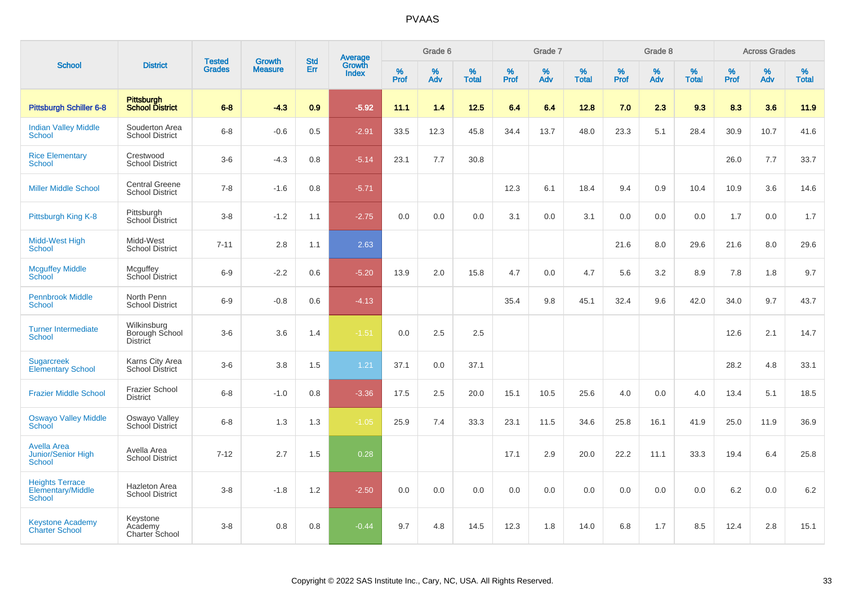|                                                       |                                                  |                                |                                 | <b>Std</b> |                                          |                     | Grade 6     |                   |              | Grade 7     |                   |           | Grade 8  |                   |              | <b>Across Grades</b> |                   |
|-------------------------------------------------------|--------------------------------------------------|--------------------------------|---------------------------------|------------|------------------------------------------|---------------------|-------------|-------------------|--------------|-------------|-------------------|-----------|----------|-------------------|--------------|----------------------|-------------------|
| <b>School</b>                                         | <b>District</b>                                  | <b>Tested</b><br><b>Grades</b> | <b>Growth</b><br><b>Measure</b> | Err        | <b>Average</b><br>Growth<br><b>Index</b> | $\%$<br><b>Prof</b> | $\%$<br>Adv | %<br><b>Total</b> | $\%$<br>Prof | $\%$<br>Adv | %<br><b>Total</b> | %<br>Prof | %<br>Adv | %<br><b>Total</b> | $\%$<br>Prof | $\%$<br>Adv          | %<br><b>Total</b> |
| <b>Pittsburgh Schiller 6-8</b>                        | <b>Pittsburgh</b><br><b>School District</b>      | $6 - 8$                        | $-4.3$                          | 0.9        | $-5.92$                                  | 11.1                | 1.4         | 12.5              | 6.4          | 6.4         | 12.8              | 7.0       | 2.3      | 9.3               | 8.3          | 3.6                  | 11.9              |
| <b>Indian Valley Middle</b><br>School                 | Souderton Area<br><b>School District</b>         | $6 - 8$                        | $-0.6$                          | 0.5        | $-2.91$                                  | 33.5                | 12.3        | 45.8              | 34.4         | 13.7        | 48.0              | 23.3      | 5.1      | 28.4              | 30.9         | 10.7                 | 41.6              |
| <b>Rice Elementary</b><br>School                      | Crestwood<br><b>School District</b>              | $3-6$                          | $-4.3$                          | 0.8        | $-5.14$                                  | 23.1                | 7.7         | 30.8              |              |             |                   |           |          |                   | 26.0         | 7.7                  | 33.7              |
| <b>Miller Middle School</b>                           | <b>Central Greene</b><br><b>School District</b>  | $7 - 8$                        | $-1.6$                          | 0.8        | $-5.71$                                  |                     |             |                   | 12.3         | 6.1         | 18.4              | 9.4       | 0.9      | 10.4              | 10.9         | 3.6                  | 14.6              |
| Pittsburgh King K-8                                   | Pittsburgh<br>School District                    | $3 - 8$                        | $-1.2$                          | 1.1        | $-2.75$                                  | 0.0                 | 0.0         | 0.0               | 3.1          | 0.0         | 3.1               | 0.0       | 0.0      | 0.0               | 1.7          | 0.0                  | 1.7               |
| Midd-West High<br>School                              | Midd-West<br><b>School District</b>              | $7 - 11$                       | 2.8                             | 1.1        | 2.63                                     |                     |             |                   |              |             |                   | 21.6      | 8.0      | 29.6              | 21.6         | 8.0                  | 29.6              |
| <b>Mcguffey Middle</b><br>School                      | Mcguffey<br>School District                      | $6-9$                          | $-2.2$                          | 0.6        | $-5.20$                                  | 13.9                | 2.0         | 15.8              | 4.7          | 0.0         | 4.7               | 5.6       | 3.2      | 8.9               | 7.8          | 1.8                  | 9.7               |
| <b>Pennbrook Middle</b><br><b>School</b>              | North Penn<br><b>School District</b>             | $6-9$                          | $-0.8$                          | 0.6        | $-4.13$                                  |                     |             |                   | 35.4         | 9.8         | 45.1              | 32.4      | 9.6      | 42.0              | 34.0         | 9.7                  | 43.7              |
| <b>Turner Intermediate</b><br>School                  | Wilkinsburg<br>Borough School<br><b>District</b> | $3 - 6$                        | 3.6                             | 1.4        | $-1.51$                                  | 0.0                 | 2.5         | 2.5               |              |             |                   |           |          |                   | 12.6         | 2.1                  | 14.7              |
| <b>Sugarcreek</b><br><b>Elementary School</b>         | Karns City Area<br><b>School District</b>        | $3-6$                          | 3.8                             | 1.5        | 1.21                                     | 37.1                | 0.0         | 37.1              |              |             |                   |           |          |                   | 28.2         | 4.8                  | 33.1              |
| <b>Frazier Middle School</b>                          | <b>Frazier School</b><br><b>District</b>         | $6 - 8$                        | $-1.0$                          | 0.8        | $-3.36$                                  | 17.5                | 2.5         | 20.0              | 15.1         | 10.5        | 25.6              | 4.0       | 0.0      | 4.0               | 13.4         | 5.1                  | 18.5              |
| <b>Oswayo Valley Middle</b><br>School                 | Oswayo Valley<br>School District                 | $6-8$                          | 1.3                             | 1.3        | $-1.05$                                  | 25.9                | 7.4         | 33.3              | 23.1         | 11.5        | 34.6              | 25.8      | 16.1     | 41.9              | 25.0         | 11.9                 | 36.9              |
| <b>Avella Area</b><br>Junior/Senior High<br>School    | Avella Area<br><b>School District</b>            | $7 - 12$                       | 2.7                             | 1.5        | 0.28                                     |                     |             |                   | 17.1         | 2.9         | 20.0              | 22.2      | 11.1     | 33.3              | 19.4         | 6.4                  | 25.8              |
| <b>Heights Terrace</b><br>Elementary/Middle<br>School | Hazleton Area<br><b>School District</b>          | $3 - 8$                        | $-1.8$                          | 1.2        | $-2.50$                                  | 0.0                 | 0.0         | 0.0               | 0.0          | 0.0         | 0.0               | 0.0       | 0.0      | 0.0               | 6.2          | 0.0                  | $6.2\,$           |
| <b>Keystone Academy</b><br><b>Charter School</b>      | Keystone<br>Academy<br>Charter School            | $3 - 8$                        | 0.8                             | 0.8        | $-0.44$                                  | 9.7                 | 4.8         | 14.5              | 12.3         | 1.8         | 14.0              | 6.8       | 1.7      | 8.5               | 12.4         | 2.8                  | 15.1              |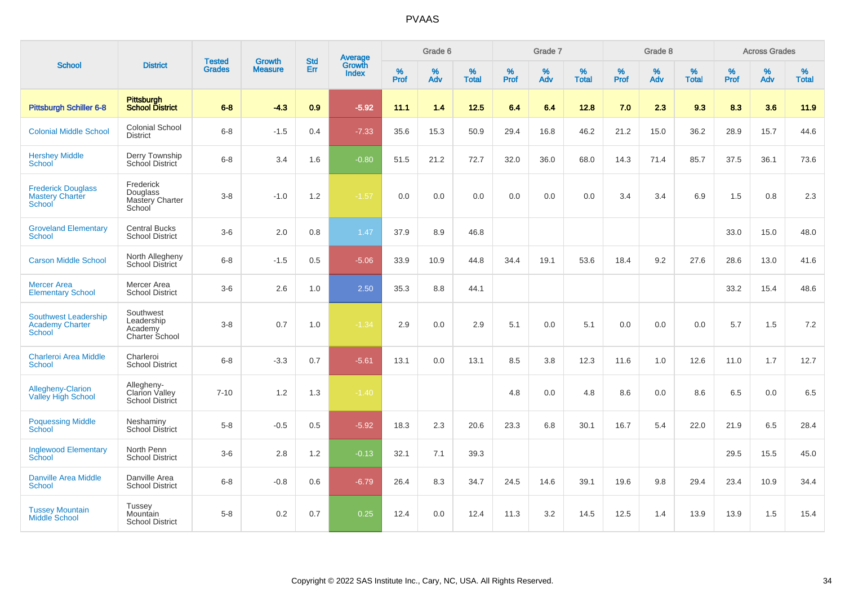|                                                                        |                                                               |                                |                                 |                          |                                   |                  | Grade 6  |                   |           | Grade 7  |                   |           | Grade 8  |                   |           | <b>Across Grades</b> |                   |
|------------------------------------------------------------------------|---------------------------------------------------------------|--------------------------------|---------------------------------|--------------------------|-----------------------------------|------------------|----------|-------------------|-----------|----------|-------------------|-----------|----------|-------------------|-----------|----------------------|-------------------|
| <b>School</b>                                                          | <b>District</b>                                               | <b>Tested</b><br><b>Grades</b> | <b>Growth</b><br><b>Measure</b> | <b>Std</b><br><b>Err</b> | Average<br>Growth<br><b>Index</b> | %<br><b>Prof</b> | %<br>Adv | %<br><b>Total</b> | %<br>Prof | %<br>Adv | %<br><b>Total</b> | %<br>Prof | %<br>Adv | %<br><b>Total</b> | %<br>Prof | $\%$<br>Adv          | %<br><b>Total</b> |
| <b>Pittsburgh Schiller 6-8</b>                                         | <b>Pittsburgh</b><br><b>School District</b>                   | $6 - 8$                        | $-4.3$                          | 0.9                      | $-5.92$                           | 11.1             | 1.4      | 12.5              | 6.4       | 6.4      | 12.8              | 7.0       | 2.3      | 9.3               | 8.3       | 3.6                  | 11.9              |
| <b>Colonial Middle School</b>                                          | Colonial School<br><b>District</b>                            | $6-8$                          | $-1.5$                          | 0.4                      | $-7.33$                           | 35.6             | 15.3     | 50.9              | 29.4      | 16.8     | 46.2              | 21.2      | 15.0     | 36.2              | 28.9      | 15.7                 | 44.6              |
| <b>Hershey Middle</b><br>School                                        | Derry Township<br>School District                             | $6-8$                          | 3.4                             | 1.6                      | $-0.80$                           | 51.5             | 21.2     | 72.7              | 32.0      | 36.0     | 68.0              | 14.3      | 71.4     | 85.7              | 37.5      | 36.1                 | 73.6              |
| <b>Frederick Douglass</b><br><b>Mastery Charter</b><br>School          | Frederick<br>Douglass<br>Mastery Charter<br>School            | $3 - 8$                        | $-1.0$                          | 1.2                      | $-1.57$                           | 0.0              | 0.0      | 0.0               | 0.0       | 0.0      | 0.0               | 3.4       | 3.4      | 6.9               | 1.5       | 0.8                  | 2.3               |
| <b>Groveland Elementary</b><br>School                                  | <b>Central Bucks</b><br><b>School District</b>                | $3-6$                          | 2.0                             | 0.8                      | 1.47                              | 37.9             | 8.9      | 46.8              |           |          |                   |           |          |                   | 33.0      | 15.0                 | 48.0              |
| <b>Carson Middle School</b>                                            | North Allegheny<br><b>School District</b>                     | $6 - 8$                        | $-1.5$                          | 0.5                      | $-5.06$                           | 33.9             | 10.9     | 44.8              | 34.4      | 19.1     | 53.6              | 18.4      | 9.2      | 27.6              | 28.6      | 13.0                 | 41.6              |
| <b>Mercer Area</b><br><b>Elementary School</b>                         | Mercer Area<br><b>School District</b>                         | $3-6$                          | 2.6                             | 1.0                      | 2.50                              | 35.3             | 8.8      | 44.1              |           |          |                   |           |          |                   | 33.2      | 15.4                 | 48.6              |
| <b>Southwest Leadership</b><br><b>Academy Charter</b><br><b>School</b> | Southwest<br>Leadership<br>Academy<br><b>Charter School</b>   | $3 - 8$                        | 0.7                             | 1.0                      | $-1.34$                           | 2.9              | 0.0      | 2.9               | 5.1       | 0.0      | 5.1               | 0.0       | 0.0      | 0.0               | 5.7       | 1.5                  | 7.2               |
| <b>Charleroi Area Middle</b><br><b>School</b>                          | Charleroi<br><b>School District</b>                           | $6 - 8$                        | $-3.3$                          | 0.7                      | $-5.61$                           | 13.1             | 0.0      | 13.1              | 8.5       | 3.8      | 12.3              | 11.6      | 1.0      | 12.6              | 11.0      | 1.7                  | 12.7              |
| Allegheny-Clarion<br><b>Valley High School</b>                         | Allegheny-<br><b>Clarion Valley</b><br><b>School District</b> | $7 - 10$                       | 1.2                             | 1.3                      | $-1.40$                           |                  |          |                   | 4.8       | 0.0      | 4.8               | 8.6       | 0.0      | 8.6               | 6.5       | 0.0                  | 6.5               |
| <b>Poquessing Middle</b><br>School                                     | Neshaminy<br><b>School District</b>                           | $5 - 8$                        | $-0.5$                          | 0.5                      | $-5.92$                           | 18.3             | 2.3      | 20.6              | 23.3      | 6.8      | 30.1              | 16.7      | 5.4      | 22.0              | 21.9      | 6.5                  | 28.4              |
| <b>Inglewood Elementary</b><br>School                                  | North Penn<br><b>School District</b>                          | $3-6$                          | 2.8                             | 1.2                      | $-0.13$                           | 32.1             | 7.1      | 39.3              |           |          |                   |           |          |                   | 29.5      | 15.5                 | 45.0              |
| <b>Danville Area Middle</b><br>School                                  | Danville Area<br><b>School District</b>                       | $6 - 8$                        | $-0.8$                          | 0.6                      | $-6.79$                           | 26.4             | 8.3      | 34.7              | 24.5      | 14.6     | 39.1              | 19.6      | 9.8      | 29.4              | 23.4      | 10.9                 | 34.4              |
| <b>Tussey Mountain</b><br><b>Middle School</b>                         | Tussev<br>Mountain<br><b>School District</b>                  | $5 - 8$                        | 0.2                             | 0.7                      | 0.25                              | 12.4             | 0.0      | 12.4              | 11.3      | 3.2      | 14.5              | 12.5      | 1.4      | 13.9              | 13.9      | 1.5                  | 15.4              |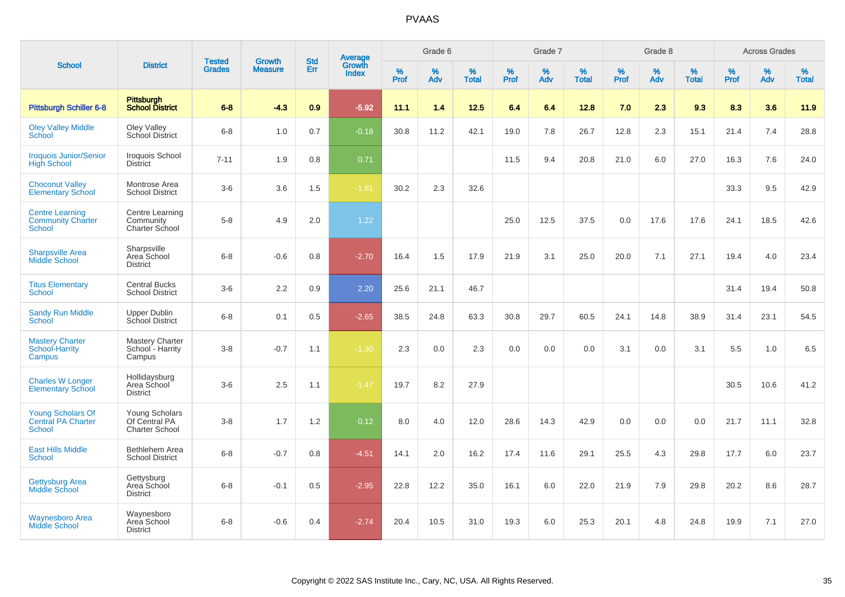| <b>School</b>                                                          |                                                          |                                |                                 |                   |                                          |                     | Grade 6     |                   |              | Grade 7     |                   |              | Grade 8  |                   |              | <b>Across Grades</b> |                   |
|------------------------------------------------------------------------|----------------------------------------------------------|--------------------------------|---------------------------------|-------------------|------------------------------------------|---------------------|-------------|-------------------|--------------|-------------|-------------------|--------------|----------|-------------------|--------------|----------------------|-------------------|
|                                                                        | <b>District</b>                                          | <b>Tested</b><br><b>Grades</b> | <b>Growth</b><br><b>Measure</b> | <b>Std</b><br>Err | <b>Average</b><br>Growth<br><b>Index</b> | $\%$<br><b>Prof</b> | $\%$<br>Adv | %<br><b>Total</b> | $\%$<br>Prof | $\%$<br>Adv | %<br><b>Total</b> | $\%$<br>Prof | %<br>Adv | %<br><b>Total</b> | $\%$<br>Prof | $\%$<br>Adv          | %<br><b>Total</b> |
| Pittsburgh Schiller 6-8                                                | <b>Pittsburgh</b><br><b>School District</b>              | $6 - 8$                        | $-4.3$                          | 0.9               | $-5.92$                                  | 11.1                | 1.4         | 12.5              | 6.4          | 6.4         | 12.8              | 7.0          | 2.3      | 9.3               | 8.3          | 3.6                  | 11.9              |
| <b>Oley Valley Middle</b><br>School                                    | Oley Valley<br>School District                           | $6 - 8$                        | 1.0                             | 0.7               | $-0.18$                                  | 30.8                | 11.2        | 42.1              | 19.0         | 7.8         | 26.7              | 12.8         | 2.3      | 15.1              | 21.4         | 7.4                  | 28.8              |
| <b>Iroquois Junior/Senior</b><br><b>High School</b>                    | Iroquois School<br><b>District</b>                       | $7 - 11$                       | 1.9                             | 0.8               | 0.71                                     |                     |             |                   | 11.5         | 9.4         | 20.8              | 21.0         | 6.0      | 27.0              | 16.3         | 7.6                  | 24.0              |
| <b>Choconut Valley</b><br><b>Elementary School</b>                     | Montrose Area<br><b>School District</b>                  | $3-6$                          | 3.6                             | 1.5               | $-1.81$                                  | 30.2                | 2.3         | 32.6              |              |             |                   |              |          |                   | 33.3         | 9.5                  | 42.9              |
| <b>Centre Learning</b><br><b>Community Charter</b><br><b>School</b>    | Centre Learning<br>Community<br>Charter School           | $5-8$                          | 4.9                             | 2.0               | 1.22                                     |                     |             |                   | 25.0         | 12.5        | 37.5              | 0.0          | 17.6     | 17.6              | 24.1         | 18.5                 | 42.6              |
| <b>Sharpsville Area</b><br><b>Middle School</b>                        | Sharpsville<br>Area School<br><b>District</b>            | $6 - 8$                        | $-0.6$                          | 0.8               | $-2.70$                                  | 16.4                | 1.5         | 17.9              | 21.9         | 3.1         | 25.0              | 20.0         | 7.1      | 27.1              | 19.4         | 4.0                  | 23.4              |
| <b>Titus Elementary</b><br>School                                      | <b>Central Bucks</b><br><b>School District</b>           | $3-6$                          | 2.2                             | 0.9               | 2.20                                     | 25.6                | 21.1        | 46.7              |              |             |                   |              |          |                   | 31.4         | 19.4                 | 50.8              |
| <b>Sandy Run Middle</b><br>School                                      | <b>Upper Dublin</b><br>School District                   | $6 - 8$                        | 0.1                             | 0.5               | $-2.65$                                  | 38.5                | 24.8        | 63.3              | 30.8         | 29.7        | 60.5              | 24.1         | 14.8     | 38.9              | 31.4         | 23.1                 | 54.5              |
| <b>Mastery Charter</b><br>School-Harrity<br>Campus                     | <b>Mastery Charter</b><br>School - Harrity<br>Campus     | $3 - 8$                        | $-0.7$                          | 1.1               | $-1.30$                                  | 2.3                 | 0.0         | 2.3               | 0.0          | 0.0         | 0.0               | 3.1          | 0.0      | 3.1               | 5.5          | 1.0                  | 6.5               |
| <b>Charles W Longer</b><br><b>Elementary School</b>                    | Hollidaysburg<br>Area School<br><b>District</b>          | $3-6$                          | 2.5                             | 1.1               | $-1.47$                                  | 19.7                | 8.2         | 27.9              |              |             |                   |              |          |                   | 30.5         | 10.6                 | 41.2              |
| <b>Young Scholars Of</b><br><b>Central PA Charter</b><br><b>School</b> | Young Scholars<br>Of Central PA<br><b>Charter School</b> | $3-8$                          | 1.7                             | 1.2               | 0.12                                     | 8.0                 | 4.0         | 12.0              | 28.6         | 14.3        | 42.9              | 0.0          | 0.0      | 0.0               | 21.7         | 11.1                 | 32.8              |
| <b>East Hills Middle</b><br><b>School</b>                              | Bethlehem Area<br><b>School District</b>                 | $6-8$                          | $-0.7$                          | 0.8               | $-4.51$                                  | 14.1                | 2.0         | 16.2              | 17.4         | 11.6        | 29.1              | 25.5         | 4.3      | 29.8              | 17.7         | 6.0                  | 23.7              |
| <b>Gettysburg Area</b><br><b>Middle School</b>                         | Gettysburg<br>Area School<br><b>District</b>             | $6 - 8$                        | $-0.1$                          | 0.5               | $-2.95$                                  | 22.8                | 12.2        | 35.0              | 16.1         | 6.0         | 22.0              | 21.9         | 7.9      | 29.8              | 20.2         | 8.6                  | 28.7              |
| <b>Waynesboro Area</b><br><b>Middle School</b>                         | Waynesboro<br>Area School<br><b>District</b>             | $6 - 8$                        | $-0.6$                          | 0.4               | $-2.74$                                  | 20.4                | 10.5        | 31.0              | 19.3         | 6.0         | 25.3              | 20.1         | 4.8      | 24.8              | 19.9         | 7.1                  | 27.0              |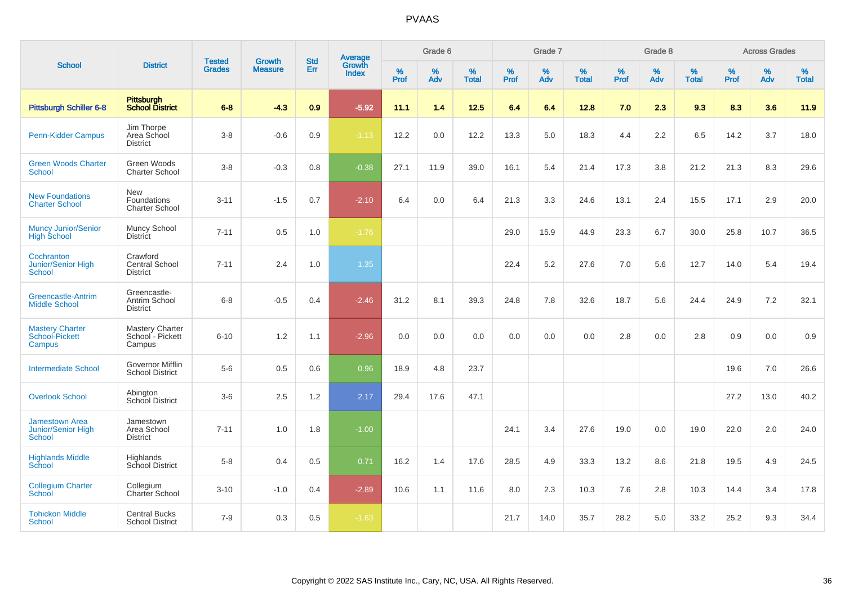| <b>School</b>                                         | <b>District</b>                                      | <b>Tested</b><br><b>Grades</b> | <b>Growth</b><br><b>Measure</b> | <b>Std</b><br><b>Err</b> | <b>Average</b><br>Growth<br><b>Index</b> | Grade 6          |             |                   | Grade 7   |          |                   | Grade 8          |          |                   | <b>Across Grades</b> |          |                   |
|-------------------------------------------------------|------------------------------------------------------|--------------------------------|---------------------------------|--------------------------|------------------------------------------|------------------|-------------|-------------------|-----------|----------|-------------------|------------------|----------|-------------------|----------------------|----------|-------------------|
|                                                       |                                                      |                                |                                 |                          |                                          | %<br><b>Prof</b> | $\%$<br>Adv | %<br><b>Total</b> | %<br>Prof | %<br>Adv | %<br><b>Total</b> | %<br><b>Prof</b> | %<br>Adv | %<br><b>Total</b> | $\%$<br>Prof         | %<br>Adv | %<br><b>Total</b> |
| Pittsburgh Schiller 6-8                               | Pittsburgh<br>School District                        | $6 - 8$                        | $-4.3$                          | 0.9                      | $-5.92$                                  | 11.1             | 1.4         | $12.5$            | 6.4       | 6.4      | 12.8              | 7.0              | 2.3      | 9.3               | 8.3                  | 3.6      | 11.9              |
| <b>Penn-Kidder Campus</b>                             | Jim Thorpe<br>Area School<br><b>District</b>         | $3 - 8$                        | $-0.6$                          | 0.9                      | $-1.13$                                  | 12.2             | 0.0         | 12.2              | 13.3      | 5.0      | 18.3              | 4.4              | 2.2      | 6.5               | 14.2                 | 3.7      | 18.0              |
| <b>Green Woods Charter</b><br>School                  | Green Woods<br><b>Charter School</b>                 | $3 - 8$                        | $-0.3$                          | 0.8                      | $-0.38$                                  | 27.1             | 11.9        | 39.0              | 16.1      | 5.4      | 21.4              | 17.3             | 3.8      | 21.2              | 21.3                 | 8.3      | 29.6              |
| <b>New Foundations</b><br><b>Charter School</b>       | <b>New</b><br>Foundations<br>Charter School          | $3 - 11$                       | $-1.5$                          | 0.7                      | $-2.10$                                  | 6.4              | 0.0         | 6.4               | 21.3      | 3.3      | 24.6              | 13.1             | 2.4      | 15.5              | 17.1                 | 2.9      | 20.0              |
| <b>Muncy Junior/Senior</b><br><b>High School</b>      | Muncy School<br><b>District</b>                      | $7 - 11$                       | 0.5                             | 1.0                      | $-1.76$                                  |                  |             |                   | 29.0      | 15.9     | 44.9              | 23.3             | 6.7      | 30.0              | 25.8                 | 10.7     | 36.5              |
| Cochranton<br><b>Junior/Senior High</b><br>School     | Crawford<br><b>Central School</b><br><b>District</b> | $7 - 11$                       | 2.4                             | 1.0                      | 1.35                                     |                  |             |                   | 22.4      | 5.2      | 27.6              | 7.0              | 5.6      | 12.7              | 14.0                 | 5.4      | 19.4              |
| <b>Greencastle-Antrim</b><br><b>Middle School</b>     | Greencastle-<br>Antrim School<br><b>District</b>     | $6 - 8$                        | $-0.5$                          | 0.4                      | $-2.46$                                  | 31.2             | 8.1         | 39.3              | 24.8      | 7.8      | 32.6              | 18.7             | 5.6      | 24.4              | 24.9                 | 7.2      | 32.1              |
| <b>Mastery Charter</b><br>School-Pickett<br>Campus    | <b>Mastery Charter</b><br>School - Pickett<br>Campus | $6 - 10$                       | 1.2                             | 1.1                      | $-2.96$                                  | 0.0              | 0.0         | 0.0               | 0.0       | 0.0      | 0.0               | 2.8              | 0.0      | 2.8               | 0.9                  | 0.0      | 0.9               |
| <b>Intermediate School</b>                            | Governor Mifflin<br><b>School District</b>           | $5-6$                          | 0.5                             | 0.6                      | 0.96                                     | 18.9             | 4.8         | 23.7              |           |          |                   |                  |          |                   | 19.6                 | 7.0      | 26.6              |
| <b>Overlook School</b>                                | Abington<br>School District                          | $3-6$                          | 2.5                             | 1.2                      | 2.17                                     | 29.4             | 17.6        | 47.1              |           |          |                   |                  |          |                   | 27.2                 | 13.0     | 40.2              |
| <b>Jamestown Area</b><br>Junior/Senior High<br>School | Jamestown<br>Area School<br><b>District</b>          | $7 - 11$                       | 1.0                             | 1.8                      | $-1.00$                                  |                  |             |                   | 24.1      | 3.4      | 27.6              | 19.0             | 0.0      | 19.0              | 22.0                 | 2.0      | 24.0              |
| <b>Highlands Middle</b><br>School                     | Highlands<br>School District                         | $5-8$                          | 0.4                             | 0.5                      | 0.71                                     | 16.2             | 1.4         | 17.6              | 28.5      | 4.9      | 33.3              | 13.2             | 8.6      | 21.8              | 19.5                 | 4.9      | 24.5              |
| <b>Collegium Charter</b><br>School                    | Collegium<br>Charter School                          | $3 - 10$                       | $-1.0$                          | 0.4                      | $-2.89$                                  | 10.6             | 1.1         | 11.6              | 8.0       | 2.3      | 10.3              | 7.6              | 2.8      | 10.3              | 14.4                 | 3.4      | 17.8              |
| <b>Tohickon Middle</b><br><b>School</b>               | <b>Central Bucks</b><br><b>School District</b>       | $7 - 9$                        | 0.3                             | 0.5                      | $-1.63$                                  |                  |             |                   | 21.7      | 14.0     | 35.7              | 28.2             | 5.0      | 33.2              | 25.2                 | 9.3      | 34.4              |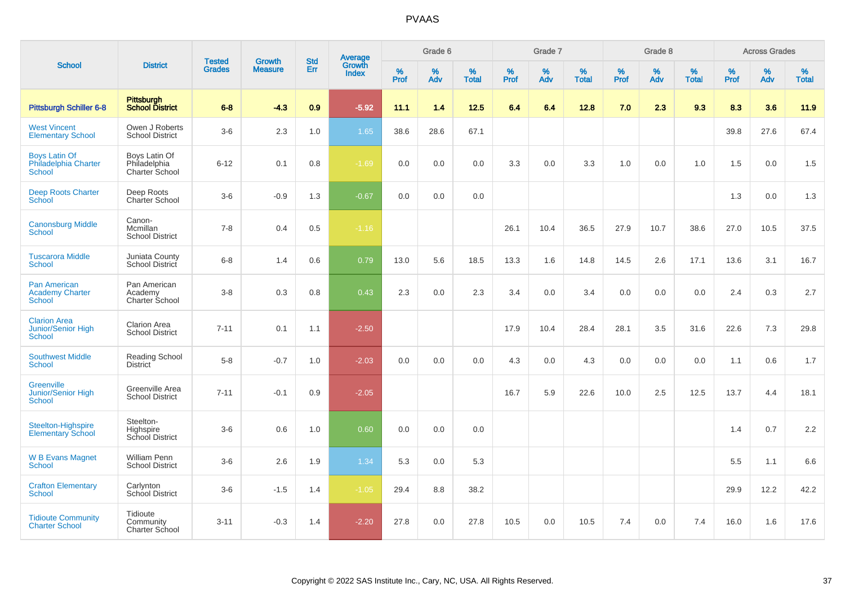| <b>School</b>                                                     |                                                 |                                |                                 |                   |                                          |                  | Grade 6     |                   |           | Grade 7     |                   |           | Grade 8  |                   |           | <b>Across Grades</b> |                   |
|-------------------------------------------------------------------|-------------------------------------------------|--------------------------------|---------------------------------|-------------------|------------------------------------------|------------------|-------------|-------------------|-----------|-------------|-------------------|-----------|----------|-------------------|-----------|----------------------|-------------------|
|                                                                   | <b>District</b>                                 | <b>Tested</b><br><b>Grades</b> | <b>Growth</b><br><b>Measure</b> | <b>Std</b><br>Err | <b>Average</b><br>Growth<br><b>Index</b> | %<br><b>Prof</b> | $\%$<br>Adv | %<br><b>Total</b> | %<br>Prof | $\%$<br>Adv | %<br><b>Total</b> | %<br>Prof | %<br>Adv | %<br><b>Total</b> | %<br>Prof | %<br>Adv             | %<br><b>Total</b> |
| Pittsburgh Schiller 6-8                                           | <b>Pittsburgh</b><br><b>School District</b>     | $6 - 8$                        | $-4.3$                          | 0.9               | $-5.92$                                  | 11.1             | 1.4         | $12.5$            | 6.4       | 6.4         | 12.8              | 7.0       | 2.3      | 9.3               | 8.3       | 3.6                  | 11.9              |
| <b>West Vincent</b><br><b>Elementary School</b>                   | Owen J Roberts<br><b>School District</b>        | $3-6$                          | 2.3                             | 1.0               | 1.65                                     | 38.6             | 28.6        | 67.1              |           |             |                   |           |          |                   | 39.8      | 27.6                 | 67.4              |
| <b>Boys Latin Of</b><br>Philadelphia Charter<br><b>School</b>     | Boys Latin Of<br>Philadelphia<br>Charter School | $6 - 12$                       | 0.1                             | 0.8               | $-1.69$                                  | 0.0              | 0.0         | 0.0               | 3.3       | 0.0         | 3.3               | 1.0       | 0.0      | 1.0               | 1.5       | 0.0                  | 1.5               |
| <b>Deep Roots Charter</b><br>School                               | Deep Roots<br>Charter School                    | $3-6$                          | $-0.9$                          | 1.3               | $-0.67$                                  | 0.0              | 0.0         | 0.0               |           |             |                   |           |          |                   | 1.3       | 0.0                  | 1.3               |
| <b>Canonsburg Middle</b><br>School                                | Canon-<br>Mcmillan<br><b>School District</b>    | $7 - 8$                        | 0.4                             | 0.5               | $-1.16$                                  |                  |             |                   | 26.1      | 10.4        | 36.5              | 27.9      | 10.7     | 38.6              | 27.0      | 10.5                 | 37.5              |
| <b>Tuscarora Middle</b><br><b>School</b>                          | Juniata County<br>School District               | $6 - 8$                        | 1.4                             | 0.6               | 0.79                                     | 13.0             | 5.6         | 18.5              | 13.3      | 1.6         | 14.8              | 14.5      | 2.6      | 17.1              | 13.6      | 3.1                  | 16.7              |
| <b>Pan American</b><br><b>Academy Charter</b><br><b>School</b>    | Pan American<br>Academy<br>Charter School       | $3 - 8$                        | 0.3                             | 0.8               | 0.43                                     | 2.3              | 0.0         | 2.3               | 3.4       | 0.0         | 3.4               | 0.0       | 0.0      | 0.0               | 2.4       | 0.3                  | 2.7               |
| <b>Clarion Area</b><br><b>Junior/Senior High</b><br><b>School</b> | <b>Clarion Area</b><br><b>School District</b>   | $7 - 11$                       | 0.1                             | 1.1               | $-2.50$                                  |                  |             |                   | 17.9      | 10.4        | 28.4              | 28.1      | 3.5      | 31.6              | 22.6      | 7.3                  | 29.8              |
| <b>Southwest Middle</b><br><b>School</b>                          | Reading School<br><b>District</b>               | $5-8$                          | $-0.7$                          | 1.0               | $-2.03$                                  | 0.0              | 0.0         | 0.0               | 4.3       | 0.0         | 4.3               | 0.0       | 0.0      | 0.0               | 1.1       | 0.6                  | 1.7               |
| <b>Greenville</b><br>Junior/Senior High<br>School                 | Greenville Area<br><b>School District</b>       | $7 - 11$                       | $-0.1$                          | 0.9               | $-2.05$                                  |                  |             |                   | 16.7      | 5.9         | 22.6              | 10.0      | 2.5      | 12.5              | 13.7      | 4.4                  | 18.1              |
| Steelton-Highspire<br><b>Elementary School</b>                    | Steelton-<br>Highspire<br>School District       | $3-6$                          | 0.6                             | 1.0               | 0.60                                     | 0.0              | 0.0         | 0.0               |           |             |                   |           |          |                   | 1.4       | 0.7                  | 2.2               |
| <b>W B Evans Magnet</b><br><b>School</b>                          | William Penn<br><b>School District</b>          | $3-6$                          | 2.6                             | 1.9               | 1.34                                     | 5.3              | 0.0         | 5.3               |           |             |                   |           |          |                   | 5.5       | 1.1                  | 6.6               |
| <b>Crafton Elementary</b><br><b>School</b>                        | Carlynton<br>School District                    | $3 - 6$                        | $-1.5$                          | 1.4               | $-1.05$                                  | 29.4             | 8.8         | 38.2              |           |             |                   |           |          |                   | 29.9      | 12.2                 | 42.2              |
| <b>Tidioute Community</b><br><b>Charter School</b>                | Tidioute<br>Community<br>Charter School         | $3 - 11$                       | $-0.3$                          | 1.4               | $-2.20$                                  | 27.8             | 0.0         | 27.8              | 10.5      | 0.0         | 10.5              | 7.4       | 0.0      | 7.4               | 16.0      | 1.6                  | 17.6              |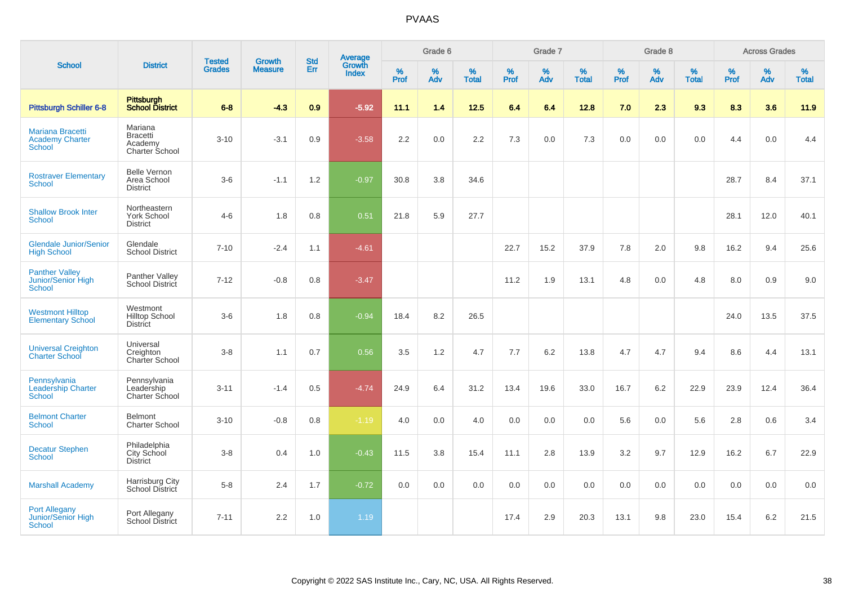| <b>School</b>                                               |                                                         |                                | <b>Growth</b>  | <b>Std</b> |                                          |           | Grade 6  |                   |           | Grade 7  |                   |           | Grade 8  |                   |           | <b>Across Grades</b> |                   |
|-------------------------------------------------------------|---------------------------------------------------------|--------------------------------|----------------|------------|------------------------------------------|-----------|----------|-------------------|-----------|----------|-------------------|-----------|----------|-------------------|-----------|----------------------|-------------------|
|                                                             | <b>District</b>                                         | <b>Tested</b><br><b>Grades</b> | <b>Measure</b> | Err        | <b>Average</b><br>Growth<br><b>Index</b> | %<br>Prof | %<br>Adv | %<br><b>Total</b> | %<br>Prof | %<br>Adv | %<br><b>Total</b> | %<br>Prof | %<br>Adv | %<br><b>Total</b> | %<br>Prof | %<br>Adv             | %<br><b>Total</b> |
| Pittsburgh Schiller 6-8                                     | Pittsburgh<br>School District                           | $6 - 8$                        | $-4.3$         | 0.9        | $-5.92$                                  | 11.1      | 1.4      | $12.5$            | 6.4       | 6.4      | 12.8              | 7.0       | 2.3      | 9.3               | 8.3       | 3.6                  | 11.9              |
| Mariana Bracetti<br><b>Academy Charter</b><br><b>School</b> | Mariana<br><b>Bracetti</b><br>Academy<br>Charter School | $3 - 10$                       | $-3.1$         | 0.9        | $-3.58$                                  | 2.2       | 0.0      | 2.2               | 7.3       | 0.0      | 7.3               | 0.0       | 0.0      | 0.0               | 4.4       | 0.0                  | 4.4               |
| <b>Rostraver Elementary</b><br><b>School</b>                | <b>Belle Vernon</b><br>Area School<br><b>District</b>   | $3-6$                          | $-1.1$         | 1.2        | $-0.97$                                  | 30.8      | 3.8      | 34.6              |           |          |                   |           |          |                   | 28.7      | 8.4                  | 37.1              |
| <b>Shallow Brook Inter</b><br><b>School</b>                 | Northeastern<br><b>York School</b><br><b>District</b>   | $4 - 6$                        | 1.8            | 0.8        | 0.51                                     | 21.8      | 5.9      | 27.7              |           |          |                   |           |          |                   | 28.1      | 12.0                 | 40.1              |
| <b>Glendale Junior/Senior</b><br><b>High School</b>         | Glendale<br><b>School District</b>                      | $7 - 10$                       | $-2.4$         | 1.1        | $-4.61$                                  |           |          |                   | 22.7      | 15.2     | 37.9              | 7.8       | 2.0      | 9.8               | 16.2      | 9.4                  | 25.6              |
| <b>Panther Valley</b><br>Junior/Senior High<br>School       | Panther Valley<br><b>School District</b>                | $7 - 12$                       | $-0.8$         | 0.8        | $-3.47$                                  |           |          |                   | 11.2      | 1.9      | 13.1              | 4.8       | 0.0      | 4.8               | 8.0       | 0.9                  | 9.0               |
| <b>Westmont Hilltop</b><br><b>Elementary School</b>         | Westmont<br><b>Hilltop School</b><br><b>District</b>    | $3-6$                          | 1.8            | 0.8        | $-0.94$                                  | 18.4      | 8.2      | 26.5              |           |          |                   |           |          |                   | 24.0      | 13.5                 | 37.5              |
| <b>Universal Creighton</b><br><b>Charter School</b>         | Universal<br>Creighton<br>Charter School                | $3-8$                          | 1.1            | 0.7        | 0.56                                     | 3.5       | 1.2      | 4.7               | 7.7       | 6.2      | 13.8              | 4.7       | 4.7      | 9.4               | 8.6       | 4.4                  | 13.1              |
| Pennsylvania<br><b>Leadership Charter</b><br><b>School</b>  | Pennsylvania<br>Leadership<br><b>Charter School</b>     | $3 - 11$                       | $-1.4$         | 0.5        | $-4.74$                                  | 24.9      | 6.4      | 31.2              | 13.4      | 19.6     | 33.0              | 16.7      | 6.2      | 22.9              | 23.9      | 12.4                 | 36.4              |
| <b>Belmont Charter</b><br>School                            | <b>Belmont</b><br><b>Charter School</b>                 | $3 - 10$                       | $-0.8$         | 0.8        | $-1.19$                                  | 4.0       | 0.0      | 4.0               | 0.0       | 0.0      | 0.0               | 5.6       | 0.0      | 5.6               | 2.8       | 0.6                  | 3.4               |
| <b>Decatur Stephen</b><br>School                            | Philadelphia<br>City School<br><b>District</b>          | $3-8$                          | 0.4            | 1.0        | $-0.43$                                  | 11.5      | 3.8      | 15.4              | 11.1      | 2.8      | 13.9              | 3.2       | 9.7      | 12.9              | 16.2      | 6.7                  | 22.9              |
| <b>Marshall Academy</b>                                     | Harrisburg City<br>School District                      | $5-8$                          | 2.4            | 1.7        | $-0.72$                                  | 0.0       | 0.0      | 0.0               | 0.0       | 0.0      | 0.0               | 0.0       | 0.0      | 0.0               | 0.0       | 0.0                  | 0.0               |
| <b>Port Allegany</b><br><b>Junior/Senior High</b><br>School | Port Allegany<br><b>School District</b>                 | $7 - 11$                       | 2.2            | 1.0        | 1.19                                     |           |          |                   | 17.4      | 2.9      | 20.3              | 13.1      | 9.8      | 23.0              | 15.4      | 6.2                  | 21.5              |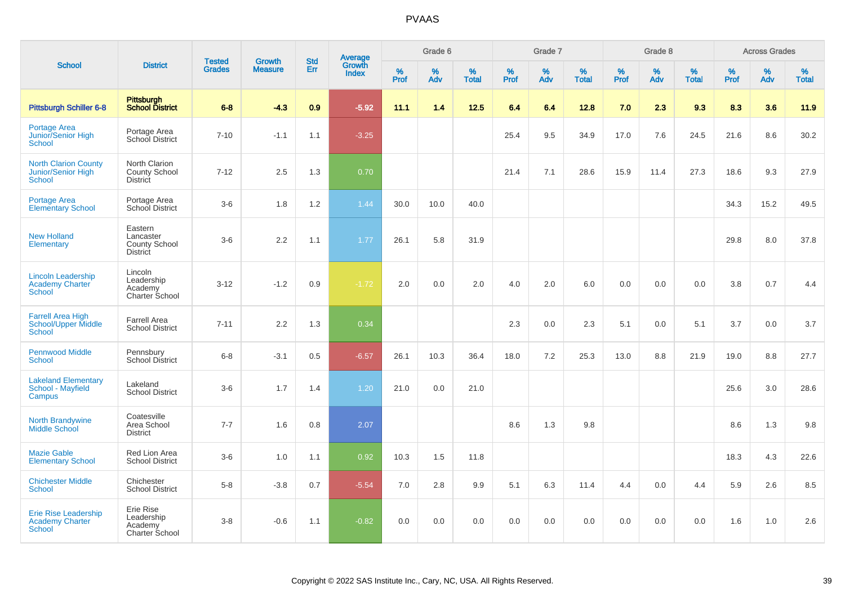|                                                                        |                                                                 |                                |                                 | <b>Std</b> |                                          |                  | Grade 6     |                   |           | Grade 7     |                   |           | Grade 8  |                   |              | <b>Across Grades</b> |                   |
|------------------------------------------------------------------------|-----------------------------------------------------------------|--------------------------------|---------------------------------|------------|------------------------------------------|------------------|-------------|-------------------|-----------|-------------|-------------------|-----------|----------|-------------------|--------------|----------------------|-------------------|
| <b>School</b>                                                          | <b>District</b>                                                 | <b>Tested</b><br><b>Grades</b> | <b>Growth</b><br><b>Measure</b> | Err        | <b>Average</b><br>Growth<br><b>Index</b> | %<br><b>Prof</b> | $\%$<br>Adv | %<br><b>Total</b> | %<br>Prof | $\%$<br>Adv | %<br><b>Total</b> | %<br>Prof | %<br>Adv | %<br><b>Total</b> | $\%$<br>Prof | %<br>Adv             | %<br><b>Total</b> |
| <b>Pittsburgh Schiller 6-8</b>                                         | Pittsburgh<br><b>School District</b>                            | $6-8$                          | $-4.3$                          | 0.9        | $-5.92$                                  | 11.1             | 1.4         | 12.5              | 6.4       | 6.4         | 12.8              | 7.0       | 2.3      | 9.3               | 8.3          | 3.6                  | 11.9              |
| Portage Area<br>Junior/Senior High<br>School                           | Portage Area<br>School District                                 | $7 - 10$                       | $-1.1$                          | 1.1        | $-3.25$                                  |                  |             |                   | 25.4      | 9.5         | 34.9              | 17.0      | 7.6      | 24.5              | 21.6         | 8.6                  | 30.2              |
| <b>North Clarion County</b><br>Junior/Senior High<br><b>School</b>     | North Clarion<br><b>County School</b><br><b>District</b>        | $7 - 12$                       | 2.5                             | 1.3        | 0.70                                     |                  |             |                   | 21.4      | 7.1         | 28.6              | 15.9      | 11.4     | 27.3              | 18.6         | 9.3                  | 27.9              |
| <b>Portage Area</b><br><b>Elementary School</b>                        | Portage Area<br>School District                                 | $3-6$                          | 1.8                             | 1.2        | 1.44                                     | 30.0             | 10.0        | 40.0              |           |             |                   |           |          |                   | 34.3         | 15.2                 | 49.5              |
| <b>New Holland</b><br>Elementary                                       | Eastern<br>Lancaster<br><b>County School</b><br><b>District</b> | $3-6$                          | 2.2                             | 1.1        | 1.77                                     | 26.1             | 5.8         | 31.9              |           |             |                   |           |          |                   | 29.8         | 8.0                  | 37.8              |
| <b>Lincoln Leadership</b><br><b>Academy Charter</b><br><b>School</b>   | Lincoln<br>Leadership<br>Academy<br>Charter School              | $3 - 12$                       | $-1.2$                          | 0.9        | $-1.72$                                  | 2.0              | 0.0         | 2.0               | 4.0       | 2.0         | 6.0               | 0.0       | 0.0      | 0.0               | 3.8          | 0.7                  | 4.4               |
| <b>Farrell Area High</b><br>School/Upper Middle<br><b>School</b>       | <b>Farrell Area</b><br><b>School District</b>                   | $7 - 11$                       | 2.2                             | 1.3        | 0.34                                     |                  |             |                   | 2.3       | 0.0         | 2.3               | 5.1       | 0.0      | 5.1               | 3.7          | 0.0                  | 3.7               |
| <b>Pennwood Middle</b><br><b>School</b>                                | Pennsbury<br><b>School District</b>                             | $6 - 8$                        | $-3.1$                          | 0.5        | $-6.57$                                  | 26.1             | 10.3        | 36.4              | 18.0      | 7.2         | 25.3              | 13.0      | 8.8      | 21.9              | 19.0         | 8.8                  | 27.7              |
| <b>Lakeland Elementary</b><br>School - Mayfield<br>Campus              | Lakeland<br><b>School District</b>                              | $3-6$                          | 1.7                             | 1.4        | 1.20                                     | 21.0             | 0.0         | 21.0              |           |             |                   |           |          |                   | 25.6         | 3.0                  | 28.6              |
| <b>North Brandywine</b><br><b>Middle School</b>                        | Coatesville<br>Area School<br><b>District</b>                   | $7 - 7$                        | 1.6                             | 0.8        | 2.07                                     |                  |             |                   | 8.6       | 1.3         | 9.8               |           |          |                   | 8.6          | 1.3                  | 9.8               |
| <b>Mazie Gable</b><br><b>Elementary School</b>                         | Red Lion Area<br><b>School District</b>                         | $3-6$                          | 1.0                             | 1.1        | 0.92                                     | 10.3             | 1.5         | 11.8              |           |             |                   |           |          |                   | 18.3         | 4.3                  | 22.6              |
| <b>Chichester Middle</b><br>School                                     | Chichester<br><b>School District</b>                            | $5-8$                          | $-3.8$                          | 0.7        | $-5.54$                                  | 7.0              | 2.8         | 9.9               | 5.1       | 6.3         | 11.4              | 4.4       | 0.0      | 4.4               | 5.9          | 2.6                  | 8.5               |
| <b>Erie Rise Leadership</b><br><b>Academy Charter</b><br><b>School</b> | Erie Rise<br>Leadership<br>Academy<br>Charter School            | $3 - 8$                        | $-0.6$                          | 1.1        | $-0.82$                                  | 0.0              | 0.0         | 0.0               | 0.0       | 0.0         | 0.0               | 0.0       | 0.0      | 0.0               | 1.6          | 1.0                  | 2.6               |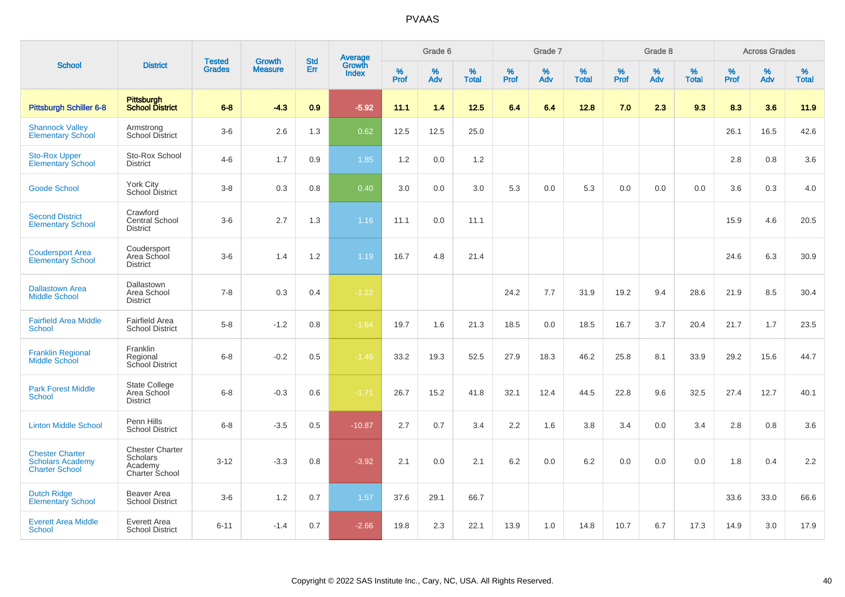|                                                                            |                                                                 |                                |                                 | <b>Std</b> |                                          |                  | Grade 6  |                   |           | Grade 7  |                   |           | Grade 8  |                   |           | <b>Across Grades</b> |                   |
|----------------------------------------------------------------------------|-----------------------------------------------------------------|--------------------------------|---------------------------------|------------|------------------------------------------|------------------|----------|-------------------|-----------|----------|-------------------|-----------|----------|-------------------|-----------|----------------------|-------------------|
| <b>School</b>                                                              | <b>District</b>                                                 | <b>Tested</b><br><b>Grades</b> | <b>Growth</b><br><b>Measure</b> | Err        | <b>Average</b><br>Growth<br><b>Index</b> | %<br><b>Prof</b> | %<br>Adv | %<br><b>Total</b> | %<br>Prof | %<br>Adv | %<br><b>Total</b> | %<br>Prof | %<br>Adv | %<br><b>Total</b> | %<br>Prof | $\%$<br>Adv          | %<br><b>Total</b> |
| <b>Pittsburgh Schiller 6-8</b>                                             | <b>Pittsburgh</b><br><b>School District</b>                     | $6 - 8$                        | $-4.3$                          | 0.9        | $-5.92$                                  | 11.1             | 1.4      | 12.5              | 6.4       | 6.4      | 12.8              | 7.0       | 2.3      | 9.3               | 8.3       | 3.6                  | 11.9              |
| <b>Shannock Valley</b><br><b>Elementary School</b>                         | Armstrong<br>School District                                    | $3-6$                          | 2.6                             | 1.3        | 0.62                                     | 12.5             | 12.5     | 25.0              |           |          |                   |           |          |                   | 26.1      | 16.5                 | 42.6              |
| <b>Sto-Rox Upper</b><br><b>Elementary School</b>                           | Sto-Rox School<br><b>District</b>                               | $4 - 6$                        | 1.7                             | 0.9        | 1.85                                     | 1.2              | 0.0      | 1.2               |           |          |                   |           |          |                   | 2.8       | 0.8                  | 3.6               |
| <b>Goode School</b>                                                        | York City<br>School District                                    | $3 - 8$                        | 0.3                             | 0.8        | 0.40                                     | 3.0              | 0.0      | 3.0               | 5.3       | 0.0      | 5.3               | 0.0       | 0.0      | 0.0               | 3.6       | 0.3                  | 4.0               |
| <b>Second District</b><br><b>Elementary School</b>                         | Crawford<br>Central School<br><b>District</b>                   | $3-6$                          | 2.7                             | 1.3        | 1.16                                     | 11.1             | 0.0      | 11.1              |           |          |                   |           |          |                   | 15.9      | 4.6                  | 20.5              |
| <b>Coudersport Area</b><br><b>Elementary School</b>                        | Coudersport<br>Area School<br><b>District</b>                   | $3-6$                          | 1.4                             | 1.2        | 1.19                                     | 16.7             | 4.8      | 21.4              |           |          |                   |           |          |                   | 24.6      | 6.3                  | 30.9              |
| <b>Dallastown Area</b><br><b>Middle School</b>                             | Dallastown<br>Area School<br><b>District</b>                    | $7 - 8$                        | 0.3                             | 0.4        | $-1.22$                                  |                  |          |                   | 24.2      | 7.7      | 31.9              | 19.2      | 9.4      | 28.6              | 21.9      | 8.5                  | 30.4              |
| <b>Fairfield Area Middle</b><br>School                                     | <b>Fairfield Area</b><br><b>School District</b>                 | $5-8$                          | $-1.2$                          | 0.8        | $-1.64$                                  | 19.7             | 1.6      | 21.3              | 18.5      | 0.0      | 18.5              | 16.7      | 3.7      | 20.4              | 21.7      | 1.7                  | 23.5              |
| <b>Franklin Regional</b><br><b>Middle School</b>                           | <b>Franklin</b><br>Regional<br>School District                  | $6 - 8$                        | $-0.2$                          | 0.5        | $-1.46$                                  | 33.2             | 19.3     | 52.5              | 27.9      | 18.3     | 46.2              | 25.8      | 8.1      | 33.9              | 29.2      | 15.6                 | 44.7              |
| <b>Park Forest Middle</b><br><b>School</b>                                 | <b>State College</b><br>Area School<br><b>District</b>          | $6 - 8$                        | $-0.3$                          | 0.6        | $-1.71$                                  | 26.7             | 15.2     | 41.8              | 32.1      | 12.4     | 44.5              | 22.8      | 9.6      | 32.5              | 27.4      | 12.7                 | 40.1              |
| <b>Linton Middle School</b>                                                | Penn Hills<br><b>School District</b>                            | $6 - 8$                        | $-3.5$                          | 0.5        | $-10.87$                                 | 2.7              | 0.7      | 3.4               | 2.2       | 1.6      | 3.8               | 3.4       | 0.0      | 3.4               | 2.8       | 0.8                  | 3.6               |
| <b>Chester Charter</b><br><b>Scholars Academy</b><br><b>Charter School</b> | <b>Chester Charter</b><br>Scholars<br>Academy<br>Charter School | $3 - 12$                       | $-3.3$                          | 0.8        | $-3.92$                                  | 2.1              | 0.0      | 2.1               | 6.2       | 0.0      | 6.2               | 0.0       | 0.0      | 0.0               | 1.8       | 0.4                  | 2.2               |
| <b>Dutch Ridge</b><br><b>Elementary School</b>                             | Beaver Area<br><b>School District</b>                           | $3-6$                          | 1.2                             | 0.7        | 1.57                                     | 37.6             | 29.1     | 66.7              |           |          |                   |           |          |                   | 33.6      | 33.0                 | 66.6              |
| <b>Everett Area Middle</b><br>School                                       | Everett Area<br><b>School District</b>                          | $6 - 11$                       | $-1.4$                          | 0.7        | $-2.66$                                  | 19.8             | 2.3      | 22.1              | 13.9      | 1.0      | 14.8              | 10.7      | 6.7      | 17.3              | 14.9      | 3.0                  | 17.9              |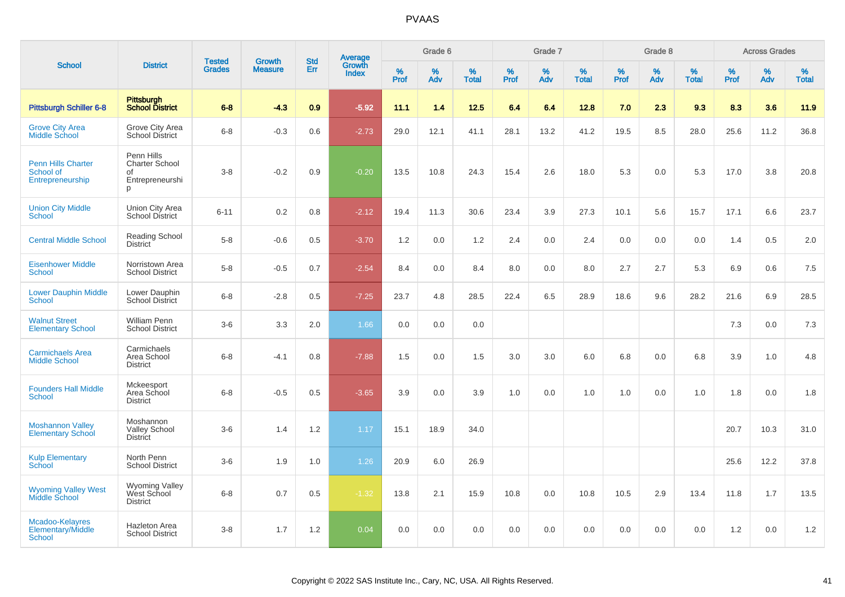|                                                            |                                                                   | <b>Tested</b> | <b>Growth</b>  | <b>Std</b> |                                          |                  | Grade 6     |                   |           | Grade 7     |                      |              | Grade 8  |                   |              | <b>Across Grades</b> |                   |
|------------------------------------------------------------|-------------------------------------------------------------------|---------------|----------------|------------|------------------------------------------|------------------|-------------|-------------------|-----------|-------------|----------------------|--------------|----------|-------------------|--------------|----------------------|-------------------|
| <b>School</b>                                              | <b>District</b>                                                   | <b>Grades</b> | <b>Measure</b> | Err        | <b>Average</b><br>Growth<br><b>Index</b> | %<br><b>Prof</b> | $\%$<br>Adv | %<br><b>Total</b> | %<br>Prof | $\%$<br>Adv | $\%$<br><b>Total</b> | $\%$<br>Prof | %<br>Adv | %<br><b>Total</b> | $\%$<br>Prof | %<br>Adv             | %<br><b>Total</b> |
| <b>Pittsburgh Schiller 6-8</b>                             | Pittsburgh<br><b>School District</b>                              | $6 - 8$       | $-4.3$         | 0.9        | $-5.92$                                  | 11.1             | 1.4         | $12.5$            | 6.4       | 6.4         | 12.8                 | 7.0          | 2.3      | 9.3               | 8.3          | 3.6                  | 11.9              |
| <b>Grove City Area</b><br>Middle School                    | Grove City Area<br><b>School District</b>                         | $6-8$         | $-0.3$         | 0.6        | $-2.73$                                  | 29.0             | 12.1        | 41.1              | 28.1      | 13.2        | 41.2                 | 19.5         | 8.5      | 28.0              | 25.6         | 11.2                 | 36.8              |
| <b>Penn Hills Charter</b><br>School of<br>Entrepreneurship | Penn Hills<br><b>Charter School</b><br>of<br>Entrepreneurshi<br>p | $3 - 8$       | $-0.2$         | 0.9        | $-0.20$                                  | 13.5             | 10.8        | 24.3              | 15.4      | 2.6         | 18.0                 | 5.3          | 0.0      | 5.3               | 17.0         | 3.8                  | 20.8              |
| <b>Union City Middle</b><br>School                         | Union City Area<br><b>School District</b>                         | $6 - 11$      | 0.2            | 0.8        | $-2.12$                                  | 19.4             | 11.3        | 30.6              | 23.4      | 3.9         | 27.3                 | 10.1         | 5.6      | 15.7              | 17.1         | 6.6                  | 23.7              |
| <b>Central Middle School</b>                               | Reading School<br><b>District</b>                                 | $5-8$         | $-0.6$         | 0.5        | $-3.70$                                  | 1.2              | $0.0\,$     | 1.2               | 2.4       | 0.0         | 2.4                  | $0.0\,$      | 0.0      | 0.0               | 1.4          | 0.5                  | 2.0               |
| <b>Eisenhower Middle</b><br><b>School</b>                  | Norristown Area<br><b>School District</b>                         | $5-8$         | $-0.5$         | 0.7        | $-2.54$                                  | 8.4              | 0.0         | 8.4               | 8.0       | 0.0         | 8.0                  | 2.7          | 2.7      | 5.3               | 6.9          | 0.6                  | 7.5               |
| <b>Lower Dauphin Middle</b><br><b>School</b>               | Lower Dauphin<br><b>School District</b>                           | $6 - 8$       | $-2.8$         | 0.5        | $-7.25$                                  | 23.7             | 4.8         | 28.5              | 22.4      | 6.5         | 28.9                 | 18.6         | 9.6      | 28.2              | 21.6         | 6.9                  | 28.5              |
| <b>Walnut Street</b><br><b>Elementary School</b>           | <b>William Penn</b><br><b>School District</b>                     | $3-6$         | 3.3            | 2.0        | 1.66                                     | 0.0              | 0.0         | 0.0               |           |             |                      |              |          |                   | 7.3          | 0.0                  | 7.3               |
| <b>Carmichaels Area</b><br><b>Middle School</b>            | Carmichaels<br>Area School<br><b>District</b>                     | $6 - 8$       | $-4.1$         | 0.8        | $-7.88$                                  | 1.5              | 0.0         | 1.5               | 3.0       | 3.0         | 6.0                  | 6.8          | 0.0      | 6.8               | 3.9          | 1.0                  | 4.8               |
| <b>Founders Hall Middle</b><br>School                      | Mckeesport<br>Area School<br><b>District</b>                      | $6 - 8$       | $-0.5$         | 0.5        | $-3.65$                                  | 3.9              | 0.0         | 3.9               | 1.0       | 0.0         | 1.0                  | 1.0          | 0.0      | 1.0               | 1.8          | 0.0                  | 1.8               |
| <b>Moshannon Valley</b><br><b>Elementary School</b>        | Moshannon<br><b>Valley School</b><br><b>District</b>              | $3-6$         | 1.4            | $1.2\,$    | 1.17                                     | 15.1             | 18.9        | 34.0              |           |             |                      |              |          |                   | 20.7         | 10.3                 | 31.0              |
| <b>Kulp Elementary</b><br><b>School</b>                    | North Penn<br><b>School District</b>                              | $3-6$         | 1.9            | 1.0        | 1.26                                     | 20.9             | 6.0         | 26.9              |           |             |                      |              |          |                   | 25.6         | 12.2                 | 37.8              |
| <b>Wyoming Valley West</b><br><b>Middle School</b>         | <b>Wyoming Valley</b><br>West School<br><b>District</b>           | $6 - 8$       | 0.7            | 0.5        | $-1.32$                                  | 13.8             | 2.1         | 15.9              | 10.8      | 0.0         | 10.8                 | 10.5         | 2.9      | 13.4              | 11.8         | 1.7                  | 13.5              |
| Mcadoo-Kelayres<br>Elementary/Middle<br><b>School</b>      | <b>Hazleton Area</b><br><b>School District</b>                    | $3-8$         | 1.7            | 1.2        | 0.04                                     | 0.0              | 0.0         | 0.0               | 0.0       | 0.0         | 0.0                  | 0.0          | 0.0      | 0.0               | 1.2          | 0.0                  | 1.2               |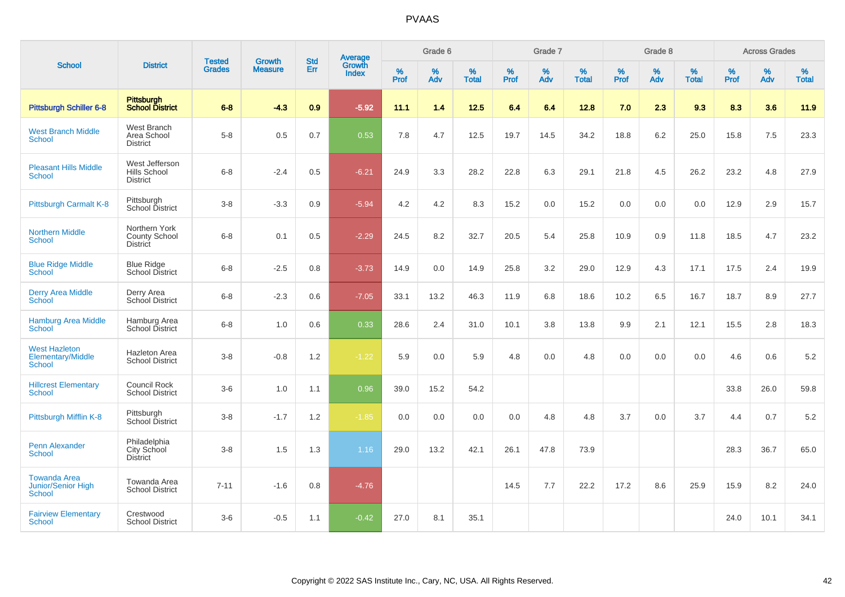| <b>School</b>                                       |                                                          |                                |                                 | <b>Std</b> |                                          |                  | Grade 6  |                   |           | Grade 7     |                   |           | Grade 8  |                   |           | <b>Across Grades</b> |                   |
|-----------------------------------------------------|----------------------------------------------------------|--------------------------------|---------------------------------|------------|------------------------------------------|------------------|----------|-------------------|-----------|-------------|-------------------|-----------|----------|-------------------|-----------|----------------------|-------------------|
|                                                     | <b>District</b>                                          | <b>Tested</b><br><b>Grades</b> | <b>Growth</b><br><b>Measure</b> | Err        | <b>Average</b><br>Growth<br><b>Index</b> | %<br><b>Prof</b> | %<br>Adv | %<br><b>Total</b> | %<br>Prof | $\%$<br>Adv | %<br><b>Total</b> | %<br>Prof | %<br>Adv | %<br><b>Total</b> | %<br>Prof | $\%$<br>Adv          | %<br><b>Total</b> |
| <b>Pittsburgh Schiller 6-8</b>                      | Pittsburgh<br>School District                            | $6 - 8$                        | $-4.3$                          | 0.9        | $-5.92$                                  | 11.1             | 1.4      | 12.5              | 6.4       | 6.4         | 12.8              | 7.0       | 2.3      | 9.3               | 8.3       | 3.6                  | 11.9              |
| <b>West Branch Middle</b><br>School                 | West Branch<br>Area School<br><b>District</b>            | $5-8$                          | 0.5                             | 0.7        | 0.53                                     | 7.8              | 4.7      | 12.5              | 19.7      | 14.5        | 34.2              | 18.8      | 6.2      | 25.0              | 15.8      | 7.5                  | 23.3              |
| <b>Pleasant Hills Middle</b><br><b>School</b>       | West Jefferson<br>Hills School<br><b>District</b>        | $6-8$                          | $-2.4$                          | 0.5        | $-6.21$                                  | 24.9             | 3.3      | 28.2              | 22.8      | 6.3         | 29.1              | 21.8      | 4.5      | 26.2              | 23.2      | 4.8                  | 27.9              |
| Pittsburgh Carmalt K-8                              | Pittsburgh<br>School District                            | $3-8$                          | $-3.3$                          | 0.9        | $-5.94$                                  | 4.2              | 4.2      | 8.3               | 15.2      | 0.0         | 15.2              | 0.0       | 0.0      | 0.0               | 12.9      | 2.9                  | 15.7              |
| <b>Northern Middle</b><br><b>School</b>             | Northern York<br><b>County School</b><br><b>District</b> | $6 - 8$                        | 0.1                             | 0.5        | $-2.29$                                  | 24.5             | 8.2      | 32.7              | 20.5      | 5.4         | 25.8              | 10.9      | 0.9      | 11.8              | 18.5      | 4.7                  | 23.2              |
| <b>Blue Ridge Middle</b><br>School                  | <b>Blue Ridge</b><br>School District                     | $6 - 8$                        | $-2.5$                          | 0.8        | $-3.73$                                  | 14.9             | 0.0      | 14.9              | 25.8      | 3.2         | 29.0              | 12.9      | 4.3      | 17.1              | 17.5      | 2.4                  | 19.9              |
| <b>Derry Area Middle</b><br>School                  | Derry Area<br>School District                            | $6 - 8$                        | $-2.3$                          | 0.6        | $-7.05$                                  | 33.1             | 13.2     | 46.3              | 11.9      | 6.8         | 18.6              | 10.2      | 6.5      | 16.7              | 18.7      | 8.9                  | 27.7              |
| <b>Hamburg Area Middle</b><br><b>School</b>         | Hamburg Area<br>School District                          | $6 - 8$                        | 1.0                             | 0.6        | 0.33                                     | 28.6             | 2.4      | 31.0              | 10.1      | 3.8         | 13.8              | 9.9       | 2.1      | 12.1              | 15.5      | 2.8                  | 18.3              |
| <b>West Hazleton</b><br>Elementary/Middle<br>School | Hazleton Area<br><b>School District</b>                  | $3 - 8$                        | $-0.8$                          | 1.2        | $-1.22$                                  | 5.9              | 0.0      | 5.9               | 4.8       | 0.0         | 4.8               | 0.0       | 0.0      | 0.0               | 4.6       | 0.6                  | 5.2               |
| <b>Hillcrest Elementary</b><br>School               | Council Rock<br><b>School District</b>                   | $3-6$                          | 1.0                             | 1.1        | 0.96                                     | 39.0             | 15.2     | 54.2              |           |             |                   |           |          |                   | 33.8      | 26.0                 | 59.8              |
| Pittsburgh Mifflin K-8                              | Pittsburgh<br>School District                            | $3 - 8$                        | $-1.7$                          | 1.2        | $-1.85$                                  | 0.0              | 0.0      | 0.0               | 0.0       | 4.8         | 4.8               | 3.7       | 0.0      | 3.7               | 4.4       | 0.7                  | 5.2               |
| <b>Penn Alexander</b><br>School                     | Philadelphia<br>City School<br><b>District</b>           | $3 - 8$                        | 1.5                             | 1.3        | 1.16                                     | 29.0             | 13.2     | 42.1              | 26.1      | 47.8        | 73.9              |           |          |                   | 28.3      | 36.7                 | 65.0              |
| <b>Towanda Area</b><br>Junior/Senior High<br>School | Towanda Area<br><b>School District</b>                   | $7 - 11$                       | $-1.6$                          | 0.8        | $-4.76$                                  |                  |          |                   | 14.5      | 7.7         | 22.2              | 17.2      | 8.6      | 25.9              | 15.9      | 8.2                  | 24.0              |
| <b>Fairview Elementary</b><br><b>School</b>         | Crestwood<br><b>School District</b>                      | $3 - 6$                        | $-0.5$                          | 1.1        | $-0.42$                                  | 27.0             | 8.1      | 35.1              |           |             |                   |           |          |                   | 24.0      | 10.1                 | 34.1              |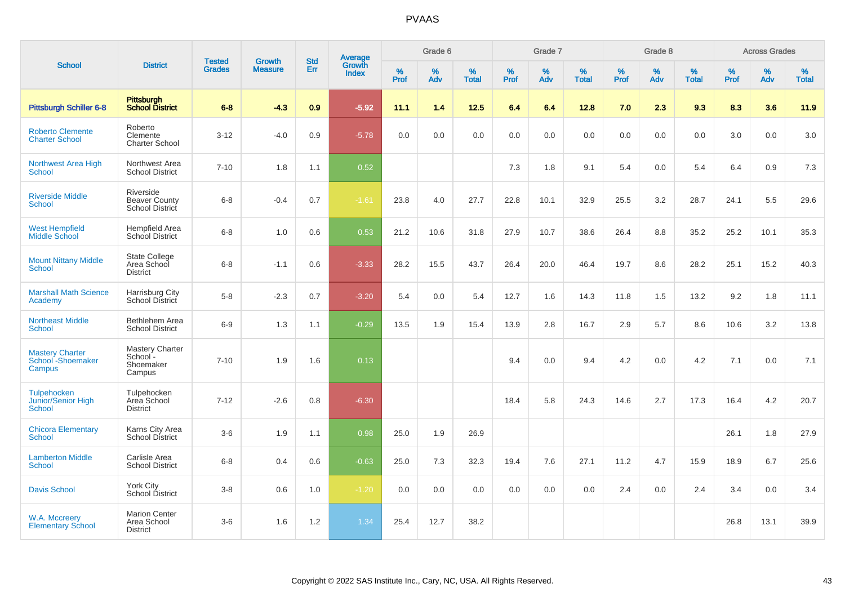|                                                           |                                                        |                                |                          | <b>Std</b> |                                          |           | Grade 6  |                   |           | Grade 7  |                   |           | Grade 8  |                   |              | <b>Across Grades</b> |                   |
|-----------------------------------------------------------|--------------------------------------------------------|--------------------------------|--------------------------|------------|------------------------------------------|-----------|----------|-------------------|-----------|----------|-------------------|-----------|----------|-------------------|--------------|----------------------|-------------------|
| <b>School</b>                                             | <b>District</b>                                        | <b>Tested</b><br><b>Grades</b> | Growth<br><b>Measure</b> | Err        | <b>Average</b><br>Growth<br><b>Index</b> | %<br>Prof | %<br>Adv | %<br><b>Total</b> | %<br>Prof | %<br>Adv | %<br><b>Total</b> | %<br>Prof | %<br>Adv | %<br><b>Total</b> | $\%$<br>Prof | %<br>Adv             | %<br><b>Total</b> |
| <b>Pittsburgh Schiller 6-8</b>                            | <b>Pittsburgh</b><br><b>School District</b>            | $6 - 8$                        | $-4.3$                   | 0.9        | $-5.92$                                  | 11.1      | 1.4      | $12.5$            | 6.4       | 6.4      | 12.8              | 7.0       | 2.3      | 9.3               | 8.3          | 3.6                  | 11.9              |
| <b>Roberto Clemente</b><br><b>Charter School</b>          | Roberto<br>Clemente<br><b>Charter School</b>           | $3 - 12$                       | $-4.0$                   | 0.9        | $-5.78$                                  | 0.0       | 0.0      | 0.0               | 0.0       | 0.0      | 0.0               | 0.0       | 0.0      | 0.0               | 3.0          | 0.0                  | 3.0               |
| Northwest Area High<br><b>School</b>                      | Northwest Area<br><b>School District</b>               | $7 - 10$                       | 1.8                      | 1.1        | 0.52                                     |           |          |                   | 7.3       | 1.8      | 9.1               | 5.4       | 0.0      | 5.4               | 6.4          | 0.9                  | 7.3               |
| <b>Riverside Middle</b><br><b>School</b>                  | Riverside<br><b>Beaver County</b><br>School District   | $6 - 8$                        | $-0.4$                   | 0.7        | $-1.61$                                  | 23.8      | 4.0      | 27.7              | 22.8      | 10.1     | 32.9              | 25.5      | 3.2      | 28.7              | 24.1         | 5.5                  | 29.6              |
| <b>West Hempfield</b><br><b>Middle School</b>             | <b>Hempfield Area</b><br><b>School District</b>        | $6 - 8$                        | 1.0                      | 0.6        | 0.53                                     | 21.2      | 10.6     | 31.8              | 27.9      | 10.7     | 38.6              | 26.4      | 8.8      | 35.2              | 25.2         | 10.1                 | 35.3              |
| <b>Mount Nittany Middle</b><br><b>School</b>              | <b>State College</b><br>Area School<br><b>District</b> | $6 - 8$                        | $-1.1$                   | 0.6        | $-3.33$                                  | 28.2      | 15.5     | 43.7              | 26.4      | 20.0     | 46.4              | 19.7      | 8.6      | 28.2              | 25.1         | 15.2                 | 40.3              |
| <b>Marshall Math Science</b><br>Academy                   | Harrisburg City<br>School District                     | $5-8$                          | $-2.3$                   | 0.7        | $-3.20$                                  | 5.4       | 0.0      | 5.4               | 12.7      | 1.6      | 14.3              | 11.8      | 1.5      | 13.2              | 9.2          | 1.8                  | 11.1              |
| <b>Northeast Middle</b><br><b>School</b>                  | Bethlehem Area<br><b>School District</b>               | $6-9$                          | 1.3                      | 1.1        | $-0.29$                                  | 13.5      | 1.9      | 15.4              | 13.9      | 2.8      | 16.7              | 2.9       | 5.7      | 8.6               | 10.6         | 3.2                  | 13.8              |
| <b>Mastery Charter</b><br>School - Shoemaker<br>Campus    | Mastery Charter<br>School-<br>Shoemaker<br>Campus      | $7 - 10$                       | 1.9                      | 1.6        | 0.13                                     |           |          |                   | 9.4       | 0.0      | 9.4               | 4.2       | 0.0      | 4.2               | 7.1          | 0.0                  | 7.1               |
| <b>Tulpehocken</b><br>Junior/Senior High<br><b>School</b> | Tulpehocken<br>Area School<br><b>District</b>          | $7 - 12$                       | $-2.6$                   | 0.8        | $-6.30$                                  |           |          |                   | 18.4      | 5.8      | 24.3              | 14.6      | 2.7      | 17.3              | 16.4         | 4.2                  | 20.7              |
| <b>Chicora Elementary</b><br><b>School</b>                | Karns City Area<br>School District                     | $3-6$                          | 1.9                      | 1.1        | 0.98                                     | 25.0      | 1.9      | 26.9              |           |          |                   |           |          |                   | 26.1         | 1.8                  | 27.9              |
| <b>Lamberton Middle</b><br><b>School</b>                  | Carlisle Area<br><b>School District</b>                | $6 - 8$                        | 0.4                      | 0.6        | $-0.63$                                  | 25.0      | 7.3      | 32.3              | 19.4      | 7.6      | 27.1              | 11.2      | 4.7      | 15.9              | 18.9         | 6.7                  | 25.6              |
| <b>Davis School</b>                                       | <b>York City</b><br>School District                    | $3 - 8$                        | 0.6                      | 1.0        | $-1.20$                                  | 0.0       | 0.0      | 0.0               | 0.0       | 0.0      | 0.0               | 2.4       | 0.0      | 2.4               | 3.4          | 0.0                  | 3.4               |
| W.A. Mccreery<br><b>Elementary School</b>                 | <b>Marion Center</b><br>Area School<br><b>District</b> | $3-6$                          | 1.6                      | 1.2        | 1.34                                     | 25.4      | 12.7     | 38.2              |           |          |                   |           |          |                   | 26.8         | 13.1                 | 39.9              |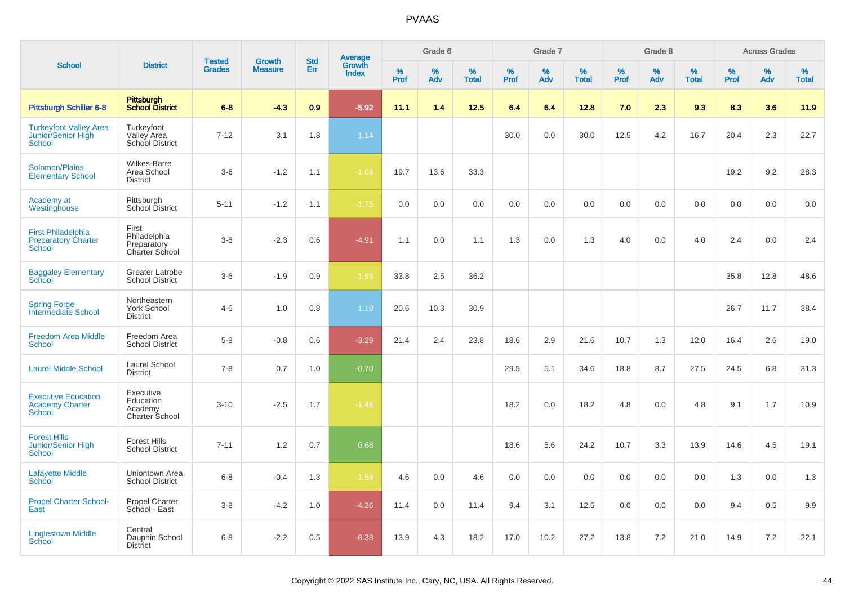|                                                                      |                                                            |                                |                                 |                   |                                   |                  | Grade 6  |                   |           | Grade 7  |                   |              | Grade 8  |                   |           | <b>Across Grades</b> |                   |
|----------------------------------------------------------------------|------------------------------------------------------------|--------------------------------|---------------------------------|-------------------|-----------------------------------|------------------|----------|-------------------|-----------|----------|-------------------|--------------|----------|-------------------|-----------|----------------------|-------------------|
| <b>School</b>                                                        | <b>District</b>                                            | <b>Tested</b><br><b>Grades</b> | <b>Growth</b><br><b>Measure</b> | <b>Std</b><br>Err | Average<br>Growth<br><b>Index</b> | %<br><b>Prof</b> | %<br>Adv | %<br><b>Total</b> | %<br>Prof | %<br>Adv | %<br><b>Total</b> | $\%$<br>Prof | %<br>Adv | %<br><b>Total</b> | %<br>Prof | %<br>Adv             | %<br><b>Total</b> |
| <b>Pittsburgh Schiller 6-8</b>                                       | Pittsburgh<br><b>School District</b>                       | $6 - 8$                        | $-4.3$                          | 0.9               | $-5.92$                           | 11.1             | 1.4      | 12.5              | 6.4       | 6.4      | 12.8              | 7.0          | 2.3      | 9.3               | 8.3       | 3.6                  | 11.9              |
| <b>Turkeyfoot Valley Area</b><br>Junior/Senior High<br><b>School</b> | Turkeyfoot<br>Valley Area<br>School District               | $7 - 12$                       | 3.1                             | 1.8               | 1.14                              |                  |          |                   | 30.0      | 0.0      | 30.0              | 12.5         | 4.2      | 16.7              | 20.4      | 2.3                  | 22.7              |
| Solomon/Plains<br><b>Elementary School</b>                           | <b>Wilkes-Barre</b><br>Area School<br><b>District</b>      | $3-6$                          | $-1.2$                          | 1.1               | $-1.08$                           | 19.7             | 13.6     | 33.3              |           |          |                   |              |          |                   | 19.2      | 9.2                  | 28.3              |
| Academy at<br>Westinghouse                                           | Pittsburgh<br>School District                              | $5 - 11$                       | $-1.2$                          | 1.1               | $-1.75$                           | 0.0              | 0.0      | 0.0               | 0.0       | 0.0      | 0.0               | 0.0          | 0.0      | 0.0               | 0.0       | 0.0                  | 0.0               |
| <b>First Philadelphia</b><br><b>Preparatory Charter</b><br>School    | First<br>Philadelphia<br>Preparatory<br>Charter School     | $3 - 8$                        | $-2.3$                          | 0.6               | $-4.91$                           | 1.1              | 0.0      | 1.1               | 1.3       | 0.0      | 1.3               | 4.0          | 0.0      | 4.0               | 2.4       | $0.0\,$              | 2.4               |
| <b>Baggaley Elementary</b><br>School                                 | <b>Greater Latrobe</b><br><b>School District</b>           | $3-6$                          | $-1.9$                          | 0.9               | $-1.99$                           | 33.8             | 2.5      | 36.2              |           |          |                   |              |          |                   | 35.8      | 12.8                 | 48.6              |
| <b>Spring Forge</b><br><b>Intermediate School</b>                    | Northeastern<br>York School<br><b>District</b>             | $4 - 6$                        | 1.0                             | 0.8               | 1.19                              | 20.6             | 10.3     | 30.9              |           |          |                   |              |          |                   | 26.7      | 11.7                 | 38.4              |
| <b>Freedom Area Middle</b><br><b>School</b>                          | Freedom Area<br><b>School District</b>                     | $5-8$                          | $-0.8$                          | 0.6               | $-3.29$                           | 21.4             | 2.4      | 23.8              | 18.6      | 2.9      | 21.6              | 10.7         | 1.3      | 12.0              | 16.4      | 2.6                  | 19.0              |
| <b>Laurel Middle School</b>                                          | Laurel School<br><b>District</b>                           | $7 - 8$                        | 0.7                             | 1.0               | $-0.70$                           |                  |          |                   | 29.5      | 5.1      | 34.6              | 18.8         | 8.7      | 27.5              | 24.5      | 6.8                  | 31.3              |
| <b>Executive Education</b><br><b>Academy Charter</b><br>School       | Executive<br>Education<br>Academy<br><b>Charter School</b> | $3 - 10$                       | $-2.5$                          | 1.7               | $-1.48$                           |                  |          |                   | 18.2      | 0.0      | 18.2              | 4.8          | 0.0      | 4.8               | 9.1       | 1.7                  | 10.9              |
| <b>Forest Hills</b><br><b>Junior/Senior High</b><br><b>School</b>    | <b>Forest Hills</b><br><b>School District</b>              | $7 - 11$                       | 1.2                             | 0.7               | 0.68                              |                  |          |                   | 18.6      | 5.6      | 24.2              | 10.7         | 3.3      | 13.9              | 14.6      | 4.5                  | 19.1              |
| <b>Lafayette Middle</b><br>School                                    | Uniontown Area<br><b>School District</b>                   | $6 - 8$                        | $-0.4$                          | 1.3               | $-1.58$                           | 4.6              | 0.0      | 4.6               | 0.0       | 0.0      | 0.0               | 0.0          | 0.0      | 0.0               | 1.3       | 0.0                  | 1.3               |
| <b>Propel Charter School-</b><br>East                                | <b>Propel Charter</b><br>School - East                     | $3 - 8$                        | $-4.2$                          | 1.0               | $-4.26$                           | 11.4             | 0.0      | 11.4              | 9.4       | 3.1      | 12.5              | 0.0          | 0.0      | 0.0               | 9.4       | 0.5                  | 9.9               |
| <b>Linglestown Middle</b><br><b>School</b>                           | Central<br>Dauphin School<br><b>District</b>               | $6 - 8$                        | $-2.2$                          | 0.5               | $-8.38$                           | 13.9             | 4.3      | 18.2              | 17.0      | 10.2     | 27.2              | 13.8         | $7.2\,$  | 21.0              | 14.9      | 7.2                  | 22.1              |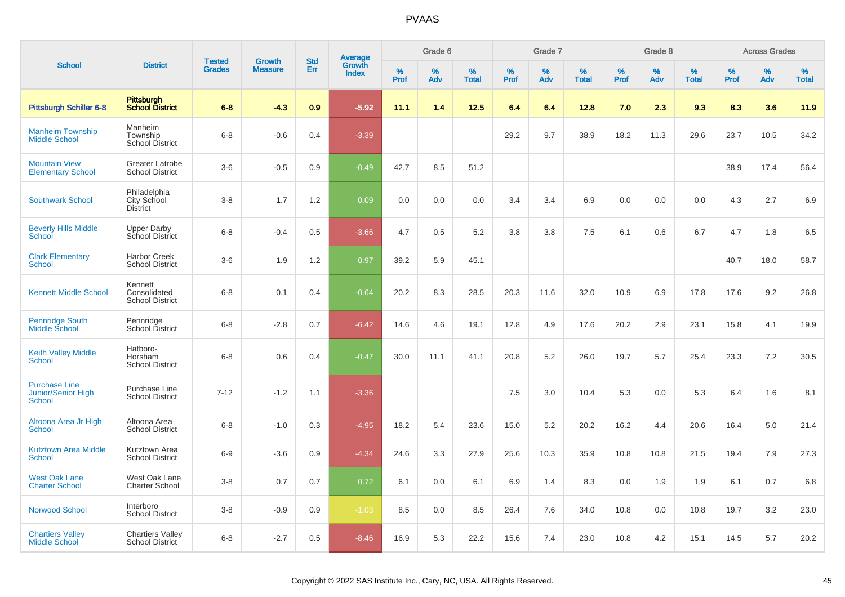| <b>School</b>                                               |                                                   |                                |                                 | <b>Std</b> |                                          |                  | Grade 6  |                   |           | Grade 7  |                   |           | Grade 8  |                   |              | <b>Across Grades</b> |                   |
|-------------------------------------------------------------|---------------------------------------------------|--------------------------------|---------------------------------|------------|------------------------------------------|------------------|----------|-------------------|-----------|----------|-------------------|-----------|----------|-------------------|--------------|----------------------|-------------------|
|                                                             | <b>District</b>                                   | <b>Tested</b><br><b>Grades</b> | <b>Growth</b><br><b>Measure</b> | Err        | <b>Average</b><br>Growth<br><b>Index</b> | %<br><b>Prof</b> | %<br>Adv | %<br><b>Total</b> | %<br>Prof | %<br>Adv | %<br><b>Total</b> | %<br>Prof | %<br>Adv | %<br><b>Total</b> | $\%$<br>Prof | $\%$<br>Adv          | %<br><b>Total</b> |
| <b>Pittsburgh Schiller 6-8</b>                              | <b>Pittsburgh</b><br><b>School District</b>       | $6 - 8$                        | $-4.3$                          | 0.9        | $-5.92$                                  | 11.1             | 1.4      | 12.5              | 6.4       | 6.4      | 12.8              | 7.0       | 2.3      | 9.3               | 8.3          | 3.6                  | 11.9              |
| <b>Manheim Township</b><br><b>Middle School</b>             | Manheim<br>Township<br><b>School District</b>     | $6 - 8$                        | $-0.6$                          | 0.4        | $-3.39$                                  |                  |          |                   | 29.2      | 9.7      | 38.9              | 18.2      | 11.3     | 29.6              | 23.7         | 10.5                 | 34.2              |
| <b>Mountain View</b><br><b>Elementary School</b>            | <b>Greater Latrobe</b><br><b>School District</b>  | $3-6$                          | $-0.5$                          | 0.9        | $-0.49$                                  | 42.7             | 8.5      | 51.2              |           |          |                   |           |          |                   | 38.9         | 17.4                 | 56.4              |
| <b>Southwark School</b>                                     | Philadelphia<br>City School<br><b>District</b>    | $3 - 8$                        | 1.7                             | 1.2        | 0.09                                     | 0.0              | 0.0      | 0.0               | 3.4       | 3.4      | 6.9               | 0.0       | 0.0      | 0.0               | 4.3          | 2.7                  | 6.9               |
| <b>Beverly Hills Middle</b><br>School                       | <b>Upper Darby</b><br>School District             | $6 - 8$                        | $-0.4$                          | 0.5        | $-3.66$                                  | 4.7              | 0.5      | 5.2               | 3.8       | 3.8      | 7.5               | 6.1       | 0.6      | 6.7               | 4.7          | 1.8                  | 6.5               |
| <b>Clark Elementary</b><br>School                           | <b>Harbor Creek</b><br><b>School District</b>     | $3-6$                          | 1.9                             | 1.2        | 0.97                                     | 39.2             | 5.9      | 45.1              |           |          |                   |           |          |                   | 40.7         | 18.0                 | 58.7              |
| <b>Kennett Middle School</b>                                | Kennett<br>Consolidated<br><b>School District</b> | $6 - 8$                        | 0.1                             | 0.4        | $-0.64$                                  | 20.2             | 8.3      | 28.5              | 20.3      | 11.6     | 32.0              | 10.9      | 6.9      | 17.8              | 17.6         | 9.2                  | 26.8              |
| <b>Pennridge South</b><br>Middle School                     | Pennridge<br>School District                      | $6 - 8$                        | $-2.8$                          | 0.7        | $-6.42$                                  | 14.6             | 4.6      | 19.1              | 12.8      | 4.9      | 17.6              | 20.2      | 2.9      | 23.1              | 15.8         | 4.1                  | 19.9              |
| <b>Keith Valley Middle</b><br>School                        | Hatboro-<br>Horsham<br><b>School District</b>     | $6 - 8$                        | 0.6                             | 0.4        | $-0.47$                                  | 30.0             | 11.1     | 41.1              | 20.8      | 5.2      | 26.0              | 19.7      | 5.7      | 25.4              | 23.3         | 7.2                  | 30.5              |
| <b>Purchase Line</b><br><b>Junior/Senior High</b><br>School | Purchase Line<br><b>School District</b>           | $7 - 12$                       | $-1.2$                          | 1.1        | $-3.36$                                  |                  |          |                   | 7.5       | 3.0      | 10.4              | 5.3       | 0.0      | 5.3               | 6.4          | 1.6                  | 8.1               |
| Altoona Area Jr High<br><b>School</b>                       | Altoona Area<br><b>School District</b>            | $6 - 8$                        | $-1.0$                          | 0.3        | $-4.95$                                  | 18.2             | 5.4      | 23.6              | 15.0      | 5.2      | 20.2              | 16.2      | 4.4      | 20.6              | 16.4         | 5.0                  | 21.4              |
| <b>Kutztown Area Middle</b><br><b>School</b>                | Kutztown Area<br><b>School District</b>           | $6-9$                          | $-3.6$                          | 0.9        | $-4.34$                                  | 24.6             | 3.3      | 27.9              | 25.6      | 10.3     | 35.9              | 10.8      | 10.8     | 21.5              | 19.4         | 7.9                  | 27.3              |
| <b>West Oak Lane</b><br><b>Charter School</b>               | West Oak Lane<br><b>Charter School</b>            | $3-8$                          | 0.7                             | 0.7        | 0.72                                     | 6.1              | 0.0      | 6.1               | 6.9       | 1.4      | 8.3               | 0.0       | 1.9      | 1.9               | 6.1          | 0.7                  | 6.8               |
| <b>Norwood School</b>                                       | Interboro<br><b>School District</b>               | $3 - 8$                        | $-0.9$                          | 0.9        | $-1.03$                                  | 8.5              | 0.0      | 8.5               | 26.4      | 7.6      | 34.0              | 10.8      | 0.0      | 10.8              | 19.7         | 3.2                  | 23.0              |
| <b>Chartiers Valley</b><br><b>Middle School</b>             | <b>Chartiers Valley</b><br><b>School District</b> | $6 - 8$                        | $-2.7$                          | 0.5        | $-8.46$                                  | 16.9             | 5.3      | 22.2              | 15.6      | 7.4      | 23.0              | 10.8      | 4.2      | 15.1              | 14.5         | 5.7                  | 20.2              |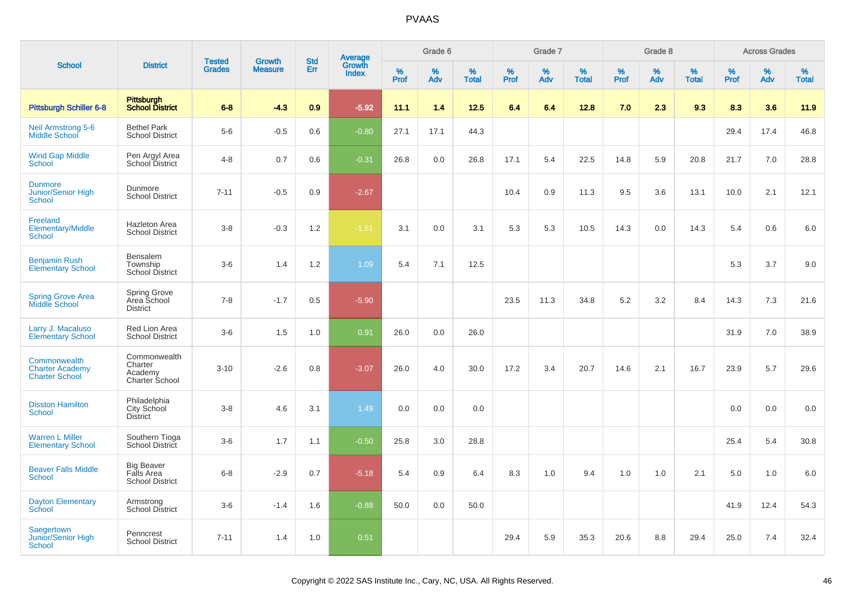|                                                                 |                                                           | <b>Tested</b> | <b>Growth</b>  | <b>Std</b> |                                          |                  | Grade 6  |                   |           | Grade 7  |                   |              | Grade 8  |                   |           | <b>Across Grades</b> |                   |
|-----------------------------------------------------------------|-----------------------------------------------------------|---------------|----------------|------------|------------------------------------------|------------------|----------|-------------------|-----------|----------|-------------------|--------------|----------|-------------------|-----------|----------------------|-------------------|
| <b>School</b>                                                   | <b>District</b>                                           | <b>Grades</b> | <b>Measure</b> | Err        | <b>Average</b><br>Growth<br><b>Index</b> | %<br><b>Prof</b> | %<br>Adv | %<br><b>Total</b> | %<br>Prof | %<br>Adv | %<br><b>Total</b> | $\%$<br>Prof | %<br>Adv | %<br><b>Total</b> | %<br>Prof | %<br>Adv             | %<br><b>Total</b> |
| <b>Pittsburgh Schiller 6-8</b>                                  | Pittsburgh<br><b>School District</b>                      | $6 - 8$       | $-4.3$         | 0.9        | $-5.92$                                  | 11.1             | 1.4      | 12.5              | 6.4       | 6.4      | 12.8              | 7.0          | 2.3      | 9.3               | 8.3       | 3.6                  | 11.9              |
| <b>Neil Armstrong 5-6</b><br><b>Middle School</b>               | <b>Bethel Park</b><br><b>School District</b>              | $5-6$         | $-0.5$         | 0.6        | $-0.80$                                  | 27.1             | 17.1     | 44.3              |           |          |                   |              |          |                   | 29.4      | 17.4                 | 46.8              |
| <b>Wind Gap Middle</b><br><b>School</b>                         | Pen Argyl Area<br>School District                         | $4 - 8$       | 0.7            | 0.6        | $-0.31$                                  | 26.8             | 0.0      | 26.8              | 17.1      | 5.4      | 22.5              | 14.8         | 5.9      | 20.8              | 21.7      | 7.0                  | 28.8              |
| <b>Dunmore</b><br>Junior/Senior High<br>School                  | Dunmore<br><b>School District</b>                         | $7 - 11$      | $-0.5$         | 0.9        | $-2.67$                                  |                  |          |                   | 10.4      | 0.9      | 11.3              | 9.5          | 3.6      | 13.1              | 10.0      | 2.1                  | 12.1              |
| Freeland<br><b>Elementary/Middle</b><br>School                  | <b>Hazleton Area</b><br><b>School District</b>            | $3 - 8$       | $-0.3$         | $1.2$      | $-1.51$                                  | 3.1              | 0.0      | 3.1               | 5.3       | 5.3      | 10.5              | 14.3         | 0.0      | 14.3              | 5.4       | 0.6                  | 6.0               |
| <b>Benjamin Rush</b><br><b>Elementary School</b>                | Bensalem<br>Township<br>School District                   | $3-6$         | 1.4            | 1.2        | 1.09                                     | 5.4              | 7.1      | 12.5              |           |          |                   |              |          |                   | 5.3       | 3.7                  | 9.0               |
| <b>Spring Grove Area</b><br>Middle School                       | <b>Spring Grove</b><br>Area School<br><b>District</b>     | $7 - 8$       | $-1.7$         | 0.5        | $-5.90$                                  |                  |          |                   | 23.5      | 11.3     | 34.8              | 5.2          | 3.2      | 8.4               | 14.3      | 7.3                  | 21.6              |
| Larry J. Macaluso<br><b>Elementary School</b>                   | Red Lion Area<br><b>School District</b>                   | $3-6$         | 1.5            | 1.0        | 0.91                                     | 26.0             | 0.0      | 26.0              |           |          |                   |              |          |                   | 31.9      | 7.0                  | 38.9              |
| Commonwealth<br><b>Charter Academy</b><br><b>Charter School</b> | Commonwealth<br>Charter<br>Academy<br>Charter School      | $3 - 10$      | $-2.6$         | 0.8        | $-3.07$                                  | 26.0             | 4.0      | 30.0              | 17.2      | 3.4      | 20.7              | 14.6         | 2.1      | 16.7              | 23.9      | 5.7                  | 29.6              |
| <b>Disston Hamilton</b><br>School                               | Philadelphia<br>City School<br><b>District</b>            | $3 - 8$       | 4.6            | 3.1        | 1.49                                     | 0.0              | 0.0      | 0.0               |           |          |                   |              |          |                   | 0.0       | 0.0                  | 0.0               |
| <b>Warren L Miller</b><br><b>Elementary School</b>              | Southern Tioga<br><b>School District</b>                  | $3-6$         | 1.7            | 1.1        | $-0.50$                                  | 25.8             | 3.0      | 28.8              |           |          |                   |              |          |                   | 25.4      | 5.4                  | 30.8              |
| <b>Beaver Falls Middle</b><br><b>School</b>                     | <b>Big Beaver</b><br>Falls Area<br><b>School District</b> | $6 - 8$       | $-2.9$         | 0.7        | $-5.18$                                  | 5.4              | 0.9      | 6.4               | 8.3       | 1.0      | 9.4               | 1.0          | 1.0      | 2.1               | 5.0       | 1.0                  | 6.0               |
| <b>Dayton Elementary</b><br>School                              | Armstrong<br><b>School District</b>                       | $3-6$         | $-1.4$         | 1.6        | $-0.88$                                  | 50.0             | 0.0      | 50.0              |           |          |                   |              |          |                   | 41.9      | 12.4                 | 54.3              |
| Saegertown<br>Junior/Senior High<br>School                      | Penncrest<br><b>School District</b>                       | $7 - 11$      | 1.4            | 1.0        | 0.51                                     |                  |          |                   | 29.4      | 5.9      | 35.3              | 20.6         | 8.8      | 29.4              | 25.0      | 7.4                  | 32.4              |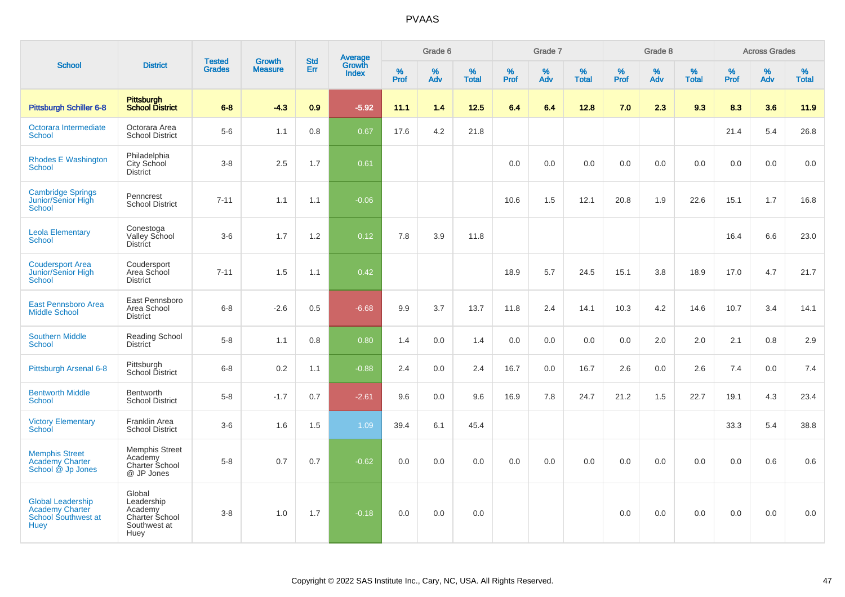| <b>School</b>                                                                     |                                                                           |                                |                                 | <b>Std</b> |                                          |                  | Grade 6     |                   |           | Grade 7     |                   |           | Grade 8  |                   |              | <b>Across Grades</b> |                   |
|-----------------------------------------------------------------------------------|---------------------------------------------------------------------------|--------------------------------|---------------------------------|------------|------------------------------------------|------------------|-------------|-------------------|-----------|-------------|-------------------|-----------|----------|-------------------|--------------|----------------------|-------------------|
|                                                                                   | <b>District</b>                                                           | <b>Tested</b><br><b>Grades</b> | <b>Growth</b><br><b>Measure</b> | Err        | <b>Average</b><br>Growth<br><b>Index</b> | %<br><b>Prof</b> | $\%$<br>Adv | %<br><b>Total</b> | %<br>Prof | $\%$<br>Adv | %<br><b>Total</b> | %<br>Prof | %<br>Adv | %<br><b>Total</b> | $\%$<br>Prof | $\%$<br>Adv          | %<br><b>Total</b> |
| <b>Pittsburgh Schiller 6-8</b>                                                    | Pittsburgh<br><b>School District</b>                                      | $6 - 8$                        | $-4.3$                          | 0.9        | $-5.92$                                  | 11.1             | 1.4         | 12.5              | 6.4       | 6.4         | 12.8              | 7.0       | 2.3      | 9.3               | 8.3          | 3.6                  | 11.9              |
| Octorara Intermediate<br><b>School</b>                                            | Octorara Area<br><b>School District</b>                                   | $5-6$                          | 1.1                             | 0.8        | 0.67                                     | 17.6             | 4.2         | 21.8              |           |             |                   |           |          |                   | 21.4         | 5.4                  | 26.8              |
| <b>Rhodes E Washington</b><br><b>School</b>                                       | Philadelphia<br>City School<br><b>District</b>                            | $3 - 8$                        | 2.5                             | 1.7        | 0.61                                     |                  |             |                   | 0.0       | 0.0         | 0.0               | 0.0       | 0.0      | 0.0               | 0.0          | 0.0                  | 0.0               |
| <b>Cambridge Springs</b><br>Junior/Senior High<br><b>School</b>                   | Penncrest<br><b>School District</b>                                       | $7 - 11$                       | 1.1                             | 1.1        | $-0.06$                                  |                  |             |                   | 10.6      | 1.5         | 12.1              | 20.8      | 1.9      | 22.6              | 15.1         | 1.7                  | 16.8              |
| <b>Leola Elementary</b><br><b>School</b>                                          | Conestoga<br>Valley School<br><b>District</b>                             | $3-6$                          | 1.7                             | 1.2        | 0.12                                     | 7.8              | 3.9         | 11.8              |           |             |                   |           |          |                   | 16.4         | 6.6                  | 23.0              |
| <b>Coudersport Area</b><br>Junior/Senior High<br>School                           | Coudersport<br>Area School<br><b>District</b>                             | $7 - 11$                       | 1.5                             | 1.1        | 0.42                                     |                  |             |                   | 18.9      | 5.7         | 24.5              | 15.1      | 3.8      | 18.9              | 17.0         | 4.7                  | 21.7              |
| <b>East Pennsboro Area</b><br><b>Middle School</b>                                | East Pennsboro<br>Area School<br><b>District</b>                          | $6 - 8$                        | $-2.6$                          | 0.5        | $-6.68$                                  | 9.9              | 3.7         | 13.7              | 11.8      | 2.4         | 14.1              | 10.3      | 4.2      | 14.6              | 10.7         | 3.4                  | 14.1              |
| <b>Southern Middle</b><br><b>School</b>                                           | <b>Reading School</b><br>District                                         | $5-8$                          | 1.1                             | 0.8        | 0.80                                     | 1.4              | 0.0         | 1.4               | 0.0       | 0.0         | 0.0               | 0.0       | 2.0      | 2.0               | 2.1          | 0.8                  | 2.9               |
| Pittsburgh Arsenal 6-8                                                            | Pittsburgh<br>School District                                             | $6 - 8$                        | 0.2                             | 1.1        | $-0.88$                                  | 2.4              | 0.0         | 2.4               | 16.7      | 0.0         | 16.7              | 2.6       | 0.0      | 2.6               | 7.4          | 0.0                  | 7.4               |
| <b>Bentworth Middle</b><br>School                                                 | <b>Bentworth</b><br><b>School District</b>                                | $5 - 8$                        | $-1.7$                          | 0.7        | $-2.61$                                  | 9.6              | 0.0         | 9.6               | 16.9      | 7.8         | 24.7              | 21.2      | 1.5      | 22.7              | 19.1         | 4.3                  | 23.4              |
| <b>Victory Elementary</b><br>School                                               | <b>Franklin Area</b><br><b>School District</b>                            | $3-6$                          | 1.6                             | 1.5        | 1.09                                     | 39.4             | 6.1         | 45.4              |           |             |                   |           |          |                   | 33.3         | 5.4                  | 38.8              |
| <b>Memphis Street</b><br><b>Academy Charter</b><br>School @ Jp Jones              | <b>Memphis Street</b><br>Academy<br>Charter School<br>@ JP Jones          | $5-8$                          | 0.7                             | 0.7        | $-0.62$                                  | 0.0              | 0.0         | 0.0               | 0.0       | 0.0         | 0.0               | 0.0       | 0.0      | 0.0               | 0.0          | 0.6                  | 0.6               |
| <b>Global Leadership</b><br>Academy Charter<br>School Southwest at<br><b>Huey</b> | Global<br>Leadership<br>Academy<br>Charter School<br>Southwest at<br>Huey | $3 - 8$                        | 1.0                             | 1.7        | $-0.18$                                  | 0.0              | 0.0         | 0.0               |           |             |                   | 0.0       | 0.0      | 0.0               | 0.0          | 0.0                  | 0.0               |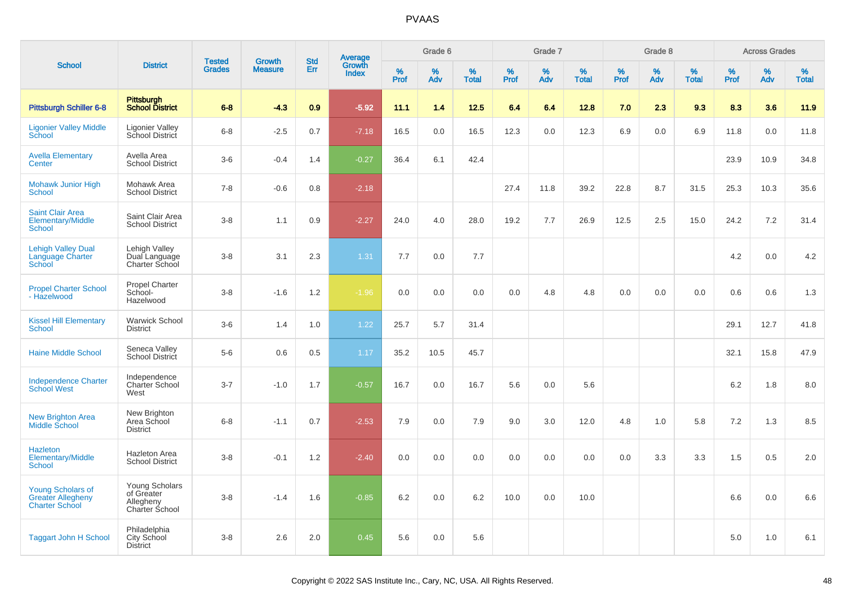|                                                                               |                                                                           | <b>Tested</b> | <b>Growth</b>  | <b>Std</b> |                                          |                  | Grade 6  |                   |           | Grade 7  |                   |           | Grade 8  |                   |           | <b>Across Grades</b> |                   |
|-------------------------------------------------------------------------------|---------------------------------------------------------------------------|---------------|----------------|------------|------------------------------------------|------------------|----------|-------------------|-----------|----------|-------------------|-----------|----------|-------------------|-----------|----------------------|-------------------|
| <b>School</b>                                                                 | <b>District</b>                                                           | <b>Grades</b> | <b>Measure</b> | Err        | <b>Average</b><br>Growth<br><b>Index</b> | %<br><b>Prof</b> | %<br>Adv | %<br><b>Total</b> | %<br>Prof | %<br>Adv | %<br><b>Total</b> | %<br>Prof | %<br>Adv | %<br><b>Total</b> | %<br>Prof | %<br>Adv             | %<br><b>Total</b> |
| <b>Pittsburgh Schiller 6-8</b>                                                | Pittsburgh<br><b>School District</b>                                      | $6 - 8$       | $-4.3$         | 0.9        | $-5.92$                                  | 11.1             | 1.4      | 12.5              | 6.4       | 6.4      | 12.8              | 7.0       | 2.3      | 9.3               | 8.3       | 3.6                  | 11.9              |
| <b>Ligonier Valley Middle</b><br>School                                       | <b>Ligonier Valley</b><br>School District                                 | $6 - 8$       | $-2.5$         | 0.7        | $-7.18$                                  | 16.5             | 0.0      | 16.5              | 12.3      | 0.0      | 12.3              | 6.9       | 0.0      | 6.9               | 11.8      | 0.0                  | 11.8              |
| <b>Avella Elementary</b><br>Center                                            | Avella Area<br><b>School District</b>                                     | $3-6$         | $-0.4$         | 1.4        | $-0.27$                                  | 36.4             | 6.1      | 42.4              |           |          |                   |           |          |                   | 23.9      | 10.9                 | 34.8              |
| <b>Mohawk Junior High</b><br><b>School</b>                                    | Mohawk Area<br><b>School District</b>                                     | $7 - 8$       | $-0.6$         | 0.8        | $-2.18$                                  |                  |          |                   | 27.4      | 11.8     | 39.2              | 22.8      | 8.7      | 31.5              | 25.3      | 10.3                 | 35.6              |
| <b>Saint Clair Area</b><br>Elementary/Middle<br>School                        | Saint Clair Area<br><b>School District</b>                                | $3 - 8$       | 1.1            | 0.9        | $-2.27$                                  | 24.0             | 4.0      | 28.0              | 19.2      | 7.7      | 26.9              | 12.5      | 2.5      | 15.0              | 24.2      | 7.2                  | 31.4              |
| <b>Lehigh Valley Dual</b><br>Language Charter<br>School                       | Lehigh Valley<br>Dual Language<br>Charter School                          | $3 - 8$       | 3.1            | 2.3        | 1.31                                     | 7.7              | 0.0      | 7.7               |           |          |                   |           |          |                   | 4.2       | 0.0                  | 4.2               |
| <b>Propel Charter School</b><br>- Hazelwood                                   | Propel Charter<br>School-<br>Hazelwood                                    | $3-8$         | $-1.6$         | 1.2        | $-1.96$                                  | 0.0              | 0.0      | 0.0               | 0.0       | 4.8      | 4.8               | 0.0       | 0.0      | 0.0               | 0.6       | 0.6                  | 1.3               |
| <b>Kissel Hill Elementary</b><br><b>School</b>                                | <b>Warwick School</b><br><b>District</b>                                  | $3-6$         | 1.4            | 1.0        | 1.22                                     | 25.7             | 5.7      | 31.4              |           |          |                   |           |          |                   | 29.1      | 12.7                 | 41.8              |
| <b>Haine Middle School</b>                                                    | Seneca Valley<br>School District                                          | $5-6$         | 0.6            | 0.5        | 1.17                                     | 35.2             | 10.5     | 45.7              |           |          |                   |           |          |                   | 32.1      | 15.8                 | 47.9              |
| <b>Independence Charter</b><br><b>School West</b>                             | Independence<br><b>Charter School</b><br>West                             | $3 - 7$       | $-1.0$         | 1.7        | $-0.57$                                  | 16.7             | 0.0      | 16.7              | 5.6       | 0.0      | 5.6               |           |          |                   | 6.2       | 1.8                  | 8.0               |
| <b>New Brighton Area</b><br><b>Middle School</b>                              | New Brighton<br>Area School<br><b>District</b>                            | $6 - 8$       | $-1.1$         | 0.7        | $-2.53$                                  | 7.9              | 0.0      | 7.9               | 9.0       | 3.0      | 12.0              | 4.8       | 1.0      | 5.8               | 7.2       | 1.3                  | 8.5               |
| Hazleton<br><b>Elementary/Middle</b><br>School                                | Hazleton Area<br><b>School District</b>                                   | $3 - 8$       | $-0.1$         | 1.2        | $-2.40$                                  | 0.0              | 0.0      | 0.0               | 0.0       | 0.0      | 0.0               | 0.0       | 3.3      | 3.3               | 1.5       | 0.5                  | 2.0               |
| <b>Young Scholars of</b><br><b>Greater Allegheny</b><br><b>Charter School</b> | <b>Young Scholars</b><br>of Greater<br>Allegheny<br><b>Charter School</b> | $3 - 8$       | $-1.4$         | 1.6        | $-0.85$                                  | 6.2              | 0.0      | 6.2               | 10.0      | 0.0      | 10.0              |           |          |                   | 6.6       | 0.0                  | 6.6               |
| <b>Taggart John H School</b>                                                  | Philadelphia<br>City School<br><b>District</b>                            | $3 - 8$       | 2.6            | 2.0        | 0.45                                     | 5.6              | 0.0      | 5.6               |           |          |                   |           |          |                   | 5.0       | 1.0                  | 6.1               |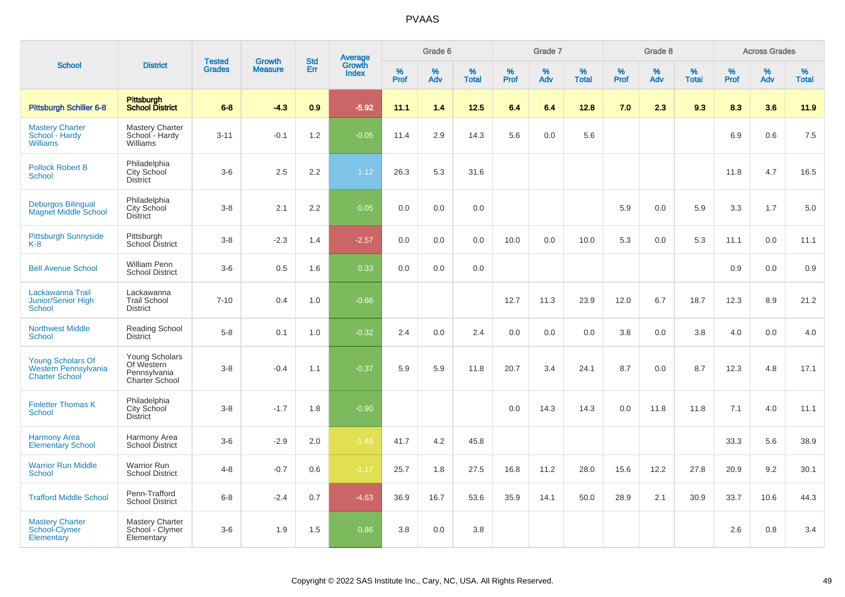|                                                                           |                                                                | <b>Tested</b> | <b>Growth</b>  | <b>Std</b> |                                          |                  | Grade 6     |                   |              | Grade 7  |                   |              | Grade 8  |                   |           | <b>Across Grades</b> |                   |
|---------------------------------------------------------------------------|----------------------------------------------------------------|---------------|----------------|------------|------------------------------------------|------------------|-------------|-------------------|--------------|----------|-------------------|--------------|----------|-------------------|-----------|----------------------|-------------------|
| <b>School</b>                                                             | <b>District</b>                                                | <b>Grades</b> | <b>Measure</b> | Err        | <b>Average</b><br>Growth<br><b>Index</b> | %<br><b>Prof</b> | $\%$<br>Adv | %<br><b>Total</b> | $\%$<br>Prof | %<br>Adv | %<br><b>Total</b> | $\%$<br>Prof | %<br>Adv | %<br><b>Total</b> | %<br>Prof | %<br>Adv             | %<br><b>Total</b> |
| Pittsburgh Schiller 6-8                                                   | <b>Pittsburgh</b><br><b>School District</b>                    | $6 - 8$       | $-4.3$         | 0.9        | $-5.92$                                  | 11.1             | 1.4         | $12.5$            | 6.4          | 6.4      | 12.8              | 7.0          | 2.3      | 9.3               | 8.3       | 3.6                  | 11.9              |
| <b>Mastery Charter</b><br>School - Hardy<br><b>Williams</b>               | Mastery Charter<br>School - Hardy<br>Williams                  | $3 - 11$      | $-0.1$         | 1.2        | $-0.05$                                  | 11.4             | 2.9         | 14.3              | 5.6          | 0.0      | 5.6               |              |          |                   | 6.9       | 0.6                  | 7.5               |
| <b>Pollock Robert B</b><br><b>School</b>                                  | Philadelphia<br><b>City School</b><br><b>District</b>          | $3-6$         | 2.5            | 2.2        | 1.12                                     | 26.3             | 5.3         | 31.6              |              |          |                   |              |          |                   | 11.8      | 4.7                  | 16.5              |
| <b>Deburgos Bilingual</b><br><b>Magnet Middle School</b>                  | Philadelphia<br>City School<br><b>District</b>                 | $3-8$         | 2.1            | 2.2        | 0.05                                     | 0.0              | 0.0         | 0.0               |              |          |                   | 5.9          | 0.0      | 5.9               | 3.3       | 1.7                  | 5.0               |
| <b>Pittsburgh Sunnyside</b><br>$K-8$                                      | Pittsburgh<br>School District                                  | $3 - 8$       | $-2.3$         | 1.4        | $-2.57$                                  | 0.0              | 0.0         | 0.0               | 10.0         | 0.0      | 10.0              | 5.3          | 0.0      | 5.3               | 11.1      | 0.0                  | 11.1              |
| <b>Bell Avenue School</b>                                                 | <b>William Penn</b><br><b>School District</b>                  | $3-6$         | 0.5            | 1.6        | 0.33                                     | 0.0              | 0.0         | 0.0               |              |          |                   |              |          |                   | 0.9       | 0.0                  | 0.9               |
| Lackawanna Trail<br>Junior/Senior High<br><b>School</b>                   | Lackawanna<br><b>Trail School</b><br><b>District</b>           | $7 - 10$      | 0.4            | 1.0        | $-0.66$                                  |                  |             |                   | 12.7         | 11.3     | 23.9              | 12.0         | 6.7      | 18.7              | 12.3      | 8.9                  | 21.2              |
| <b>Northwest Middle</b><br><b>School</b>                                  | Reading School<br><b>District</b>                              | $5 - 8$       | 0.1            | 1.0        | $-0.32$                                  | 2.4              | 0.0         | 2.4               | 0.0          | 0.0      | 0.0               | 3.8          | 0.0      | 3.8               | 4.0       | 0.0                  | 4.0               |
| <b>Young Scholars Of</b><br>Western Pennsylvania<br><b>Charter School</b> | Young Scholars<br>Of Western<br>Pennsylvania<br>Charter School | $3 - 8$       | $-0.4$         | 1.1        | $-0.37$                                  | 5.9              | 5.9         | 11.8              | 20.7         | 3.4      | 24.1              | 8.7          | 0.0      | 8.7               | 12.3      | 4.8                  | 17.1              |
| <b>Finletter Thomas K</b><br><b>School</b>                                | Philadelphia<br>City School<br><b>District</b>                 | $3 - 8$       | $-1.7$         | 1.8        | $-0.90$                                  |                  |             |                   | 0.0          | 14.3     | 14.3              | 0.0          | 11.8     | 11.8              | 7.1       | 4.0                  | 11.1              |
| <b>Harmony Area</b><br><b>Elementary School</b>                           | Harmony Area<br>School District                                | $3-6$         | $-2.9$         | 2.0        | $-1.46$                                  | 41.7             | 4.2         | 45.8              |              |          |                   |              |          |                   | 33.3      | 5.6                  | 38.9              |
| <b>Warrior Run Middle</b><br><b>School</b>                                | <b>Warrior Run</b><br><b>School District</b>                   | $4 - 8$       | $-0.7$         | 0.6        | $-1.17$                                  | 25.7             | 1.8         | 27.5              | 16.8         | 11.2     | 28.0              | 15.6         | 12.2     | 27.8              | 20.9      | 9.2                  | 30.1              |
| <b>Trafford Middle School</b>                                             | Penn-Trafford<br><b>School District</b>                        | $6 - 8$       | $-2.4$         | 0.7        | $-4.63$                                  | 36.9             | 16.7        | 53.6              | 35.9         | 14.1     | 50.0              | 28.9         | 2.1      | 30.9              | 33.7      | 10.6                 | 44.3              |
| <b>Mastery Charter</b><br>School-Clymer<br>Elementary                     | <b>Mastery Charter</b><br>School - Clymer<br>Elementary        | $3-6$         | 1.9            | 1.5        | 0.86                                     | 3.8              | 0.0         | 3.8               |              |          |                   |              |          |                   | 2.6       | 0.8                  | 3.4               |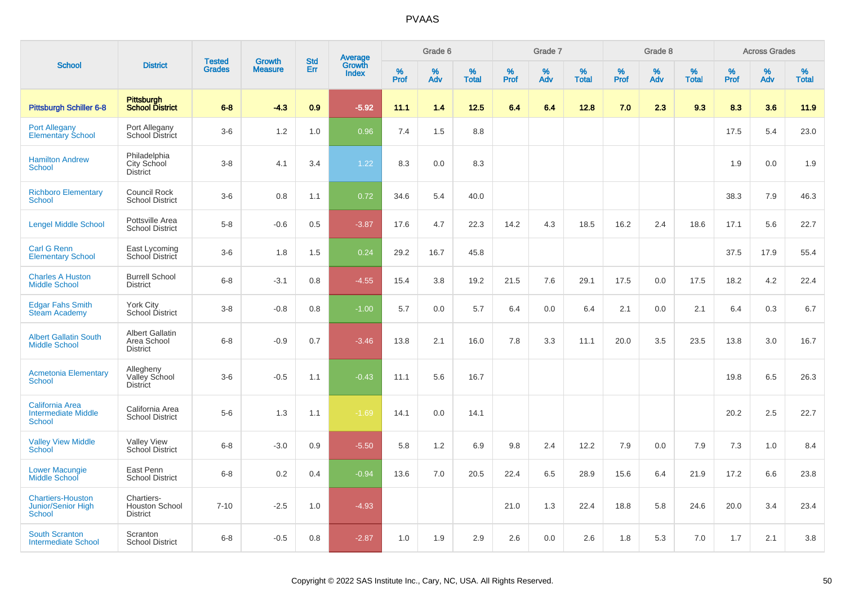|                                                                       |                                                          | <b>Tested</b> | <b>Growth</b>  | <b>Std</b> | <b>Average</b><br>Growth |                  | Grade 6  |                   |           | Grade 7  |                   |           | Grade 8  |                   |           | <b>Across Grades</b> |                   |
|-----------------------------------------------------------------------|----------------------------------------------------------|---------------|----------------|------------|--------------------------|------------------|----------|-------------------|-----------|----------|-------------------|-----------|----------|-------------------|-----------|----------------------|-------------------|
| <b>School</b>                                                         | <b>District</b>                                          | <b>Grades</b> | <b>Measure</b> | Err        | <b>Index</b>             | %<br><b>Prof</b> | %<br>Adv | %<br><b>Total</b> | %<br>Prof | %<br>Adv | %<br><b>Total</b> | %<br>Prof | %<br>Adv | %<br><b>Total</b> | %<br>Prof | %<br>Adv             | %<br><b>Total</b> |
| <b>Pittsburgh Schiller 6-8</b>                                        | <b>Pittsburgh</b><br><b>School District</b>              | $6 - 8$       | $-4.3$         | 0.9        | $-5.92$                  | 11.1             | 1.4      | 12.5              | 6.4       | 6.4      | 12.8              | 7.0       | 2.3      | 9.3               | 8.3       | 3.6                  | 11.9              |
| Port Allegany<br>Elementary School                                    | Port Allegany<br>School District                         | $3-6$         | 1.2            | 1.0        | 0.96                     | 7.4              | 1.5      | 8.8               |           |          |                   |           |          |                   | 17.5      | 5.4                  | 23.0              |
| <b>Hamilton Andrew</b><br><b>School</b>                               | Philadelphia<br>City School<br><b>District</b>           | $3-8$         | 4.1            | 3.4        | 1.22                     | 8.3              | 0.0      | 8.3               |           |          |                   |           |          |                   | 1.9       | 0.0                  | 1.9               |
| <b>Richboro Elementary</b><br><b>School</b>                           | Council Rock<br><b>School District</b>                   | $3-6$         | 0.8            | 1.1        | 0.72                     | 34.6             | 5.4      | 40.0              |           |          |                   |           |          |                   | 38.3      | 7.9                  | 46.3              |
| <b>Lengel Middle School</b>                                           | Pottsville Area<br><b>School District</b>                | $5-8$         | $-0.6$         | 0.5        | $-3.87$                  | 17.6             | 4.7      | 22.3              | 14.2      | 4.3      | 18.5              | 16.2      | 2.4      | 18.6              | 17.1      | 5.6                  | 22.7              |
| <b>Carl G Renn</b><br><b>Elementary School</b>                        | East Lycoming<br>School District                         | $3-6$         | 1.8            | 1.5        | 0.24                     | 29.2             | 16.7     | 45.8              |           |          |                   |           |          |                   | 37.5      | 17.9                 | 55.4              |
| <b>Charles A Huston</b><br><b>Middle School</b>                       | <b>Burrell School</b><br><b>District</b>                 | $6 - 8$       | $-3.1$         | 0.8        | $-4.55$                  | 15.4             | 3.8      | 19.2              | 21.5      | 7.6      | 29.1              | 17.5      | 0.0      | 17.5              | 18.2      | 4.2                  | 22.4              |
| <b>Edgar Fahs Smith</b><br><b>Steam Academy</b>                       | <b>York City</b><br>School District                      | $3 - 8$       | $-0.8$         | 0.8        | $-1.00$                  | 5.7              | 0.0      | 5.7               | 6.4       | 0.0      | 6.4               | 2.1       | 0.0      | 2.1               | 6.4       | 0.3                  | 6.7               |
| <b>Albert Gallatin South</b><br><b>Middle School</b>                  | <b>Albert Gallatin</b><br>Area School<br><b>District</b> | $6 - 8$       | $-0.9$         | 0.7        | $-3.46$                  | 13.8             | 2.1      | 16.0              | 7.8       | 3.3      | 11.1              | 20.0      | 3.5      | 23.5              | 13.8      | 3.0                  | 16.7              |
| <b>Acmetonia Elementary</b><br>School                                 | Allegheny<br>Valley School<br><b>District</b>            | $3-6$         | $-0.5$         | 1.1        | $-0.43$                  | 11.1             | 5.6      | 16.7              |           |          |                   |           |          |                   | 19.8      | 6.5                  | 26.3              |
| <b>California Area</b><br><b>Intermediate Middle</b><br><b>School</b> | California Area<br><b>School District</b>                | $5-6$         | 1.3            | 1.1        | $-1.69$                  | 14.1             | 0.0      | 14.1              |           |          |                   |           |          |                   | 20.2      | 2.5                  | 22.7              |
| <b>Valley View Middle</b><br>School                                   | <b>Valley View</b><br>School District                    | $6 - 8$       | $-3.0$         | 0.9        | $-5.50$                  | 5.8              | 1.2      | 6.9               | 9.8       | 2.4      | 12.2              | 7.9       | 0.0      | 7.9               | 7.3       | 1.0                  | 8.4               |
| <b>Lower Macungie</b><br>Middle School                                | East Penn<br><b>School District</b>                      | $6 - 8$       | 0.2            | 0.4        | $-0.94$                  | 13.6             | 7.0      | 20.5              | 22.4      | 6.5      | 28.9              | 15.6      | 6.4      | 21.9              | 17.2      | 6.6                  | 23.8              |
| <b>Chartiers-Houston</b><br><b>Junior/Senior High</b><br>School       | Chartiers-<br><b>Houston School</b><br><b>District</b>   | $7 - 10$      | $-2.5$         | 1.0        | $-4.93$                  |                  |          |                   | 21.0      | 1.3      | 22.4              | 18.8      | 5.8      | 24.6              | 20.0      | 3.4                  | 23.4              |
| <b>South Scranton</b><br><b>Intermediate School</b>                   | Scranton<br><b>School District</b>                       | $6 - 8$       | $-0.5$         | 0.8        | $-2.87$                  | 1.0              | 1.9      | 2.9               | 2.6       | 0.0      | 2.6               | 1.8       | 5.3      | 7.0               | 1.7       | 2.1                  | 3.8               |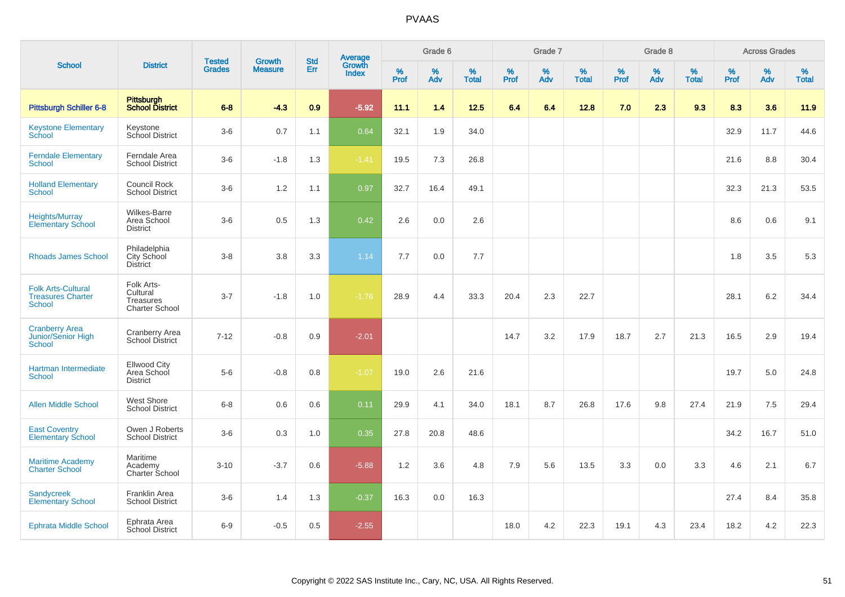|                                                                        |                                                              |                                | <b>Growth</b>  | <b>Std</b> |                                          |                     | Grade 6     |                   |              | Grade 7     |                      |              | Grade 8  |                   |              | <b>Across Grades</b> |                      |
|------------------------------------------------------------------------|--------------------------------------------------------------|--------------------------------|----------------|------------|------------------------------------------|---------------------|-------------|-------------------|--------------|-------------|----------------------|--------------|----------|-------------------|--------------|----------------------|----------------------|
| <b>School</b>                                                          | <b>District</b>                                              | <b>Tested</b><br><b>Grades</b> | <b>Measure</b> | <b>Err</b> | <b>Average</b><br>Growth<br><b>Index</b> | $\%$<br><b>Prof</b> | $\%$<br>Adv | %<br><b>Total</b> | $\%$<br>Prof | $\%$<br>Adv | $\%$<br><b>Total</b> | $\%$<br>Prof | %<br>Adv | %<br><b>Total</b> | $\%$<br>Prof | $\%$<br>Adv          | $\%$<br><b>Total</b> |
| Pittsburgh Schiller 6-8                                                | Pittsburgh<br><b>School District</b>                         | $6 - 8$                        | $-4.3$         | 0.9        | $-5.92$                                  | 11.1                | 1.4         | $12.5$            | 6.4          | 6.4         | 12.8                 | 7.0          | 2.3      | 9.3               | 8.3          | 3.6                  | 11.9                 |
| <b>Keystone Elementary</b><br>School                                   | Keystone<br>School District                                  | $3-6$                          | 0.7            | 1.1        | 0.64                                     | 32.1                | 1.9         | 34.0              |              |             |                      |              |          |                   | 32.9         | 11.7                 | 44.6                 |
| <b>Ferndale Elementary</b><br><b>School</b>                            | Ferndale Area<br><b>School District</b>                      | $3-6$                          | $-1.8$         | 1.3        | $-1.41$                                  | 19.5                | 7.3         | 26.8              |              |             |                      |              |          |                   | 21.6         | 8.8                  | 30.4                 |
| <b>Holland Elementary</b><br><b>School</b>                             | Council Rock<br><b>School District</b>                       | $3-6$                          | 1.2            | 1.1        | 0.97                                     | 32.7                | 16.4        | 49.1              |              |             |                      |              |          |                   | 32.3         | 21.3                 | 53.5                 |
| <b>Heights/Murray</b><br><b>Elementary School</b>                      | <b>Wilkes-Barre</b><br>Area School<br><b>District</b>        | $3-6$                          | 0.5            | 1.3        | 0.42                                     | 2.6                 | 0.0         | 2.6               |              |             |                      |              |          |                   | 8.6          | 0.6                  | 9.1                  |
| <b>Rhoads James School</b>                                             | Philadelphia<br>City School<br><b>District</b>               | $3 - 8$                        | 3.8            | 3.3        | 1.14                                     | 7.7                 | 0.0         | 7.7               |              |             |                      |              |          |                   | 1.8          | 3.5                  | 5.3                  |
| <b>Folk Arts-Cultural</b><br><b>Treasures Charter</b><br><b>School</b> | Folk Arts-<br>Cultural<br>Treasures<br><b>Charter School</b> | $3 - 7$                        | $-1.8$         | 1.0        | $-1.76$                                  | 28.9                | 4.4         | 33.3              | 20.4         | 2.3         | 22.7                 |              |          |                   | 28.1         | 6.2                  | 34.4                 |
| <b>Cranberry Area</b><br>Junior/Senior High<br><b>School</b>           | <b>Cranberry Area</b><br>School District                     | $7 - 12$                       | $-0.8$         | 0.9        | $-2.01$                                  |                     |             |                   | 14.7         | 3.2         | 17.9                 | 18.7         | 2.7      | 21.3              | 16.5         | 2.9                  | 19.4                 |
| Hartman Intermediate<br><b>School</b>                                  | <b>Ellwood City</b><br>Area School<br><b>District</b>        | $5-6$                          | $-0.8$         | 0.8        | $-1.07$                                  | 19.0                | 2.6         | 21.6              |              |             |                      |              |          |                   | 19.7         | 5.0                  | 24.8                 |
| <b>Allen Middle School</b>                                             | <b>West Shore</b><br><b>School District</b>                  | $6 - 8$                        | 0.6            | 0.6        | 0.11                                     | 29.9                | 4.1         | 34.0              | 18.1         | 8.7         | 26.8                 | 17.6         | 9.8      | 27.4              | 21.9         | 7.5                  | 29.4                 |
| <b>East Coventry</b><br><b>Elementary School</b>                       | Owen J Roberts<br><b>School District</b>                     | $3-6$                          | 0.3            | 1.0        | 0.35                                     | 27.8                | 20.8        | 48.6              |              |             |                      |              |          |                   | 34.2         | 16.7                 | 51.0                 |
| <b>Maritime Academy</b><br><b>Charter School</b>                       | Maritime<br>Academy<br>Charter School                        | $3 - 10$                       | $-3.7$         | 0.6        | $-5.88$                                  | 1.2                 | 3.6         | 4.8               | 7.9          | 5.6         | 13.5                 | 3.3          | 0.0      | 3.3               | 4.6          | 2.1                  | 6.7                  |
| <b>Sandycreek</b><br><b>Elementary School</b>                          | Franklin Area<br><b>School District</b>                      | $3-6$                          | 1.4            | 1.3        | $-0.37$                                  | 16.3                | 0.0         | 16.3              |              |             |                      |              |          |                   | 27.4         | 8.4                  | 35.8                 |
| <b>Ephrata Middle School</b>                                           | Ephrata Area<br><b>School District</b>                       | $6 - 9$                        | $-0.5$         | 0.5        | $-2.55$                                  |                     |             |                   | 18.0         | 4.2         | 22.3                 | 19.1         | 4.3      | 23.4              | 18.2         | 4.2                  | 22.3                 |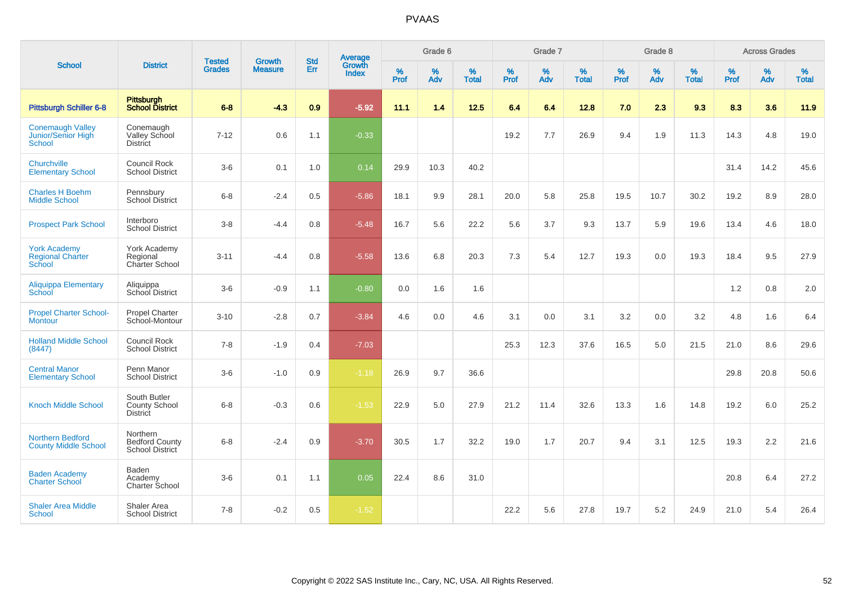|                                                                |                                                         |                                |                                 | <b>Std</b> |                                          |                  | Grade 6  |                   |                  | Grade 7  |                   |                  | Grade 8  |                   |                     | <b>Across Grades</b> |                   |
|----------------------------------------------------------------|---------------------------------------------------------|--------------------------------|---------------------------------|------------|------------------------------------------|------------------|----------|-------------------|------------------|----------|-------------------|------------------|----------|-------------------|---------------------|----------------------|-------------------|
| <b>School</b>                                                  | <b>District</b>                                         | <b>Tested</b><br><b>Grades</b> | <b>Growth</b><br><b>Measure</b> | Err        | <b>Average</b><br>Growth<br><b>Index</b> | %<br><b>Prof</b> | %<br>Adv | %<br><b>Total</b> | %<br><b>Prof</b> | %<br>Adv | %<br><b>Total</b> | %<br><b>Prof</b> | %<br>Adv | %<br><b>Total</b> | $\%$<br><b>Prof</b> | %<br>Adv             | %<br><b>Total</b> |
| Pittsburgh Schiller 6-8                                        | Pittsburgh<br>School District                           | $6 - 8$                        | $-4.3$                          | 0.9        | $-5.92$                                  | 11.1             | 1.4      | 12.5              | 6.4              | 6.4      | 12.8              | 7.0              | 2.3      | 9.3               | 8.3                 | 3.6                  | 11.9              |
| <b>Conemaugh Valley</b><br><b>Junior/Senior High</b><br>School | Conemaugh<br>Valley School<br><b>District</b>           | $7 - 12$                       | 0.6                             | 1.1        | $-0.33$                                  |                  |          |                   | 19.2             | 7.7      | 26.9              | 9.4              | 1.9      | 11.3              | 14.3                | 4.8                  | 19.0              |
| Churchville<br><b>Elementary School</b>                        | Council Rock<br><b>School District</b>                  | $3-6$                          | 0.1                             | 1.0        | 0.14                                     | 29.9             | 10.3     | 40.2              |                  |          |                   |                  |          |                   | 31.4                | 14.2                 | 45.6              |
| <b>Charles H Boehm</b><br><b>Middle School</b>                 | Pennsbury<br><b>School District</b>                     | $6 - 8$                        | $-2.4$                          | $0.5\,$    | $-5.86$                                  | 18.1             | $9.9\,$  | 28.1              | 20.0             | 5.8      | 25.8              | 19.5             | 10.7     | 30.2              | 19.2                | 8.9                  | 28.0              |
| <b>Prospect Park School</b>                                    | Interboro<br><b>School District</b>                     | $3-8$                          | -4.4                            | 0.8        | $-5.48$                                  | 16.7             | 5.6      | 22.2              | 5.6              | 3.7      | 9.3               | 13.7             | 5.9      | 19.6              | 13.4                | 4.6                  | 18.0              |
| <b>York Academy</b><br><b>Regional Charter</b><br>School       | York Academy<br>Regional<br><b>Charter School</b>       | $3 - 11$                       | $-4.4$                          | 0.8        | $-5.58$                                  | 13.6             | 6.8      | 20.3              | 7.3              | 5.4      | 12.7              | 19.3             | 0.0      | 19.3              | 18.4                | 9.5                  | 27.9              |
| <b>Aliquippa Elementary</b><br>School                          | Aliquippa<br>School District                            | $3-6$                          | $-0.9$                          | 1.1        | $-0.80$                                  | 0.0              | 1.6      | 1.6               |                  |          |                   |                  |          |                   | 1.2                 | 0.8                  | 2.0               |
| <b>Propel Charter School-</b><br><b>Montour</b>                | <b>Propel Charter</b><br>School-Montour                 | $3 - 10$                       | $-2.8$                          | 0.7        | $-3.84$                                  | 4.6              | 0.0      | 4.6               | 3.1              | 0.0      | 3.1               | 3.2              | 0.0      | 3.2               | 4.8                 | 1.6                  | 6.4               |
| <b>Holland Middle School</b><br>(8447)                         | Council Rock<br><b>School District</b>                  | $7 - 8$                        | $-1.9$                          | 0.4        | $-7.03$                                  |                  |          |                   | 25.3             | 12.3     | 37.6              | 16.5             | 5.0      | 21.5              | 21.0                | 8.6                  | 29.6              |
| <b>Central Manor</b><br><b>Elementary School</b>               | Penn Manor<br><b>School District</b>                    | $3-6$                          | $-1.0$                          | 0.9        | $-1.18$                                  | 26.9             | 9.7      | 36.6              |                  |          |                   |                  |          |                   | 29.8                | 20.8                 | 50.6              |
| <b>Knoch Middle School</b>                                     | South Butler<br><b>County School</b><br><b>District</b> | $6 - 8$                        | $-0.3$                          | 0.6        | $-1.53$                                  | 22.9             | 5.0      | 27.9              | 21.2             | 11.4     | 32.6              | 13.3             | 1.6      | 14.8              | 19.2                | 6.0                  | 25.2              |
| <b>Northern Bedford</b><br><b>County Middle School</b>         | Northern<br><b>Bedford County</b><br>School District    | $6 - 8$                        | $-2.4$                          | 0.9        | $-3.70$                                  | 30.5             | 1.7      | 32.2              | 19.0             | 1.7      | 20.7              | 9.4              | 3.1      | 12.5              | 19.3                | 2.2                  | 21.6              |
| <b>Baden Academy</b><br><b>Charter School</b>                  | Baden<br>Academy<br>Charter School                      | $3-6$                          | 0.1                             | 1.1        | 0.05                                     | 22.4             | 8.6      | 31.0              |                  |          |                   |                  |          |                   | 20.8                | 6.4                  | 27.2              |
| <b>Shaler Area Middle</b><br>School                            | Shaler Area<br><b>School District</b>                   | $7 - 8$                        | $-0.2$                          | 0.5        | $-1.52$                                  |                  |          |                   | 22.2             | 5.6      | 27.8              | 19.7             | 5.2      | 24.9              | 21.0                | 5.4                  | 26.4              |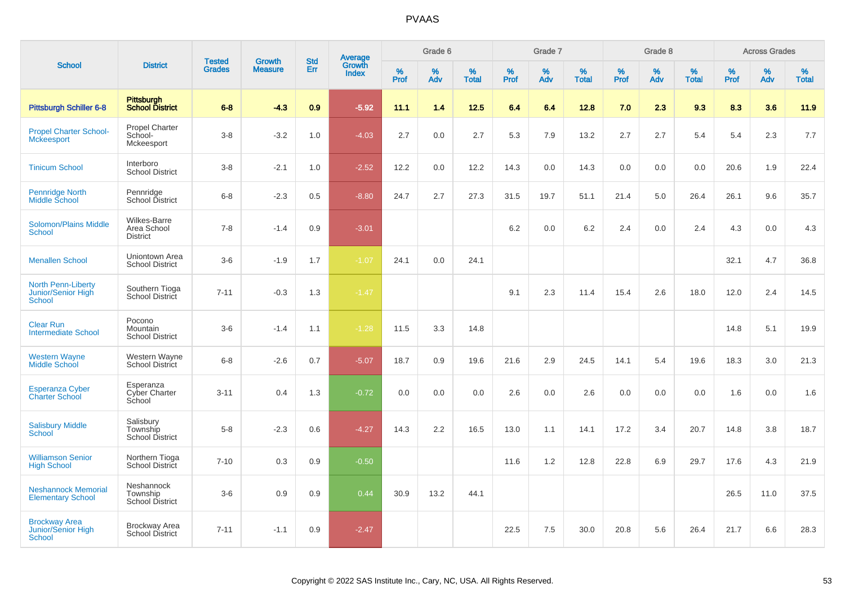|                                                                  |                                                  |                                |                                 |                   |                                          |                  | Grade 6  |                   |           | Grade 7  |                   |           | Grade 8  |                   |           | <b>Across Grades</b> |                   |
|------------------------------------------------------------------|--------------------------------------------------|--------------------------------|---------------------------------|-------------------|------------------------------------------|------------------|----------|-------------------|-----------|----------|-------------------|-----------|----------|-------------------|-----------|----------------------|-------------------|
| <b>School</b>                                                    | <b>District</b>                                  | <b>Tested</b><br><b>Grades</b> | <b>Growth</b><br><b>Measure</b> | <b>Std</b><br>Err | <b>Average</b><br>Growth<br><b>Index</b> | %<br><b>Prof</b> | %<br>Adv | %<br><b>Total</b> | %<br>Prof | %<br>Adv | %<br><b>Total</b> | %<br>Prof | %<br>Adv | %<br><b>Total</b> | %<br>Prof | %<br>Adv             | %<br><b>Total</b> |
| <b>Pittsburgh Schiller 6-8</b>                                   | Pittsburgh<br><b>School District</b>             | $6 - 8$                        | $-4.3$                          | 0.9               | $-5.92$                                  | 11.1             | 1.4      | 12.5              | 6.4       | 6.4      | 12.8              | 7.0       | 2.3      | 9.3               | 8.3       | 3.6                  | 11.9              |
| <b>Propel Charter School-</b><br><b>Mckeesport</b>               | <b>Propel Charter</b><br>School-<br>Mckeesport   | $3 - 8$                        | $-3.2$                          | 1.0               | $-4.03$                                  | 2.7              | 0.0      | 2.7               | 5.3       | 7.9      | 13.2              | 2.7       | 2.7      | 5.4               | 5.4       | 2.3                  | 7.7               |
| <b>Tinicum School</b>                                            | Interboro<br><b>School District</b>              | $3-8$                          | $-2.1$                          | 1.0               | $-2.52$                                  | 12.2             | 0.0      | 12.2              | 14.3      | 0.0      | 14.3              | 0.0       | 0.0      | 0.0               | 20.6      | 1.9                  | 22.4              |
| Pennridge North<br>Middle School                                 | Pennridge<br>School District                     | $6 - 8$                        | $-2.3$                          | 0.5               | $-8.80$                                  | 24.7             | 2.7      | 27.3              | 31.5      | 19.7     | 51.1              | 21.4      | $5.0\,$  | 26.4              | 26.1      | 9.6                  | 35.7              |
| <b>Solomon/Plains Middle</b><br><b>School</b>                    | Wilkes-Barre<br>Area School<br><b>District</b>   | $7 - 8$                        | $-1.4$                          | 0.9               | $-3.01$                                  |                  |          |                   | 6.2       | 0.0      | 6.2               | 2.4       | 0.0      | 2.4               | 4.3       | 0.0                  | 4.3               |
| <b>Menallen School</b>                                           | Uniontown Area<br><b>School District</b>         | $3-6$                          | $-1.9$                          | 1.7               | $-1.07$                                  | 24.1             | 0.0      | 24.1              |           |          |                   |           |          |                   | 32.1      | 4.7                  | 36.8              |
| <b>North Penn-Liberty</b><br>Junior/Senior High<br><b>School</b> | Southern Tioga<br>School District                | $7 - 11$                       | $-0.3$                          | 1.3               | $-1.47$                                  |                  |          |                   | 9.1       | 2.3      | 11.4              | 15.4      | 2.6      | 18.0              | 12.0      | 2.4                  | 14.5              |
| <b>Clear Run</b><br><b>Intermediate School</b>                   | Pocono<br>Mountain<br><b>School District</b>     | $3-6$                          | $-1.4$                          | 1.1               | $-1.28$                                  | 11.5             | 3.3      | 14.8              |           |          |                   |           |          |                   | 14.8      | 5.1                  | 19.9              |
| <b>Western Wayne</b><br><b>Middle School</b>                     | Western Wayne<br><b>School District</b>          | $6 - 8$                        | $-2.6$                          | 0.7               | $-5.07$                                  | 18.7             | 0.9      | 19.6              | 21.6      | 2.9      | 24.5              | 14.1      | 5.4      | 19.6              | 18.3      | 3.0                  | 21.3              |
| <b>Esperanza Cyber</b><br><b>Charter School</b>                  | Esperanza<br><b>Cyber Charter</b><br>School      | $3 - 11$                       | 0.4                             | 1.3               | $-0.72$                                  | 0.0              | 0.0      | 0.0               | 2.6       | 0.0      | 2.6               | 0.0       | 0.0      | 0.0               | 1.6       | 0.0                  | 1.6               |
| <b>Salisbury Middle</b><br>School                                | Salisbury<br>Township<br><b>School District</b>  | $5 - 8$                        | $-2.3$                          | 0.6               | $-4.27$                                  | 14.3             | 2.2      | 16.5              | 13.0      | 1.1      | 14.1              | 17.2      | 3.4      | 20.7              | 14.8      | 3.8                  | 18.7              |
| <b>Williamson Senior</b><br><b>High School</b>                   | Northern Tioga<br>School District                | $7 - 10$                       | 0.3                             | 0.9               | $-0.50$                                  |                  |          |                   | 11.6      | 1.2      | 12.8              | 22.8      | 6.9      | 29.7              | 17.6      | 4.3                  | 21.9              |
| <b>Neshannock Memorial</b><br><b>Elementary School</b>           | Neshannock<br>Township<br><b>School District</b> | $3-6$                          | 0.9                             | 0.9               | 0.44                                     | 30.9             | 13.2     | 44.1              |           |          |                   |           |          |                   | 26.5      | 11.0                 | 37.5              |
| <b>Brockway Area</b><br>Junior/Senior High<br><b>School</b>      | <b>Brockway Area</b><br><b>School District</b>   | $7 - 11$                       | $-1.1$                          | 0.9               | $-2.47$                                  |                  |          |                   | 22.5      | 7.5      | 30.0              | 20.8      | 5.6      | 26.4              | 21.7      | 6.6                  | 28.3              |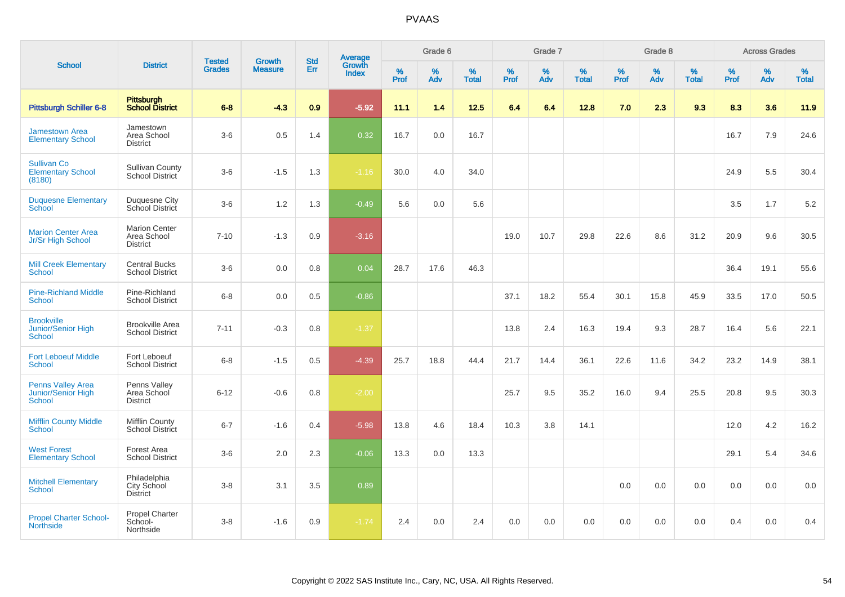|                                                          |                                                        |                                |                                 | <b>Std</b> |                                          |                  | Grade 6     |                   |           | Grade 7  |                   |           | Grade 8  |                   |           | <b>Across Grades</b> |                   |
|----------------------------------------------------------|--------------------------------------------------------|--------------------------------|---------------------------------|------------|------------------------------------------|------------------|-------------|-------------------|-----------|----------|-------------------|-----------|----------|-------------------|-----------|----------------------|-------------------|
| <b>School</b>                                            | <b>District</b>                                        | <b>Tested</b><br><b>Grades</b> | <b>Growth</b><br><b>Measure</b> | Err        | <b>Average</b><br>Growth<br><b>Index</b> | %<br><b>Prof</b> | $\%$<br>Adv | %<br><b>Total</b> | %<br>Prof | %<br>Adv | %<br><b>Total</b> | %<br>Prof | %<br>Adv | %<br><b>Total</b> | %<br>Prof | %<br>Adv             | %<br><b>Total</b> |
| <b>Pittsburgh Schiller 6-8</b>                           | Pittsburgh<br>School District                          | $6-8$                          | $-4.3$                          | 0.9        | $-5.92$                                  | 11.1             | 1.4         | $12.5$            | 6.4       | 6.4      | 12.8              | 7.0       | 2.3      | 9.3               | 8.3       | 3.6                  | 11.9              |
| <b>Jamestown Area</b><br><b>Elementary School</b>        | Jamestown<br>Area School<br><b>District</b>            | $3-6$                          | 0.5                             | 1.4        | 0.32                                     | 16.7             | 0.0         | 16.7              |           |          |                   |           |          |                   | 16.7      | 7.9                  | 24.6              |
| <b>Sullivan Co</b><br><b>Elementary School</b><br>(8180) | <b>Sullivan County</b><br>School District              | $3-6$                          | $-1.5$                          | 1.3        | $-1.16$                                  | 30.0             | 4.0         | 34.0              |           |          |                   |           |          |                   | 24.9      | 5.5                  | 30.4              |
| <b>Duquesne Elementary</b><br>School                     | Duquesne City<br>School District                       | $3-6$                          | 1.2                             | 1.3        | $-0.49$                                  | 5.6              | 0.0         | 5.6               |           |          |                   |           |          |                   | 3.5       | 1.7                  | 5.2               |
| <b>Marion Center Area</b><br>Jr/Sr High School           | <b>Marion Center</b><br>Area School<br><b>District</b> | $7 - 10$                       | $-1.3$                          | 0.9        | $-3.16$                                  |                  |             |                   | 19.0      | 10.7     | 29.8              | 22.6      | 8.6      | 31.2              | 20.9      | 9.6                  | 30.5              |
| <b>Mill Creek Elementary</b><br><b>School</b>            | <b>Central Bucks</b><br><b>School District</b>         | $3-6$                          | 0.0                             | 0.8        | 0.04                                     | 28.7             | 17.6        | 46.3              |           |          |                   |           |          |                   | 36.4      | 19.1                 | 55.6              |
| <b>Pine-Richland Middle</b><br><b>School</b>             | Pine-Richland<br><b>School District</b>                | $6-8$                          | 0.0                             | 0.5        | $-0.86$                                  |                  |             |                   | 37.1      | 18.2     | 55.4              | 30.1      | 15.8     | 45.9              | 33.5      | 17.0                 | 50.5              |
| <b>Brookville</b><br>Junior/Senior High<br><b>School</b> | <b>Brookville Area</b><br><b>School District</b>       | $7 - 11$                       | $-0.3$                          | 0.8        | $-1.37$                                  |                  |             |                   | 13.8      | 2.4      | 16.3              | 19.4      | 9.3      | 28.7              | 16.4      | 5.6                  | 22.1              |
| <b>Fort Leboeuf Middle</b><br><b>School</b>              | Fort Leboeuf<br><b>School District</b>                 | $6 - 8$                        | $-1.5$                          | 0.5        | $-4.39$                                  | 25.7             | 18.8        | 44.4              | 21.7      | 14.4     | 36.1              | 22.6      | 11.6     | 34.2              | 23.2      | 14.9                 | 38.1              |
| <b>Penns Valley Area</b><br>Junior/Senior High<br>School | Penns Valley<br>Area School<br><b>District</b>         | $6 - 12$                       | $-0.6$                          | 0.8        | $-2.00$                                  |                  |             |                   | 25.7      | 9.5      | 35.2              | 16.0      | 9.4      | 25.5              | 20.8      | 9.5                  | 30.3              |
| <b>Mifflin County Middle</b><br>School                   | Mifflin County<br><b>School District</b>               | $6 - 7$                        | $-1.6$                          | 0.4        | $-5.98$                                  | 13.8             | 4.6         | 18.4              | 10.3      | 3.8      | 14.1              |           |          |                   | 12.0      | 4.2                  | 16.2              |
| <b>West Forest</b><br><b>Elementary School</b>           | Forest Area<br><b>School District</b>                  | $3-6$                          | 2.0                             | 2.3        | $-0.06$                                  | 13.3             | 0.0         | 13.3              |           |          |                   |           |          |                   | 29.1      | 5.4                  | 34.6              |
| <b>Mitchell Elementary</b><br><b>School</b>              | Philadelphia<br>City School<br><b>District</b>         | $3-8$                          | 3.1                             | 3.5        | 0.89                                     |                  |             |                   |           |          |                   | 0.0       | 0.0      | 0.0               | 0.0       | 0.0                  | 0.0               |
| <b>Propel Charter School-</b><br><b>Northside</b>        | Propel Charter<br>School-<br>Northside                 | $3-8$                          | $-1.6$                          | 0.9        | $-1.74$                                  | 2.4              | 0.0         | 2.4               | 0.0       | 0.0      | 0.0               | 0.0       | 0.0      | 0.0               | 0.4       | 0.0                  | 0.4               |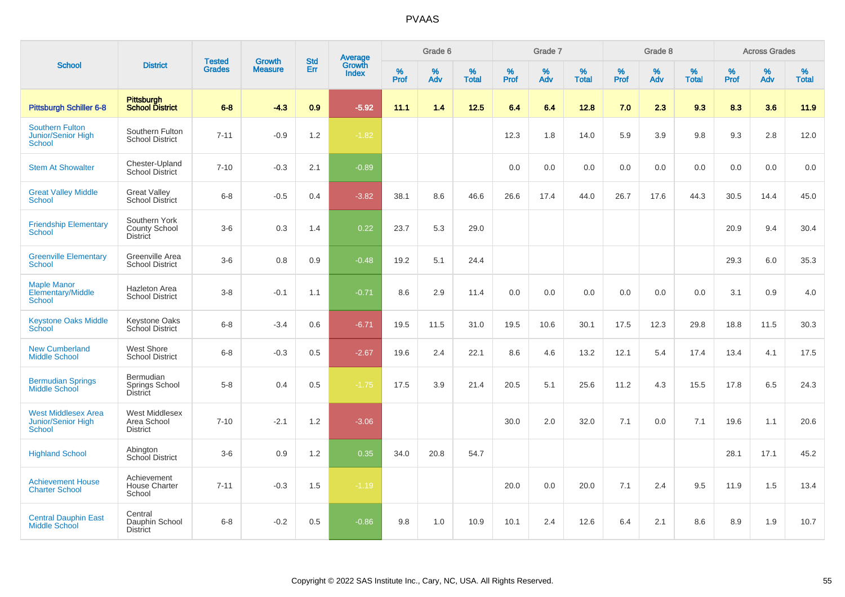|                                                                   |                                                          |                                |                                 |                   |                                          |                  | Grade 6  |                   |           | Grade 7  |                   |           | Grade 8  |                   |           | <b>Across Grades</b> |                   |
|-------------------------------------------------------------------|----------------------------------------------------------|--------------------------------|---------------------------------|-------------------|------------------------------------------|------------------|----------|-------------------|-----------|----------|-------------------|-----------|----------|-------------------|-----------|----------------------|-------------------|
| <b>School</b>                                                     | <b>District</b>                                          | <b>Tested</b><br><b>Grades</b> | <b>Growth</b><br><b>Measure</b> | <b>Std</b><br>Err | <b>Average</b><br>Growth<br><b>Index</b> | %<br><b>Prof</b> | %<br>Adv | %<br><b>Total</b> | %<br>Prof | %<br>Adv | %<br><b>Total</b> | %<br>Prof | %<br>Adv | %<br><b>Total</b> | %<br>Prof | %<br>Adv             | %<br><b>Total</b> |
| <b>Pittsburgh Schiller 6-8</b>                                    | <b>Pittsburgh</b><br><b>School District</b>              | $6 - 8$                        | $-4.3$                          | 0.9               | $-5.92$                                  | 11.1             | 1.4      | $12.5$            | 6.4       | 6.4      | 12.8              | 7.0       | 2.3      | 9.3               | 8.3       | 3.6                  | 11.9              |
| <b>Southern Fulton</b><br>Junior/Senior High<br>School            | Southern Fulton<br><b>School District</b>                | $7 - 11$                       | $-0.9$                          | 1.2               | $-1.82$                                  |                  |          |                   | 12.3      | 1.8      | 14.0              | 5.9       | 3.9      | 9.8               | 9.3       | 2.8                  | 12.0              |
| <b>Stem At Showalter</b>                                          | Chester-Upland<br><b>School District</b>                 | $7 - 10$                       | $-0.3$                          | 2.1               | $-0.89$                                  |                  |          |                   | 0.0       | 0.0      | 0.0               | 0.0       | 0.0      | 0.0               | 0.0       | 0.0                  | 0.0               |
| <b>Great Valley Middle</b><br>School                              | <b>Great Valley</b><br><b>School District</b>            | $6 - 8$                        | $-0.5$                          | 0.4               | $-3.82$                                  | 38.1             | 8.6      | 46.6              | 26.6      | 17.4     | 44.0              | 26.7      | 17.6     | 44.3              | 30.5      | 14.4                 | 45.0              |
| <b>Friendship Elementary</b><br><b>School</b>                     | Southern York<br><b>County School</b><br><b>District</b> | $3-6$                          | 0.3                             | 1.4               | 0.22                                     | 23.7             | 5.3      | 29.0              |           |          |                   |           |          |                   | 20.9      | 9.4                  | 30.4              |
| <b>Greenville Elementary</b><br><b>School</b>                     | Greenville Area<br><b>School District</b>                | $3-6$                          | 0.8                             | 0.9               | $-0.48$                                  | 19.2             | 5.1      | 24.4              |           |          |                   |           |          |                   | 29.3      | 6.0                  | 35.3              |
| <b>Maple Manor</b><br>Elementary/Middle<br><b>School</b>          | Hazleton Area<br><b>School District</b>                  | $3 - 8$                        | $-0.1$                          | 1.1               | $-0.71$                                  | 8.6              | 2.9      | 11.4              | 0.0       | 0.0      | 0.0               | 0.0       | 0.0      | $0.0\,$           | 3.1       | 0.9                  | 4.0               |
| <b>Keystone Oaks Middle</b><br>School                             | <b>Keystone Oaks</b><br>School District                  | $6 - 8$                        | $-3.4$                          | 0.6               | $-6.71$                                  | 19.5             | 11.5     | 31.0              | 19.5      | 10.6     | 30.1              | 17.5      | 12.3     | 29.8              | 18.8      | 11.5                 | 30.3              |
| <b>New Cumberland</b><br><b>Middle School</b>                     | West Shore<br><b>School District</b>                     | $6 - 8$                        | $-0.3$                          | 0.5               | $-2.67$                                  | 19.6             | 2.4      | 22.1              | 8.6       | 4.6      | 13.2              | 12.1      | 5.4      | 17.4              | 13.4      | 4.1                  | 17.5              |
| <b>Bermudian Springs</b><br><b>Middle School</b>                  | Bermudian<br>Springs School<br>District                  | $5-8$                          | 0.4                             | 0.5               | $-1.75$                                  | 17.5             | 3.9      | 21.4              | 20.5      | 5.1      | 25.6              | 11.2      | 4.3      | 15.5              | 17.8      | 6.5                  | 24.3              |
| <b>West Middlesex Area</b><br><b>Junior/Senior High</b><br>School | <b>West Middlesex</b><br>Area School<br><b>District</b>  | $7 - 10$                       | $-2.1$                          | 1.2               | $-3.06$                                  |                  |          |                   | 30.0      | 2.0      | 32.0              | 7.1       | 0.0      | 7.1               | 19.6      | 1.1                  | 20.6              |
| <b>Highland School</b>                                            | Abington<br><b>School District</b>                       | $3-6$                          | 0.9                             | 1.2               | 0.35                                     | 34.0             | 20.8     | 54.7              |           |          |                   |           |          |                   | 28.1      | 17.1                 | 45.2              |
| <b>Achievement House</b><br><b>Charter School</b>                 | Achievement<br><b>House Charter</b><br>School            | $7 - 11$                       | $-0.3$                          | 1.5               | $-1.19$                                  |                  |          |                   | 20.0      | 0.0      | 20.0              | 7.1       | 2.4      | 9.5               | 11.9      | 1.5                  | 13.4              |
| <b>Central Dauphin East</b><br><b>Middle School</b>               | Central<br>Dauphin School<br><b>District</b>             | $6 - 8$                        | $-0.2$                          | 0.5               | $-0.86$                                  | 9.8              | 1.0      | 10.9              | 10.1      | 2.4      | 12.6              | 6.4       | 2.1      | 8.6               | 8.9       | 1.9                  | 10.7              |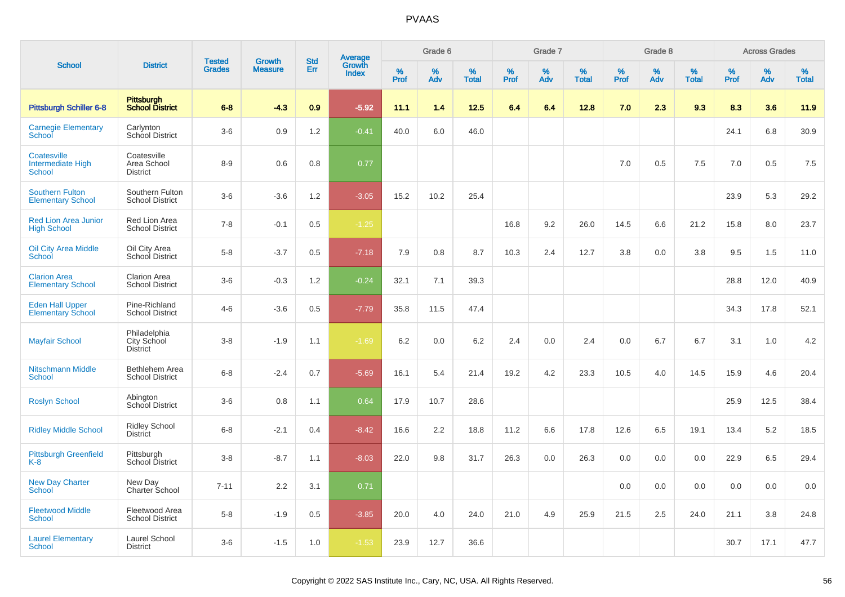|                                                    |                                                |                                | <b>Growth</b>  | <b>Std</b> |                                          |                  | Grade 6     |                   |              | Grade 7     |                      |              | Grade 8  |                   |              | <b>Across Grades</b> |                   |
|----------------------------------------------------|------------------------------------------------|--------------------------------|----------------|------------|------------------------------------------|------------------|-------------|-------------------|--------------|-------------|----------------------|--------------|----------|-------------------|--------------|----------------------|-------------------|
| <b>School</b>                                      | <b>District</b>                                | <b>Tested</b><br><b>Grades</b> | <b>Measure</b> | Err        | <b>Average</b><br>Growth<br><b>Index</b> | %<br><b>Prof</b> | $\%$<br>Adv | %<br><b>Total</b> | $\%$<br>Prof | $\%$<br>Adv | $\%$<br><b>Total</b> | $\%$<br>Prof | %<br>Adv | %<br><b>Total</b> | $\%$<br>Prof | %<br>Adv             | %<br><b>Total</b> |
| <b>Pittsburgh Schiller 6-8</b>                     | <b>Pittsburgh</b><br><b>School District</b>    | $6 - 8$                        | $-4.3$         | 0.9        | $-5.92$                                  | 11.1             | 1.4         | 12.5              | 6.4          | 6.4         | 12.8                 | 7.0          | 2.3      | 9.3               | 8.3          | 3.6                  | 11.9              |
| <b>Carnegie Elementary</b><br>School               | Carlynton<br>School District                   | $3-6$                          | 0.9            | 1.2        | $-0.41$                                  | 40.0             | 6.0         | 46.0              |              |             |                      |              |          |                   | 24.1         | 6.8                  | 30.9              |
| Coatesville<br>Intermediate High<br><b>School</b>  | Coatesville<br>Area School<br><b>District</b>  | $8-9$                          | 0.6            | 0.8        | 0.77                                     |                  |             |                   |              |             |                      | 7.0          | 0.5      | 7.5               | 7.0          | 0.5                  | 7.5               |
| <b>Southern Fulton</b><br><b>Elementary School</b> | Southern Fulton<br><b>School District</b>      | $3-6$                          | $-3.6$         | 1.2        | $-3.05$                                  | 15.2             | 10.2        | 25.4              |              |             |                      |              |          |                   | 23.9         | 5.3                  | 29.2              |
| <b>Red Lion Area Junior</b><br><b>High School</b>  | Red Lion Area<br><b>School District</b>        | $7 - 8$                        | $-0.1$         | 0.5        | $-1.25$                                  |                  |             |                   | 16.8         | 9.2         | 26.0                 | 14.5         | 6.6      | 21.2              | 15.8         | 8.0                  | 23.7              |
| <b>Oil City Area Middle</b><br>School              | Oil City Area<br>School District               | $5 - 8$                        | $-3.7$         | 0.5        | $-7.18$                                  | 7.9              | 0.8         | 8.7               | 10.3         | 2.4         | 12.7                 | 3.8          | 0.0      | 3.8               | 9.5          | 1.5                  | 11.0              |
| <b>Clarion Area</b><br><b>Elementary School</b>    | Clarion Area<br><b>School District</b>         | $3-6$                          | $-0.3$         | 1.2        | $-0.24$                                  | 32.1             | 7.1         | 39.3              |              |             |                      |              |          |                   | 28.8         | 12.0                 | 40.9              |
| <b>Eden Hall Upper</b><br><b>Elementary School</b> | Pine-Richland<br><b>School District</b>        | $4 - 6$                        | $-3.6$         | 0.5        | $-7.79$                                  | 35.8             | 11.5        | 47.4              |              |             |                      |              |          |                   | 34.3         | 17.8                 | 52.1              |
| <b>Mayfair School</b>                              | Philadelphia<br>City School<br><b>District</b> | $3 - 8$                        | $-1.9$         | 1.1        | $-1.69$                                  | 6.2              | 0.0         | $6.2\,$           | 2.4          | 0.0         | 2.4                  | 0.0          | 6.7      | 6.7               | 3.1          | 1.0                  | $4.2\,$           |
| <b>Nitschmann Middle</b><br>School                 | Bethlehem Area<br><b>School District</b>       | $6 - 8$                        | $-2.4$         | 0.7        | $-5.69$                                  | 16.1             | 5.4         | 21.4              | 19.2         | 4.2         | 23.3                 | 10.5         | 4.0      | 14.5              | 15.9         | 4.6                  | 20.4              |
| <b>Roslyn School</b>                               | Abington<br>School District                    | $3-6$                          | 0.8            | 1.1        | 0.64                                     | 17.9             | 10.7        | 28.6              |              |             |                      |              |          |                   | 25.9         | 12.5                 | 38.4              |
| <b>Ridley Middle School</b>                        | <b>Ridley School</b><br><b>District</b>        | $6 - 8$                        | $-2.1$         | 0.4        | $-8.42$                                  | 16.6             | 2.2         | 18.8              | 11.2         | 6.6         | 17.8                 | 12.6         | 6.5      | 19.1              | 13.4         | 5.2                  | 18.5              |
| <b>Pittsburgh Greenfield</b><br>$K-8$              | Pittsburgh<br>School District                  | $3 - 8$                        | $-8.7$         | 1.1        | $-8.03$                                  | 22.0             | 9.8         | 31.7              | 26.3         | 0.0         | 26.3                 | 0.0          | 0.0      | 0.0               | 22.9         | 6.5                  | 29.4              |
| <b>New Day Charter</b><br><b>School</b>            | New Day<br>Charter School                      | $7 - 11$                       | 2.2            | 3.1        | 0.71                                     |                  |             |                   |              |             |                      | 0.0          | 0.0      | 0.0               | 0.0          | 0.0                  | 0.0               |
| <b>Fleetwood Middle</b><br><b>School</b>           | Fleetwood Area<br><b>School District</b>       | $5-8$                          | $-1.9$         | 0.5        | $-3.85$                                  | 20.0             | 4.0         | 24.0              | 21.0         | 4.9         | 25.9                 | 21.5         | 2.5      | 24.0              | 21.1         | 3.8                  | 24.8              |
| <b>Laurel Elementary</b><br>School                 | Laurel School<br><b>District</b>               | $3-6$                          | $-1.5$         | 1.0        | $-1.53$                                  | 23.9             | 12.7        | 36.6              |              |             |                      |              |          |                   | 30.7         | 17.1                 | 47.7              |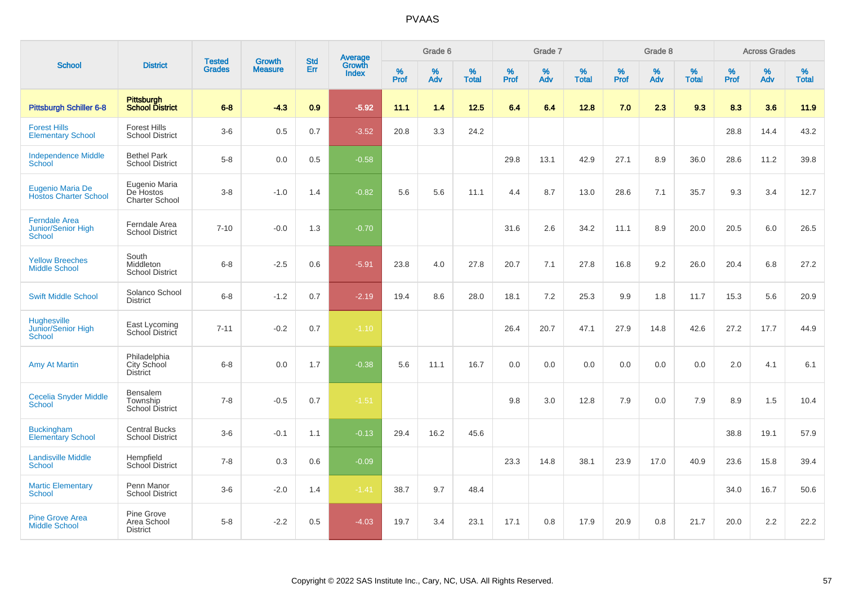| <b>School</b>                                               |                                                |                                | <b>Growth</b>  | <b>Std</b> |                                   |                     | Grade 6     |                   |              | Grade 7     |                   |              | Grade 8     |                   |              | <b>Across Grades</b> |                   |
|-------------------------------------------------------------|------------------------------------------------|--------------------------------|----------------|------------|-----------------------------------|---------------------|-------------|-------------------|--------------|-------------|-------------------|--------------|-------------|-------------------|--------------|----------------------|-------------------|
|                                                             | <b>District</b>                                | <b>Tested</b><br><b>Grades</b> | <b>Measure</b> | <b>Err</b> | Average<br>Growth<br><b>Index</b> | $\%$<br><b>Prof</b> | $\%$<br>Adv | %<br><b>Total</b> | $\%$<br>Prof | $\%$<br>Adv | %<br><b>Total</b> | $\%$<br>Prof | $\%$<br>Adv | %<br><b>Total</b> | $\%$<br>Prof | $\%$<br>Adv          | %<br><b>Total</b> |
| <b>Pittsburgh Schiller 6-8</b>                              | Pittsburgh<br><b>School District</b>           | $6 - 8$                        | $-4.3$         | 0.9        | $-5.92$                           | 11.1                | 1.4         | 12.5              | 6.4          | 6.4         | 12.8              | 7.0          | 2.3         | 9.3               | 8.3          | 3.6                  | 11.9              |
| <b>Forest Hills</b><br><b>Elementary School</b>             | <b>Forest Hills</b><br><b>School District</b>  | $3-6$                          | 0.5            | 0.7        | $-3.52$                           | 20.8                | 3.3         | 24.2              |              |             |                   |              |             |                   | 28.8         | 14.4                 | 43.2              |
| <b>Independence Middle</b><br>School                        | <b>Bethel Park</b><br><b>School District</b>   | $5-8$                          | 0.0            | 0.5        | $-0.58$                           |                     |             |                   | 29.8         | 13.1        | 42.9              | 27.1         | 8.9         | 36.0              | 28.6         | 11.2                 | 39.8              |
| Eugenio Maria De<br><b>Hostos Charter School</b>            | Eugenio Maria<br>De Hostos<br>Charter School   | $3 - 8$                        | $-1.0$         | 1.4        | $-0.82$                           | 5.6                 | 5.6         | 11.1              | 4.4          | 8.7         | 13.0              | 28.6         | 7.1         | 35.7              | 9.3          | 3.4                  | 12.7              |
| <b>Ferndale Area</b><br><b>Junior/Senior High</b><br>School | Ferndale Area<br><b>School District</b>        | $7 - 10$                       | $-0.0$         | 1.3        | $-0.70$                           |                     |             |                   | 31.6         | 2.6         | 34.2              | 11.1         | 8.9         | 20.0              | 20.5         | 6.0                  | 26.5              |
| <b>Yellow Breeches</b><br><b>Middle School</b>              | South<br>Middleton<br><b>School District</b>   | $6 - 8$                        | $-2.5$         | 0.6        | $-5.91$                           | 23.8                | 4.0         | 27.8              | 20.7         | 7.1         | 27.8              | 16.8         | 9.2         | 26.0              | 20.4         | 6.8                  | 27.2              |
| <b>Swift Middle School</b>                                  | Solanco School<br><b>District</b>              | $6 - 8$                        | $-1.2$         | 0.7        | $-2.19$                           | 19.4                | 8.6         | 28.0              | 18.1         | 7.2         | 25.3              | 9.9          | 1.8         | 11.7              | 15.3         | 5.6                  | 20.9              |
| Hughesville<br>Junior/Senior High<br>School                 | East Lycoming<br>School District               | $7 - 11$                       | $-0.2$         | 0.7        | $-1.10$                           |                     |             |                   | 26.4         | 20.7        | 47.1              | 27.9         | 14.8        | 42.6              | 27.2         | 17.7                 | 44.9              |
| <b>Amy At Martin</b>                                        | Philadelphia<br>City School<br><b>District</b> | $6 - 8$                        | 0.0            | 1.7        | $-0.38$                           | 5.6                 | 11.1        | 16.7              | 0.0          | 0.0         | 0.0               | 0.0          | 0.0         | 0.0               | 2.0          | 4.1                  | 6.1               |
| <b>Cecelia Snyder Middle</b><br>School                      | Bensalem<br>Township<br><b>School District</b> | $7 - 8$                        | $-0.5$         | 0.7        | $-1.51$                           |                     |             |                   | 9.8          | 3.0         | 12.8              | 7.9          | 0.0         | 7.9               | 8.9          | 1.5                  | 10.4              |
| <b>Buckingham</b><br><b>Elementary School</b>               | <b>Central Bucks</b><br><b>School District</b> | $3-6$                          | $-0.1$         | 1.1        | $-0.13$                           | 29.4                | 16.2        | 45.6              |              |             |                   |              |             |                   | 38.8         | 19.1                 | 57.9              |
| <b>Landisville Middle</b><br><b>School</b>                  | Hempfield<br>School District                   | $7 - 8$                        | 0.3            | 0.6        | $-0.09$                           |                     |             |                   | 23.3         | 14.8        | 38.1              | 23.9         | 17.0        | 40.9              | 23.6         | 15.8                 | 39.4              |
| <b>Martic Elementary</b><br>School                          | Penn Manor<br><b>School District</b>           | $3-6$                          | $-2.0$         | 1.4        | $-1.41$                           | 38.7                | 9.7         | 48.4              |              |             |                   |              |             |                   | 34.0         | 16.7                 | 50.6              |
| <b>Pine Grove Area</b><br><b>Middle School</b>              | Pine Grove<br>Area School<br><b>District</b>   | $5 - 8$                        | $-2.2$         | 0.5        | $-4.03$                           | 19.7                | 3.4         | 23.1              | 17.1         | 0.8         | 17.9              | 20.9         | 0.8         | 21.7              | 20.0         | 2.2                  | 22.2              |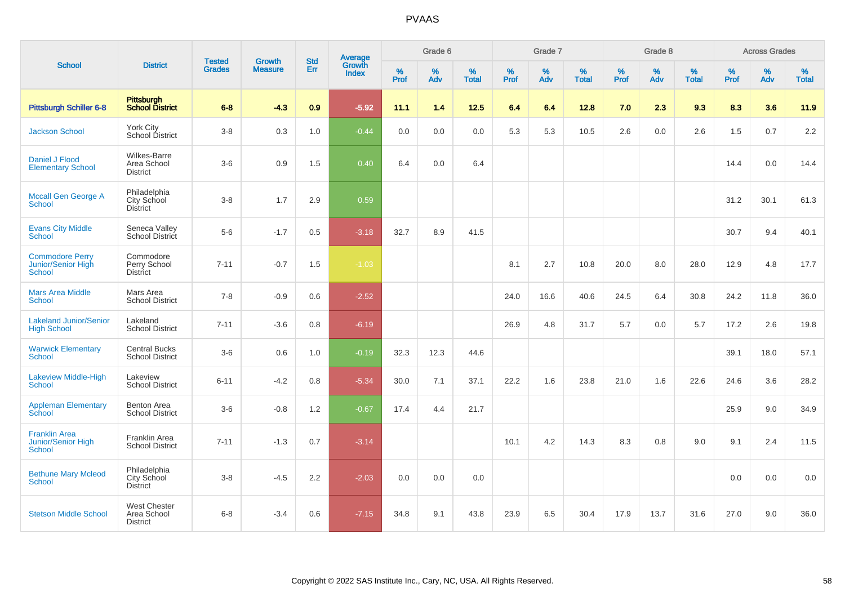|                                                               |                                                       | <b>Tested</b> | <b>Growth</b>  | <b>Std</b> |                                          |           | Grade 6     |                   |                     | Grade 7  |                   |              | Grade 8  |                   |              | <b>Across Grades</b> |                   |
|---------------------------------------------------------------|-------------------------------------------------------|---------------|----------------|------------|------------------------------------------|-----------|-------------|-------------------|---------------------|----------|-------------------|--------------|----------|-------------------|--------------|----------------------|-------------------|
| <b>School</b>                                                 | <b>District</b>                                       | <b>Grades</b> | <b>Measure</b> | Err        | <b>Average</b><br>Growth<br><b>Index</b> | %<br>Prof | $\%$<br>Adv | %<br><b>Total</b> | $\%$<br><b>Prof</b> | %<br>Adv | %<br><b>Total</b> | $\%$<br>Prof | %<br>Adv | %<br><b>Total</b> | $\%$<br>Prof | $\%$<br>Adv          | %<br><b>Total</b> |
| <b>Pittsburgh Schiller 6-8</b>                                | Pittsburgh<br>School District                         | $6 - 8$       | $-4.3$         | 0.9        | $-5.92$                                  | 11.1      | 1.4         | $12.5$            | 6.4                 | 6.4      | 12.8              | 7.0          | 2.3      | 9.3               | 8.3          | 3.6                  | 11.9              |
| <b>Jackson School</b>                                         | York City<br>School District                          | $3-8$         | 0.3            | 1.0        | $-0.44$                                  | 0.0       | 0.0         | 0.0               | 5.3                 | 5.3      | 10.5              | 2.6          | 0.0      | 2.6               | 1.5          | 0.7                  | 2.2               |
| Daniel J Flood<br><b>Elementary School</b>                    | Wilkes-Barre<br>Area School<br><b>District</b>        | $3-6$         | $0.9\,$        | 1.5        | 0.40                                     | 6.4       | 0.0         | 6.4               |                     |          |                   |              |          |                   | 14.4         | 0.0                  | 14.4              |
| <b>Mccall Gen George A</b><br><b>School</b>                   | Philadelphia<br>City School<br><b>District</b>        | $3 - 8$       | 1.7            | 2.9        | 0.59                                     |           |             |                   |                     |          |                   |              |          |                   | 31.2         | 30.1                 | 61.3              |
| <b>Evans City Middle</b><br><b>School</b>                     | Seneca Valley<br>School District                      | $5-6$         | $-1.7$         | 0.5        | $-3.18$                                  | 32.7      | 8.9         | 41.5              |                     |          |                   |              |          |                   | 30.7         | 9.4                  | 40.1              |
| <b>Commodore Perry</b><br>Junior/Senior High<br><b>School</b> | Commodore<br>Perry School<br><b>District</b>          | $7 - 11$      | $-0.7$         | 1.5        | $-1.03$                                  |           |             |                   | 8.1                 | 2.7      | 10.8              | 20.0         | 8.0      | 28.0              | 12.9         | 4.8                  | 17.7              |
| <b>Mars Area Middle</b><br><b>School</b>                      | Mars Area<br><b>School District</b>                   | $7 - 8$       | $-0.9$         | 0.6        | $-2.52$                                  |           |             |                   | 24.0                | 16.6     | 40.6              | 24.5         | 6.4      | 30.8              | 24.2         | 11.8                 | 36.0              |
| <b>Lakeland Junior/Senior</b><br><b>High School</b>           | Lakeland<br><b>School District</b>                    | $7 - 11$      | $-3.6$         | 0.8        | $-6.19$                                  |           |             |                   | 26.9                | 4.8      | 31.7              | 5.7          | 0.0      | 5.7               | 17.2         | 2.6                  | 19.8              |
| <b>Warwick Elementary</b><br>School                           | <b>Central Bucks</b><br><b>School District</b>        | $3-6$         | 0.6            | 1.0        | $-0.19$                                  | 32.3      | 12.3        | 44.6              |                     |          |                   |              |          |                   | 39.1         | 18.0                 | 57.1              |
| <b>Lakeview Middle-High</b><br><b>School</b>                  | Lakeview<br><b>School District</b>                    | $6 - 11$      | $-4.2$         | 0.8        | $-5.34$                                  | 30.0      | 7.1         | 37.1              | 22.2                | 1.6      | 23.8              | 21.0         | 1.6      | 22.6              | 24.6         | 3.6                  | 28.2              |
| <b>Appleman Elementary</b><br>School                          | <b>Benton Area</b><br><b>School District</b>          | $3-6$         | $-0.8$         | 1.2        | $-0.67$                                  | 17.4      | 4.4         | 21.7              |                     |          |                   |              |          |                   | 25.9         | 9.0                  | 34.9              |
| <b>Franklin Area</b><br>Junior/Senior High<br><b>School</b>   | Franklin Area<br><b>School District</b>               | $7 - 11$      | $-1.3$         | 0.7        | $-3.14$                                  |           |             |                   | 10.1                | 4.2      | 14.3              | 8.3          | 0.8      | 9.0               | 9.1          | 2.4                  | 11.5              |
| <b>Bethune Mary Mcleod</b><br><b>School</b>                   | Philadelphia<br>City School<br>District               | $3 - 8$       | $-4.5$         | 2.2        | $-2.03$                                  | 0.0       | 0.0         | 0.0               |                     |          |                   |              |          |                   | 0.0          | 0.0                  | 0.0               |
| <b>Stetson Middle School</b>                                  | <b>West Chester</b><br>Area School<br><b>District</b> | $6 - 8$       | $-3.4$         | 0.6        | $-7.15$                                  | 34.8      | 9.1         | 43.8              | 23.9                | 6.5      | 30.4              | 17.9         | 13.7     | 31.6              | 27.0         | 9.0                  | 36.0              |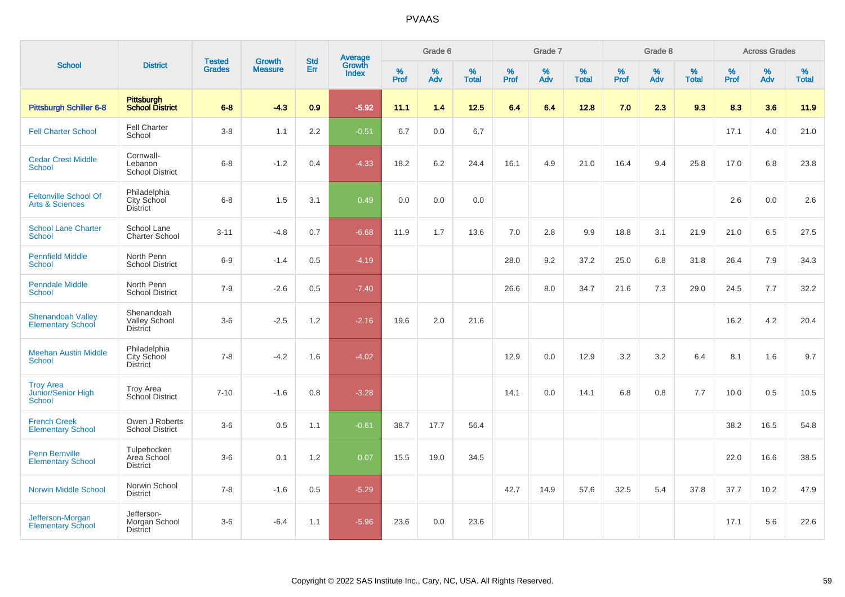|                                                            |                                                       | <b>Tested</b> | Growth         | <b>Std</b> |                                          |           | Grade 6  |                   |           | Grade 7  |                   |           | Grade 8  |                   |           | <b>Across Grades</b> |                   |
|------------------------------------------------------------|-------------------------------------------------------|---------------|----------------|------------|------------------------------------------|-----------|----------|-------------------|-----------|----------|-------------------|-----------|----------|-------------------|-----------|----------------------|-------------------|
| <b>School</b>                                              | <b>District</b>                                       | <b>Grades</b> | <b>Measure</b> | Err        | <b>Average</b><br>Growth<br><b>Index</b> | %<br>Prof | %<br>Adv | %<br><b>Total</b> | %<br>Prof | %<br>Adv | %<br><b>Total</b> | %<br>Prof | %<br>Adv | %<br><b>Total</b> | %<br>Prof | %<br>Adv             | %<br><b>Total</b> |
| Pittsburgh Schiller 6-8                                    | Pittsburgh<br>School District                         | $6 - 8$       | $-4.3$         | 0.9        | $-5.92$                                  | 11.1      | 1.4      | 12.5              | 6.4       | 6.4      | 12.8              | 7.0       | 2.3      | 9.3               | 8.3       | 3.6                  | 11.9              |
| <b>Fell Charter School</b>                                 | <b>Fell Charter</b><br>School                         | $3-8$         | 1.1            | 2.2        | $-0.51$                                  | 6.7       | 0.0      | 6.7               |           |          |                   |           |          |                   | 17.1      | 4.0                  | 21.0              |
| <b>Cedar Crest Middle</b><br><b>School</b>                 | Cornwall-<br>Lebanon<br><b>School District</b>        | $6 - 8$       | $-1.2$         | 0.4        | $-4.33$                                  | 18.2      | 6.2      | 24.4              | 16.1      | 4.9      | 21.0              | 16.4      | 9.4      | 25.8              | 17.0      | 6.8                  | 23.8              |
| <b>Feltonville School Of</b><br><b>Arts &amp; Sciences</b> | Philadelphia<br>City School<br><b>District</b>        | $6 - 8$       | 1.5            | 3.1        | 0.49                                     | 0.0       | 0.0      | 0.0               |           |          |                   |           |          |                   | 2.6       | 0.0                  | 2.6               |
| <b>School Lane Charter</b><br><b>School</b>                | School Lane<br><b>Charter School</b>                  | $3 - 11$      | $-4.8$         | 0.7        | $-6.68$                                  | 11.9      | 1.7      | 13.6              | 7.0       | 2.8      | 9.9               | 18.8      | 3.1      | 21.9              | 21.0      | 6.5                  | 27.5              |
| <b>Pennfield Middle</b><br><b>School</b>                   | North Penn<br><b>School District</b>                  | $6-9$         | $-1.4$         | 0.5        | $-4.19$                                  |           |          |                   | 28.0      | 9.2      | 37.2              | 25.0      | 6.8      | 31.8              | 26.4      | 7.9                  | 34.3              |
| <b>Penndale Middle</b><br><b>School</b>                    | North Penn<br><b>School District</b>                  | $7 - 9$       | $-2.6$         | 0.5        | $-7.40$                                  |           |          |                   | 26.6      | 8.0      | 34.7              | 21.6      | 7.3      | 29.0              | 24.5      | 7.7                  | 32.2              |
| <b>Shenandoah Valley</b><br><b>Elementary School</b>       | Shenandoah<br><b>Valley School</b><br><b>District</b> | $3-6$         | $-2.5$         | 1.2        | $-2.16$                                  | 19.6      | 2.0      | 21.6              |           |          |                   |           |          |                   | 16.2      | 4.2                  | 20.4              |
| <b>Meehan Austin Middle</b><br><b>School</b>               | Philadelphia<br>City School<br><b>District</b>        | $7 - 8$       | $-4.2$         | 1.6        | $-4.02$                                  |           |          |                   | 12.9      | 0.0      | 12.9              | $3.2\,$   | 3.2      | 6.4               | 8.1       | 1.6                  | 9.7               |
| <b>Troy Area</b><br>Junior/Senior High<br><b>School</b>    | <b>Troy Area</b><br>School District                   | $7 - 10$      | $-1.6$         | 0.8        | $-3.28$                                  |           |          |                   | 14.1      | 0.0      | 14.1              | 6.8       | 0.8      | 7.7               | 10.0      | 0.5                  | 10.5              |
| <b>French Creek</b><br><b>Elementary School</b>            | Owen J Roberts<br><b>School District</b>              | $3-6$         | 0.5            | 1.1        | $-0.61$                                  | 38.7      | 17.7     | 56.4              |           |          |                   |           |          |                   | 38.2      | 16.5                 | 54.8              |
| <b>Penn Bernville</b><br><b>Elementary School</b>          | Tulpehocken<br>Area School<br><b>District</b>         | $3-6$         | 0.1            | 1.2        | 0.07                                     | 15.5      | 19.0     | 34.5              |           |          |                   |           |          |                   | 22.0      | 16.6                 | 38.5              |
| <b>Norwin Middle School</b>                                | Norwin School<br><b>District</b>                      | $7 - 8$       | $-1.6$         | 0.5        | $-5.29$                                  |           |          |                   | 42.7      | 14.9     | 57.6              | 32.5      | 5.4      | 37.8              | 37.7      | 10.2                 | 47.9              |
| Jefferson-Morgan<br><b>Elementary School</b>               | Jefferson-<br>Morgan School<br><b>District</b>        | $3-6$         | $-6.4$         | 1.1        | $-5.96$                                  | 23.6      | 0.0      | 23.6              |           |          |                   |           |          |                   | 17.1      | 5.6                  | 22.6              |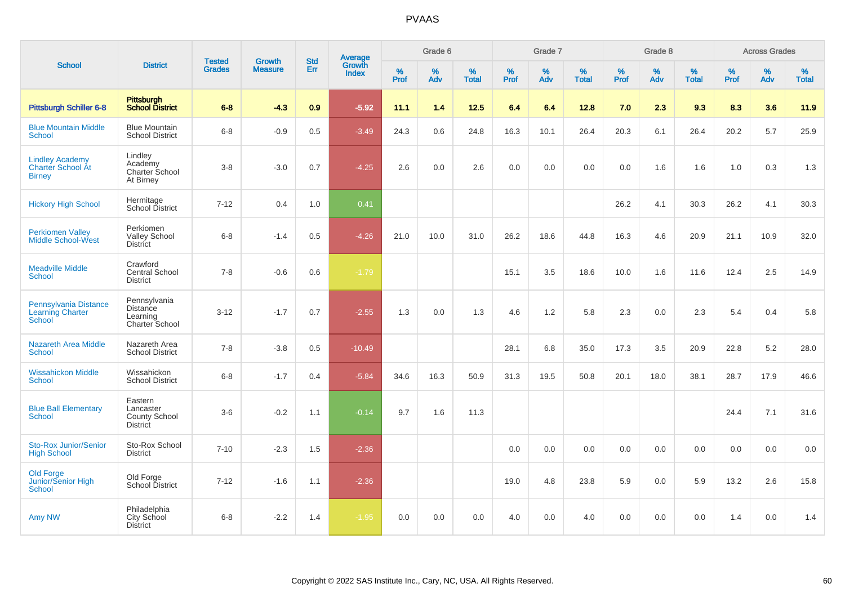|                                                              |                                                          |                                |                                 | <b>Std</b> |                                          |           | Grade 6  |                   |           | Grade 7  |                   |           | Grade 8  |                   |           | <b>Across Grades</b> |                   |
|--------------------------------------------------------------|----------------------------------------------------------|--------------------------------|---------------------------------|------------|------------------------------------------|-----------|----------|-------------------|-----------|----------|-------------------|-----------|----------|-------------------|-----------|----------------------|-------------------|
| <b>School</b>                                                | <b>District</b>                                          | <b>Tested</b><br><b>Grades</b> | <b>Growth</b><br><b>Measure</b> | Err        | <b>Average</b><br>Growth<br><b>Index</b> | %<br>Prof | %<br>Adv | %<br><b>Total</b> | %<br>Prof | %<br>Adv | %<br><b>Total</b> | %<br>Prof | %<br>Adv | %<br><b>Total</b> | %<br>Prof | %<br>Adv             | %<br><b>Total</b> |
| <b>Pittsburgh Schiller 6-8</b>                               | Pittsburgh<br>School District                            | $6 - 8$                        | $-4.3$                          | 0.9        | $-5.92$                                  | 11.1      | 1.4      | 12.5              | 6.4       | 6.4      | 12.8              | 7.0       | 2.3      | 9.3               | 8.3       | 3.6                  | 11.9              |
| <b>Blue Mountain Middle</b><br><b>School</b>                 | <b>Blue Mountain</b><br><b>School District</b>           | $6 - 8$                        | $-0.9$                          | 0.5        | $-3.49$                                  | 24.3      | 0.6      | 24.8              | 16.3      | 10.1     | 26.4              | 20.3      | 6.1      | 26.4              | 20.2      | 5.7                  | 25.9              |
| <b>Lindley Academy</b><br>Charter School Át<br><b>Birney</b> | Lindley<br>Academy<br>Charter School<br>At Birney        | $3-8$                          | $-3.0$                          | 0.7        | $-4.25$                                  | 2.6       | 0.0      | 2.6               | 0.0       | 0.0      | 0.0               | 0.0       | 1.6      | 1.6               | 1.0       | 0.3                  | 1.3               |
| <b>Hickory High School</b>                                   | Hermitage<br>School District                             | $7 - 12$                       | 0.4                             | 1.0        | 0.41                                     |           |          |                   |           |          |                   | 26.2      | 4.1      | 30.3              | 26.2      | 4.1                  | 30.3              |
| <b>Perkiomen Valley</b><br><b>Middle School-West</b>         | Perkiomen<br><b>Valley School</b><br><b>District</b>     | $6 - 8$                        | $-1.4$                          | 0.5        | $-4.26$                                  | 21.0      | 10.0     | 31.0              | 26.2      | 18.6     | 44.8              | 16.3      | 4.6      | 20.9              | 21.1      | 10.9                 | 32.0              |
| <b>Meadville Middle</b><br><b>School</b>                     | Crawford<br>Central School<br><b>District</b>            | $7 - 8$                        | $-0.6$                          | 0.6        | $-1.79$                                  |           |          |                   | 15.1      | 3.5      | 18.6              | 10.0      | 1.6      | 11.6              | 12.4      | 2.5                  | 14.9              |
| Pennsylvania Distance<br>Learning Charter<br><b>School</b>   | Pennsylvania<br>Distance<br>Learning<br>Charter School   | $3 - 12$                       | $-1.7$                          | 0.7        | $-2.55$                                  | 1.3       | 0.0      | 1.3               | 4.6       | 1.2      | 5.8               | 2.3       | 0.0      | 2.3               | 5.4       | 0.4                  | 5.8               |
| <b>Nazareth Area Middle</b><br><b>School</b>                 | Nazareth Area<br><b>School District</b>                  | $7 - 8$                        | $-3.8$                          | 0.5        | $-10.49$                                 |           |          |                   | 28.1      | 6.8      | 35.0              | 17.3      | 3.5      | 20.9              | 22.8      | 5.2                  | 28.0              |
| <b>Wissahickon Middle</b><br><b>School</b>                   | Wissahickon<br><b>School District</b>                    | $6 - 8$                        | $-1.7$                          | 0.4        | $-5.84$                                  | 34.6      | 16.3     | 50.9              | 31.3      | 19.5     | 50.8              | 20.1      | 18.0     | 38.1              | 28.7      | 17.9                 | 46.6              |
| <b>Blue Ball Elementary</b><br><b>School</b>                 | Eastern<br>Lancaster<br>County School<br><b>District</b> | $3-6$                          | $-0.2$                          | 1.1        | $-0.14$                                  | 9.7       | 1.6      | 11.3              |           |          |                   |           |          |                   | 24.4      | 7.1                  | 31.6              |
| Sto-Rox Junior/Senior<br><b>High School</b>                  | Sto-Rox School<br><b>District</b>                        | $7 - 10$                       | $-2.3$                          | 1.5        | $-2.36$                                  |           |          |                   | 0.0       | 0.0      | 0.0               | 0.0       | 0.0      | 0.0               | 0.0       | 0.0                  | 0.0               |
| <b>Old Forge</b><br>Junior/Senior High<br><b>School</b>      | Old Forge<br>School District                             | $7 - 12$                       | $-1.6$                          | 1.1        | $-2.36$                                  |           |          |                   | 19.0      | 4.8      | 23.8              | 5.9       | 0.0      | 5.9               | 13.2      | 2.6                  | 15.8              |
| Amy NW                                                       | Philadelphia<br><b>City School</b><br><b>District</b>    | $6-8$                          | $-2.2$                          | 1.4        | $-1.95$                                  | 0.0       | 0.0      | 0.0               | 4.0       | 0.0      | 4.0               | 0.0       | 0.0      | 0.0               | 1.4       | 0.0                  | 1.4               |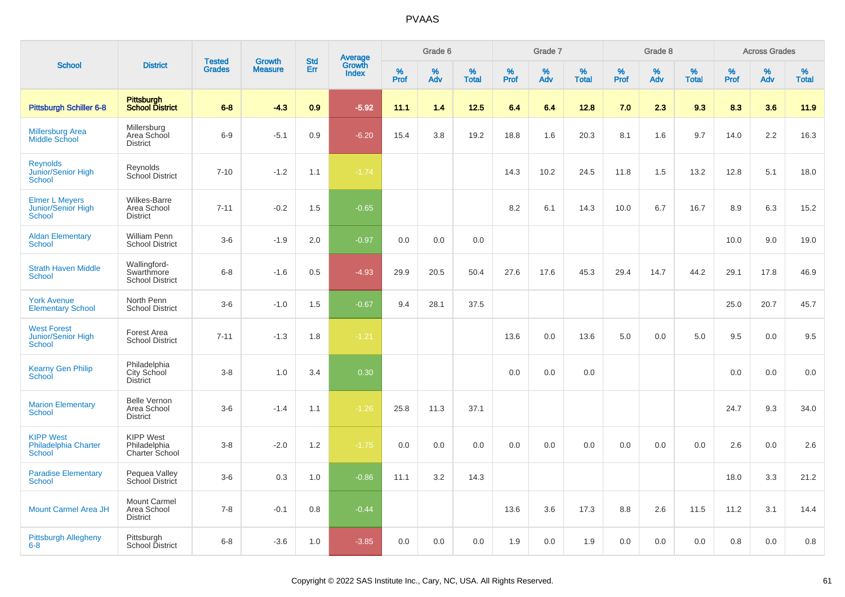|                                                              |                                                       |                                |                                 | <b>Std</b> |                                          |                  | Grade 6  |                   |           | Grade 7  |                   |              | Grade 8  |                   |           | <b>Across Grades</b> |                   |
|--------------------------------------------------------------|-------------------------------------------------------|--------------------------------|---------------------------------|------------|------------------------------------------|------------------|----------|-------------------|-----------|----------|-------------------|--------------|----------|-------------------|-----------|----------------------|-------------------|
| <b>School</b>                                                | <b>District</b>                                       | <b>Tested</b><br><b>Grades</b> | <b>Growth</b><br><b>Measure</b> | Err        | <b>Average</b><br>Growth<br><b>Index</b> | %<br><b>Prof</b> | %<br>Adv | %<br><b>Total</b> | %<br>Prof | %<br>Adv | %<br><b>Total</b> | $\%$<br>Prof | %<br>Adv | %<br><b>Total</b> | %<br>Prof | %<br>Adv             | %<br><b>Total</b> |
| <b>Pittsburgh Schiller 6-8</b>                               | <b>Pittsburgh</b><br><b>School District</b>           | $6 - 8$                        | $-4.3$                          | 0.9        | $-5.92$                                  | 11.1             | 1.4      | 12.5              | 6.4       | 6.4      | 12.8              | 7.0          | 2.3      | 9.3               | 8.3       | 3.6                  | 11.9              |
| <b>Millersburg Area</b><br>Middle School                     | Millersburg<br>Area School<br><b>District</b>         | $6-9$                          | $-5.1$                          | 0.9        | $-6.20$                                  | 15.4             | 3.8      | 19.2              | 18.8      | 1.6      | 20.3              | 8.1          | 1.6      | 9.7               | 14.0      | 2.2                  | 16.3              |
| <b>Reynolds</b><br>Junior/Senior High<br>School              | Reynolds<br>School District                           | $7 - 10$                       | $-1.2$                          | 1.1        | $-1.74$                                  |                  |          |                   | 14.3      | 10.2     | 24.5              | 11.8         | 1.5      | 13.2              | 12.8      | 5.1                  | 18.0              |
| <b>Elmer L Meyers</b><br><b>Junior/Senior High</b><br>School | <b>Wilkes-Barre</b><br>Area School<br><b>District</b> | $7 - 11$                       | $-0.2$                          | 1.5        | $-0.65$                                  |                  |          |                   | 8.2       | 6.1      | 14.3              | 10.0         | 6.7      | 16.7              | 8.9       | 6.3                  | 15.2              |
| <b>Aldan Elementary</b><br><b>School</b>                     | <b>William Penn</b><br><b>School District</b>         | $3-6$                          | $-1.9$                          | 2.0        | $-0.97$                                  | 0.0              | 0.0      | 0.0               |           |          |                   |              |          |                   | 10.0      | 9.0                  | 19.0              |
| <b>Strath Haven Middle</b><br><b>School</b>                  | Wallingford-<br>Swarthmore<br><b>School District</b>  | $6 - 8$                        | $-1.6$                          | 0.5        | $-4.93$                                  | 29.9             | 20.5     | 50.4              | 27.6      | 17.6     | 45.3              | 29.4         | 14.7     | 44.2              | 29.1      | 17.8                 | 46.9              |
| <b>York Avenue</b><br><b>Elementary School</b>               | North Penn<br><b>School District</b>                  | $3-6$                          | $-1.0$                          | 1.5        | $-0.67$                                  | 9.4              | 28.1     | 37.5              |           |          |                   |              |          |                   | 25.0      | 20.7                 | 45.7              |
| <b>West Forest</b><br>Junior/Senior High<br><b>School</b>    | Forest Area<br><b>School District</b>                 | $7 - 11$                       | $-1.3$                          | 1.8        | $-1.21$                                  |                  |          |                   | 13.6      | 0.0      | 13.6              | 5.0          | 0.0      | 5.0               | 9.5       | 0.0                  | 9.5               |
| <b>Kearny Gen Philip</b><br>School                           | Philadelphia<br>City School<br><b>District</b>        | $3-8$                          | 1.0                             | 3.4        | 0.30                                     |                  |          |                   | 0.0       | 0.0      | 0.0               |              |          |                   | 0.0       | 0.0                  | 0.0               |
| <b>Marion Elementary</b><br><b>School</b>                    | <b>Belle Vernon</b><br>Area School<br><b>District</b> | $3-6$                          | $-1.4$                          | 1.1        | $-1.26$                                  | 25.8             | 11.3     | 37.1              |           |          |                   |              |          |                   | 24.7      | 9.3                  | 34.0              |
| <b>KIPP West</b><br>Philadelphia Charter<br><b>School</b>    | <b>KIPP West</b><br>Philadelphia<br>Charter School    | $3-8$                          | $-2.0$                          | 1.2        | $-1.75$                                  | 0.0              | 0.0      | 0.0               | 0.0       | 0.0      | 0.0               | 0.0          | 0.0      | 0.0               | 2.6       | 0.0                  | 2.6               |
| <b>Paradise Elementary</b><br><b>School</b>                  | Pequea Valley<br>School District                      | $3-6$                          | 0.3                             | 1.0        | $-0.86$                                  | 11.1             | 3.2      | 14.3              |           |          |                   |              |          |                   | 18.0      | 3.3                  | 21.2              |
| <b>Mount Carmel Area JH</b>                                  | Mount Carmel<br>Area School<br><b>District</b>        | $7 - 8$                        | $-0.1$                          | 0.8        | $-0.44$                                  |                  |          |                   | 13.6      | 3.6      | 17.3              | 8.8          | 2.6      | 11.5              | 11.2      | 3.1                  | 14.4              |
| <b>Pittsburgh Allegheny</b><br>$6 - 8$                       | Pittsburgh<br>School District                         | $6 - 8$                        | $-3.6$                          | 1.0        | $-3.85$                                  | 0.0              | 0.0      | 0.0               | 1.9       | 0.0      | 1.9               | 0.0          | 0.0      | 0.0               | 0.8       | 0.0                  | 0.8               |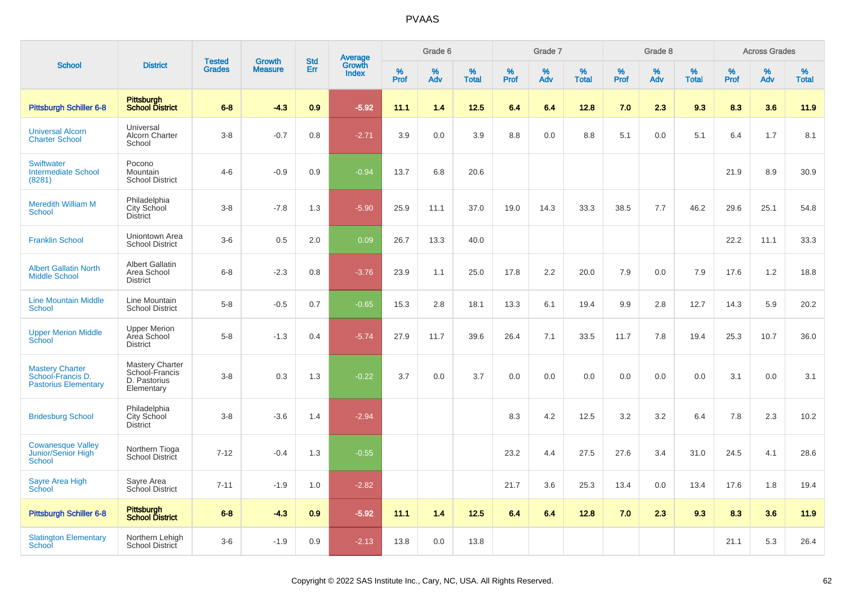|                                                                            |                                                                 | <b>Tested</b> | <b>Growth</b>  | <b>Std</b> |                                   |                  | Grade 6  |                   |           | Grade 7  |                   |           | Grade 8  |                   |           | <b>Across Grades</b> |                   |
|----------------------------------------------------------------------------|-----------------------------------------------------------------|---------------|----------------|------------|-----------------------------------|------------------|----------|-------------------|-----------|----------|-------------------|-----------|----------|-------------------|-----------|----------------------|-------------------|
| <b>School</b>                                                              | <b>District</b>                                                 | <b>Grades</b> | <b>Measure</b> | Err        | Average<br>Growth<br><b>Index</b> | %<br><b>Prof</b> | %<br>Adv | %<br><b>Total</b> | %<br>Prof | %<br>Adv | %<br><b>Total</b> | %<br>Prof | %<br>Adv | %<br><b>Total</b> | %<br>Prof | %<br>Adv             | %<br><b>Total</b> |
| <b>Pittsburgh Schiller 6-8</b>                                             | Pittsburgh<br><b>School District</b>                            | $6 - 8$       | $-4.3$         | 0.9        | $-5.92$                           | 11.1             | 1.4      | 12.5              | 6.4       | 6.4      | 12.8              | 7.0       | 2.3      | 9.3               | 8.3       | 3.6                  | 11.9              |
| <b>Universal Alcorn</b><br><b>Charter School</b>                           | Universal<br>Alcorn Charter<br>School                           | $3 - 8$       | $-0.7$         | 0.8        | $-2.71$                           | 3.9              | 0.0      | 3.9               | 8.8       | 0.0      | 8.8               | 5.1       | 0.0      | 5.1               | 6.4       | 1.7                  | 8.1               |
| <b>Swiftwater</b><br><b>Intermediate School</b><br>(8281)                  | Pocono<br>Mountain<br><b>School District</b>                    | $4 - 6$       | $-0.9$         | 0.9        | $-0.94$                           | 13.7             | 6.8      | 20.6              |           |          |                   |           |          |                   | 21.9      | 8.9                  | 30.9              |
| <b>Meredith William M</b><br>School                                        | Philadelphia<br>City School<br>District                         | $3 - 8$       | $-7.8$         | 1.3        | $-5.90$                           | 25.9             | 11.1     | 37.0              | 19.0      | 14.3     | 33.3              | 38.5      | 7.7      | 46.2              | 29.6      | 25.1                 | 54.8              |
| <b>Franklin School</b>                                                     | Uniontown Area<br><b>School District</b>                        | $3-6$         | 0.5            | 2.0        | 0.09                              | 26.7             | 13.3     | 40.0              |           |          |                   |           |          |                   | 22.2      | 11.1                 | 33.3              |
| <b>Albert Gallatin North</b><br><b>Middle School</b>                       | <b>Albert Gallatin</b><br>Area School<br><b>District</b>        | $6 - 8$       | $-2.3$         | 0.8        | $-3.76$                           | 23.9             | 1.1      | 25.0              | 17.8      | 2.2      | 20.0              | 7.9       | 0.0      | 7.9               | 17.6      | 1.2                  | 18.8              |
| <b>Line Mountain Middle</b><br>School                                      | Line Mountain<br><b>School District</b>                         | $5-8$         | $-0.5$         | 0.7        | $-0.65$                           | 15.3             | 2.8      | 18.1              | 13.3      | 6.1      | 19.4              | 9.9       | 2.8      | 12.7              | 14.3      | 5.9                  | 20.2              |
| <b>Upper Merion Middle</b><br><b>School</b>                                | <b>Upper Merion</b><br>Area School<br><b>District</b>           | $5-8$         | $-1.3$         | 0.4        | $-5.74$                           | 27.9             | 11.7     | 39.6              | 26.4      | 7.1      | 33.5              | 11.7      | 7.8      | 19.4              | 25.3      | 10.7                 | 36.0              |
| <b>Mastery Charter</b><br>School-Francis D.<br><b>Pastorius Elementary</b> | Mastery Charter<br>School-Francis<br>D. Pastorius<br>Elementary | $3 - 8$       | 0.3            | 1.3        | $-0.22$                           | 3.7              | 0.0      | 3.7               | 0.0       | 0.0      | 0.0               | 0.0       | 0.0      | 0.0               | 3.1       | 0.0                  | 3.1               |
| <b>Bridesburg School</b>                                                   | Philadelphia<br>City School<br>District                         | $3 - 8$       | $-3.6$         | 1.4        | $-2.94$                           |                  |          |                   | 8.3       | 4.2      | 12.5              | 3.2       | 3.2      | 6.4               | 7.8       | 2.3                  | 10.2              |
| <b>Cowanesque Valley</b><br><b>Junior/Senior High</b><br><b>School</b>     | Northern Tioga<br>School District                               | $7 - 12$      | $-0.4$         | 1.3        | $-0.55$                           |                  |          |                   | 23.2      | 4.4      | 27.5              | 27.6      | 3.4      | 31.0              | 24.5      | 4.1                  | 28.6              |
| Sayre Area High<br>School                                                  | Sayre Area<br>School District                                   | $7 - 11$      | $-1.9$         | 1.0        | $-2.82$                           |                  |          |                   | 21.7      | 3.6      | 25.3              | 13.4      | 0.0      | 13.4              | 17.6      | 1.8                  | 19.4              |
| Pittsburgh Schiller 6-8                                                    | Pittsburgh<br>School District                                   | $6 - 8$       | $-4.3$         | 0.9        | $-5.92$                           | 11.1             | 1.4      | 12.5              | 6.4       | 6.4      | 12.8              | 7.0       | 2.3      | 9.3               | 8.3       | 3.6                  | 11.9              |
| <b>Slatington Elementary</b><br>School                                     | Northern Lehigh<br>School District                              | $3-6$         | $-1.9$         | 0.9        | $-2.13$                           | 13.8             | 0.0      | 13.8              |           |          |                   |           |          |                   | 21.1      | 5.3                  | 26.4              |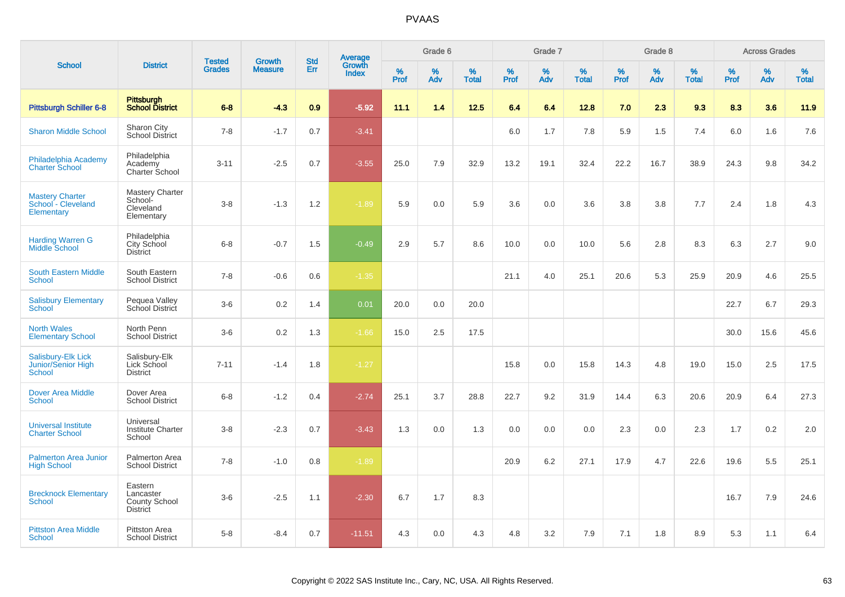|                                                                   |                                                                 |                                | <b>Growth</b>  | <b>Std</b> |                                          |                     | Grade 6     |                      |                     | Grade 7     |                      |                     | Grade 8     |                      |                     | <b>Across Grades</b> |                      |
|-------------------------------------------------------------------|-----------------------------------------------------------------|--------------------------------|----------------|------------|------------------------------------------|---------------------|-------------|----------------------|---------------------|-------------|----------------------|---------------------|-------------|----------------------|---------------------|----------------------|----------------------|
| <b>School</b>                                                     | <b>District</b>                                                 | <b>Tested</b><br><b>Grades</b> | <b>Measure</b> | Err        | <b>Average</b><br>Growth<br><b>Index</b> | $\%$<br><b>Prof</b> | $\%$<br>Adv | $\%$<br><b>Total</b> | $\%$<br><b>Prof</b> | $\%$<br>Adv | $\%$<br><b>Total</b> | $\%$<br><b>Prof</b> | $\%$<br>Adv | $\%$<br><b>Total</b> | $\%$<br><b>Prof</b> | $\%$<br>Adv          | $\%$<br><b>Total</b> |
| <b>Pittsburgh Schiller 6-8</b>                                    | <b>Pittsburgh</b><br><b>School District</b>                     | $6 - 8$                        | $-4.3$         | 0.9        | $-5.92$                                  | 11.1                | 1.4         | 12.5                 | 6.4                 | 6.4         | 12.8                 | 7.0                 | 2.3         | 9.3                  | 8.3                 | 3.6                  | 11.9                 |
| <b>Sharon Middle School</b>                                       | Sharon City<br><b>School District</b>                           | $7 - 8$                        | $-1.7$         | 0.7        | $-3.41$                                  |                     |             |                      | 6.0                 | 1.7         | 7.8                  | 5.9                 | 1.5         | 7.4                  | 6.0                 | 1.6                  | 7.6                  |
| Philadelphia Academy<br><b>Charter School</b>                     | Philadelphia<br>Academy<br>Charter School                       | $3 - 11$                       | $-2.5$         | 0.7        | $-3.55$                                  | 25.0                | 7.9         | 32.9                 | 13.2                | 19.1        | 32.4                 | 22.2                | 16.7        | 38.9                 | 24.3                | 9.8                  | 34.2                 |
| <b>Mastery Charter</b><br>School - Cleveland<br><b>Elementary</b> | <b>Mastery Charter</b><br>School-<br>Cleveland<br>Elementary    | $3 - 8$                        | $-1.3$         | 1.2        | $-1.89$                                  | 5.9                 | 0.0         | 5.9                  | 3.6                 | 0.0         | 3.6                  | 3.8                 | 3.8         | 7.7                  | 2.4                 | 1.8                  | 4.3                  |
| <b>Harding Warren G</b><br><b>Middle School</b>                   | Philadelphia<br>City School<br><b>District</b>                  | $6 - 8$                        | $-0.7$         | 1.5        | $-0.49$                                  | 2.9                 | 5.7         | 8.6                  | 10.0                | 0.0         | 10.0                 | 5.6                 | 2.8         | 8.3                  | 6.3                 | 2.7                  | 9.0                  |
| <b>South Eastern Middle</b><br><b>School</b>                      | South Eastern<br><b>School District</b>                         | $7 - 8$                        | $-0.6$         | 0.6        | $-1.35$                                  |                     |             |                      | 21.1                | 4.0         | 25.1                 | 20.6                | 5.3         | 25.9                 | 20.9                | 4.6                  | 25.5                 |
| <b>Salisbury Elementary</b><br><b>School</b>                      | Pequea Valley<br>School District                                | $3-6$                          | 0.2            | 1.4        | 0.01                                     | 20.0                | 0.0         | 20.0                 |                     |             |                      |                     |             |                      | 22.7                | 6.7                  | 29.3                 |
| <b>North Wales</b><br><b>Elementary School</b>                    | North Penn<br><b>School District</b>                            | $3-6$                          | 0.2            | 1.3        | $-1.66$                                  | 15.0                | 2.5         | 17.5                 |                     |             |                      |                     |             |                      | 30.0                | 15.6                 | 45.6                 |
| Salisbury-Elk Lick<br><b>Junior/Senior High</b><br><b>School</b>  | Salisbury-Elk<br>Lick School<br><b>District</b>                 | $7 - 11$                       | $-1.4$         | 1.8        | $-1.27$                                  |                     |             |                      | 15.8                | 0.0         | 15.8                 | 14.3                | 4.8         | 19.0                 | 15.0                | 2.5                  | 17.5                 |
| <b>Dover Area Middle</b><br><b>School</b>                         | Dover Area<br><b>School District</b>                            | $6 - 8$                        | $-1.2$         | 0.4        | $-2.74$                                  | 25.1                | 3.7         | 28.8                 | 22.7                | 9.2         | 31.9                 | 14.4                | 6.3         | 20.6                 | 20.9                | 6.4                  | 27.3                 |
| <b>Universal Institute</b><br><b>Charter School</b>               | Universal<br><b>Institute Charter</b><br>School                 | $3 - 8$                        | $-2.3$         | 0.7        | $-3.43$                                  | 1.3                 | 0.0         | 1.3                  | 0.0                 | 0.0         | 0.0                  | 2.3                 | 0.0         | 2.3                  | 1.7                 | 0.2                  | 2.0                  |
| <b>Palmerton Area Junior</b><br><b>High School</b>                | Palmerton Area<br><b>School District</b>                        | $7 - 8$                        | $-1.0$         | 0.8        | $-1.89$                                  |                     |             |                      | 20.9                | 6.2         | 27.1                 | 17.9                | 4.7         | 22.6                 | 19.6                | 5.5                  | 25.1                 |
| <b>Brecknock Elementary</b><br>School                             | Eastern<br>Lancaster<br><b>County School</b><br><b>District</b> | $3-6$                          | $-2.5$         | 1.1        | $-2.30$                                  | 6.7                 | 1.7         | 8.3                  |                     |             |                      |                     |             |                      | 16.7                | 7.9                  | 24.6                 |
| <b>Pittston Area Middle</b><br><b>School</b>                      | Pittston Area<br><b>School District</b>                         | $5-8$                          | $-8.4$         | 0.7        | $-11.51$                                 | 4.3                 | 0.0         | 4.3                  | 4.8                 | 3.2         | 7.9                  | 7.1                 | 1.8         | 8.9                  | 5.3                 | 1.1                  | 6.4                  |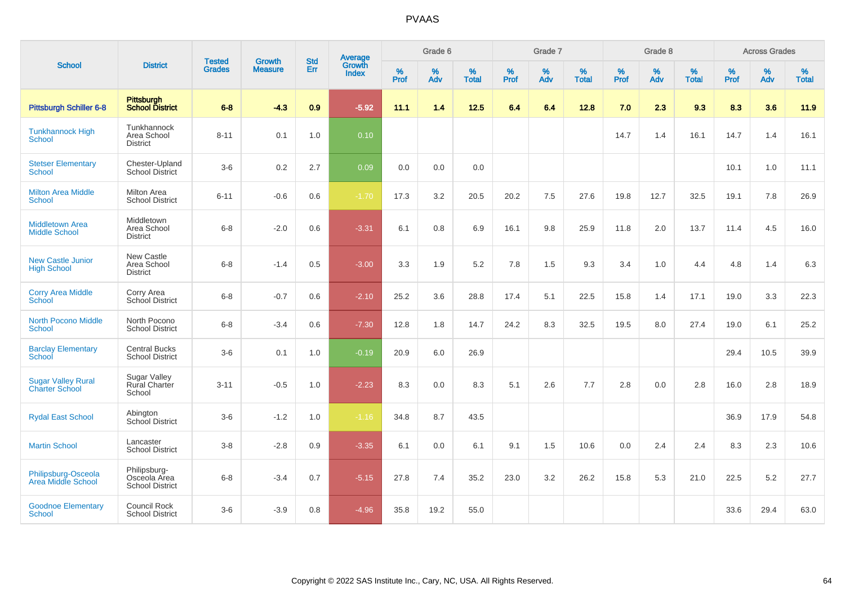| <b>School</b>                                      |                                                        |                                |                                 | <b>Std</b> |                                          |                     | Grade 6     |                   |                  | Grade 7     |                   |                     | Grade 8  |                      |              | <b>Across Grades</b> |                   |
|----------------------------------------------------|--------------------------------------------------------|--------------------------------|---------------------------------|------------|------------------------------------------|---------------------|-------------|-------------------|------------------|-------------|-------------------|---------------------|----------|----------------------|--------------|----------------------|-------------------|
|                                                    | <b>District</b>                                        | <b>Tested</b><br><b>Grades</b> | <b>Growth</b><br><b>Measure</b> | <b>Err</b> | <b>Average</b><br>Growth<br><b>Index</b> | $\%$<br><b>Prof</b> | $\%$<br>Adv | %<br><b>Total</b> | %<br><b>Prof</b> | $\%$<br>Adv | %<br><b>Total</b> | $\%$<br><b>Prof</b> | %<br>Adv | $\%$<br><b>Total</b> | $\%$<br>Prof | %<br>Adv             | %<br><b>Total</b> |
| <b>Pittsburgh Schiller 6-8</b>                     | Pittsburgh<br>School District                          | $6 - 8$                        | $-4.3$                          | 0.9        | $-5.92$                                  | 11.1                | 1.4         | $12.5$            | 6.4              | 6.4         | 12.8              | 7.0                 | 2.3      | 9.3                  | 8.3          | 3.6                  | 11.9              |
| <b>Tunkhannock High</b><br>School                  | Tunkhannock<br>Area School<br><b>District</b>          | $8 - 11$                       | 0.1                             | 1.0        | 0.10                                     |                     |             |                   |                  |             |                   | 14.7                | 1.4      | 16.1                 | 14.7         | 1.4                  | 16.1              |
| <b>Stetser Elementary</b><br><b>School</b>         | Chester-Upland<br><b>School District</b>               | $3-6$                          | 0.2                             | 2.7        | 0.09                                     | 0.0                 | 0.0         | 0.0               |                  |             |                   |                     |          |                      | 10.1         | 1.0                  | 11.1              |
| <b>Milton Area Middle</b><br>School                | <b>Milton Area</b><br><b>School District</b>           | $6 - 11$                       | $-0.6$                          | 0.6        | $-1.70$                                  | 17.3                | 3.2         | 20.5              | 20.2             | 7.5         | 27.6              | 19.8                | 12.7     | 32.5                 | 19.1         | 7.8                  | 26.9              |
| <b>Middletown Area</b><br><b>Middle School</b>     | Middletown<br>Area School<br><b>District</b>           | $6-8$                          | $-2.0$                          | 0.6        | $-3.31$                                  | 6.1                 | 0.8         | 6.9               | 16.1             | 9.8         | 25.9              | 11.8                | 2.0      | 13.7                 | 11.4         | 4.5                  | 16.0              |
| <b>New Castle Junior</b><br><b>High School</b>     | <b>New Castle</b><br>Area School<br><b>District</b>    | $6 - 8$                        | $-1.4$                          | 0.5        | $-3.00$                                  | 3.3                 | 1.9         | 5.2               | 7.8              | 1.5         | 9.3               | 3.4                 | 1.0      | 4.4                  | 4.8          | 1.4                  | 6.3               |
| <b>Corry Area Middle</b><br>School                 | Corry Area<br>School District                          | $6 - 8$                        | $-0.7$                          | 0.6        | $-2.10$                                  | 25.2                | 3.6         | 28.8              | 17.4             | 5.1         | 22.5              | 15.8                | 1.4      | 17.1                 | 19.0         | 3.3                  | 22.3              |
| <b>North Pocono Middle</b><br><b>School</b>        | North Pocono<br><b>School District</b>                 | $6 - 8$                        | $-3.4$                          | 0.6        | $-7.30$                                  | 12.8                | 1.8         | 14.7              | 24.2             | 8.3         | 32.5              | 19.5                | 8.0      | 27.4                 | 19.0         | 6.1                  | 25.2              |
| <b>Barclay Elementary</b><br>School                | <b>Central Bucks</b><br><b>School District</b>         | $3-6$                          | 0.1                             | 1.0        | $-0.19$                                  | 20.9                | 6.0         | 26.9              |                  |             |                   |                     |          |                      | 29.4         | 10.5                 | 39.9              |
| <b>Sugar Valley Rural</b><br><b>Charter School</b> | <b>Sugar Valley</b><br><b>Rural Charter</b><br>School  | $3 - 11$                       | $-0.5$                          | 1.0        | $-2.23$                                  | 8.3                 | 0.0         | 8.3               | 5.1              | 2.6         | 7.7               | 2.8                 | 0.0      | 2.8                  | 16.0         | 2.8                  | 18.9              |
| <b>Rydal East School</b>                           | Abington<br>School District                            | $3-6$                          | $-1.2$                          | 1.0        | $-1.16$                                  | 34.8                | 8.7         | 43.5              |                  |             |                   |                     |          |                      | 36.9         | 17.9                 | 54.8              |
| <b>Martin School</b>                               | Lancaster<br><b>School District</b>                    | $3 - 8$                        | $-2.8$                          | 0.9        | $-3.35$                                  | 6.1                 | 0.0         | 6.1               | 9.1              | 1.5         | 10.6              | 0.0                 | 2.4      | 2.4                  | 8.3          | 2.3                  | 10.6              |
| Philipsburg-Osceola<br>Area Middle School          | Philipsburg-<br>Osceola Area<br><b>School District</b> | $6 - 8$                        | $-3.4$                          | $0.7\,$    | $-5.15$                                  | 27.8                | 7.4         | 35.2              | 23.0             | 3.2         | 26.2              | 15.8                | 5.3      | 21.0                 | 22.5         | 5.2                  | 27.7              |
| <b>Goodnoe Elementary</b><br><b>School</b>         | Council Rock<br><b>School District</b>                 | $3-6$                          | $-3.9$                          | 0.8        | $-4.96$                                  | 35.8                | 19.2        | 55.0              |                  |             |                   |                     |          |                      | 33.6         | 29.4                 | 63.0              |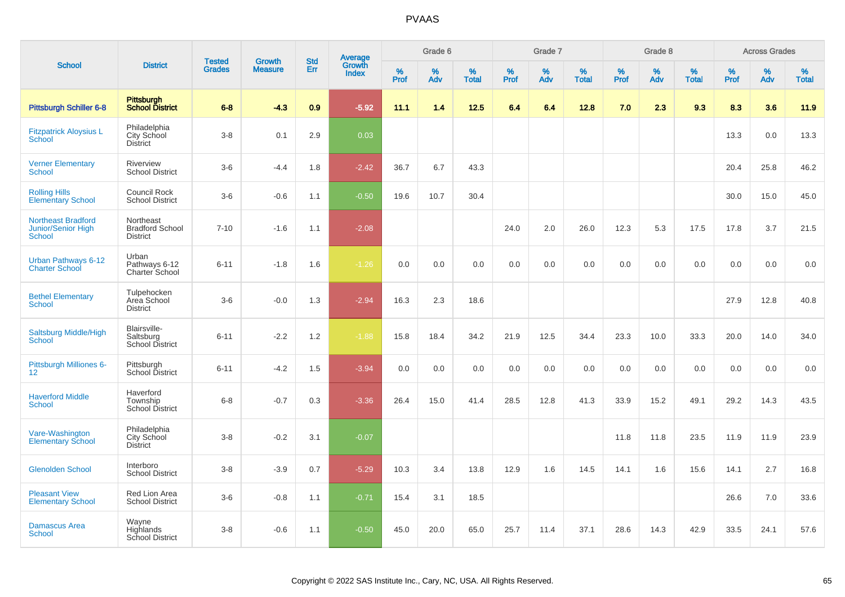|                                                                  |                                                        |                                | <b>Growth</b>  | <b>Std</b> |                                   |                  | Grade 6     |                   |              | Grade 7     |                      |                     | Grade 8  |                   |                     | <b>Across Grades</b> |                   |
|------------------------------------------------------------------|--------------------------------------------------------|--------------------------------|----------------|------------|-----------------------------------|------------------|-------------|-------------------|--------------|-------------|----------------------|---------------------|----------|-------------------|---------------------|----------------------|-------------------|
| <b>School</b>                                                    | <b>District</b>                                        | <b>Tested</b><br><b>Grades</b> | <b>Measure</b> | Err        | Average<br>Growth<br><b>Index</b> | %<br><b>Prof</b> | $\%$<br>Adv | %<br><b>Total</b> | $\%$<br>Prof | $\%$<br>Adv | $\%$<br><b>Total</b> | $\%$<br><b>Prof</b> | %<br>Adv | %<br><b>Total</b> | $\%$<br><b>Prof</b> | $\%$<br>Adv          | %<br><b>Total</b> |
| <b>Pittsburgh Schiller 6-8</b>                                   | <b>Pittsburgh</b><br><b>School District</b>            | $6 - 8$                        | $-4.3$         | 0.9        | $-5.92$                           | 11.1             | 1.4         | 12.5              | 6.4          | 6.4         | 12.8                 | 7.0                 | 2.3      | 9.3               | 8.3                 | 3.6                  | 11.9              |
| <b>Fitzpatrick Aloysius L</b><br><b>School</b>                   | Philadelphia<br>City School<br><b>District</b>         | $3 - 8$                        | 0.1            | 2.9        | 0.03                              |                  |             |                   |              |             |                      |                     |          |                   | 13.3                | 0.0                  | 13.3              |
| <b>Verner Elementary</b><br><b>School</b>                        | <b>Riverview</b><br><b>School District</b>             | $3-6$                          | $-4.4$         | 1.8        | $-2.42$                           | 36.7             | 6.7         | 43.3              |              |             |                      |                     |          |                   | 20.4                | 25.8                 | 46.2              |
| <b>Rolling Hills</b><br><b>Elementary School</b>                 | Council Rock<br><b>School District</b>                 | $3-6$                          | $-0.6$         | 1.1        | $-0.50$                           | 19.6             | 10.7        | 30.4              |              |             |                      |                     |          |                   | 30.0                | 15.0                 | 45.0              |
| <b>Northeast Bradford</b><br><b>Junior/Senior High</b><br>School | Northeast<br><b>Bradford School</b><br><b>District</b> | $7 - 10$                       | $-1.6$         | 1.1        | $-2.08$                           |                  |             |                   | 24.0         | 2.0         | 26.0                 | 12.3                | 5.3      | 17.5              | 17.8                | 3.7                  | 21.5              |
| Urban Pathways 6-12<br><b>Charter School</b>                     | Urban<br>Pathways 6-12<br>Charter School               | $6 - 11$                       | $-1.8$         | 1.6        | $-1.26$                           | 0.0              | 0.0         | 0.0               | 0.0          | 0.0         | 0.0                  | 0.0                 | 0.0      | 0.0               | 0.0                 | 0.0                  | 0.0               |
| <b>Bethel Elementary</b><br>School                               | Tulpehocken<br>Area School<br><b>District</b>          | $3-6$                          | $-0.0$         | 1.3        | $-2.94$                           | 16.3             | 2.3         | 18.6              |              |             |                      |                     |          |                   | 27.9                | 12.8                 | 40.8              |
| Saltsburg Middle/High<br><b>School</b>                           | Blairsville-<br>Saltsburg<br><b>School District</b>    | $6 - 11$                       | $-2.2$         | 1.2        | $-1.88$                           | 15.8             | 18.4        | 34.2              | 21.9         | 12.5        | 34.4                 | 23.3                | 10.0     | 33.3              | 20.0                | 14.0                 | 34.0              |
| Pittsburgh Milliones 6-<br>12 <sup>2</sup>                       | Pittsburgh<br>School District                          | $6 - 11$                       | $-4.2$         | 1.5        | $-3.94$                           | 0.0              | 0.0         | 0.0               | 0.0          | 0.0         | 0.0                  | 0.0                 | 0.0      | 0.0               | 0.0                 | 0.0                  | 0.0               |
| <b>Haverford Middle</b><br><b>School</b>                         | Haverford<br>Township<br><b>School District</b>        | $6 - 8$                        | $-0.7$         | 0.3        | $-3.36$                           | 26.4             | 15.0        | 41.4              | 28.5         | 12.8        | 41.3                 | 33.9                | 15.2     | 49.1              | 29.2                | 14.3                 | 43.5              |
| Vare-Washington<br><b>Elementary School</b>                      | Philadelphia<br>City School<br><b>District</b>         | $3 - 8$                        | $-0.2$         | 3.1        | $-0.07$                           |                  |             |                   |              |             |                      | 11.8                | 11.8     | 23.5              | 11.9                | 11.9                 | 23.9              |
| <b>Glenolden School</b>                                          | Interboro<br><b>School District</b>                    | $3 - 8$                        | $-3.9$         | 0.7        | $-5.29$                           | 10.3             | 3.4         | 13.8              | 12.9         | 1.6         | 14.5                 | 14.1                | 1.6      | 15.6              | 14.1                | 2.7                  | 16.8              |
| <b>Pleasant View</b><br><b>Elementary School</b>                 | Red Lion Area<br><b>School District</b>                | $3-6$                          | $-0.8$         | 1.1        | $-0.71$                           | 15.4             | 3.1         | 18.5              |              |             |                      |                     |          |                   | 26.6                | 7.0                  | 33.6              |
| <b>Damascus Area</b><br><b>School</b>                            | Wayne<br>Highlands<br>School District                  | $3 - 8$                        | $-0.6$         | 1.1        | $-0.50$                           | 45.0             | 20.0        | 65.0              | 25.7         | 11.4        | 37.1                 | 28.6                | 14.3     | 42.9              | 33.5                | 24.1                 | 57.6              |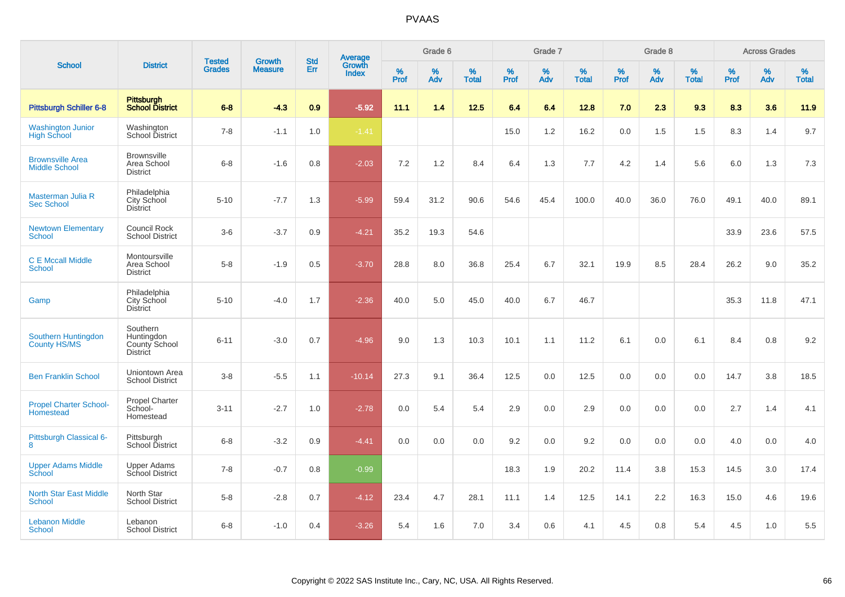|                                                   |                                                            |                                |                                 | <b>Std</b> |                                          |           | Grade 6  |                   |           | Grade 7  |                   |           | Grade 8  |                   |           | <b>Across Grades</b> |                   |
|---------------------------------------------------|------------------------------------------------------------|--------------------------------|---------------------------------|------------|------------------------------------------|-----------|----------|-------------------|-----------|----------|-------------------|-----------|----------|-------------------|-----------|----------------------|-------------------|
| <b>School</b>                                     | <b>District</b>                                            | <b>Tested</b><br><b>Grades</b> | <b>Growth</b><br><b>Measure</b> | Err        | <b>Average</b><br>Growth<br><b>Index</b> | %<br>Prof | %<br>Adv | %<br><b>Total</b> | %<br>Prof | %<br>Adv | %<br><b>Total</b> | %<br>Prof | %<br>Adv | %<br><b>Total</b> | %<br>Prof | %<br>Adv             | %<br><b>Total</b> |
| Pittsburgh Schiller 6-8                           | Pittsburgh<br>School District                              | $6 - 8$                        | $-4.3$                          | 0.9        | $-5.92$                                  | 11.1      | 1.4      | 12.5              | 6.4       | 6.4      | 12.8              | 7.0       | 2.3      | 9.3               | 8.3       | 3.6                  | 11.9              |
| <b>Washington Junior</b><br><b>High School</b>    | Washington<br>School District                              | $7 - 8$                        | $-1.1$                          | 1.0        | $-1.41$                                  |           |          |                   | 15.0      | 1.2      | 16.2              | 0.0       | 1.5      | 1.5               | 8.3       | 1.4                  | 9.7               |
| <b>Brownsville Area</b><br><b>Middle School</b>   | <b>Brownsville</b><br>Area School<br><b>District</b>       | $6 - 8$                        | $-1.6$                          | 0.8        | $-2.03$                                  | 7.2       | 1.2      | 8.4               | 6.4       | 1.3      | 7.7               | 4.2       | 1.4      | 5.6               | 6.0       | 1.3                  | 7.3               |
| Masterman Julia R<br><b>Sec School</b>            | Philadelphia<br>City School<br><b>District</b>             | $5 - 10$                       | $-7.7$                          | 1.3        | $-5.99$                                  | 59.4      | 31.2     | 90.6              | 54.6      | 45.4     | 100.0             | 40.0      | 36.0     | 76.0              | 49.1      | 40.0                 | 89.1              |
| <b>Newtown Elementary</b><br><b>School</b>        | <b>Council Rock</b><br><b>School District</b>              | $3-6$                          | $-3.7$                          | 0.9        | $-4.21$                                  | 35.2      | 19.3     | 54.6              |           |          |                   |           |          |                   | 33.9      | 23.6                 | 57.5              |
| <b>C E Mccall Middle</b><br>School                | Montoursville<br>Area School<br><b>District</b>            | $5-8$                          | $-1.9$                          | 0.5        | $-3.70$                                  | 28.8      | 8.0      | 36.8              | 25.4      | 6.7      | 32.1              | 19.9      | 8.5      | 28.4              | 26.2      | 9.0                  | 35.2              |
| Gamp                                              | Philadelphia<br>City School<br><b>District</b>             | $5 - 10$                       | $-4.0$                          | 1.7        | $-2.36$                                  | 40.0      | 5.0      | 45.0              | 40.0      | 6.7      | 46.7              |           |          |                   | 35.3      | 11.8                 | 47.1              |
| Southern Huntingdon<br>County HS/MS               | Southern<br>Huntingdon<br>County School<br><b>District</b> | $6 - 11$                       | $-3.0$                          | 0.7        | $-4.96$                                  | 9.0       | 1.3      | 10.3              | 10.1      | 1.1      | 11.2              | 6.1       | 0.0      | 6.1               | 8.4       | 0.8                  | 9.2               |
| <b>Ben Franklin School</b>                        | Uniontown Area<br><b>School District</b>                   | $3-8$                          | $-5.5$                          | 1.1        | $-10.14$                                 | 27.3      | 9.1      | 36.4              | 12.5      | 0.0      | 12.5              | 0.0       | 0.0      | 0.0               | 14.7      | 3.8                  | 18.5              |
| <b>Propel Charter School-</b><br><b>Homestead</b> | <b>Propel Charter</b><br>School-<br>Homestead              | $3 - 11$                       | $-2.7$                          | 1.0        | $-2.78$                                  | 0.0       | 5.4      | 5.4               | 2.9       | 0.0      | 2.9               | 0.0       | 0.0      | 0.0               | 2.7       | 1.4                  | 4.1               |
| Pittsburgh Classical 6-<br>8                      | Pittsburgh<br>School District                              | $6 - 8$                        | $-3.2$                          | 0.9        | $-4.41$                                  | 0.0       | 0.0      | 0.0               | 9.2       | 0.0      | 9.2               | 0.0       | 0.0      | 0.0               | 4.0       | 0.0                  | 4.0               |
| <b>Upper Adams Middle</b><br>School               | <b>Upper Adams</b><br>School District                      | $7 - 8$                        | $-0.7$                          | 0.8        | $-0.99$                                  |           |          |                   | 18.3      | 1.9      | 20.2              | 11.4      | 3.8      | 15.3              | 14.5      | 3.0                  | 17.4              |
| <b>North Star East Middle</b><br><b>School</b>    | North Star<br><b>School District</b>                       | $5-8$                          | $-2.8$                          | 0.7        | $-4.12$                                  | 23.4      | 4.7      | 28.1              | 11.1      | 1.4      | 12.5              | 14.1      | 2.2      | 16.3              | 15.0      | 4.6                  | 19.6              |
| <b>Lebanon Middle</b><br><b>School</b>            | Lebanon<br><b>School District</b>                          | $6 - 8$                        | $-1.0$                          | 0.4        | $-3.26$                                  | 5.4       | 1.6      | 7.0               | 3.4       | 0.6      | 4.1               | 4.5       | 0.8      | 5.4               | 4.5       | 1.0                  | 5.5               |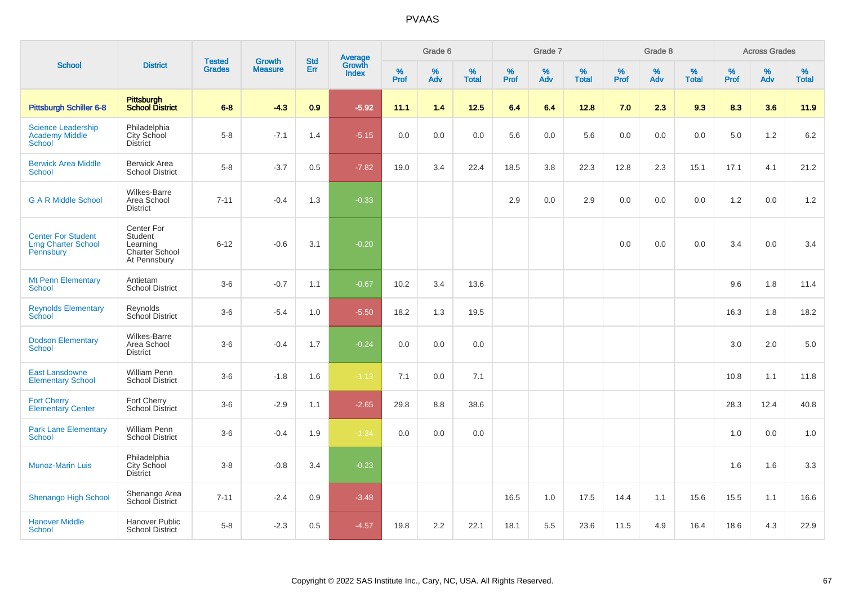|                                                                      |                                                                     |                                |                          | <b>Std</b> |                                          |           | Grade 6  |                   |           | Grade 7  |                   |           | Grade 8  |                   |           | <b>Across Grades</b> |                   |
|----------------------------------------------------------------------|---------------------------------------------------------------------|--------------------------------|--------------------------|------------|------------------------------------------|-----------|----------|-------------------|-----------|----------|-------------------|-----------|----------|-------------------|-----------|----------------------|-------------------|
| <b>School</b>                                                        | <b>District</b>                                                     | <b>Tested</b><br><b>Grades</b> | Growth<br><b>Measure</b> | Err        | <b>Average</b><br>Growth<br><b>Index</b> | %<br>Prof | %<br>Adv | %<br><b>Total</b> | %<br>Prof | %<br>Adv | %<br><b>Total</b> | %<br>Prof | %<br>Adv | %<br><b>Total</b> | %<br>Prof | %<br>Adv             | %<br><b>Total</b> |
| <b>Pittsburgh Schiller 6-8</b>                                       | Pittsburgh<br>School District                                       | $6 - 8$                        | $-4.3$                   | 0.9        | $-5.92$                                  | 11.1      | 1.4      | 12.5              | 6.4       | 6.4      | 12.8              | 7.0       | 2.3      | 9.3               | 8.3       | 3.6                  | 11.9              |
| <b>Science Leadership</b><br><b>Academy Middle</b><br><b>School</b>  | Philadelphia<br>City School<br><b>District</b>                      | $5-8$                          | $-7.1$                   | 1.4        | $-5.15$                                  | 0.0       | 0.0      | 0.0               | 5.6       | 0.0      | 5.6               | 0.0       | 0.0      | 0.0               | 5.0       | 1.2                  | $6.2\,$           |
| <b>Berwick Area Middle</b><br>School                                 | <b>Berwick Area</b><br><b>School District</b>                       | $5 - 8$                        | $-3.7$                   | 0.5        | $-7.82$                                  | 19.0      | 3.4      | 22.4              | 18.5      | 3.8      | 22.3              | 12.8      | 2.3      | 15.1              | 17.1      | 4.1                  | 21.2              |
| <b>G A R Middle School</b>                                           | <b>Wilkes-Barre</b><br>Area School<br><b>District</b>               | $7 - 11$                       | $-0.4$                   | 1.3        | $-0.33$                                  |           |          |                   | 2.9       | 0.0      | 2.9               | 0.0       | 0.0      | 0.0               | 1.2       | 0.0                  | 1.2               |
| <b>Center For Student</b><br><b>Lrng Charter School</b><br>Pennsbury | Center For<br>Student<br>Learning<br>Charter School<br>At Pennsbury | $6 - 12$                       | $-0.6$                   | 3.1        | $-0.20$                                  |           |          |                   |           |          |                   | 0.0       | 0.0      | 0.0               | 3.4       | 0.0                  | 3.4               |
| <b>Mt Penn Elementary</b><br><b>School</b>                           | Antietam<br><b>School District</b>                                  | $3-6$                          | $-0.7$                   | 1.1        | $-0.67$                                  | 10.2      | 3.4      | 13.6              |           |          |                   |           |          |                   | 9.6       | 1.8                  | 11.4              |
| <b>Reynolds Elementary</b><br><b>School</b>                          | Reynolds<br>School District                                         | $3-6$                          | $-5.4$                   | 1.0        | $-5.50$                                  | 18.2      | 1.3      | 19.5              |           |          |                   |           |          |                   | 16.3      | 1.8                  | 18.2              |
| <b>Dodson Elementary</b><br>School                                   | <b>Wilkes-Barre</b><br>Area School<br><b>District</b>               | $3-6$                          | $-0.4$                   | 1.7        | $-0.24$                                  | 0.0       | 0.0      | 0.0               |           |          |                   |           |          |                   | 3.0       | 2.0                  | 5.0               |
| <b>East Lansdowne</b><br><b>Elementary School</b>                    | William Penn<br><b>School District</b>                              | $3-6$                          | $-1.8$                   | 1.6        | $-1.13$                                  | 7.1       | 0.0      | 7.1               |           |          |                   |           |          |                   | 10.8      | 1.1                  | 11.8              |
| <b>Fort Cherry</b><br><b>Elementary Center</b>                       | Fort Cherry<br>School District                                      | $3-6$                          | $-2.9$                   | 1.1        | $-2.65$                                  | 29.8      | 8.8      | 38.6              |           |          |                   |           |          |                   | 28.3      | 12.4                 | 40.8              |
| <b>Park Lane Elementary</b><br>School                                | <b>William Penn</b><br><b>School District</b>                       | $3-6$                          | $-0.4$                   | 1.9        | $-1.34$                                  | 0.0       | 0.0      | 0.0               |           |          |                   |           |          |                   | 1.0       | 0.0                  | 1.0               |
| <b>Munoz-Marin Luis</b>                                              | Philadelphia<br>City School<br><b>District</b>                      | $3 - 8$                        | $-0.8$                   | 3.4        | $-0.23$                                  |           |          |                   |           |          |                   |           |          |                   | 1.6       | 1.6                  | 3.3               |
| <b>Shenango High School</b>                                          | Shenango Area<br>School District                                    | $7 - 11$                       | $-2.4$                   | 0.9        | $-3.48$                                  |           |          |                   | 16.5      | 1.0      | 17.5              | 14.4      | 1.1      | 15.6              | 15.5      | 1.1                  | 16.6              |
| <b>Hanover Middle</b><br>School                                      | <b>Hanover Public</b><br><b>School District</b>                     | $5 - 8$                        | $-2.3$                   | 0.5        | $-4.57$                                  | 19.8      | 2.2      | 22.1              | 18.1      | 5.5      | 23.6              | 11.5      | 4.9      | 16.4              | 18.6      | 4.3                  | 22.9              |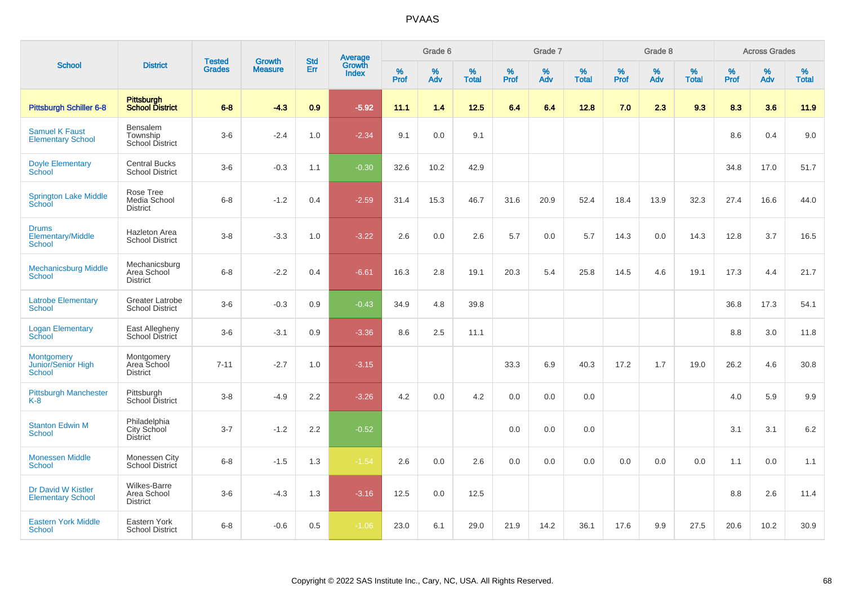|                                                    |                                                       |                                |                          | <b>Std</b> |                                          |           | Grade 6  |                   |           | Grade 7  |                   |           | Grade 8  |                   |              | <b>Across Grades</b> |                   |
|----------------------------------------------------|-------------------------------------------------------|--------------------------------|--------------------------|------------|------------------------------------------|-----------|----------|-------------------|-----------|----------|-------------------|-----------|----------|-------------------|--------------|----------------------|-------------------|
| <b>School</b>                                      | <b>District</b>                                       | <b>Tested</b><br><b>Grades</b> | Growth<br><b>Measure</b> | Err        | <b>Average</b><br>Growth<br><b>Index</b> | %<br>Prof | %<br>Adv | %<br><b>Total</b> | %<br>Prof | %<br>Adv | %<br><b>Total</b> | %<br>Prof | %<br>Adv | %<br><b>Total</b> | $\%$<br>Prof | %<br>Adv             | %<br><b>Total</b> |
| <b>Pittsburgh Schiller 6-8</b>                     | <b>Pittsburgh</b><br><b>School District</b>           | $6 - 8$                        | $-4.3$                   | 0.9        | $-5.92$                                  | 11.1      | 1.4      | 12.5              | 6.4       | 6.4      | 12.8              | 7.0       | 2.3      | 9.3               | 8.3          | 3.6                  | 11.9              |
| <b>Samuel K Faust</b><br><b>Elementary School</b>  | Bensalem<br>Township<br><b>School District</b>        | $3-6$                          | $-2.4$                   | 1.0        | $-2.34$                                  | 9.1       | 0.0      | 9.1               |           |          |                   |           |          |                   | 8.6          | 0.4                  | 9.0               |
| <b>Doyle Elementary</b><br><b>School</b>           | <b>Central Bucks</b><br><b>School District</b>        | $3-6$                          | $-0.3$                   | 1.1        | $-0.30$                                  | 32.6      | 10.2     | 42.9              |           |          |                   |           |          |                   | 34.8         | 17.0                 | 51.7              |
| <b>Springton Lake Middle</b><br>School             | Rose Tree<br>Media School<br><b>District</b>          | $6 - 8$                        | $-1.2$                   | 0.4        | $-2.59$                                  | 31.4      | 15.3     | 46.7              | 31.6      | 20.9     | 52.4              | 18.4      | 13.9     | 32.3              | 27.4         | 16.6                 | 44.0              |
| <b>Drums</b><br>Elementary/Middle<br><b>School</b> | <b>Hazleton Area</b><br><b>School District</b>        | $3-8$                          | $-3.3$                   | 1.0        | $-3.22$                                  | 2.6       | 0.0      | 2.6               | 5.7       | 0.0      | 5.7               | 14.3      | 0.0      | 14.3              | 12.8         | 3.7                  | 16.5              |
| <b>Mechanicsburg Middle</b><br><b>School</b>       | Mechanicsburg<br>Area School<br><b>District</b>       | $6 - 8$                        | $-2.2$                   | 0.4        | $-6.61$                                  | 16.3      | 2.8      | 19.1              | 20.3      | 5.4      | 25.8              | 14.5      | 4.6      | 19.1              | 17.3         | 4.4                  | 21.7              |
| <b>Latrobe Elementary</b><br><b>School</b>         | <b>Greater Latrobe</b><br><b>School District</b>      | $3-6$                          | $-0.3$                   | 0.9        | $-0.43$                                  | 34.9      | 4.8      | 39.8              |           |          |                   |           |          |                   | 36.8         | 17.3                 | 54.1              |
| <b>Logan Elementary</b><br>School                  | East Allegheny<br>School District                     | $3-6$                          | $-3.1$                   | 0.9        | $-3.36$                                  | 8.6       | 2.5      | 11.1              |           |          |                   |           |          |                   | 8.8          | 3.0                  | 11.8              |
| <b>Montgomery</b><br>Junior/Senior High<br>School  | Montgomery<br>Area School<br><b>District</b>          | $7 - 11$                       | $-2.7$                   | 1.0        | $-3.15$                                  |           |          |                   | 33.3      | 6.9      | 40.3              | 17.2      | 1.7      | 19.0              | 26.2         | 4.6                  | 30.8              |
| <b>Pittsburgh Manchester</b><br>$K-8$              | Pittsburgh<br>School District                         | $3 - 8$                        | $-4.9$                   | 2.2        | $-3.26$                                  | 4.2       | 0.0      | 4.2               | 0.0       | 0.0      | 0.0               |           |          |                   | 4.0          | 5.9                  | 9.9               |
| <b>Stanton Edwin M</b><br>School                   | Philadelphia<br>City School<br><b>District</b>        | $3 - 7$                        | $-1.2$                   | 2.2        | $-0.52$                                  |           |          |                   | 0.0       | 0.0      | 0.0               |           |          |                   | 3.1          | 3.1                  | 6.2               |
| <b>Monessen Middle</b><br><b>School</b>            | Monessen City<br>School District                      | $6 - 8$                        | $-1.5$                   | 1.3        | $-1.54$                                  | 2.6       | 0.0      | 2.6               | 0.0       | 0.0      | 0.0               | 0.0       | 0.0      | 0.0               | 1.1          | 0.0                  | 1.1               |
| Dr David W Kistler<br><b>Elementary School</b>     | <b>Wilkes-Barre</b><br>Area School<br><b>District</b> | $3-6$                          | $-4.3$                   | 1.3        | $-3.16$                                  | 12.5      | 0.0      | 12.5              |           |          |                   |           |          |                   | $8.8\,$      | 2.6                  | 11.4              |
| <b>Eastern York Middle</b><br>School               | Eastern York<br><b>School District</b>                | $6 - 8$                        | $-0.6$                   | 0.5        | $-1.06$                                  | 23.0      | 6.1      | 29.0              | 21.9      | 14.2     | 36.1              | 17.6      | 9.9      | 27.5              | 20.6         | 10.2                 | 30.9              |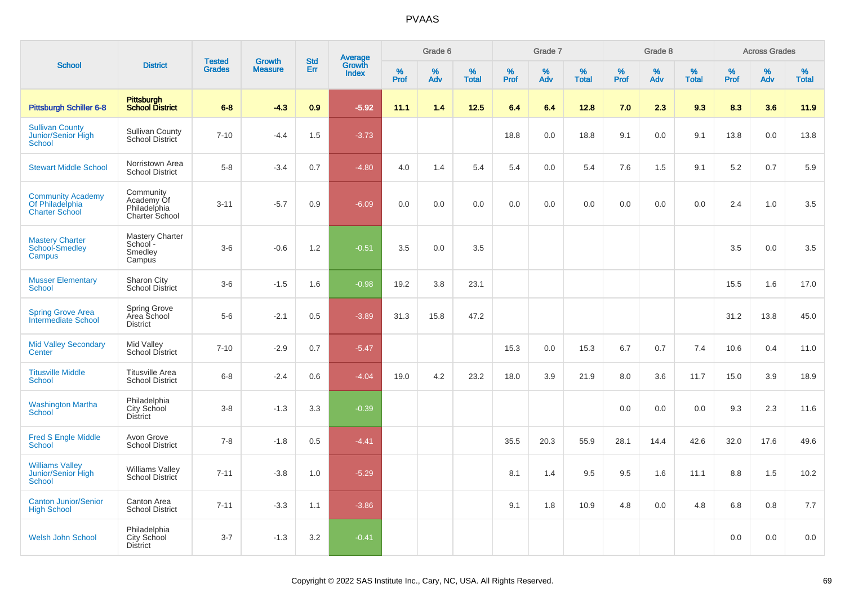|                                                                      |                                                           | <b>Tested</b> | <b>Growth</b>  | <b>Std</b> |                                          |                  | Grade 6     |                   |              | Grade 7     |                   |              | Grade 8  |                   |           | <b>Across Grades</b> |                   |
|----------------------------------------------------------------------|-----------------------------------------------------------|---------------|----------------|------------|------------------------------------------|------------------|-------------|-------------------|--------------|-------------|-------------------|--------------|----------|-------------------|-----------|----------------------|-------------------|
| <b>School</b>                                                        | <b>District</b>                                           | <b>Grades</b> | <b>Measure</b> | Err        | <b>Average</b><br>Growth<br><b>Index</b> | %<br><b>Prof</b> | $\%$<br>Adv | %<br><b>Total</b> | $\%$<br>Prof | $\%$<br>Adv | %<br><b>Total</b> | $\%$<br>Prof | %<br>Adv | %<br><b>Total</b> | %<br>Prof | %<br>Adv             | %<br><b>Total</b> |
| <b>Pittsburgh Schiller 6-8</b>                                       | Pittsburgh<br>School District                             | $6 - 8$       | $-4.3$         | 0.9        | $-5.92$                                  | 11.1             | 1.4         | 12.5              | 6.4          | 6.4         | 12.8              | 7.0          | 2.3      | 9.3               | 8.3       | 3.6                  | 11.9              |
| <b>Sullivan County</b><br>Junior/Senior High<br>School               | <b>Sullivan County</b><br>School District                 | $7 - 10$      | $-4.4$         | 1.5        | $-3.73$                                  |                  |             |                   | 18.8         | 0.0         | 18.8              | 9.1          | 0.0      | 9.1               | 13.8      | 0.0                  | 13.8              |
| <b>Stewart Middle School</b>                                         | Norristown Area<br><b>School District</b>                 | $5-8$         | $-3.4$         | 0.7        | $-4.80$                                  | 4.0              | 1.4         | 5.4               | 5.4          | 0.0         | 5.4               | 7.6          | 1.5      | 9.1               | 5.2       | 0.7                  | 5.9               |
| <b>Community Academy</b><br>Of Philadelphia<br><b>Charter School</b> | Community<br>Academy Of<br>Philadelphia<br>Charter School | $3 - 11$      | $-5.7$         | 0.9        | $-6.09$                                  | 0.0              | 0.0         | 0.0               | 0.0          | 0.0         | 0.0               | 0.0          | 0.0      | 0.0               | 2.4       | 1.0                  | 3.5               |
| <b>Mastery Charter</b><br>School-Smedley<br>Campus                   | <b>Mastery Charter</b><br>School -<br>Smedley<br>Campus   | $3-6$         | $-0.6$         | 1.2        | $-0.51$                                  | 3.5              | 0.0         | 3.5               |              |             |                   |              |          |                   | 3.5       | 0.0                  | 3.5               |
| <b>Musser Elementary</b><br><b>School</b>                            | Sharon City<br><b>School District</b>                     | $3-6$         | $-1.5$         | 1.6        | $-0.98$                                  | 19.2             | 3.8         | 23.1              |              |             |                   |              |          |                   | 15.5      | 1.6                  | 17.0              |
| <b>Spring Grove Area</b><br><b>Intermediate School</b>               | <b>Spring Grove</b><br>Area School<br><b>District</b>     | $5-6$         | $-2.1$         | 0.5        | $-3.89$                                  | 31.3             | 15.8        | 47.2              |              |             |                   |              |          |                   | 31.2      | 13.8                 | 45.0              |
| <b>Mid Valley Secondary</b><br>Center                                | Mid Valley<br><b>School District</b>                      | $7 - 10$      | $-2.9$         | 0.7        | $-5.47$                                  |                  |             |                   | 15.3         | 0.0         | 15.3              | 6.7          | 0.7      | 7.4               | 10.6      | 0.4                  | 11.0              |
| <b>Titusville Middle</b><br><b>School</b>                            | <b>Titusville Area</b><br><b>School District</b>          | $6 - 8$       | $-2.4$         | 0.6        | $-4.04$                                  | 19.0             | 4.2         | 23.2              | 18.0         | 3.9         | 21.9              | 8.0          | 3.6      | 11.7              | 15.0      | 3.9                  | 18.9              |
| <b>Washington Martha</b><br><b>School</b>                            | Philadelphia<br>City School<br><b>District</b>            | $3-8$         | $-1.3$         | 3.3        | $-0.39$                                  |                  |             |                   |              |             |                   | 0.0          | 0.0      | 0.0               | 9.3       | 2.3                  | 11.6              |
| <b>Fred S Engle Middle</b><br><b>School</b>                          | Avon Grove<br><b>School District</b>                      | $7 - 8$       | $-1.8$         | 0.5        | $-4.41$                                  |                  |             |                   | 35.5         | 20.3        | 55.9              | 28.1         | 14.4     | 42.6              | 32.0      | 17.6                 | 49.6              |
| <b>Williams Valley</b><br>Junior/Senior High<br><b>School</b>        | <b>Williams Valley</b><br><b>School District</b>          | $7 - 11$      | $-3.8$         | 1.0        | $-5.29$                                  |                  |             |                   | 8.1          | 1.4         | 9.5               | 9.5          | 1.6      | 11.1              | 8.8       | 1.5                  | 10.2              |
| <b>Canton Junior/Senior</b><br><b>High School</b>                    | Canton Area<br><b>School District</b>                     | $7 - 11$      | $-3.3$         | 1.1        | $-3.86$                                  |                  |             |                   | 9.1          | 1.8         | 10.9              | 4.8          | 0.0      | 4.8               | 6.8       | 0.8                  | 7.7               |
| <b>Welsh John School</b>                                             | Philadelphia<br><b>City School</b><br><b>District</b>     | $3 - 7$       | $-1.3$         | 3.2        | $-0.41$                                  |                  |             |                   |              |             |                   |              |          |                   | 0.0       | 0.0                  | 0.0               |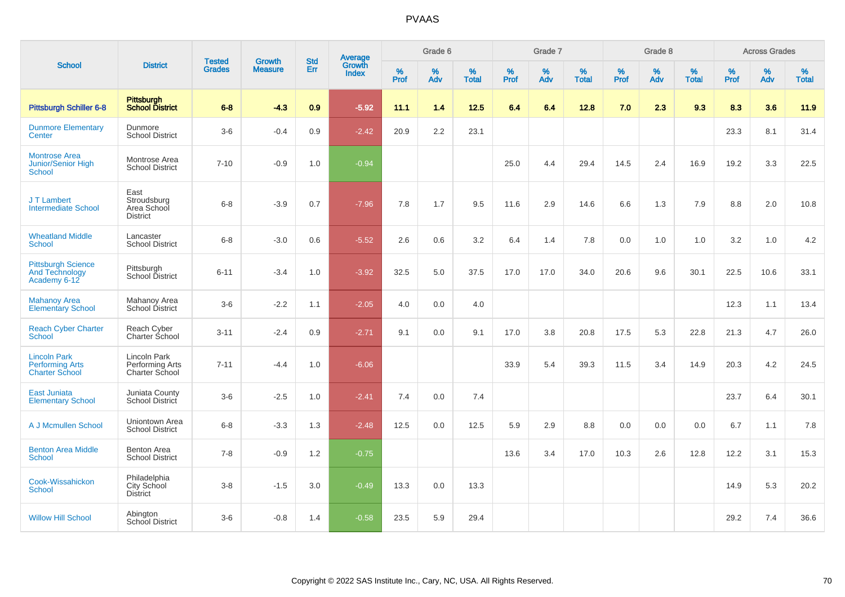|                                                                        |                                                       |                                |                                 | <b>Std</b> |                                          |                  | Grade 6  |                   |           | Grade 7  |                   |           | Grade 8  |                   |           | <b>Across Grades</b> |                   |
|------------------------------------------------------------------------|-------------------------------------------------------|--------------------------------|---------------------------------|------------|------------------------------------------|------------------|----------|-------------------|-----------|----------|-------------------|-----------|----------|-------------------|-----------|----------------------|-------------------|
| <b>School</b>                                                          | <b>District</b>                                       | <b>Tested</b><br><b>Grades</b> | <b>Growth</b><br><b>Measure</b> | Err        | <b>Average</b><br>Growth<br><b>Index</b> | %<br><b>Prof</b> | %<br>Adv | %<br><b>Total</b> | %<br>Prof | %<br>Adv | %<br><b>Total</b> | %<br>Prof | %<br>Adv | %<br><b>Total</b> | %<br>Prof | $\%$<br>Adv          | %<br><b>Total</b> |
| <b>Pittsburgh Schiller 6-8</b>                                         | Pittsburgh<br><b>School District</b>                  | $6 - 8$                        | $-4.3$                          | 0.9        | $-5.92$                                  | 11.1             | 1.4      | 12.5              | 6.4       | 6.4      | 12.8              | 7.0       | 2.3      | 9.3               | 8.3       | 3.6                  | 11.9              |
| <b>Dunmore Elementary</b><br>Center                                    | Dunmore<br><b>School District</b>                     | $3-6$                          | $-0.4$                          | 0.9        | $-2.42$                                  | 20.9             | 2.2      | 23.1              |           |          |                   |           |          |                   | 23.3      | 8.1                  | 31.4              |
| <b>Montrose Area</b><br>Junior/Senior High<br><b>School</b>            | Montrose Area<br><b>School District</b>               | $7 - 10$                       | $-0.9$                          | 1.0        | $-0.94$                                  |                  |          |                   | 25.0      | 4.4      | 29.4              | 14.5      | 2.4      | 16.9              | 19.2      | 3.3                  | 22.5              |
| J T Lambert<br><b>Intermediate School</b>                              | East<br>Stroudsburg<br>Area School<br><b>District</b> | $6 - 8$                        | $-3.9$                          | 0.7        | $-7.96$                                  | 7.8              | 1.7      | 9.5               | 11.6      | 2.9      | 14.6              | 6.6       | 1.3      | 7.9               | 8.8       | 2.0                  | 10.8              |
| <b>Wheatland Middle</b><br>School                                      | Lancaster<br><b>School District</b>                   | $6 - 8$                        | $-3.0$                          | 0.6        | $-5.52$                                  | 2.6              | 0.6      | 3.2               | 6.4       | 1.4      | 7.8               | 0.0       | 1.0      | 1.0               | 3.2       | 1.0                  | 4.2               |
| <b>Pittsburgh Science</b><br><b>And Technology</b><br>Academy 6-12     | Pittsburgh<br>School District                         | $6 - 11$                       | $-3.4$                          | 1.0        | $-3.92$                                  | 32.5             | 5.0      | 37.5              | 17.0      | 17.0     | 34.0              | 20.6      | 9.6      | 30.1              | 22.5      | 10.6                 | 33.1              |
| <b>Mahanoy Area</b><br><b>Elementary School</b>                        | Mahanoy Area<br>School District                       | $3-6$                          | $-2.2$                          | 1.1        | $-2.05$                                  | 4.0              | 0.0      | 4.0               |           |          |                   |           |          |                   | 12.3      | 1.1                  | 13.4              |
| <b>Reach Cyber Charter</b><br><b>School</b>                            | Reach Cyber<br>Charter School                         | $3 - 11$                       | $-2.4$                          | 0.9        | $-2.71$                                  | 9.1              | 0.0      | 9.1               | 17.0      | 3.8      | 20.8              | 17.5      | 5.3      | 22.8              | 21.3      | 4.7                  | 26.0              |
| <b>Lincoln Park</b><br><b>Performing Arts</b><br><b>Charter School</b> | Lincoln Park<br>Performing Arts<br>Charter School     | $7 - 11$                       | $-4.4$                          | 1.0        | $-6.06$                                  |                  |          |                   | 33.9      | 5.4      | 39.3              | 11.5      | 3.4      | 14.9              | 20.3      | 4.2                  | 24.5              |
| <b>East Juniata</b><br><b>Elementary School</b>                        | Juniata County<br>School District                     | $3-6$                          | $-2.5$                          | 1.0        | $-2.41$                                  | 7.4              | 0.0      | 7.4               |           |          |                   |           |          |                   | 23.7      | 6.4                  | 30.1              |
| A J Mcmullen School                                                    | Uniontown Area<br><b>School District</b>              | $6 - 8$                        | $-3.3$                          | 1.3        | $-2.48$                                  | 12.5             | 0.0      | 12.5              | 5.9       | 2.9      | 8.8               | 0.0       | 0.0      | 0.0               | 6.7       | 1.1                  | 7.8               |
| <b>Benton Area Middle</b><br><b>School</b>                             | <b>Benton Area</b><br><b>School District</b>          | $7 - 8$                        | $-0.9$                          | 1.2        | $-0.75$                                  |                  |          |                   | 13.6      | 3.4      | 17.0              | 10.3      | 2.6      | 12.8              | 12.2      | 3.1                  | 15.3              |
| Cook-Wissahickon<br><b>School</b>                                      | Philadelphia<br><b>City School</b><br><b>District</b> | $3-8$                          | $-1.5$                          | 3.0        | $-0.49$                                  | 13.3             | 0.0      | 13.3              |           |          |                   |           |          |                   | 14.9      | 5.3                  | 20.2              |
| <b>Willow Hill School</b>                                              | Abington<br><b>School District</b>                    | $3-6$                          | $-0.8$                          | 1.4        | $-0.58$                                  | 23.5             | 5.9      | 29.4              |           |          |                   |           |          |                   | 29.2      | 7.4                  | 36.6              |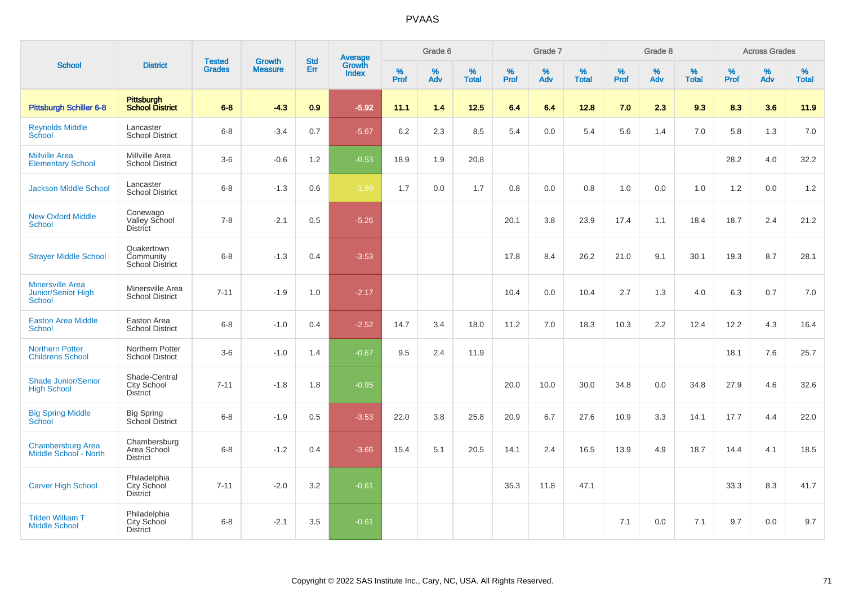|                                                         |                                                        |                                | <b>Growth</b>  | <b>Std</b>    |                                          |                     | Grade 6     |                   |              | Grade 7     |                      |              | Grade 8  |                   |              | <b>Across Grades</b> |                   |
|---------------------------------------------------------|--------------------------------------------------------|--------------------------------|----------------|---------------|------------------------------------------|---------------------|-------------|-------------------|--------------|-------------|----------------------|--------------|----------|-------------------|--------------|----------------------|-------------------|
| <b>School</b>                                           | <b>District</b>                                        | <b>Tested</b><br><b>Grades</b> | <b>Measure</b> | <b>Err</b>    | <b>Average</b><br>Growth<br><b>Index</b> | $\%$<br><b>Prof</b> | $\%$<br>Adv | %<br><b>Total</b> | $\%$<br>Prof | $\%$<br>Adv | $\%$<br><b>Total</b> | $\%$<br>Prof | %<br>Adv | %<br><b>Total</b> | $\%$<br>Prof | $\%$<br>Adv          | %<br><b>Total</b> |
| Pittsburgh Schiller 6-8                                 | <b>Pittsburgh</b><br><b>School District</b>            | $6 - 8$                        | $-4.3$         | 0.9           | $-5.92$                                  | 11.1                | 1.4         | 12.5              | 6.4          | 6.4         | 12.8                 | 7.0          | 2.3      | 9.3               | 8.3          | 3.6                  | 11.9              |
| <b>Reynolds Middle</b><br>School                        | Lancaster<br><b>School District</b>                    | $6 - 8$                        | $-3.4$         | 0.7           | $-5.67$                                  | 6.2                 | 2.3         | 8.5               | 5.4          | 0.0         | 5.4                  | 5.6          | 1.4      | 7.0               | 5.8          | 1.3                  | 7.0               |
| <b>Millville Area</b><br><b>Elementary School</b>       | Millville Area<br><b>School District</b>               | $3-6$                          | $-0.6$         | 1.2           | $-0.53$                                  | 18.9                | 1.9         | 20.8              |              |             |                      |              |          |                   | 28.2         | 4.0                  | 32.2              |
| <b>Jackson Middle School</b>                            | Lancaster<br><b>School District</b>                    | $6 - 8$                        | $-1.3$         | 0.6           | $-1.99$                                  | 1.7                 | 0.0         | 1.7               | 0.8          | 0.0         | 0.8                  | 1.0          | 0.0      | 1.0               | 1.2          | 0.0                  | $1.2$             |
| <b>New Oxford Middle</b><br><b>School</b>               | Conewago<br>Valley School<br><b>District</b>           | $7 - 8$                        | $-2.1$         | 0.5           | $-5.26$                                  |                     |             |                   | 20.1         | 3.8         | 23.9                 | 17.4         | 1.1      | 18.4              | 18.7         | 2.4                  | 21.2              |
| <b>Strayer Middle School</b>                            | Quakertown<br>Community<br><b>School District</b>      | $6 - 8$                        | $-1.3$         | 0.4           | $-3.53$                                  |                     |             |                   | 17.8         | 8.4         | 26.2                 | 21.0         | 9.1      | 30.1              | 19.3         | 8.7                  | 28.1              |
| <b>Minersville Area</b><br>Junior/Senior High<br>School | Minersville Area<br><b>School District</b>             | $7 - 11$                       | $-1.9$         | 1.0           | $-2.17$                                  |                     |             |                   | 10.4         | 0.0         | 10.4                 | 2.7          | 1.3      | 4.0               | 6.3          | 0.7                  | 7.0               |
| <b>Easton Area Middle</b><br>School                     | Easton Area<br><b>School District</b>                  | $6 - 8$                        | $-1.0$         | $0.4^{\circ}$ | $-2.52$                                  | 14.7                | 3.4         | 18.0              | 11.2         | 7.0         | 18.3                 | 10.3         | 2.2      | 12.4              | 12.2         | 4.3                  | 16.4              |
| <b>Northern Potter</b><br><b>Childrens School</b>       | Northern Potter<br><b>School District</b>              | $3-6$                          | $-1.0$         | 1.4           | $-0.67$                                  | 9.5                 | 2.4         | 11.9              |              |             |                      |              |          |                   | 18.1         | 7.6                  | 25.7              |
| <b>Shade Junior/Senior</b><br><b>High School</b>        | Shade-Central<br><b>City School</b><br><b>District</b> | $7 - 11$                       | $-1.8$         | 1.8           | $-0.95$                                  |                     |             |                   | 20.0         | 10.0        | 30.0                 | 34.8         | 0.0      | 34.8              | 27.9         | 4.6                  | 32.6              |
| <b>Big Spring Middle</b><br>School                      | <b>Big Spring</b><br>School District                   | $6 - 8$                        | $-1.9$         | 0.5           | $-3.53$                                  | 22.0                | 3.8         | 25.8              | 20.9         | 6.7         | 27.6                 | 10.9         | 3.3      | 14.1              | 17.7         | 4.4                  | 22.0              |
| <b>Chambersburg Area</b><br>Middle School - North       | Chambersburg<br>Area School<br><b>District</b>         | $6 - 8$                        | $-1.2$         | 0.4           | $-3.66$                                  | 15.4                | 5.1         | 20.5              | 14.1         | 2.4         | 16.5                 | 13.9         | 4.9      | 18.7              | 14.4         | 4.1                  | 18.5              |
| <b>Carver High School</b>                               | Philadelphia<br>City School<br><b>District</b>         | $7 - 11$                       | $-2.0$         | 3.2           | $-0.61$                                  |                     |             |                   | 35.3         | 11.8        | 47.1                 |              |          |                   | 33.3         | 8.3                  | 41.7              |
| <b>Tilden William T</b><br><b>Middle School</b>         | Philadelphia<br>City School<br><b>District</b>         | $6 - 8$                        | $-2.1$         | 3.5           | $-0.61$                                  |                     |             |                   |              |             |                      | 7.1          | 0.0      | 7.1               | 9.7          | 0.0                  | 9.7               |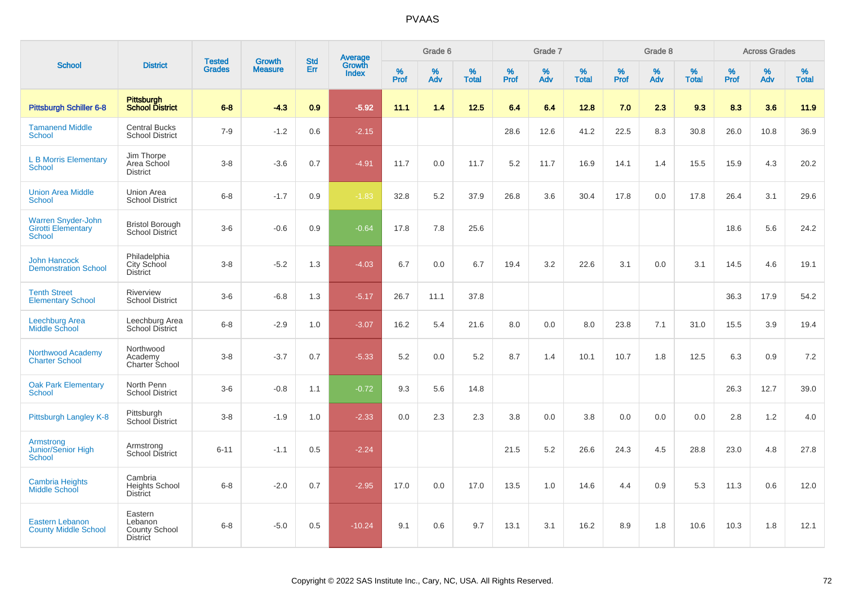|                                                                         |                                                               |                                |                                 |                   |                                          |                  | Grade 6  |                   |              | Grade 7  |                   |           | Grade 8  |                   |           | <b>Across Grades</b> |                   |
|-------------------------------------------------------------------------|---------------------------------------------------------------|--------------------------------|---------------------------------|-------------------|------------------------------------------|------------------|----------|-------------------|--------------|----------|-------------------|-----------|----------|-------------------|-----------|----------------------|-------------------|
| <b>School</b>                                                           | <b>District</b>                                               | <b>Tested</b><br><b>Grades</b> | <b>Growth</b><br><b>Measure</b> | <b>Std</b><br>Err | <b>Average</b><br>Growth<br><b>Index</b> | %<br><b>Prof</b> | %<br>Adv | %<br><b>Total</b> | $\%$<br>Prof | %<br>Adv | %<br><b>Total</b> | %<br>Prof | %<br>Adv | %<br><b>Total</b> | %<br>Prof | $\%$<br>Adv          | %<br><b>Total</b> |
| <b>Pittsburgh Schiller 6-8</b>                                          | <b>Pittsburgh</b><br><b>School District</b>                   | $6 - 8$                        | $-4.3$                          | 0.9               | $-5.92$                                  | 11.1             | 1.4      | 12.5              | 6.4          | 6.4      | 12.8              | 7.0       | 2.3      | 9.3               | 8.3       | 3.6                  | 11.9              |
| <b>Tamanend Middle</b><br><b>School</b>                                 | <b>Central Bucks</b><br><b>School District</b>                | $7 - 9$                        | $-1.2$                          | 0.6               | $-2.15$                                  |                  |          |                   | 28.6         | 12.6     | 41.2              | 22.5      | 8.3      | 30.8              | 26.0      | 10.8                 | 36.9              |
| <b>L B Morris Elementary</b><br><b>School</b>                           | Jim Thorpe<br>Area School<br><b>District</b>                  | $3 - 8$                        | $-3.6$                          | 0.7               | $-4.91$                                  | 11.7             | 0.0      | 11.7              | 5.2          | 11.7     | 16.9              | 14.1      | 1.4      | 15.5              | 15.9      | 4.3                  | 20.2              |
| <b>Union Area Middle</b><br>School                                      | Union Area<br><b>School District</b>                          | $6 - 8$                        | $-1.7$                          | 0.9               | $-1.83$                                  | 32.8             | 5.2      | 37.9              | 26.8         | 3.6      | 30.4              | 17.8      | 0.0      | 17.8              | 26.4      | 3.1                  | 29.6              |
| <b>Warren Snyder-John</b><br><b>Girotti Elementary</b><br><b>School</b> | <b>Bristol Borough</b><br>School District                     | $3-6$                          | $-0.6$                          | 0.9               | $-0.64$                                  | 17.8             | 7.8      | 25.6              |              |          |                   |           |          |                   | 18.6      | 5.6                  | 24.2              |
| <b>John Hancock</b><br><b>Demonstration School</b>                      | Philadelphia<br>City School<br><b>District</b>                | $3 - 8$                        | $-5.2$                          | 1.3               | $-4.03$                                  | 6.7              | 0.0      | 6.7               | 19.4         | 3.2      | 22.6              | 3.1       | 0.0      | 3.1               | 14.5      | 4.6                  | 19.1              |
| <b>Tenth Street</b><br><b>Elementary School</b>                         | Riverview<br><b>School District</b>                           | $3-6$                          | $-6.8$                          | 1.3               | $-5.17$                                  | 26.7             | 11.1     | 37.8              |              |          |                   |           |          |                   | 36.3      | 17.9                 | 54.2              |
| <b>Leechburg Area</b><br>Middle School                                  | Leechburg Area<br><b>School District</b>                      | $6 - 8$                        | $-2.9$                          | 1.0               | $-3.07$                                  | 16.2             | 5.4      | 21.6              | 8.0          | 0.0      | 8.0               | 23.8      | 7.1      | 31.0              | 15.5      | 3.9                  | 19.4              |
| Northwood Academy<br><b>Charter School</b>                              | Northwood<br>Academy<br>Charter School                        | $3 - 8$                        | $-3.7$                          | 0.7               | $-5.33$                                  | 5.2              | 0.0      | 5.2               | 8.7          | 1.4      | 10.1              | 10.7      | 1.8      | 12.5              | 6.3       | 0.9                  | 7.2               |
| <b>Oak Park Elementary</b><br><b>School</b>                             | North Penn<br><b>School District</b>                          | $3-6$                          | $-0.8$                          | 1.1               | $-0.72$                                  | 9.3              | 5.6      | 14.8              |              |          |                   |           |          |                   | 26.3      | 12.7                 | 39.0              |
| Pittsburgh Langley K-8                                                  | Pittsburgh<br>School District                                 | $3 - 8$                        | $-1.9$                          | 1.0               | $-2.33$                                  | 0.0              | 2.3      | 2.3               | 3.8          | 0.0      | 3.8               | 0.0       | 0.0      | 0.0               | 2.8       | 1.2                  | 4.0               |
| Armstrong<br>Junior/Senior High<br>School                               | Armstrong<br><b>School District</b>                           | $6 - 11$                       | $-1.1$                          | 0.5               | $-2.24$                                  |                  |          |                   | 21.5         | 5.2      | 26.6              | 24.3      | 4.5      | 28.8              | 23.0      | 4.8                  | 27.8              |
| <b>Cambria Heights</b><br><b>Middle School</b>                          | Cambria<br><b>Heights School</b><br><b>District</b>           | $6 - 8$                        | $-2.0$                          | 0.7               | $-2.95$                                  | 17.0             | 0.0      | 17.0              | 13.5         | 1.0      | 14.6              | 4.4       | 0.9      | 5.3               | 11.3      | 0.6                  | 12.0              |
| <b>Eastern Lebanon</b><br><b>County Middle School</b>                   | Eastern<br>Lebanon<br><b>County School</b><br><b>District</b> | $6 - 8$                        | $-5.0$                          | 0.5               | $-10.24$                                 | 9.1              | 0.6      | 9.7               | 13.1         | 3.1      | 16.2              | 8.9       | 1.8      | 10.6              | 10.3      | 1.8                  | 12.1              |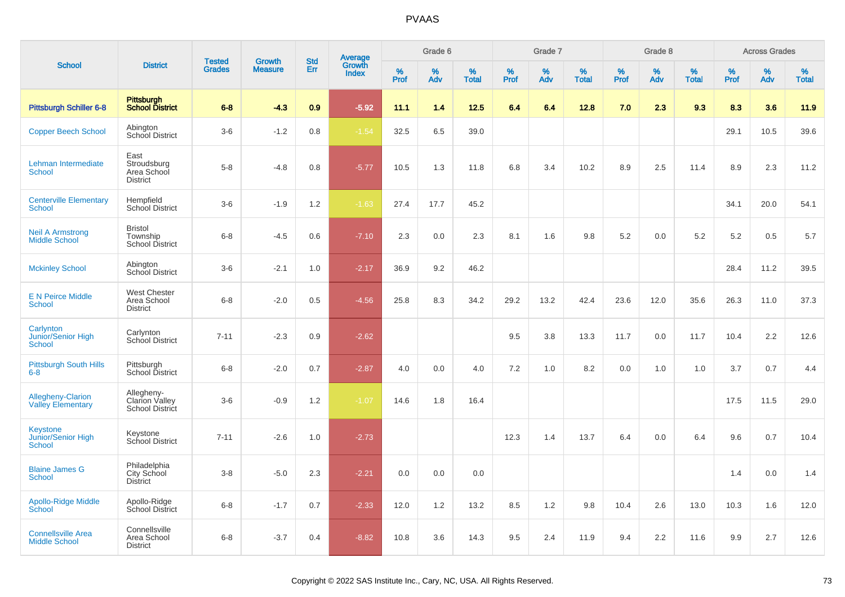|                                                      |                                                       | <b>Tested</b> | <b>Growth</b>  | <b>Std</b> |                                   |           | Grade 6     |                   |           | Grade 7  |                   |                     | Grade 8  |                   |           | <b>Across Grades</b> |                   |
|------------------------------------------------------|-------------------------------------------------------|---------------|----------------|------------|-----------------------------------|-----------|-------------|-------------------|-----------|----------|-------------------|---------------------|----------|-------------------|-----------|----------------------|-------------------|
| <b>School</b>                                        | <b>District</b>                                       | <b>Grades</b> | <b>Measure</b> | Err        | Average<br>Growth<br><b>Index</b> | %<br>Prof | $\%$<br>Adv | %<br><b>Total</b> | %<br>Prof | %<br>Adv | %<br><b>Total</b> | $\%$<br><b>Prof</b> | %<br>Adv | %<br><b>Total</b> | %<br>Prof | %<br>Adv             | %<br><b>Total</b> |
| <b>Pittsburgh Schiller 6-8</b>                       | Pittsburgh<br>School District                         | $6 - 8$       | $-4.3$         | 0.9        | $-5.92$                           | 11.1      | 1.4         | 12.5              | 6.4       | 6.4      | 12.8              | 7.0                 | 2.3      | 9.3               | 8.3       | 3.6                  | 11.9              |
| <b>Copper Beech School</b>                           | Abington<br>School District                           | $3-6$         | $-1.2$         | 0.8        | $-1.54$                           | 32.5      | 6.5         | 39.0              |           |          |                   |                     |          |                   | 29.1      | 10.5                 | 39.6              |
| Lehman Intermediate<br><b>School</b>                 | East<br>Stroudsburg<br>Area School<br><b>District</b> | $5-8$         | $-4.8$         | 0.8        | $-5.77$                           | 10.5      | 1.3         | 11.8              | 6.8       | 3.4      | 10.2              | 8.9                 | 2.5      | 11.4              | 8.9       | 2.3                  | 11.2              |
| <b>Centerville Elementary</b><br><b>School</b>       | Hempfield<br><b>School District</b>                   | $3-6$         | $-1.9$         | 1.2        | $-1.63$                           | 27.4      | 17.7        | 45.2              |           |          |                   |                     |          |                   | 34.1      | 20.0                 | 54.1              |
| <b>Neil A Armstrong</b><br><b>Middle School</b>      | <b>Bristol</b><br>Township<br><b>School District</b>  | $6 - 8$       | $-4.5$         | 0.6        | $-7.10$                           | 2.3       | 0.0         | 2.3               | 8.1       | 1.6      | 9.8               | 5.2                 | 0.0      | 5.2               | 5.2       | 0.5                  | 5.7               |
| <b>Mckinley School</b>                               | Abington<br>School District                           | $3-6$         | $-2.1$         | 1.0        | $-2.17$                           | 36.9      | 9.2         | 46.2              |           |          |                   |                     |          |                   | 28.4      | 11.2                 | 39.5              |
| <b>E N Peirce Middle</b><br><b>School</b>            | <b>West Chester</b><br>Area School<br><b>District</b> | $6 - 8$       | $-2.0$         | 0.5        | $-4.56$                           | 25.8      | 8.3         | 34.2              | 29.2      | 13.2     | 42.4              | 23.6                | 12.0     | 35.6              | 26.3      | 11.0                 | 37.3              |
| Carlynton<br>Junior/Senior High<br><b>School</b>     | Carlynton<br>School District                          | $7 - 11$      | $-2.3$         | 0.9        | $-2.62$                           |           |             |                   | 9.5       | 3.8      | 13.3              | 11.7                | 0.0      | 11.7              | 10.4      | 2.2                  | 12.6              |
| <b>Pittsburgh South Hills</b><br>$6-8$               | Pittsburgh<br>School District                         | $6 - 8$       | $-2.0$         | 0.7        | $-2.87$                           | 4.0       | 0.0         | 4.0               | 7.2       | 1.0      | 8.2               | 0.0                 | 1.0      | 1.0               | 3.7       | 0.7                  | 4.4               |
| <b>Allegheny-Clarion</b><br><b>Valley Elementary</b> | Allegheny-<br>Clarion Valley<br>School District       | $3-6$         | $-0.9$         | 1.2        | $-1.07$                           | 14.6      | 1.8         | 16.4              |           |          |                   |                     |          |                   | 17.5      | 11.5                 | 29.0              |
| Keystone<br>Junior/Senior High<br><b>School</b>      | Keystone<br>School District                           | $7 - 11$      | $-2.6$         | 1.0        | $-2.73$                           |           |             |                   | 12.3      | 1.4      | 13.7              | 6.4                 | 0.0      | 6.4               | 9.6       | 0.7                  | 10.4              |
| <b>Blaine James G</b><br><b>School</b>               | Philadelphia<br>City School<br>District               | $3-8$         | $-5.0$         | 2.3        | $-2.21$                           | 0.0       | 0.0         | 0.0               |           |          |                   |                     |          |                   | 1.4       | 0.0                  | 1.4               |
| <b>Apollo-Ridge Middle</b><br>School                 | Apollo-Ridge<br>School District                       | $6-8$         | $-1.7$         | 0.7        | $-2.33$                           | 12.0      | 1.2         | 13.2              | 8.5       | 1.2      | 9.8               | 10.4                | 2.6      | 13.0              | 10.3      | 1.6                  | 12.0              |
| <b>Connellsville Area</b><br><b>Middle School</b>    | Connellsville<br>Area School<br><b>District</b>       | $6 - 8$       | $-3.7$         | 0.4        | $-8.82$                           | 10.8      | 3.6         | 14.3              | 9.5       | 2.4      | 11.9              | 9.4                 | 2.2      | 11.6              | 9.9       | 2.7                  | 12.6              |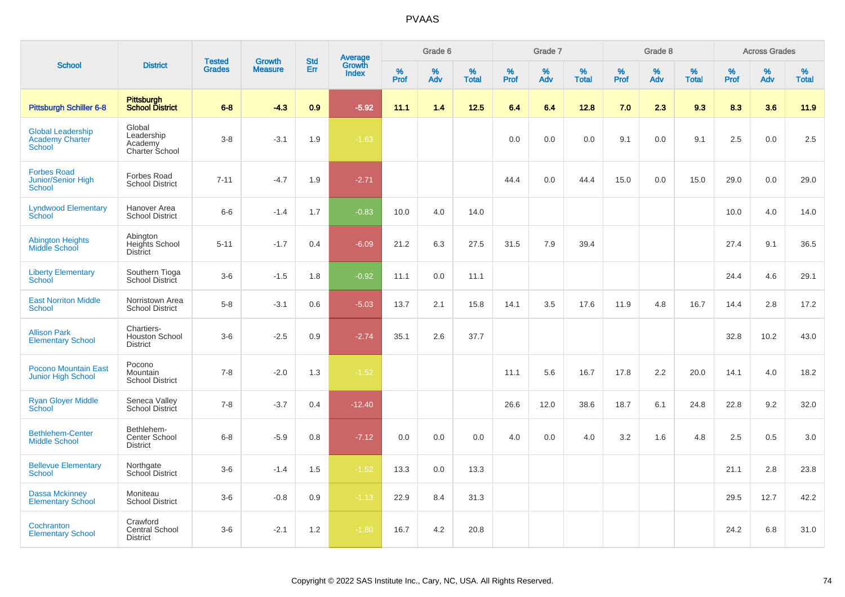|                                                              |                                                        |                                | <b>Growth</b>  | <b>Std</b>    |                                   |                     | Grade 6     |                   |              | Grade 7     |                   |              | Grade 8     |                   |              | <b>Across Grades</b> |                   |
|--------------------------------------------------------------|--------------------------------------------------------|--------------------------------|----------------|---------------|-----------------------------------|---------------------|-------------|-------------------|--------------|-------------|-------------------|--------------|-------------|-------------------|--------------|----------------------|-------------------|
| <b>School</b>                                                | <b>District</b>                                        | <b>Tested</b><br><b>Grades</b> | <b>Measure</b> | Err           | Average<br>Growth<br><b>Index</b> | $\%$<br><b>Prof</b> | $\%$<br>Adv | %<br><b>Total</b> | $\%$<br>Prof | $\%$<br>Adv | %<br><b>Total</b> | $\%$<br>Prof | $\%$<br>Adv | %<br><b>Total</b> | $\%$<br>Prof | $\%$<br>Adv          | %<br><b>Total</b> |
| <b>Pittsburgh Schiller 6-8</b>                               | <b>Pittsburgh</b><br><b>School District</b>            | $6 - 8$                        | $-4.3$         | 0.9           | $-5.92$                           | 11.1                | 1.4         | 12.5              | 6.4          | 6.4         | 12.8              | 7.0          | 2.3         | 9.3               | 8.3          | 3.6                  | 11.9              |
| <b>Global Leadership</b><br><b>Academy Charter</b><br>School | Global<br>Leadership<br>Academy<br>Charter School      | $3 - 8$                        | $-3.1$         | 1.9           | $-1.63$                           |                     |             |                   | 0.0          | 0.0         | 0.0               | 9.1          | 0.0         | 9.1               | 2.5          | 0.0                  | 2.5               |
| <b>Forbes Road</b><br>Junior/Senior High<br>School           | <b>Forbes Road</b><br><b>School District</b>           | $7 - 11$                       | $-4.7$         | 1.9           | $-2.71$                           |                     |             |                   | 44.4         | 0.0         | 44.4              | 15.0         | 0.0         | 15.0              | 29.0         | 0.0                  | 29.0              |
| <b>Lyndwood Elementary</b><br>School                         | Hanover Area<br><b>School District</b>                 | $6-6$                          | $-1.4$         | 1.7           | $-0.83$                           | 10.0                | 4.0         | 14.0              |              |             |                   |              |             |                   | 10.0         | 4.0                  | 14.0              |
| <b>Abington Heights</b><br>Middle School                     | Abington<br>Heights School<br><b>District</b>          | $5 - 11$                       | $-1.7$         | 0.4           | $-6.09$                           | 21.2                | 6.3         | 27.5              | 31.5         | 7.9         | 39.4              |              |             |                   | 27.4         | 9.1                  | 36.5              |
| <b>Liberty Elementary</b><br>School                          | Southern Tioga<br>School District                      | $3-6$                          | $-1.5$         | 1.8           | $-0.92$                           | 11.1                | 0.0         | 11.1              |              |             |                   |              |             |                   | 24.4         | 4.6                  | 29.1              |
| <b>East Norriton Middle</b><br><b>School</b>                 | Norristown Area<br><b>School District</b>              | $5-8$                          | $-3.1$         | 0.6           | $-5.03$                           | 13.7                | 2.1         | 15.8              | 14.1         | 3.5         | 17.6              | 11.9         | 4.8         | 16.7              | 14.4         | 2.8                  | 17.2              |
| <b>Allison Park</b><br><b>Elementary School</b>              | Chartiers-<br><b>Houston School</b><br><b>District</b> | $3-6$                          | $-2.5$         | 0.9           | $-2.74$                           | 35.1                | 2.6         | 37.7              |              |             |                   |              |             |                   | 32.8         | 10.2                 | 43.0              |
| <b>Pocono Mountain East</b><br><b>Junior High School</b>     | Pocono<br>Mountain<br><b>School District</b>           | $7 - 8$                        | $-2.0$         | 1.3           | $-1.52$                           |                     |             |                   | 11.1         | 5.6         | 16.7              | 17.8         | 2.2         | 20.0              | 14.1         | 4.0                  | 18.2              |
| <b>Ryan Gloyer Middle</b><br>School                          | Seneca Valley<br>School District                       | $7 - 8$                        | $-3.7$         | $0.4^{\circ}$ | $-12.40$                          |                     |             |                   | 26.6         | 12.0        | 38.6              | 18.7         | 6.1         | 24.8              | 22.8         | 9.2                  | 32.0              |
| <b>Bethlehem-Center</b><br><b>Middle School</b>              | Bethlehem-<br>Center School<br><b>District</b>         | $6 - 8$                        | $-5.9$         | 0.8           | $-7.12$                           | 0.0                 | 0.0         | 0.0               | 4.0          | 0.0         | 4.0               | 3.2          | 1.6         | 4.8               | 2.5          | 0.5                  | 3.0               |
| <b>Bellevue Elementary</b><br><b>School</b>                  | Northgate<br>School District                           | $3-6$                          | $-1.4$         | 1.5           | $-1.52$                           | 13.3                | 0.0         | 13.3              |              |             |                   |              |             |                   | 21.1         | 2.8                  | 23.8              |
| <b>Dassa Mckinney</b><br><b>Elementary School</b>            | Moniteau<br><b>School District</b>                     | $3-6$                          | $-0.8$         | 0.9           | $-1.13$                           | 22.9                | 8.4         | 31.3              |              |             |                   |              |             |                   | 29.5         | 12.7                 | 42.2              |
| Cochranton<br><b>Elementary School</b>                       | Crawford<br>Central School<br><b>District</b>          | $3-6$                          | $-2.1$         | 1.2           | $-1.80$                           | 16.7                | 4.2         | 20.8              |              |             |                   |              |             |                   | 24.2         | 6.8                  | 31.0              |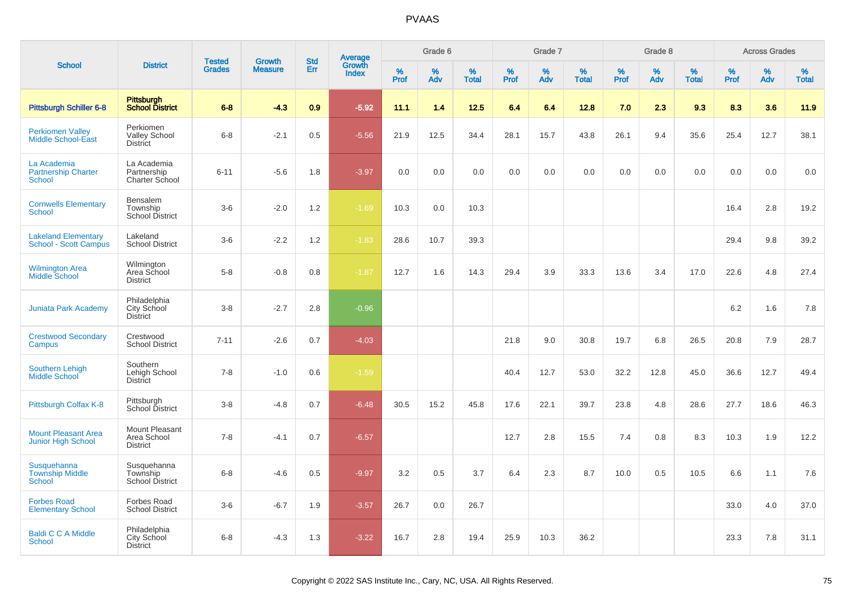|                                                            |                                                       | <b>Tested</b> | <b>Growth</b>  | <b>Std</b> |                                          |           | Grade 6  |                   |           | Grade 7  |                   |              | Grade 8  |                   |           | <b>Across Grades</b> |                   |
|------------------------------------------------------------|-------------------------------------------------------|---------------|----------------|------------|------------------------------------------|-----------|----------|-------------------|-----------|----------|-------------------|--------------|----------|-------------------|-----------|----------------------|-------------------|
| <b>School</b>                                              | <b>District</b>                                       | <b>Grades</b> | <b>Measure</b> | Err        | <b>Average</b><br>Growth<br><b>Index</b> | %<br>Prof | %<br>Adv | %<br><b>Total</b> | %<br>Prof | %<br>Adv | %<br><b>Total</b> | $\%$<br>Prof | %<br>Adv | %<br><b>Total</b> | %<br>Prof | %<br>Adv             | %<br><b>Total</b> |
| <b>Pittsburgh Schiller 6-8</b>                             | Pittsburgh<br><b>School District</b>                  | $6 - 8$       | $-4.3$         | 0.9        | $-5.92$                                  | 11.1      | 1.4      | 12.5              | 6.4       | 6.4      | 12.8              | 7.0          | 2.3      | 9.3               | 8.3       | 3.6                  | 11.9              |
| <b>Perkiomen Valley</b><br><b>Middle School-East</b>       | Perkiomen<br><b>Valley School</b><br><b>District</b>  | $6 - 8$       | $-2.1$         | 0.5        | $-5.56$                                  | 21.9      | 12.5     | 34.4              | 28.1      | 15.7     | 43.8              | 26.1         | 9.4      | 35.6              | 25.4      | 12.7                 | 38.1              |
| La Academia<br><b>Partnership Charter</b><br><b>School</b> | La Academia<br>Partnership<br>Charter School          | $6 - 11$      | $-5.6$         | 1.8        | $-3.97$                                  | 0.0       | 0.0      | 0.0               | 0.0       | 0.0      | 0.0               | 0.0          | 0.0      | 0.0               | 0.0       | 0.0                  | 0.0               |
| <b>Cornwells Elementary</b><br><b>School</b>               | Bensalem<br>Township<br>School District               | $3-6$         | $-2.0$         | 1.2        | $-1.69$                                  | 10.3      | 0.0      | 10.3              |           |          |                   |              |          |                   | 16.4      | 2.8                  | 19.2              |
| <b>Lakeland Elementary</b><br><b>School - Scott Campus</b> | Lakeland<br><b>School District</b>                    | $3-6$         | $-2.2$         | 1.2        | $-1.83$                                  | 28.6      | 10.7     | 39.3              |           |          |                   |              |          |                   | 29.4      | 9.8                  | 39.2              |
| <b>Wilmington Area</b><br><b>Middle School</b>             | Wilmington<br>Area School<br><b>District</b>          | $5-8$         | $-0.8$         | 0.8        | $-1.87$                                  | 12.7      | 1.6      | 14.3              | 29.4      | 3.9      | 33.3              | 13.6         | 3.4      | 17.0              | 22.6      | 4.8                  | 27.4              |
| <b>Juniata Park Academy</b>                                | Philadelphia<br>City School<br><b>District</b>        | $3-8$         | $-2.7$         | 2.8        | $-0.96$                                  |           |          |                   |           |          |                   |              |          |                   | 6.2       | 1.6                  | 7.8               |
| <b>Crestwood Secondary</b><br>Campus                       | Crestwood<br><b>School District</b>                   | $7 - 11$      | $-2.6$         | 0.7        | $-4.03$                                  |           |          |                   | 21.8      | 9.0      | 30.8              | 19.7         | 6.8      | 26.5              | 20.8      | 7.9                  | 28.7              |
| <b>Southern Lehigh</b><br>Middle School                    | Southern<br>Lehigh School<br>District                 | $7 - 8$       | $-1.0$         | 0.6        | $-1.59$                                  |           |          |                   | 40.4      | 12.7     | 53.0              | 32.2         | 12.8     | 45.0              | 36.6      | 12.7                 | 49.4              |
| Pittsburgh Colfax K-8                                      | Pittsburgh<br>School District                         | $3 - 8$       | $-4.8$         | 0.7        | $-6.48$                                  | 30.5      | 15.2     | 45.8              | 17.6      | 22.1     | 39.7              | 23.8         | 4.8      | 28.6              | 27.7      | 18.6                 | 46.3              |
| <b>Mount Pleasant Area</b><br><b>Junior High School</b>    | Mount Pleasant<br>Area School<br><b>District</b>      | $7 - 8$       | $-4.1$         | 0.7        | $-6.57$                                  |           |          |                   | 12.7      | 2.8      | 15.5              | 7.4          | 0.8      | 8.3               | 10.3      | 1.9                  | 12.2              |
| Susquehanna<br><b>Township Middle</b><br><b>School</b>     | Susquehanna<br>Township<br><b>School District</b>     | $6 - 8$       | $-4.6$         | 0.5        | $-9.97$                                  | 3.2       | 0.5      | 3.7               | 6.4       | 2.3      | 8.7               | 10.0         | 0.5      | 10.5              | 6.6       | 1.1                  | 7.6               |
| <b>Forbes Road</b><br><b>Elementary School</b>             | <b>Forbes Road</b><br><b>School District</b>          | $3-6$         | $-6.7$         | 1.9        | $-3.57$                                  | 26.7      | 0.0      | 26.7              |           |          |                   |              |          |                   | 33.0      | 4.0                  | 37.0              |
| <b>Baldi C C A Middle</b><br>School                        | Philadelphia<br><b>City School</b><br><b>District</b> | $6 - 8$       | $-4.3$         | 1.3        | $-3.22$                                  | 16.7      | 2.8      | 19.4              | 25.9      | 10.3     | 36.2              |              |          |                   | 23.3      | 7.8                  | 31.1              |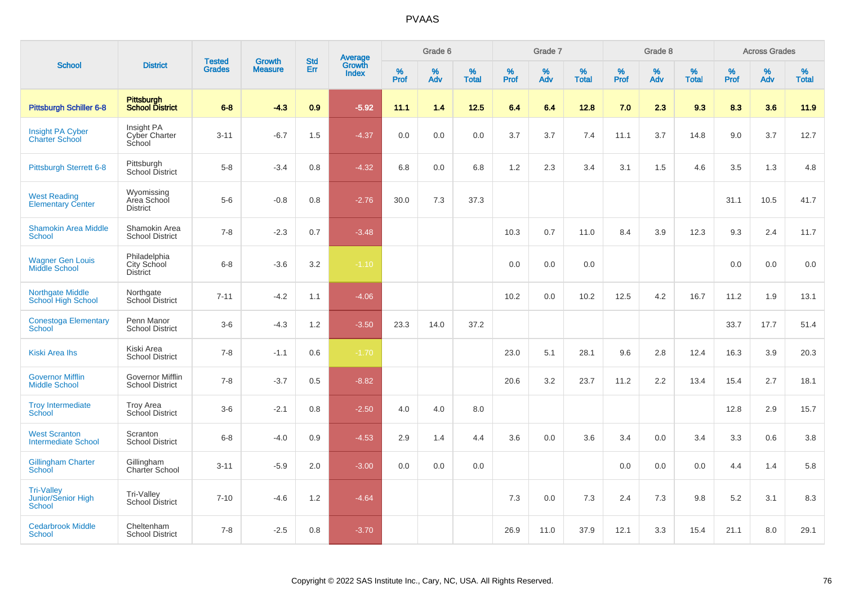|                                                          |                                                   |                                |                                 |                   |                                          |           | Grade 6     |                   |           | Grade 7     |                   |           | Grade 8  |                   |              | <b>Across Grades</b> |                   |
|----------------------------------------------------------|---------------------------------------------------|--------------------------------|---------------------------------|-------------------|------------------------------------------|-----------|-------------|-------------------|-----------|-------------|-------------------|-----------|----------|-------------------|--------------|----------------------|-------------------|
| <b>School</b>                                            | <b>District</b>                                   | <b>Tested</b><br><b>Grades</b> | <b>Growth</b><br><b>Measure</b> | <b>Std</b><br>Err | <b>Average</b><br>Growth<br><b>Index</b> | %<br>Prof | $\%$<br>Adv | %<br><b>Total</b> | %<br>Prof | $\%$<br>Adv | %<br><b>Total</b> | %<br>Prof | %<br>Adv | %<br><b>Total</b> | $\%$<br>Prof | %<br>Adv             | %<br><b>Total</b> |
| <b>Pittsburgh Schiller 6-8</b>                           | <b>Pittsburgh</b><br><b>School District</b>       | $6 - 8$                        | $-4.3$                          | 0.9               | $-5.92$                                  | 11.1      | 1.4         | 12.5              | 6.4       | 6.4         | 12.8              | 7.0       | 2.3      | 9.3               | 8.3          | 3.6                  | 11.9              |
| <b>Insight PA Cyber</b><br><b>Charter School</b>         | Insight PA<br>Cyber Charter<br>School             | $3 - 11$                       | $-6.7$                          | 1.5               | $-4.37$                                  | 0.0       | 0.0         | 0.0               | 3.7       | 3.7         | 7.4               | 11.1      | 3.7      | 14.8              | 9.0          | 3.7                  | 12.7              |
| <b>Pittsburgh Sterrett 6-8</b>                           | Pittsburgh<br>School District                     | $5 - 8$                        | $-3.4$                          | 0.8               | $-4.32$                                  | 6.8       | 0.0         | 6.8               | 1.2       | 2.3         | 3.4               | 3.1       | 1.5      | 4.6               | 3.5          | 1.3                  | 4.8               |
| <b>West Reading</b><br><b>Elementary Center</b>          | Wyomissing<br>Area School<br><b>District</b>      | $5-6$                          | $-0.8$                          | 0.8               | $-2.76$                                  | 30.0      | 7.3         | 37.3              |           |             |                   |           |          |                   | 31.1         | 10.5                 | 41.7              |
| <b>Shamokin Area Middle</b><br><b>School</b>             | Shamokin Area<br><b>School District</b>           | $7 - 8$                        | $-2.3$                          | 0.7               | $-3.48$                                  |           |             |                   | 10.3      | 0.7         | 11.0              | 8.4       | 3.9      | 12.3              | 9.3          | 2.4                  | 11.7              |
| <b>Wagner Gen Louis</b><br>Middle School                 | Philadelphia<br>City School<br>District           | $6 - 8$                        | $-3.6$                          | 3.2               | $-1.10$                                  |           |             |                   | 0.0       | 0.0         | 0.0               |           |          |                   | 0.0          | 0.0                  | 0.0               |
| <b>Northgate Middle</b><br>School High School            | Northgate<br>School District                      | $7 - 11$                       | $-4.2$                          | 1.1               | $-4.06$                                  |           |             |                   | 10.2      | 0.0         | 10.2              | 12.5      | 4.2      | 16.7              | 11.2         | 1.9                  | 13.1              |
| <b>Conestoga Elementary</b><br><b>School</b>             | Penn Manor<br><b>School District</b>              | $3-6$                          | $-4.3$                          | 1.2               | $-3.50$                                  | 23.3      | 14.0        | 37.2              |           |             |                   |           |          |                   | 33.7         | 17.7                 | 51.4              |
| <b>Kiski Area Ihs</b>                                    | Kiski Area<br><b>School District</b>              | $7 - 8$                        | $-1.1$                          | 0.6               | $-1.70$                                  |           |             |                   | 23.0      | 5.1         | 28.1              | 9.6       | 2.8      | 12.4              | 16.3         | 3.9                  | 20.3              |
| <b>Governor Mifflin</b><br><b>Middle School</b>          | <b>Governor Mifflin</b><br><b>School District</b> | $7 - 8$                        | $-3.7$                          | 0.5               | $-8.82$                                  |           |             |                   | 20.6      | 3.2         | 23.7              | 11.2      | 2.2      | 13.4              | 15.4         | 2.7                  | 18.1              |
| <b>Troy Intermediate</b><br>School                       | <b>Troy Area</b><br>School District               | $3-6$                          | $-2.1$                          | 0.8               | $-2.50$                                  | 4.0       | 4.0         | 8.0               |           |             |                   |           |          |                   | 12.8         | 2.9                  | 15.7              |
| <b>West Scranton</b><br><b>Intermediate School</b>       | Scranton<br><b>School District</b>                | $6 - 8$                        | $-4.0$                          | 0.9               | $-4.53$                                  | 2.9       | 1.4         | 4.4               | 3.6       | 0.0         | 3.6               | 3.4       | 0.0      | 3.4               | 3.3          | 0.6                  | 3.8               |
| <b>Gillingham Charter</b><br>School                      | Gillingham<br>Charter School                      | $3 - 11$                       | $-5.9$                          | 2.0               | $-3.00$                                  | 0.0       | 0.0         | 0.0               |           |             |                   | 0.0       | 0.0      | 0.0               | 4.4          | 1.4                  | 5.8               |
| <b>Tri-Valley</b><br>Junior/Senior High<br><b>School</b> | Tri-Valley<br>School District                     | $7 - 10$                       | $-4.6$                          | 1.2               | $-4.64$                                  |           |             |                   | 7.3       | 0.0         | 7.3               | 2.4       | 7.3      | 9.8               | 5.2          | 3.1                  | 8.3               |
| <b>Cedarbrook Middle</b><br><b>School</b>                | Cheltenham<br><b>School District</b>              | $7 - 8$                        | $-2.5$                          | 0.8               | $-3.70$                                  |           |             |                   | 26.9      | 11.0        | 37.9              | 12.1      | 3.3      | 15.4              | 21.1         | 8.0                  | 29.1              |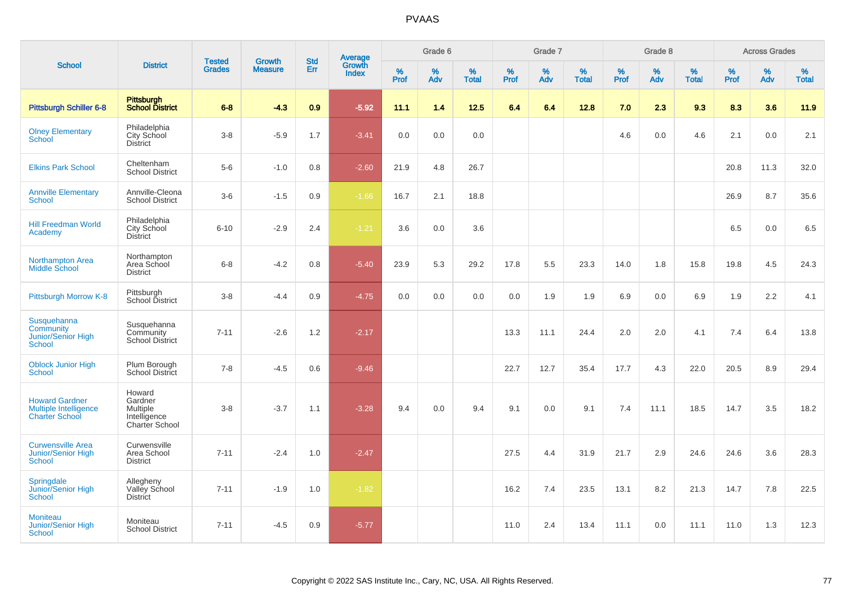|                                                                                |                                                                 |                                |                                 | <b>Std</b> |                                          |                  | Grade 6  |                   |           | Grade 7  |                   |           | Grade 8  |                   |           | <b>Across Grades</b> |                   |
|--------------------------------------------------------------------------------|-----------------------------------------------------------------|--------------------------------|---------------------------------|------------|------------------------------------------|------------------|----------|-------------------|-----------|----------|-------------------|-----------|----------|-------------------|-----------|----------------------|-------------------|
| <b>School</b>                                                                  | <b>District</b>                                                 | <b>Tested</b><br><b>Grades</b> | <b>Growth</b><br><b>Measure</b> | Err        | <b>Average</b><br>Growth<br><b>Index</b> | %<br><b>Prof</b> | %<br>Adv | %<br><b>Total</b> | %<br>Prof | %<br>Adv | %<br><b>Total</b> | %<br>Prof | %<br>Adv | %<br><b>Total</b> | %<br>Prof | %<br>Adv             | %<br><b>Total</b> |
| <b>Pittsburgh Schiller 6-8</b>                                                 | Pittsburgh<br><b>School District</b>                            | $6 - 8$                        | $-4.3$                          | 0.9        | $-5.92$                                  | 11.1             | 1.4      | 12.5              | 6.4       | 6.4      | 12.8              | 7.0       | 2.3      | 9.3               | 8.3       | 3.6                  | 11.9              |
| <b>Olney Elementary</b><br><b>School</b>                                       | Philadelphia<br>City School<br><b>District</b>                  | $3 - 8$                        | $-5.9$                          | 1.7        | $-3.41$                                  | 0.0              | 0.0      | 0.0               |           |          |                   | 4.6       | 0.0      | 4.6               | 2.1       | 0.0                  | 2.1               |
| <b>Elkins Park School</b>                                                      | Cheltenham<br><b>School District</b>                            | $5-6$                          | $-1.0$                          | 0.8        | $-2.60$                                  | 21.9             | 4.8      | 26.7              |           |          |                   |           |          |                   | 20.8      | 11.3                 | 32.0              |
| <b>Annville Elementary</b><br><b>School</b>                                    | Annville-Cleona<br><b>School District</b>                       | $3-6$                          | $-1.5$                          | 0.9        | $-1.66$                                  | 16.7             | 2.1      | 18.8              |           |          |                   |           |          |                   | 26.9      | 8.7                  | 35.6              |
| <b>Hill Freedman World</b><br>Academy                                          | Philadelphia<br>City School<br><b>District</b>                  | $6 - 10$                       | $-2.9$                          | 2.4        | $-1.21$                                  | 3.6              | 0.0      | 3.6               |           |          |                   |           |          |                   | 6.5       | 0.0                  | 6.5               |
| <b>Northampton Area</b><br><b>Middle School</b>                                | Northampton<br>Area School<br><b>District</b>                   | $6 - 8$                        | $-4.2$                          | 0.8        | $-5.40$                                  | 23.9             | 5.3      | 29.2              | 17.8      | 5.5      | 23.3              | 14.0      | 1.8      | 15.8              | 19.8      | 4.5                  | 24.3              |
| Pittsburgh Morrow K-8                                                          | Pittsburgh<br>School District                                   | $3 - 8$                        | $-4.4$                          | 0.9        | $-4.75$                                  | 0.0              | 0.0      | 0.0               | 0.0       | 1.9      | 1.9               | 6.9       | 0.0      | 6.9               | 1.9       | 2.2                  | 4.1               |
| Susquehanna<br>Community<br><b>Junior/Senior High</b><br>School                | Susquehanna<br>Community<br><b>School District</b>              | $7 - 11$                       | $-2.6$                          | 1.2        | $-2.17$                                  |                  |          |                   | 13.3      | 11.1     | 24.4              | 2.0       | 2.0      | 4.1               | 7.4       | 6.4                  | 13.8              |
| <b>Oblock Junior High</b><br><b>School</b>                                     | Plum Borough<br>School District                                 | $7 - 8$                        | $-4.5$                          | 0.6        | $-9.46$                                  |                  |          |                   | 22.7      | 12.7     | 35.4              | 17.7      | 4.3      | 22.0              | 20.5      | 8.9                  | 29.4              |
| <b>Howard Gardner</b><br><b>Multiple Intelligence</b><br><b>Charter School</b> | Howard<br>Gardner<br>Multiple<br>Intelligence<br>Charter School | $3 - 8$                        | $-3.7$                          | 1.1        | $-3.28$                                  | 9.4              | 0.0      | 9.4               | 9.1       | 0.0      | 9.1               | 7.4       | 11.1     | 18.5              | 14.7      | 3.5                  | 18.2              |
| <b>Curwensville Area</b><br><b>Junior/Senior High</b><br>School                | Curwensville<br>Area School<br><b>District</b>                  | $7 - 11$                       | $-2.4$                          | 1.0        | $-2.47$                                  |                  |          |                   | 27.5      | 4.4      | 31.9              | 21.7      | 2.9      | 24.6              | 24.6      | 3.6                  | 28.3              |
| Springdale<br>Junior/Senior High<br>School                                     | Allegheny<br>Valley School<br><b>District</b>                   | $7 - 11$                       | $-1.9$                          | 1.0        | $-1.82$                                  |                  |          |                   | 16.2      | 7.4      | 23.5              | 13.1      | 8.2      | 21.3              | 14.7      | 7.8                  | 22.5              |
| <b>Moniteau</b><br>Junior/Senior High<br>School                                | Moniteau<br><b>School District</b>                              | $7 - 11$                       | $-4.5$                          | 0.9        | $-5.77$                                  |                  |          |                   | 11.0      | 2.4      | 13.4              | 11.1      | 0.0      | 11.1              | 11.0      | 1.3                  | 12.3              |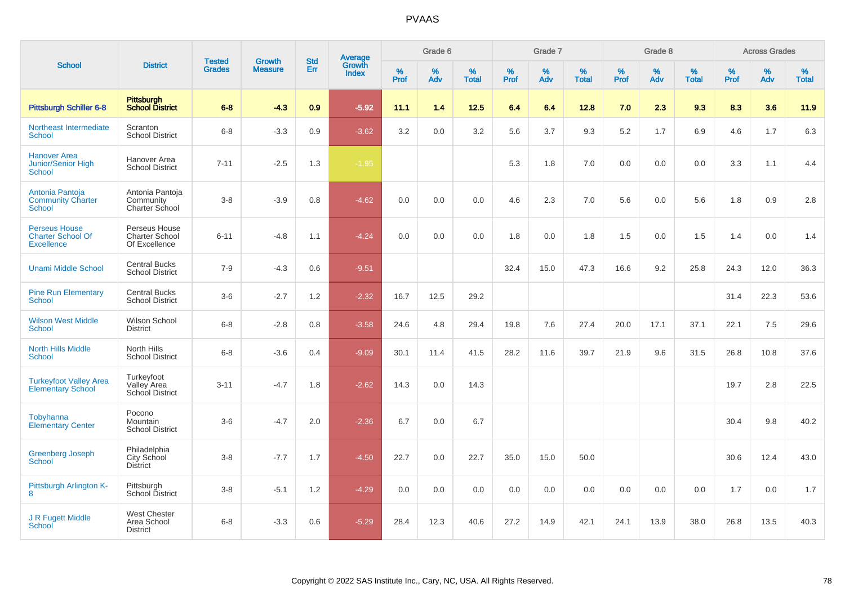|                                                                       |                                                         |                                |                          | <b>Std</b>    |                                          |                  | Grade 6  |                   |           | Grade 7  |                   |           | Grade 8  |                   |           | <b>Across Grades</b> |                   |
|-----------------------------------------------------------------------|---------------------------------------------------------|--------------------------------|--------------------------|---------------|------------------------------------------|------------------|----------|-------------------|-----------|----------|-------------------|-----------|----------|-------------------|-----------|----------------------|-------------------|
| <b>School</b>                                                         | <b>District</b>                                         | <b>Tested</b><br><b>Grades</b> | Growth<br><b>Measure</b> | Err           | <b>Average</b><br>Growth<br><b>Index</b> | %<br><b>Prof</b> | %<br>Adv | %<br><b>Total</b> | %<br>Prof | %<br>Adv | %<br><b>Total</b> | %<br>Prof | %<br>Adv | %<br><b>Total</b> | %<br>Prof | $\%$<br>Adv          | %<br><b>Total</b> |
| <b>Pittsburgh Schiller 6-8</b>                                        | <b>Pittsburgh</b><br><b>School District</b>             | $6 - 8$                        | $-4.3$                   | 0.9           | $-5.92$                                  | 11.1             | 1.4      | 12.5              | 6.4       | 6.4      | 12.8              | 7.0       | 2.3      | 9.3               | 8.3       | 3.6                  | $11.9$            |
| Northeast Intermediate<br><b>School</b>                               | Scranton<br><b>School District</b>                      | $6 - 8$                        | $-3.3$                   | 0.9           | $-3.62$                                  | 3.2              | 0.0      | 3.2               | 5.6       | 3.7      | 9.3               | 5.2       | 1.7      | 6.9               | 4.6       | 1.7                  | 6.3               |
| <b>Hanover Area</b><br>Junior/Senior High<br><b>School</b>            | Hanover Area<br><b>School District</b>                  | $7 - 11$                       | $-2.5$                   | 1.3           | $-1.95$                                  |                  |          |                   | 5.3       | 1.8      | 7.0               | 0.0       | 0.0      | 0.0               | 3.3       | 1.1                  | 4.4               |
| Antonia Pantoja<br><b>Community Charter</b><br>School                 | Antonia Pantoja<br>Community<br>Charter School          | $3-8$                          | $-3.9$                   | 0.8           | $-4.62$                                  | 0.0              | 0.0      | 0.0               | 4.6       | 2.3      | 7.0               | 5.6       | 0.0      | 5.6               | 1.8       | 0.9                  | 2.8               |
| <b>Perseus House</b><br><b>Charter School Of</b><br><b>Excellence</b> | Perseus House<br><b>Charter School</b><br>Of Excellence | $6 - 11$                       | $-4.8$                   | 1.1           | $-4.24$                                  | 0.0              | 0.0      | 0.0               | 1.8       | 0.0      | 1.8               | 1.5       | 0.0      | 1.5               | 1.4       | 0.0                  | 1.4               |
| <b>Unami Middle School</b>                                            | <b>Central Bucks</b><br><b>School District</b>          | $7 - 9$                        | $-4.3$                   | 0.6           | $-9.51$                                  |                  |          |                   | 32.4      | 15.0     | 47.3              | 16.6      | 9.2      | 25.8              | 24.3      | 12.0                 | 36.3              |
| <b>Pine Run Elementary</b><br><b>School</b>                           | <b>Central Bucks</b><br><b>School District</b>          | $3-6$                          | $-2.7$                   | 1.2           | $-2.32$                                  | 16.7             | 12.5     | 29.2              |           |          |                   |           |          |                   | 31.4      | 22.3                 | 53.6              |
| <b>Wilson West Middle</b><br><b>School</b>                            | Wilson School<br><b>District</b>                        | $6 - 8$                        | $-2.8$                   | 0.8           | $-3.58$                                  | 24.6             | 4.8      | 29.4              | 19.8      | 7.6      | 27.4              | 20.0      | 17.1     | 37.1              | 22.1      | 7.5                  | 29.6              |
| <b>North Hills Middle</b><br><b>School</b>                            | North Hills<br><b>School District</b>                   | $6 - 8$                        | $-3.6$                   | $0.4^{\circ}$ | $-9.09$                                  | 30.1             | 11.4     | 41.5              | 28.2      | 11.6     | 39.7              | 21.9      | 9.6      | 31.5              | 26.8      | 10.8                 | 37.6              |
| <b>Turkeyfoot Valley Area</b><br><b>Elementary School</b>             | Turkeyfoot<br>Valley Area<br><b>School District</b>     | $3 - 11$                       | $-4.7$                   | 1.8           | $-2.62$                                  | 14.3             | 0.0      | 14.3              |           |          |                   |           |          |                   | 19.7      | 2.8                  | 22.5              |
| Tobyhanna<br><b>Elementary Center</b>                                 | Pocono<br>Mountain<br><b>School District</b>            | $3-6$                          | $-4.7$                   | 2.0           | $-2.36$                                  | 6.7              | 0.0      | 6.7               |           |          |                   |           |          |                   | 30.4      | 9.8                  | 40.2              |
| <b>Greenberg Joseph</b><br><b>School</b>                              | Philadelphia<br>City School<br><b>District</b>          | $3-8$                          | $-7.7$                   | 1.7           | $-4.50$                                  | 22.7             | 0.0      | 22.7              | 35.0      | 15.0     | 50.0              |           |          |                   | 30.6      | 12.4                 | 43.0              |
| Pittsburgh Arlington K-<br>8                                          | Pittsburgh<br>School District                           | $3 - 8$                        | $-5.1$                   | 1.2           | $-4.29$                                  | 0.0              | 0.0      | 0.0               | 0.0       | 0.0      | 0.0               | 0.0       | 0.0      | 0.0               | 1.7       | 0.0                  | 1.7               |
| J R Fugett Middle<br>School                                           | <b>West Chester</b><br>Area School<br><b>District</b>   | $6 - 8$                        | $-3.3$                   | 0.6           | $-5.29$                                  | 28.4             | 12.3     | 40.6              | 27.2      | 14.9     | 42.1              | 24.1      | 13.9     | 38.0              | 26.8      | 13.5                 | 40.3              |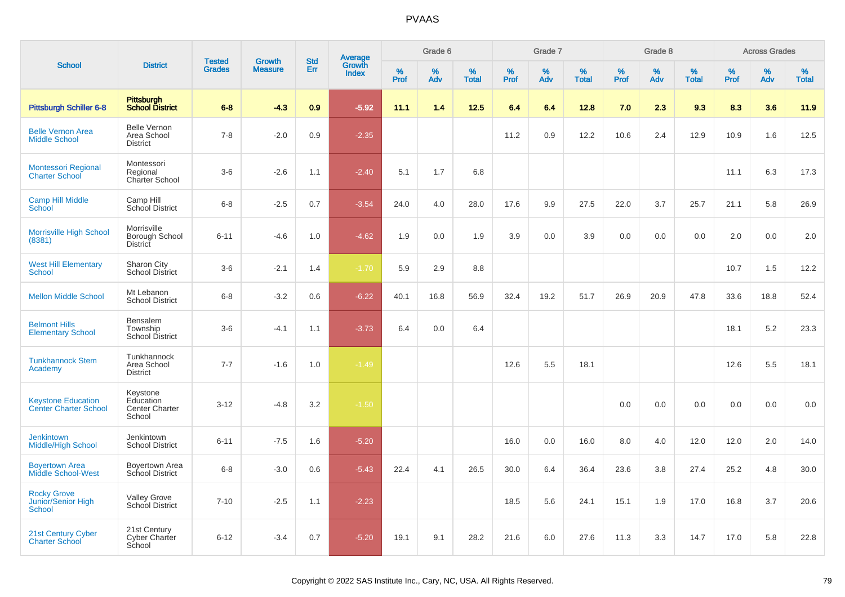|                                                           |                                                          |                                |                                 | <b>Std</b> |                                          |           | Grade 6  |                   |           | Grade 7  |                   |           | Grade 8  |                   |           | <b>Across Grades</b> |                   |
|-----------------------------------------------------------|----------------------------------------------------------|--------------------------------|---------------------------------|------------|------------------------------------------|-----------|----------|-------------------|-----------|----------|-------------------|-----------|----------|-------------------|-----------|----------------------|-------------------|
| <b>School</b>                                             | <b>District</b>                                          | <b>Tested</b><br><b>Grades</b> | <b>Growth</b><br><b>Measure</b> | Err        | <b>Average</b><br>Growth<br><b>Index</b> | %<br>Prof | %<br>Adv | %<br><b>Total</b> | %<br>Prof | %<br>Adv | %<br><b>Total</b> | %<br>Prof | %<br>Adv | %<br><b>Total</b> | %<br>Prof | %<br>Adv             | %<br><b>Total</b> |
| <b>Pittsburgh Schiller 6-8</b>                            | Pittsburgh<br><b>School District</b>                     | $6 - 8$                        | $-4.3$                          | 0.9        | $-5.92$                                  | 11.1      | 1.4      | 12.5              | 6.4       | 6.4      | 12.8              | 7.0       | 2.3      | 9.3               | 8.3       | 3.6                  | 11.9              |
| <b>Belle Vernon Area</b><br><b>Middle School</b>          | <b>Belle Vernon</b><br>Area School<br><b>District</b>    | $7 - 8$                        | $-2.0$                          | 0.9        | $-2.35$                                  |           |          |                   | 11.2      | 0.9      | 12.2              | 10.6      | 2.4      | 12.9              | 10.9      | 1.6                  | 12.5              |
| Montessori Regional<br><b>Charter School</b>              | Montessori<br>Regional<br>Charter School                 | $3-6$                          | $-2.6$                          | 1.1        | $-2.40$                                  | 5.1       | 1.7      | 6.8               |           |          |                   |           |          |                   | 11.1      | 6.3                  | 17.3              |
| <b>Camp Hill Middle</b><br>School                         | Camp Hill<br>School District                             | $6 - 8$                        | $-2.5$                          | 0.7        | $-3.54$                                  | 24.0      | 4.0      | 28.0              | 17.6      | 9.9      | 27.5              | 22.0      | 3.7      | 25.7              | 21.1      | 5.8                  | 26.9              |
| Morrisville High School<br>(8381)                         | Morrisville<br>Borough School<br>District                | $6 - 11$                       | $-4.6$                          | 1.0        | $-4.62$                                  | 1.9       | 0.0      | 1.9               | 3.9       | 0.0      | 3.9               | 0.0       | 0.0      | 0.0               | 2.0       | 0.0                  | 2.0               |
| <b>West Hill Elementary</b><br><b>School</b>              | Sharon City<br><b>School District</b>                    | $3-6$                          | $-2.1$                          | 1.4        | $-1.70$                                  | 5.9       | 2.9      | 8.8               |           |          |                   |           |          |                   | 10.7      | 1.5                  | 12.2              |
| <b>Mellon Middle School</b>                               | Mt Lebanon<br><b>School District</b>                     | $6 - 8$                        | $-3.2$                          | 0.6        | $-6.22$                                  | 40.1      | 16.8     | 56.9              | 32.4      | 19.2     | 51.7              | 26.9      | 20.9     | 47.8              | 33.6      | 18.8                 | 52.4              |
| <b>Belmont Hills</b><br><b>Elementary School</b>          | <b>Bensalem</b><br>Township<br><b>School District</b>    | $3-6$                          | $-4.1$                          | 1.1        | $-3.73$                                  | 6.4       | 0.0      | 6.4               |           |          |                   |           |          |                   | 18.1      | 5.2                  | 23.3              |
| <b>Tunkhannock Stem</b><br>Academy                        | Tunkhannock<br>Area School<br><b>District</b>            | $7 - 7$                        | $-1.6$                          | 1.0        | $-1.49$                                  |           |          |                   | 12.6      | 5.5      | 18.1              |           |          |                   | 12.6      | 5.5                  | 18.1              |
| <b>Keystone Education</b><br><b>Center Charter School</b> | Keystone<br>Education<br><b>Center Charter</b><br>School | $3 - 12$                       | $-4.8$                          | 3.2        | $-1.50$                                  |           |          |                   |           |          |                   | $0.0\,$   | 0.0      | 0.0               | 0.0       | 0.0                  | 0.0               |
| <b>Jenkintown</b><br><b>Middle/High School</b>            | Jenkintown<br><b>School District</b>                     | $6 - 11$                       | $-7.5$                          | 1.6        | $-5.20$                                  |           |          |                   | 16.0      | 0.0      | 16.0              | 8.0       | 4.0      | 12.0              | 12.0      | 2.0                  | 14.0              |
| <b>Boyertown Area</b><br><b>Middle School-West</b>        | Boyertown Area<br>School District                        | $6 - 8$                        | $-3.0$                          | 0.6        | $-5.43$                                  | 22.4      | 4.1      | 26.5              | 30.0      | 6.4      | 36.4              | 23.6      | 3.8      | 27.4              | 25.2      | 4.8                  | 30.0              |
| <b>Rocky Grove</b><br>Junior/Senior High<br>School        | <b>Valley Grove</b><br>School District                   | $7 - 10$                       | $-2.5$                          | 1.1        | $-2.23$                                  |           |          |                   | 18.5      | 5.6      | 24.1              | 15.1      | 1.9      | 17.0              | 16.8      | 3.7                  | 20.6              |
| 21st Century Cyber<br><b>Charter School</b>               | 21st Century<br>Cyber Charter<br>School                  | $6 - 12$                       | $-3.4$                          | 0.7        | $-5.20$                                  | 19.1      | 9.1      | 28.2              | 21.6      | 6.0      | 27.6              | 11.3      | 3.3      | 14.7              | 17.0      | 5.8                  | 22.8              |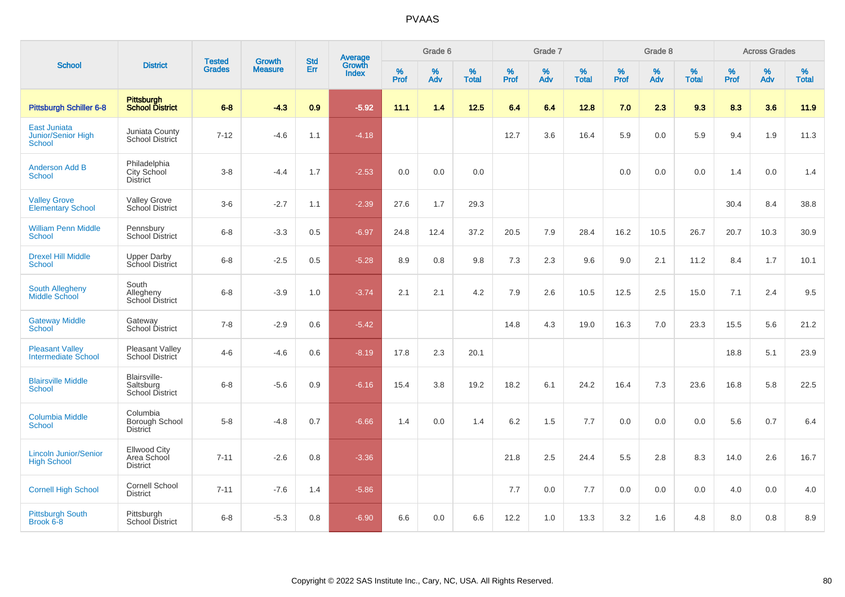|                                                      |                                                       |                                |                                 | <b>Std</b> |                                          |                  | Grade 6  |                   |           | Grade 7  |                   |           | Grade 8  |                   |           | <b>Across Grades</b> |                   |
|------------------------------------------------------|-------------------------------------------------------|--------------------------------|---------------------------------|------------|------------------------------------------|------------------|----------|-------------------|-----------|----------|-------------------|-----------|----------|-------------------|-----------|----------------------|-------------------|
| <b>School</b>                                        | <b>District</b>                                       | <b>Tested</b><br><b>Grades</b> | <b>Growth</b><br><b>Measure</b> | Err        | <b>Average</b><br>Growth<br><b>Index</b> | %<br><b>Prof</b> | %<br>Adv | %<br><b>Total</b> | %<br>Prof | %<br>Adv | %<br><b>Total</b> | %<br>Prof | %<br>Adv | %<br><b>Total</b> | %<br>Prof | %<br>Adv             | %<br><b>Total</b> |
| <b>Pittsburgh Schiller 6-8</b>                       | Pittsburgh<br><b>School District</b>                  | $6 - 8$                        | $-4.3$                          | 0.9        | $-5.92$                                  | 11.1             | 1.4      | 12.5              | 6.4       | 6.4      | 12.8              | 7.0       | 2.3      | 9.3               | 8.3       | 3.6                  | 11.9              |
| East Juniata<br>Junior/Senior High<br><b>School</b>  | Juniata County<br>School District                     | $7 - 12$                       | $-4.6$                          | 1.1        | $-4.18$                                  |                  |          |                   | 12.7      | 3.6      | 16.4              | 5.9       | 0.0      | 5.9               | 9.4       | 1.9                  | 11.3              |
| <b>Anderson Add B</b><br><b>School</b>               | Philadelphia<br>City School<br><b>District</b>        | $3-8$                          | $-4.4$                          | 1.7        | $-2.53$                                  | 0.0              | 0.0      | 0.0               |           |          |                   | 0.0       | 0.0      | 0.0               | 1.4       | 0.0                  | 1.4               |
| <b>Valley Grove</b><br><b>Elementary School</b>      | <b>Valley Grove</b><br>School District                | $3-6$                          | $-2.7$                          | 1.1        | $-2.39$                                  | 27.6             | 1.7      | 29.3              |           |          |                   |           |          |                   | 30.4      | 8.4                  | 38.8              |
| <b>William Penn Middle</b><br><b>School</b>          | Pennsbury<br>School District                          | $6-8$                          | $-3.3$                          | 0.5        | $-6.97$                                  | 24.8             | 12.4     | 37.2              | 20.5      | 7.9      | 28.4              | 16.2      | 10.5     | 26.7              | 20.7      | 10.3                 | 30.9              |
| <b>Drexel Hill Middle</b><br><b>School</b>           | <b>Upper Darby</b><br>School District                 | $6-8$                          | $-2.5$                          | 0.5        | $-5.28$                                  | 8.9              | 0.8      | 9.8               | 7.3       | 2.3      | 9.6               | 9.0       | 2.1      | 11.2              | 8.4       | 1.7                  | 10.1              |
| <b>South Allegheny</b><br>Middle School              | South<br>Allegheny<br>School District                 | $6-8$                          | $-3.9$                          | 1.0        | $-3.74$                                  | 2.1              | 2.1      | 4.2               | 7.9       | 2.6      | 10.5              | 12.5      | 2.5      | 15.0              | 7.1       | 2.4                  | 9.5               |
| <b>Gateway Middle</b><br><b>School</b>               | Gateway<br>School District                            | $7 - 8$                        | $-2.9$                          | 0.6        | $-5.42$                                  |                  |          |                   | 14.8      | 4.3      | 19.0              | 16.3      | 7.0      | 23.3              | 15.5      | 5.6                  | 21.2              |
| <b>Pleasant Valley</b><br><b>Intermediate School</b> | Pleasant Valley<br>School District                    | $4 - 6$                        | $-4.6$                          | 0.6        | $-8.19$                                  | 17.8             | 2.3      | 20.1              |           |          |                   |           |          |                   | 18.8      | 5.1                  | 23.9              |
| <b>Blairsville Middle</b><br>School                  | Blairsville-<br>Saltsburg<br>School District          | $6 - 8$                        | $-5.6$                          | 0.9        | $-6.16$                                  | 15.4             | 3.8      | 19.2              | 18.2      | 6.1      | 24.2              | 16.4      | 7.3      | 23.6              | 16.8      | 5.8                  | 22.5              |
| <b>Columbia Middle</b><br><b>School</b>              | Columbia<br>Borough School<br>District                | $5-8$                          | $-4.8$                          | 0.7        | $-6.66$                                  | 1.4              | 0.0      | 1.4               | 6.2       | 1.5      | 7.7               | 0.0       | 0.0      | 0.0               | 5.6       | 0.7                  | 6.4               |
| <b>Lincoln Junior/Senior</b><br><b>High School</b>   | <b>Ellwood City</b><br>Area School<br><b>District</b> | $7 - 11$                       | $-2.6$                          | $0.8\,$    | $-3.36$                                  |                  |          |                   | 21.8      | 2.5      | 24.4              | 5.5       | 2.8      | 8.3               | 14.0      | 2.6                  | 16.7              |
| <b>Cornell High School</b>                           | <b>Cornell School</b><br><b>District</b>              | $7 - 11$                       | $-7.6$                          | 1.4        | $-5.86$                                  |                  |          |                   | 7.7       | 0.0      | 7.7               | 0.0       | 0.0      | 0.0               | 4.0       | 0.0                  | 4.0               |
| <b>Pittsburgh South</b><br>Brook 6-8                 | Pittsburgh<br><b>School District</b>                  | $6-8$                          | $-5.3$                          | 0.8        | $-6.90$                                  | 6.6              | 0.0      | 6.6               | 12.2      | 1.0      | 13.3              | 3.2       | 1.6      | 4.8               | 8.0       | 0.8                  | 8.9               |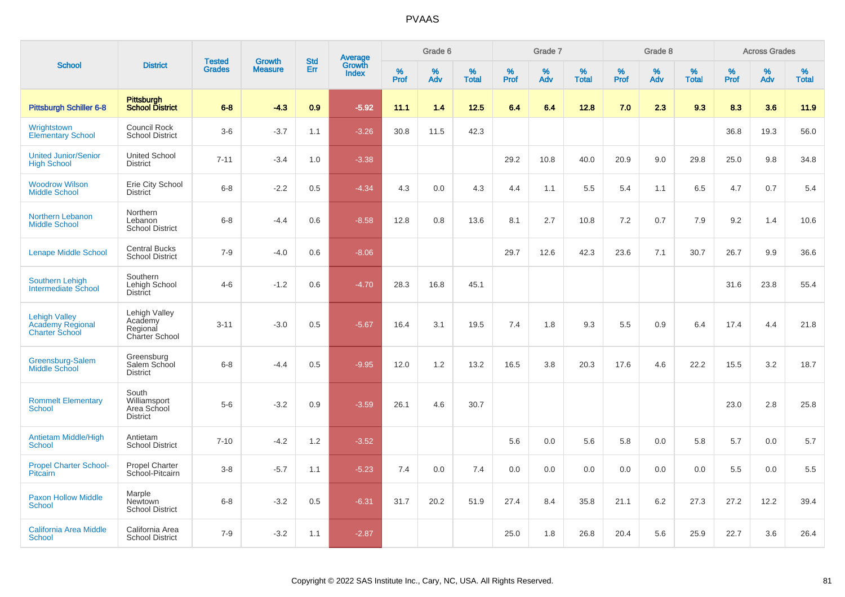|                                                                          |                                                         | <b>Tested</b> | <b>Growth</b>  | <b>Std</b> |                                          |                  | Grade 6     |                   |              | Grade 7  |                   |           | Grade 8  |                   |           | <b>Across Grades</b> |                   |
|--------------------------------------------------------------------------|---------------------------------------------------------|---------------|----------------|------------|------------------------------------------|------------------|-------------|-------------------|--------------|----------|-------------------|-----------|----------|-------------------|-----------|----------------------|-------------------|
| <b>School</b>                                                            | <b>District</b>                                         | <b>Grades</b> | <b>Measure</b> | Err        | <b>Average</b><br>Growth<br><b>Index</b> | %<br><b>Prof</b> | $\%$<br>Adv | %<br><b>Total</b> | $\%$<br>Prof | %<br>Adv | %<br><b>Total</b> | %<br>Prof | %<br>Adv | %<br><b>Total</b> | %<br>Prof | %<br>Adv             | %<br><b>Total</b> |
| <b>Pittsburgh Schiller 6-8</b>                                           | Pittsburgh<br>School District                           | $6 - 8$       | $-4.3$         | 0.9        | $-5.92$                                  | 11.1             | 1.4         | $12.5$            | 6.4          | 6.4      | 12.8              | 7.0       | 2.3      | 9.3               | 8.3       | 3.6                  | 11.9              |
| Wrightstown<br><b>Elementary School</b>                                  | Council Rock<br><b>School District</b>                  | $3-6$         | $-3.7$         | 1.1        | $-3.26$                                  | 30.8             | 11.5        | 42.3              |              |          |                   |           |          |                   | 36.8      | 19.3                 | 56.0              |
| <b>United Junior/Senior</b><br><b>High School</b>                        | <b>United School</b><br><b>District</b>                 | $7 - 11$      | $-3.4$         | 1.0        | $-3.38$                                  |                  |             |                   | 29.2         | 10.8     | 40.0              | 20.9      | 9.0      | 29.8              | 25.0      | 9.8                  | 34.8              |
| <b>Woodrow Wilson</b><br><b>Middle School</b>                            | Erie City School<br><b>District</b>                     | $6 - 8$       | $-2.2$         | 0.5        | $-4.34$                                  | 4.3              | 0.0         | 4.3               | 4.4          | 1.1      | 5.5               | 5.4       | 1.1      | 6.5               | 4.7       | 0.7                  | 5.4               |
| Northern Lebanon<br><b>Middle School</b>                                 | Northern<br>Lebanon<br><b>School District</b>           | $6 - 8$       | $-4.4$         | 0.6        | $-8.58$                                  | 12.8             | 0.8         | 13.6              | 8.1          | 2.7      | 10.8              | 7.2       | 0.7      | 7.9               | 9.2       | 1.4                  | 10.6              |
| <b>Lenape Middle School</b>                                              | <b>Central Bucks</b><br><b>School District</b>          | $7 - 9$       | $-4.0$         | 0.6        | $-8.06$                                  |                  |             |                   | 29.7         | 12.6     | 42.3              | 23.6      | 7.1      | 30.7              | 26.7      | 9.9                  | 36.6              |
| <b>Southern Lehigh</b><br><b>Intermediate School</b>                     | Southern<br>Lehigh School<br>District                   | $4 - 6$       | $-1.2$         | 0.6        | $-4.70$                                  | 28.3             | 16.8        | 45.1              |              |          |                   |           |          |                   | 31.6      | 23.8                 | 55.4              |
| <b>Lehigh Valley</b><br><b>Academy Regional</b><br><b>Charter School</b> | Lehigh Valley<br>Academy<br>Regional<br>Charter School  | $3 - 11$      | $-3.0$         | 0.5        | $-5.67$                                  | 16.4             | 3.1         | 19.5              | 7.4          | 1.8      | 9.3               | 5.5       | 0.9      | 6.4               | 17.4      | 4.4                  | 21.8              |
| Greensburg-Salem<br>Middle School                                        | Greensburg<br>Salem School<br><b>District</b>           | $6 - 8$       | $-4.4$         | 0.5        | $-9.95$                                  | 12.0             | 1.2         | 13.2              | 16.5         | 3.8      | 20.3              | 17.6      | 4.6      | 22.2              | 15.5      | 3.2                  | 18.7              |
| <b>Rommelt Elementary</b><br><b>School</b>                               | South<br>Williamsport<br>Area School<br><b>District</b> | $5-6$         | $-3.2$         | 0.9        | $-3.59$                                  | 26.1             | 4.6         | 30.7              |              |          |                   |           |          |                   | 23.0      | 2.8                  | 25.8              |
| <b>Antietam Middle/High</b><br><b>School</b>                             | Antietam<br><b>School District</b>                      | $7 - 10$      | $-4.2$         | 1.2        | $-3.52$                                  |                  |             |                   | 5.6          | 0.0      | 5.6               | 5.8       | 0.0      | 5.8               | 5.7       | 0.0                  | 5.7               |
| <b>Propel Charter School-</b><br>Pitcairn                                | <b>Propel Charter</b><br>School-Pitcairn                | $3-8$         | $-5.7$         | 1.1        | $-5.23$                                  | 7.4              | 0.0         | 7.4               | 0.0          | 0.0      | 0.0               | 0.0       | 0.0      | 0.0               | 5.5       | 0.0                  | 5.5               |
| <b>Paxon Hollow Middle</b><br><b>School</b>                              | Marple<br>Newtown<br><b>School District</b>             | $6 - 8$       | $-3.2$         | 0.5        | $-6.31$                                  | 31.7             | 20.2        | 51.9              | 27.4         | 8.4      | 35.8              | 21.1      | 6.2      | 27.3              | 27.2      | 12.2                 | 39.4              |
| <b>California Area Middle</b><br><b>School</b>                           | California Area<br><b>School District</b>               | $7 - 9$       | $-3.2$         | 1.1        | $-2.87$                                  |                  |             |                   | 25.0         | 1.8      | 26.8              | 20.4      | 5.6      | 25.9              | 22.7      | 3.6                  | 26.4              |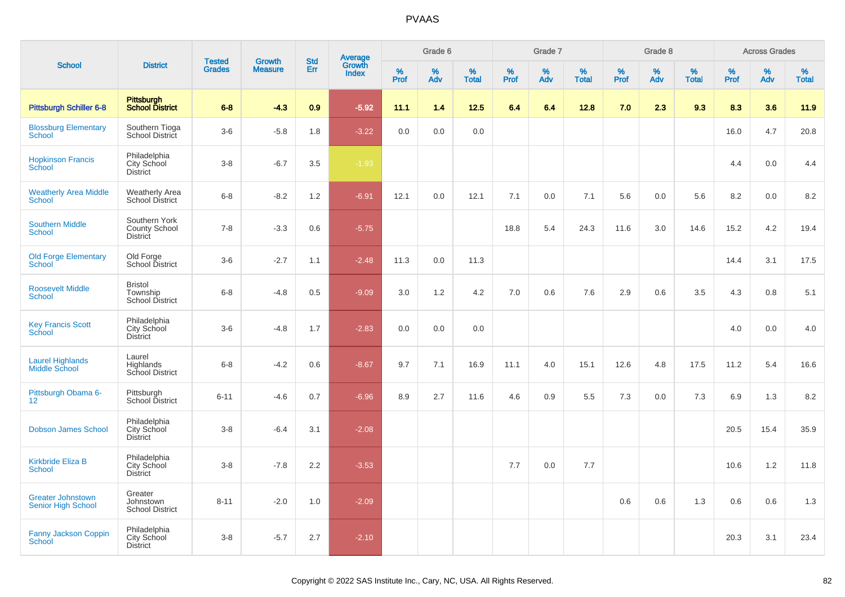|                                                       |                                                       | <b>Tested</b> | <b>Growth</b>  | <b>Std</b> |                                   |                  | Grade 6     |                   |              | Grade 7  |                      |           | Grade 8  |                   |              | <b>Across Grades</b> |                   |
|-------------------------------------------------------|-------------------------------------------------------|---------------|----------------|------------|-----------------------------------|------------------|-------------|-------------------|--------------|----------|----------------------|-----------|----------|-------------------|--------------|----------------------|-------------------|
| <b>School</b>                                         | <b>District</b>                                       | <b>Grades</b> | <b>Measure</b> | Err        | Average<br>Growth<br><b>Index</b> | %<br><b>Prof</b> | $\%$<br>Adv | %<br><b>Total</b> | $\%$<br>Prof | %<br>Adv | $\%$<br><b>Total</b> | %<br>Prof | %<br>Adv | %<br><b>Total</b> | $\%$<br>Prof | %<br>Adv             | %<br><b>Total</b> |
| <b>Pittsburgh Schiller 6-8</b>                        | Pittsburgh<br>School District                         | $6 - 8$       | $-4.3$         | 0.9        | $-5.92$                           | 11.1             | 1.4         | 12.5              | 6.4          | 6.4      | 12.8                 | 7.0       | 2.3      | 9.3               | 8.3          | 3.6                  | 11.9              |
| <b>Blossburg Elementary</b><br>School                 | Southern Tioga<br>School District                     | $3-6$         | $-5.8$         | 1.8        | $-3.22$                           | 0.0              | 0.0         | 0.0               |              |          |                      |           |          |                   | 16.0         | 4.7                  | 20.8              |
| <b>Hopkinson Francis</b><br>School                    | Philadelphia<br>City School<br><b>District</b>        | $3-8$         | $-6.7$         | 3.5        | $-1.93$                           |                  |             |                   |              |          |                      |           |          |                   | 4.4          | 0.0                  | 4.4               |
| <b>Weatherly Area Middle</b><br><b>School</b>         | <b>Weatherly Area</b><br><b>School District</b>       | $6 - 8$       | $-8.2$         | 1.2        | $-6.91$                           | 12.1             | 0.0         | 12.1              | 7.1          | 0.0      | 7.1                  | 5.6       | 0.0      | 5.6               | 8.2          | 0.0                  | 8.2               |
| <b>Southern Middle</b><br><b>School</b>               | Southern York<br><b>County School</b><br>District     | $7 - 8$       | $-3.3$         | 0.6        | $-5.75$                           |                  |             |                   | 18.8         | 5.4      | 24.3                 | 11.6      | 3.0      | 14.6              | 15.2         | 4.2                  | 19.4              |
| <b>Old Forge Elementary</b><br><b>School</b>          | Old Forge<br>School District                          | $3-6$         | $-2.7$         | 1.1        | $-2.48$                           | 11.3             | 0.0         | 11.3              |              |          |                      |           |          |                   | 14.4         | 3.1                  | 17.5              |
| <b>Roosevelt Middle</b><br><b>School</b>              | <b>Bristol</b><br>Township<br><b>School District</b>  | $6 - 8$       | $-4.8$         | 0.5        | $-9.09$                           | 3.0              | 1.2         | 4.2               | 7.0          | 0.6      | 7.6                  | 2.9       | 0.6      | 3.5               | 4.3          | 0.8                  | 5.1               |
| <b>Key Francis Scott</b><br>School                    | Philadelphia<br>City School<br><b>District</b>        | $3-6$         | $-4.8$         | 1.7        | $-2.83$                           | 0.0              | 0.0         | 0.0               |              |          |                      |           |          |                   | 4.0          | 0.0                  | 4.0               |
| <b>Laurel Highlands</b><br><b>Middle School</b>       | Laurel<br>Highlands<br>School District                | $6 - 8$       | $-4.2$         | 0.6        | $-8.67$                           | 9.7              | 7.1         | 16.9              | 11.1         | 4.0      | 15.1                 | 12.6      | 4.8      | 17.5              | 11.2         | 5.4                  | 16.6              |
| Pittsburgh Obama 6-<br>12 <sup>2</sup>                | Pittsburgh<br>School District                         | $6 - 11$      | $-4.6$         | 0.7        | $-6.96$                           | 8.9              | 2.7         | 11.6              | 4.6          | 0.9      | 5.5                  | 7.3       | 0.0      | 7.3               | 6.9          | 1.3                  | 8.2               |
| <b>Dobson James School</b>                            | Philadelphia<br>City School<br><b>District</b>        | $3 - 8$       | $-6.4$         | 3.1        | $-2.08$                           |                  |             |                   |              |          |                      |           |          |                   | 20.5         | 15.4                 | 35.9              |
| <b>Kirkbride Eliza B</b><br><b>School</b>             | Philadelphia<br>City School<br><b>District</b>        | $3 - 8$       | $-7.8$         | 2.2        | $-3.53$                           |                  |             |                   | 7.7          | 0.0      | 7.7                  |           |          |                   | 10.6         | 1.2                  | 11.8              |
| <b>Greater Johnstown</b><br><b>Senior High School</b> | Greater<br>Johnstown<br><b>School District</b>        | $8 - 11$      | $-2.0$         | 1.0        | $-2.09$                           |                  |             |                   |              |          |                      | 0.6       | 0.6      | 1.3               | 0.6          | 0.6                  | 1.3               |
| <b>Fanny Jackson Coppin</b><br>School                 | Philadelphia<br><b>City School</b><br><b>District</b> | $3 - 8$       | $-5.7$         | 2.7        | $-2.10$                           |                  |             |                   |              |          |                      |           |          |                   | 20.3         | 3.1                  | 23.4              |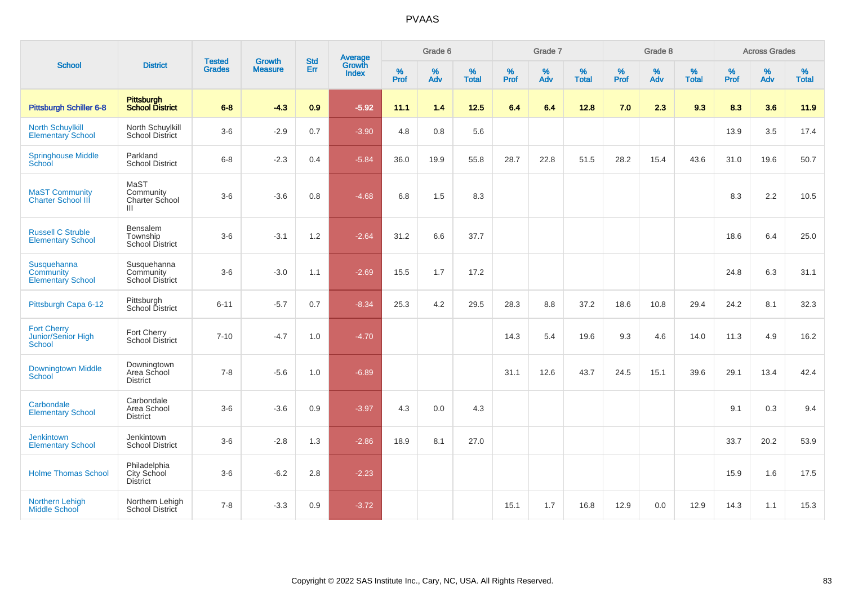|                                                      |                                                | <b>Tested</b> | <b>Growth</b>  | <b>Std</b> |                                          |                  | Grade 6  |                   |           | Grade 7     |                   |           | Grade 8  |                   |              | <b>Across Grades</b> |                   |
|------------------------------------------------------|------------------------------------------------|---------------|----------------|------------|------------------------------------------|------------------|----------|-------------------|-----------|-------------|-------------------|-----------|----------|-------------------|--------------|----------------------|-------------------|
| <b>School</b>                                        | <b>District</b>                                | <b>Grades</b> | <b>Measure</b> | Err        | <b>Average</b><br>Growth<br><b>Index</b> | %<br><b>Prof</b> | %<br>Adv | %<br><b>Total</b> | %<br>Prof | $\%$<br>Adv | %<br><b>Total</b> | %<br>Prof | %<br>Adv | %<br><b>Total</b> | $\%$<br>Prof | $\%$<br>Adv          | %<br><b>Total</b> |
| <b>Pittsburgh Schiller 6-8</b>                       | Pittsburgh<br>School District                  | $6 - 8$       | $-4.3$         | 0.9        | $-5.92$                                  | 11.1             | 1.4      | 12.5              | 6.4       | 6.4         | 12.8              | 7.0       | 2.3      | 9.3               | 8.3          | 3.6                  | 11.9              |
| <b>North Schuylkill</b><br><b>Elementary School</b>  | North Schuylkill<br>School District            | $3-6$         | $-2.9$         | 0.7        | $-3.90$                                  | 4.8              | 0.8      | 5.6               |           |             |                   |           |          |                   | 13.9         | 3.5                  | 17.4              |
| <b>Springhouse Middle</b><br>School                  | Parkland<br><b>School District</b>             | $6 - 8$       | $-2.3$         | 0.4        | $-5.84$                                  | 36.0             | 19.9     | 55.8              | 28.7      | 22.8        | 51.5              | 28.2      | 15.4     | 43.6              | 31.0         | 19.6                 | 50.7              |
| <b>MaST Community</b><br><b>Charter School III</b>   | MaST<br>Community<br>Charter School<br>Ш       | $3-6$         | $-3.6$         | 0.8        | $-4.68$                                  | 6.8              | 1.5      | 8.3               |           |             |                   |           |          |                   | 8.3          | 2.2                  | 10.5              |
| <b>Russell C Struble</b><br><b>Elementary School</b> | Bensalem<br>Township<br><b>School District</b> | $3-6$         | $-3.1$         | 1.2        | $-2.64$                                  | 31.2             | 6.6      | 37.7              |           |             |                   |           |          |                   | 18.6         | 6.4                  | 25.0              |
| Susquehanna<br>Community<br><b>Elementary School</b> | Susquehanna<br>Community<br>School District    | $3-6$         | $-3.0$         | 1.1        | $-2.69$                                  | 15.5             | 1.7      | 17.2              |           |             |                   |           |          |                   | 24.8         | 6.3                  | 31.1              |
| Pittsburgh Capa 6-12                                 | Pittsburgh<br>School District                  | $6 - 11$      | $-5.7$         | 0.7        | $-8.34$                                  | 25.3             | 4.2      | 29.5              | 28.3      | 8.8         | 37.2              | 18.6      | 10.8     | 29.4              | 24.2         | 8.1                  | 32.3              |
| <b>Fort Cherry</b><br>Junior/Senior High<br>School   | Fort Cherry<br><b>School District</b>          | $7 - 10$      | $-4.7$         | 1.0        | $-4.70$                                  |                  |          |                   | 14.3      | 5.4         | 19.6              | 9.3       | 4.6      | 14.0              | 11.3         | 4.9                  | 16.2              |
| <b>Downingtown Middle</b><br>School                  | Downingtown<br>Area School<br><b>District</b>  | $7 - 8$       | $-5.6$         | 1.0        | $-6.89$                                  |                  |          |                   | 31.1      | 12.6        | 43.7              | 24.5      | 15.1     | 39.6              | 29.1         | 13.4                 | 42.4              |
| Carbondale<br><b>Elementary School</b>               | Carbondale<br>Area School<br><b>District</b>   | $3-6$         | $-3.6$         | $0.9\,$    | $-3.97$                                  | 4.3              | 0.0      | 4.3               |           |             |                   |           |          |                   | 9.1          | 0.3                  | 9.4               |
| <b>Jenkintown</b><br><b>Elementary School</b>        | Jenkintown<br><b>School District</b>           | $3-6$         | $-2.8$         | 1.3        | $-2.86$                                  | 18.9             | 8.1      | 27.0              |           |             |                   |           |          |                   | 33.7         | 20.2                 | 53.9              |
| <b>Holme Thomas School</b>                           | Philadelphia<br>City School<br><b>District</b> | $3-6$         | $-6.2$         | 2.8        | $-2.23$                                  |                  |          |                   |           |             |                   |           |          |                   | 15.9         | 1.6                  | 17.5              |
| Northern Lehigh<br><b>Middle School</b>              | Northern Lehigh<br>School District             | $7 - 8$       | $-3.3$         | 0.9        | $-3.72$                                  |                  |          |                   | 15.1      | 1.7         | 16.8              | 12.9      | 0.0      | 12.9              | 14.3         | 1.1                  | 15.3              |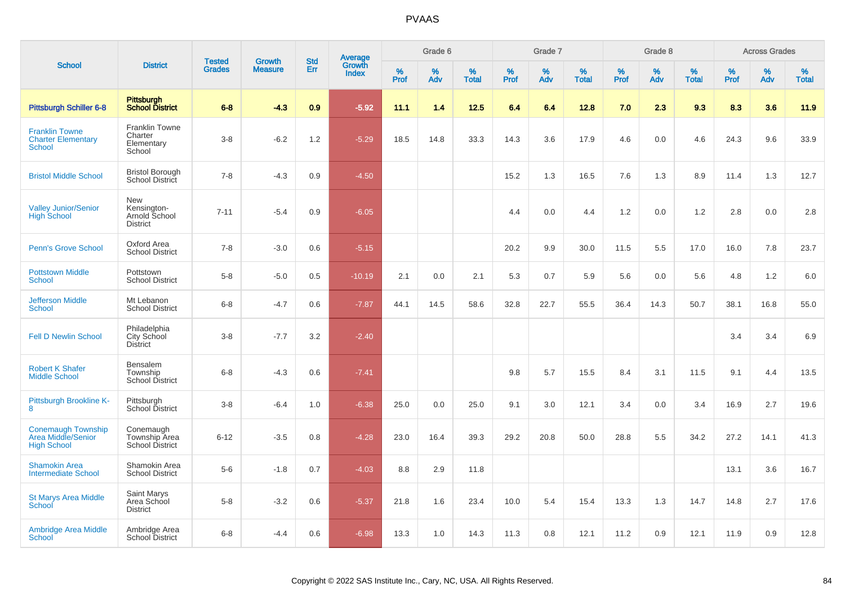|                                                                       |                                                               |                                |                                 |                   |                                          |           | Grade 6  |                   |           | Grade 7  |                   |           | Grade 8  |                   |           | <b>Across Grades</b> |                   |
|-----------------------------------------------------------------------|---------------------------------------------------------------|--------------------------------|---------------------------------|-------------------|------------------------------------------|-----------|----------|-------------------|-----------|----------|-------------------|-----------|----------|-------------------|-----------|----------------------|-------------------|
| <b>School</b>                                                         | <b>District</b>                                               | <b>Tested</b><br><b>Grades</b> | <b>Growth</b><br><b>Measure</b> | <b>Std</b><br>Err | <b>Average</b><br>Growth<br><b>Index</b> | %<br>Prof | %<br>Adv | %<br><b>Total</b> | %<br>Prof | %<br>Adv | %<br><b>Total</b> | %<br>Prof | %<br>Adv | %<br><b>Total</b> | %<br>Prof | %<br>Adv             | %<br><b>Total</b> |
| <b>Pittsburgh Schiller 6-8</b>                                        | Pittsburgh<br><b>School District</b>                          | $6 - 8$                        | $-4.3$                          | 0.9               | $-5.92$                                  | 11.1      | 1.4      | 12.5              | 6.4       | 6.4      | 12.8              | 7.0       | 2.3      | 9.3               | 8.3       | 3.6                  | 11.9              |
| <b>Franklin Towne</b><br><b>Charter Elementary</b><br><b>School</b>   | <b>Franklin Towne</b><br>Charter<br>Elementary<br>School      | $3-8$                          | $-6.2$                          | 1.2               | $-5.29$                                  | 18.5      | 14.8     | 33.3              | 14.3      | 3.6      | 17.9              | 4.6       | 0.0      | 4.6               | 24.3      | 9.6                  | 33.9              |
| <b>Bristol Middle School</b>                                          | <b>Bristol Borough</b><br>School District                     | $7 - 8$                        | $-4.3$                          | 0.9               | $-4.50$                                  |           |          |                   | 15.2      | 1.3      | 16.5              | 7.6       | 1.3      | 8.9               | 11.4      | 1.3                  | 12.7              |
| <b>Valley Junior/Senior</b><br><b>High School</b>                     | <b>New</b><br>Kensington-<br>Arnold School<br><b>District</b> | $7 - 11$                       | $-5.4$                          | 0.9               | $-6.05$                                  |           |          |                   | 4.4       | 0.0      | 4.4               | 1.2       | 0.0      | 1.2               | 2.8       | 0.0                  | 2.8               |
| <b>Penn's Grove School</b>                                            | Oxford Area<br><b>School District</b>                         | $7 - 8$                        | $-3.0$                          | 0.6               | $-5.15$                                  |           |          |                   | 20.2      | 9.9      | 30.0              | 11.5      | 5.5      | 17.0              | 16.0      | 7.8                  | 23.7              |
| <b>Pottstown Middle</b><br><b>School</b>                              | Pottstown<br><b>School District</b>                           | $5-8$                          | $-5.0$                          | 0.5               | $-10.19$                                 | 2.1       | 0.0      | 2.1               | 5.3       | 0.7      | 5.9               | 5.6       | 0.0      | 5.6               | 4.8       | 1.2                  | 6.0               |
| <b>Jefferson Middle</b><br><b>School</b>                              | Mt Lebanon<br><b>School District</b>                          | $6-8$                          | $-4.7$                          | 0.6               | $-7.87$                                  | 44.1      | 14.5     | 58.6              | 32.8      | 22.7     | 55.5              | 36.4      | 14.3     | 50.7              | 38.1      | 16.8                 | 55.0              |
| <b>Fell D Newlin School</b>                                           | Philadelphia<br>City School<br><b>District</b>                | $3 - 8$                        | $-7.7$                          | 3.2               | $-2.40$                                  |           |          |                   |           |          |                   |           |          |                   | 3.4       | 3.4                  | 6.9               |
| <b>Robert K Shafer</b><br><b>Middle School</b>                        | Bensalem<br>Township<br><b>School District</b>                | $6 - 8$                        | $-4.3$                          | 0.6               | $-7.41$                                  |           |          |                   | 9.8       | 5.7      | 15.5              | 8.4       | 3.1      | 11.5              | 9.1       | 4.4                  | 13.5              |
| Pittsburgh Brookline K-<br>8                                          | Pittsburgh<br>School District                                 | $3 - 8$                        | $-6.4$                          | 1.0               | $-6.38$                                  | 25.0      | 0.0      | 25.0              | 9.1       | 3.0      | 12.1              | 3.4       | 0.0      | 3.4               | 16.9      | 2.7                  | 19.6              |
| <b>Conemaugh Township</b><br>Area Middle/Senior<br><b>High School</b> | Conemaugh<br>Township Area<br>School District                 | $6 - 12$                       | $-3.5$                          | 0.8               | $-4.28$                                  | 23.0      | 16.4     | 39.3              | 29.2      | 20.8     | 50.0              | 28.8      | 5.5      | 34.2              | 27.2      | 14.1                 | 41.3              |
| <b>Shamokin Area</b><br><b>Intermediate School</b>                    | Shamokin Area<br><b>School District</b>                       | $5-6$                          | $-1.8$                          | 0.7               | $-4.03$                                  | 8.8       | 2.9      | 11.8              |           |          |                   |           |          |                   | 13.1      | 3.6                  | 16.7              |
| <b>St Marys Area Middle</b><br>School                                 | Saint Marys<br>Area School<br><b>District</b>                 | $5-8$                          | $-3.2$                          | 0.6               | $-5.37$                                  | 21.8      | 1.6      | 23.4              | 10.0      | 5.4      | 15.4              | 13.3      | 1.3      | 14.7              | 14.8      | 2.7                  | 17.6              |
| <b>Ambridge Area Middle</b><br><b>School</b>                          | Ambridge Area<br><b>School District</b>                       | $6 - 8$                        | $-4.4$                          | 0.6               | $-6.98$                                  | 13.3      | 1.0      | 14.3              | 11.3      | 0.8      | 12.1              | 11.2      | 0.9      | 12.1              | 11.9      | 0.9                  | 12.8              |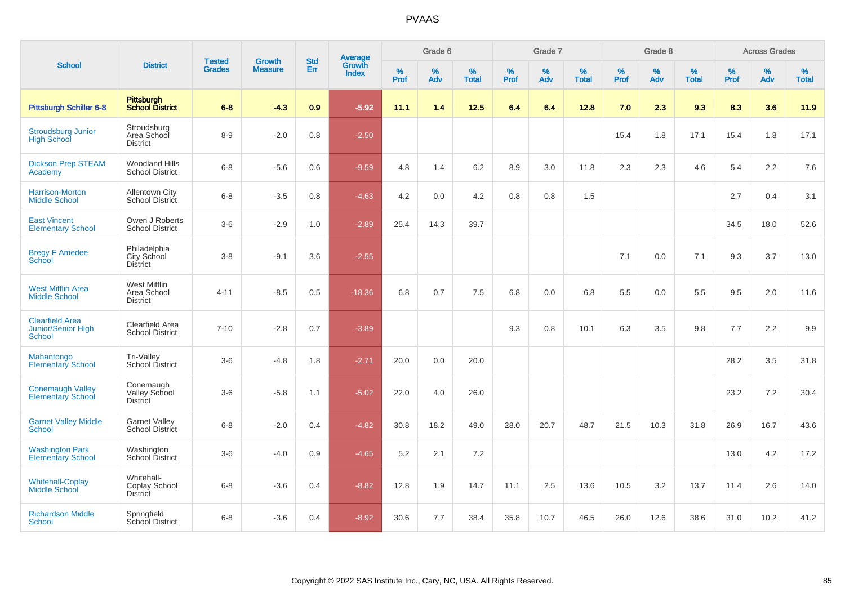| <b>School</b>                                          | <b>District</b>                                 | <b>Tested</b> | <b>Growth</b>  | <b>Std</b>    |                                          |                  | Grade 6  |                      |              | Grade 7  |                   |           | Grade 8  |                                                                                                                                                    |      | <b>Across Grades</b> |      |
|--------------------------------------------------------|-------------------------------------------------|---------------|----------------|---------------|------------------------------------------|------------------|----------|----------------------|--------------|----------|-------------------|-----------|----------|----------------------------------------------------------------------------------------------------------------------------------------------------|------|----------------------|------|
|                                                        |                                                 | <b>Grades</b> | <b>Measure</b> | <b>Err</b>    | <b>Average</b><br>Growth<br><b>Index</b> | %<br><b>Prof</b> | %<br>Adv | $\%$<br><b>Total</b> | $\%$<br>Prof | %<br>Adv | %<br><b>Total</b> | %<br>Prof | %<br>Adv | %<br>%<br>$\%$<br>Prof<br><b>Total</b><br>Adv<br>9.3<br>8.3<br>17.1<br>15.4<br>4.6<br>5.4<br>2.7<br>34.5<br>7.1<br>9.3<br>5.5<br>9.5<br>9.8<br>7.7 |      | %<br><b>Total</b>    |      |
| <b>Pittsburgh Schiller 6-8</b>                         | <b>Pittsburgh</b><br><b>School District</b>     | $6 - 8$       | $-4.3$         | 0.9           | $-5.92$                                  | 11.1             | 1.4      | $12.5$               | 6.4          | 6.4      | 12.8              | 7.0       | 2.3      |                                                                                                                                                    |      | 3.6                  | 11.9 |
| <b>Stroudsburg Junior</b><br><b>High School</b>        | Stroudsburg<br>Area School<br><b>District</b>   | $8 - 9$       | $-2.0$         | 0.8           | $-2.50$                                  |                  |          |                      |              |          |                   | 15.4      | 1.8      |                                                                                                                                                    |      | 1.8                  | 17.1 |
| <b>Dickson Prep STEAM</b><br>Academy                   | <b>Woodland Hills</b><br><b>School District</b> | $6 - 8$       | $-5.6$         | 0.6           | $-9.59$                                  | 4.8              | 1.4      | 6.2                  | 8.9          | 3.0      | 11.8              | 2.3       | 2.3      |                                                                                                                                                    |      | 2.2                  | 7.6  |
| Harrison-Morton<br><b>Middle School</b>                | <b>Allentown City</b><br>School District        | $6 - 8$       | $-3.5$         | 0.8           | $-4.63$                                  | 4.2              | 0.0      | 4.2                  | 0.8          | 0.8      | 1.5               |           |          |                                                                                                                                                    |      | 0.4                  | 3.1  |
| <b>East Vincent</b><br><b>Elementary School</b>        | Owen J Roberts<br><b>School District</b>        | $3-6$         | $-2.9$         | 1.0           | $-2.89$                                  | 25.4             | 14.3     | 39.7                 |              |          |                   |           |          |                                                                                                                                                    |      | 18.0                 | 52.6 |
| <b>Bregy F Amedee</b><br><b>School</b>                 | Philadelphia<br>City School<br><b>District</b>  | $3-8$         | $-9.1$         | 3.6           | $-2.55$                                  |                  |          |                      |              |          |                   | 7.1       | 0.0      |                                                                                                                                                    |      | 3.7                  | 13.0 |
| <b>West Mifflin Area</b><br><b>Middle School</b>       | West Mifflin<br>Area School<br><b>District</b>  | $4 - 11$      | $-8.5$         | 0.5           | $-18.36$                                 | 6.8              | 0.7      | 7.5                  | 6.8          | 0.0      | 6.8               | 5.5       | 0.0      |                                                                                                                                                    |      | 2.0                  | 11.6 |
| <b>Clearfield Area</b><br>Junior/Senior High<br>School | Clearfield Area<br><b>School District</b>       | $7 - 10$      | $-2.8$         | 0.7           | $-3.89$                                  |                  |          |                      | 9.3          | 0.8      | 10.1              | 6.3       | 3.5      |                                                                                                                                                    |      | 2.2                  | 9.9  |
| Mahantongo<br><b>Elementary School</b>                 | Tri-Valley<br>School District                   | $3-6$         | $-4.8$         | 1.8           | $-2.71$                                  | 20.0             | 0.0      | 20.0                 |              |          |                   |           |          |                                                                                                                                                    | 28.2 | 3.5                  | 31.8 |
| <b>Conemaugh Valley</b><br><b>Elementary School</b>    | Conemaugh<br>Valley School<br><b>District</b>   | $3-6$         | $-5.8$         | 1.1           | $-5.02$                                  | 22.0             | 4.0      | 26.0                 |              |          |                   |           |          |                                                                                                                                                    | 23.2 | 7.2                  | 30.4 |
| <b>Garnet Valley Middle</b><br>School                  | <b>Garnet Valley</b><br>School District         | $6 - 8$       | $-2.0$         | 0.4           | $-4.82$                                  | 30.8             | 18.2     | 49.0                 | 28.0         | 20.7     | 48.7              | 21.5      | 10.3     | 31.8                                                                                                                                               | 26.9 | 16.7                 | 43.6 |
| <b>Washington Park</b><br><b>Elementary School</b>     | Washington<br>School District                   | $3-6$         | $-4.0$         | 0.9           | $-4.65$                                  | 5.2              | 2.1      | 7.2                  |              |          |                   |           |          |                                                                                                                                                    | 13.0 | 4.2                  | 17.2 |
| <b>Whitehall-Coplay</b><br>Middle School               | Whitehall-<br>Coplay School<br><b>District</b>  | $6 - 8$       | $-3.6$         | 0.4           | $-8.82$                                  | 12.8             | 1.9      | 14.7                 | 11.1         | 2.5      | 13.6              | 10.5      | 3.2      | 13.7                                                                                                                                               | 11.4 | 2.6                  | 14.0 |
| <b>Richardson Middle</b><br><b>School</b>              | Springfield<br>School District                  | $6 - 8$       | $-3.6$         | $0.4^{\circ}$ | $-8.92$                                  | 30.6             | 7.7      | 38.4                 | 35.8         | 10.7     | 46.5              | 26.0      | 12.6     | 38.6                                                                                                                                               | 31.0 | 10.2                 | 41.2 |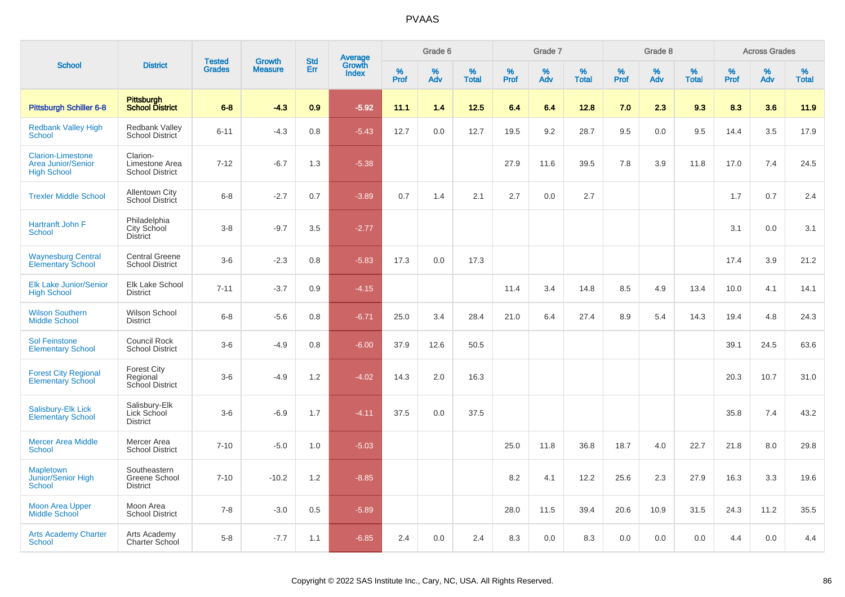| <b>School</b>                                                               | <b>Tested</b><br><b>District</b><br><b>Grades</b>    | <b>Growth</b> |                |                   |                                   | Grade 6          |          |                   | Grade 7   |             |                   | Grade 8 |          |                   | <b>Across Grades</b> |             |                   |
|-----------------------------------------------------------------------------|------------------------------------------------------|---------------|----------------|-------------------|-----------------------------------|------------------|----------|-------------------|-----------|-------------|-------------------|---------|----------|-------------------|----------------------|-------------|-------------------|
|                                                                             |                                                      |               | <b>Measure</b> | <b>Std</b><br>Err | <b>Average</b><br>Growth<br>Index | %<br><b>Prof</b> | %<br>Adv | %<br><b>Total</b> | %<br>Prof | $\%$<br>Adv | %<br><b>Total</b> | % Pref  | %<br>Adv | %<br><b>Total</b> | %<br>Prof            | $\%$<br>Adv | %<br><b>Total</b> |
| <b>Pittsburgh Schiller 6-8</b>                                              | <b>Pittsburgh</b><br><b>School District</b>          | $6 - 8$       | $-4.3$         | 0.9               | $-5.92$                           | 11.1             | 1.4      | $12.5$            | 6.4       | 6.4         | 12.8              | 7.0     | 2.3      | 9.3               | 8.3                  | 3.6         | 11.9              |
| <b>Redbank Valley High</b><br>School                                        | Redbank Valley<br><b>School District</b>             | $6 - 11$      | $-4.3$         | 0.8               | $-5.43$                           | 12.7             | 0.0      | 12.7              | 19.5      | 9.2         | 28.7              | 9.5     | 0.0      | 9.5               | 14.4                 | 3.5         | 17.9              |
| <b>Clarion-Limestone</b><br><b>Area Junior/Senior</b><br><b>High School</b> | Clarion-<br>Limestone Area<br><b>School District</b> | $7 - 12$      | $-6.7$         | 1.3               | $-5.38$                           |                  |          |                   | 27.9      | 11.6        | 39.5              | 7.8     | 3.9      | 11.8              | 17.0                 | 7.4         | 24.5              |
| <b>Trexler Middle School</b>                                                | <b>Allentown City</b><br><b>School District</b>      | $6 - 8$       | $-2.7$         | 0.7               | $-3.89$                           | 0.7              | 1.4      | 2.1               | 2.7       | 0.0         | 2.7               |         |          |                   | 1.7                  | 0.7         | 2.4               |
| Hartranft John F<br>School                                                  | Philadelphia<br>City School<br><b>District</b>       | $3 - 8$       | $-9.7$         | 3.5               | $-2.77$                           |                  |          |                   |           |             |                   |         |          |                   | 3.1                  | 0.0         | 3.1               |
| <b>Waynesburg Central</b><br><b>Elementary School</b>                       | <b>Central Greene</b><br><b>School District</b>      | $3-6$         | $-2.3$         | 0.8               | $-5.83$                           | 17.3             | 0.0      | 17.3              |           |             |                   |         |          |                   | 17.4                 | 3.9         | 21.2              |
| <b>Elk Lake Junior/Senior</b><br><b>High School</b>                         | <b>Elk Lake School</b><br><b>District</b>            | $7 - 11$      | $-3.7$         | 0.9               | $-4.15$                           |                  |          |                   | 11.4      | 3.4         | 14.8              | 8.5     | 4.9      | 13.4              | 10.0                 | 4.1         | 14.1              |
| <b>Wilson Southern</b><br><b>Middle School</b>                              | Wilson School<br><b>District</b>                     | $6 - 8$       | $-5.6$         | 0.8               | $-6.71$                           | 25.0             | 3.4      | 28.4              | 21.0      | 6.4         | 27.4              | 8.9     | 5.4      | 14.3              | 19.4                 | 4.8         | 24.3              |
| <b>Sol Feinstone</b><br><b>Elementary School</b>                            | Council Rock<br><b>School District</b>               | $3-6$         | $-4.9$         | 0.8               | $-6.00$                           | 37.9             | 12.6     | 50.5              |           |             |                   |         |          |                   | 39.1                 | 24.5        | 63.6              |
| <b>Forest City Regional</b><br><b>Elementary School</b>                     | <b>Forest City</b><br>Regional<br>School District    | $3-6$         | $-4.9$         | 1.2               | $-4.02$                           | 14.3             | 2.0      | 16.3              |           |             |                   |         |          |                   | 20.3                 | 10.7        | 31.0              |
| Salisbury-Elk Lick<br><b>Elementary School</b>                              | Salisbury-Elk<br>Lick School<br><b>District</b>      | $3-6$         | $-6.9$         | 1.7               | $-4.11$                           | 37.5             | 0.0      | 37.5              |           |             |                   |         |          |                   | 35.8                 | 7.4         | 43.2              |
| <b>Mercer Area Middle</b><br><b>School</b>                                  | Mercer Area<br><b>School District</b>                | $7 - 10$      | $-5.0$         | 1.0               | $-5.03$                           |                  |          |                   | 25.0      | 11.8        | 36.8              | 18.7    | 4.0      | 22.7              | 21.8                 | 8.0         | 29.8              |
| <b>Mapletown</b><br><b>Junior/Senior High</b><br>School                     | Southeastern<br>Greene School<br><b>District</b>     | $7 - 10$      | $-10.2$        | 1.2               | $-8.85$                           |                  |          |                   | 8.2       | 4.1         | 12.2              | 25.6    | 2.3      | 27.9              | 16.3                 | 3.3         | 19.6              |
| <b>Moon Area Upper</b><br><b>Middle School</b>                              | Moon Area<br><b>School District</b>                  | $7 - 8$       | $-3.0$         | 0.5               | $-5.89$                           |                  |          |                   | 28.0      | 11.5        | 39.4              | 20.6    | 10.9     | 31.5              | 24.3                 | 11.2        | 35.5              |
| <b>Arts Academy Charter</b><br>School                                       | Arts Academy<br>Charter School                       | $5-8$         | $-7.7$         | 1.1               | $-6.85$                           | 2.4              | 0.0      | 2.4               | 8.3       | 0.0         | 8.3               | 0.0     | 0.0      | 0.0               | 4.4                  | 0.0         | 4.4               |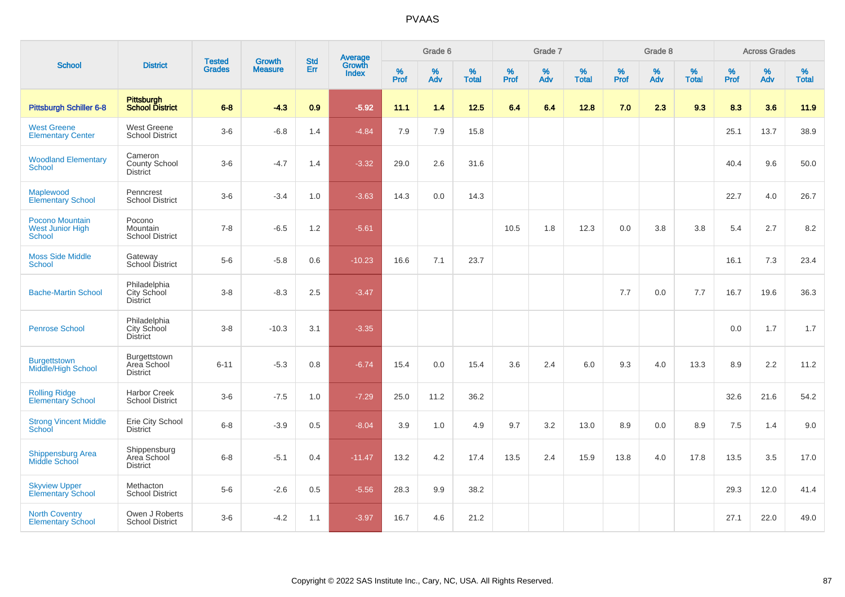| <b>School</b>                                               |                                                       | <b>Tested</b> | <b>Growth</b>  | <b>Std</b> |                                          |                  | Grade 6     |                   |              | Grade 7     |                   |                     | Grade 8  |                   |           | <b>Across Grades</b> |                      |
|-------------------------------------------------------------|-------------------------------------------------------|---------------|----------------|------------|------------------------------------------|------------------|-------------|-------------------|--------------|-------------|-------------------|---------------------|----------|-------------------|-----------|----------------------|----------------------|
|                                                             | <b>District</b>                                       | <b>Grades</b> | <b>Measure</b> | Err        | <b>Average</b><br>Growth<br><b>Index</b> | %<br><b>Prof</b> | $\%$<br>Adv | %<br><b>Total</b> | $\%$<br>Prof | $\%$<br>Adv | %<br><b>Total</b> | $\%$<br><b>Prof</b> | %<br>Adv | %<br><b>Total</b> | %<br>Prof | %<br>Adv             | $\%$<br><b>Total</b> |
| Pittsburgh Schiller 6-8                                     | <b>Pittsburgh</b><br><b>School District</b>           | $6 - 8$       | $-4.3$         | 0.9        | $-5.92$                                  | 11.1             | 1.4         | $12.5$            | 6.4          | 6.4         | 12.8              | 7.0                 | 2.3      | 9.3               | 8.3       | 3.6                  | 11.9                 |
| <b>West Greene</b><br><b>Elementary Center</b>              | West Greene<br><b>School District</b>                 | $3-6$         | $-6.8$         | 1.4        | $-4.84$                                  | 7.9              | 7.9         | 15.8              |              |             |                   |                     |          |                   | 25.1      | 13.7                 | 38.9                 |
| <b>Woodland Elementary</b><br><b>School</b>                 | Cameron<br>County School<br><b>District</b>           | $3-6$         | $-4.7$         | 1.4        | $-3.32$                                  | 29.0             | 2.6         | 31.6              |              |             |                   |                     |          |                   | 40.4      | 9.6                  | 50.0                 |
| Maplewood<br><b>Elementary School</b>                       | Penncrest<br><b>School District</b>                   | $3-6$         | $-3.4$         | 1.0        | $-3.63$                                  | 14.3             | 0.0         | 14.3              |              |             |                   |                     |          |                   | 22.7      | 4.0                  | 26.7                 |
| Pocono Mountain<br><b>West Junior High</b><br><b>School</b> | Pocono<br>Mountain<br><b>School District</b>          | $7 - 8$       | $-6.5$         | 1.2        | $-5.61$                                  |                  |             |                   | 10.5         | 1.8         | 12.3              | 0.0                 | 3.8      | 3.8               | 5.4       | 2.7                  | 8.2                  |
| <b>Moss Side Middle</b><br><b>School</b>                    | Gateway<br>School District                            | $5-6$         | $-5.8$         | 0.6        | $-10.23$                                 | 16.6             | 7.1         | 23.7              |              |             |                   |                     |          |                   | 16.1      | 7.3                  | 23.4                 |
| <b>Bache-Martin School</b>                                  | Philadelphia<br>City School<br><b>District</b>        | $3 - 8$       | $-8.3$         | 2.5        | $-3.47$                                  |                  |             |                   |              |             |                   | 7.7                 | 0.0      | 7.7               | 16.7      | 19.6                 | 36.3                 |
| <b>Penrose School</b>                                       | Philadelphia<br><b>City School</b><br><b>District</b> | $3-8$         | $-10.3$        | 3.1        | $-3.35$                                  |                  |             |                   |              |             |                   |                     |          |                   | 0.0       | 1.7                  | 1.7                  |
| <b>Burgettstown</b><br>Middle/High School                   | Burgettstown<br>Area School<br><b>District</b>        | $6 - 11$      | $-5.3$         | 0.8        | $-6.74$                                  | 15.4             | 0.0         | 15.4              | 3.6          | 2.4         | 6.0               | 9.3                 | 4.0      | 13.3              | 8.9       | 2.2                  | 11.2                 |
| <b>Rolling Ridge</b><br><b>Elementary School</b>            | <b>Harbor Creek</b><br><b>School District</b>         | $3-6$         | $-7.5$         | 1.0        | $-7.29$                                  | 25.0             | 11.2        | 36.2              |              |             |                   |                     |          |                   | 32.6      | 21.6                 | 54.2                 |
| <b>Strong Vincent Middle</b><br>School                      | Erie City School<br><b>District</b>                   | $6 - 8$       | $-3.9$         | 0.5        | $-8.04$                                  | 3.9              | 1.0         | 4.9               | 9.7          | 3.2         | 13.0              | 8.9                 | 0.0      | 8.9               | 7.5       | 1.4                  | 9.0                  |
| <b>Shippensburg Area</b><br><b>Middle School</b>            | Shippensburg<br>Area School<br><b>District</b>        | $6 - 8$       | $-5.1$         | 0.4        | $-11.47$                                 | 13.2             | 4.2         | 17.4              | 13.5         | 2.4         | 15.9              | 13.8                | 4.0      | 17.8              | 13.5      | 3.5                  | 17.0                 |
| <b>Skyview Upper</b><br>Elementary School                   | Methacton<br><b>School District</b>                   | $5-6$         | $-2.6$         | 0.5        | $-5.56$                                  | 28.3             | 9.9         | 38.2              |              |             |                   |                     |          |                   | 29.3      | 12.0                 | 41.4                 |
| <b>North Coventry</b><br><b>Elementary School</b>           | Owen J Roberts<br><b>School District</b>              | $3-6$         | $-4.2$         | 1.1        | $-3.97$                                  | 16.7             | 4.6         | 21.2              |              |             |                   |                     |          |                   | 27.1      | 22.0                 | 49.0                 |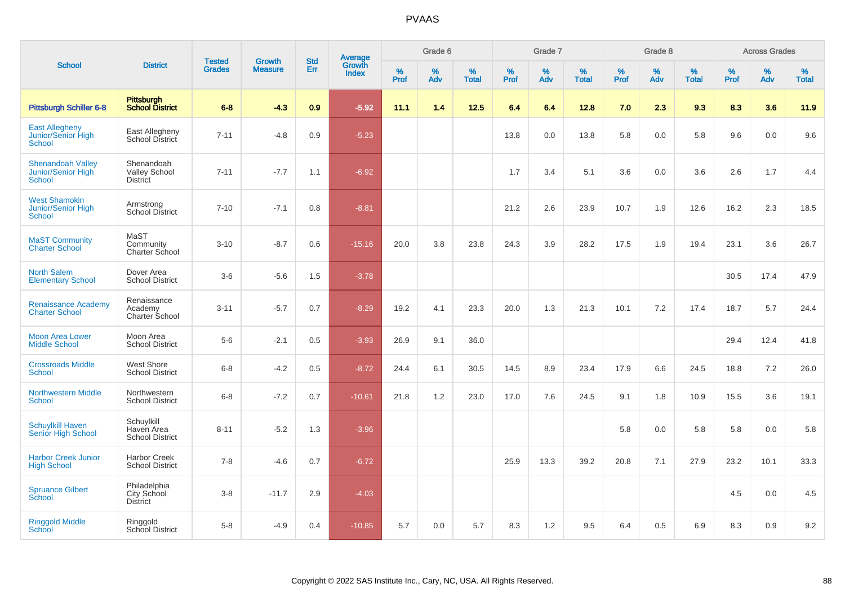| <b>School</b>                                            |                                                       |                                | <b>Growth</b>  | <b>Std</b> |                                          |                  | Grade 6     |                   |              | Grade 7     |                      |              | Grade 8  |                   |              | <b>Across Grades</b> |                      |
|----------------------------------------------------------|-------------------------------------------------------|--------------------------------|----------------|------------|------------------------------------------|------------------|-------------|-------------------|--------------|-------------|----------------------|--------------|----------|-------------------|--------------|----------------------|----------------------|
|                                                          | <b>District</b>                                       | <b>Tested</b><br><b>Grades</b> | <b>Measure</b> | Err        | <b>Average</b><br>Growth<br><b>Index</b> | %<br><b>Prof</b> | $\%$<br>Adv | %<br><b>Total</b> | $\%$<br>Prof | $\%$<br>Adv | $\%$<br><b>Total</b> | $\%$<br>Prof | %<br>Adv | %<br><b>Total</b> | $\%$<br>Prof | $\%$<br>Adv          | $\%$<br><b>Total</b> |
| <b>Pittsburgh Schiller 6-8</b>                           | Pittsburgh<br><b>School District</b>                  | $6-8$                          | $-4.3$         | 0.9        | $-5.92$                                  | 11.1             | 1.4         | 12.5              | 6.4          | 6.4         | 12.8                 | 7.0          | 2.3      | 9.3               | 8.3          | 3.6                  | 11.9                 |
| <b>East Allegheny</b><br>Junior/Senior High<br>School    | East Allegheny<br>School District                     | $7 - 11$                       | $-4.8$         | 0.9        | $-5.23$                                  |                  |             |                   | 13.8         | 0.0         | 13.8                 | 5.8          | 0.0      | 5.8               | 9.6          | 0.0                  | 9.6                  |
| <b>Shenandoah Valley</b><br>Junior/Senior High<br>School | Shenandoah<br><b>Valley School</b><br><b>District</b> | $7 - 11$                       | $-7.7$         | 1.1        | $-6.92$                                  |                  |             |                   | 1.7          | 3.4         | 5.1                  | 3.6          | 0.0      | 3.6               | 2.6          | 1.7                  | 4.4                  |
| <b>West Shamokin</b><br>Junior/Senior High<br>School     | Armstrong<br><b>School District</b>                   | $7 - 10$                       | $-7.1$         | 0.8        | $-8.81$                                  |                  |             |                   | 21.2         | 2.6         | 23.9                 | 10.7         | 1.9      | 12.6              | 16.2         | 2.3                  | 18.5                 |
| <b>MaST Community</b><br><b>Charter School</b>           | MaST<br>Community<br>Charter School                   | $3 - 10$                       | $-8.7$         | 0.6        | $-15.16$                                 | 20.0             | 3.8         | 23.8              | 24.3         | 3.9         | 28.2                 | 17.5         | 1.9      | 19.4              | 23.1         | 3.6                  | 26.7                 |
| <b>North Salem</b><br><b>Elementary School</b>           | Dover Area<br><b>School District</b>                  | $3-6$                          | $-5.6$         | 1.5        | $-3.78$                                  |                  |             |                   |              |             |                      |              |          |                   | 30.5         | 17.4                 | 47.9                 |
| <b>Renaissance Academy</b><br><b>Charter School</b>      | Renaissance<br>Academy<br>Charter School              | $3 - 11$                       | $-5.7$         | 0.7        | $-8.29$                                  | 19.2             | 4.1         | 23.3              | 20.0         | 1.3         | 21.3                 | 10.1         | 7.2      | 17.4              | 18.7         | 5.7                  | 24.4                 |
| <b>Moon Area Lower</b><br><b>Middle School</b>           | Moon Area<br><b>School District</b>                   | $5-6$                          | $-2.1$         | 0.5        | $-3.93$                                  | 26.9             | 9.1         | 36.0              |              |             |                      |              |          |                   | 29.4         | 12.4                 | 41.8                 |
| <b>Crossroads Middle</b><br><b>School</b>                | West Shore<br><b>School District</b>                  | $6 - 8$                        | $-4.2$         | 0.5        | $-8.72$                                  | 24.4             | 6.1         | 30.5              | 14.5         | 8.9         | 23.4                 | 17.9         | 6.6      | 24.5              | 18.8         | 7.2                  | 26.0                 |
| <b>Northwestern Middle</b><br><b>School</b>              | Northwestern<br><b>School District</b>                | $6 - 8$                        | $-7.2$         | 0.7        | $-10.61$                                 | 21.8             | 1.2         | 23.0              | 17.0         | 7.6         | 24.5                 | 9.1          | 1.8      | 10.9              | 15.5         | 3.6                  | 19.1                 |
| <b>Schuylkill Haven</b><br>Senior High School            | Schuylkill<br>Haven Area<br><b>School District</b>    | $8 - 11$                       | $-5.2$         | 1.3        | $-3.96$                                  |                  |             |                   |              |             |                      | 5.8          | 0.0      | 5.8               | 5.8          | 0.0                  | 5.8                  |
| <b>Harbor Creek Junior</b><br><b>High School</b>         | <b>Harbor Creek</b><br><b>School District</b>         | $7 - 8$                        | $-4.6$         | 0.7        | $-6.72$                                  |                  |             |                   | 25.9         | 13.3        | 39.2                 | 20.8         | 7.1      | 27.9              | 23.2         | 10.1                 | 33.3                 |
| <b>Spruance Gilbert</b><br>School                        | Philadelphia<br>City School<br><b>District</b>        | $3-8$                          | $-11.7$        | 2.9        | $-4.03$                                  |                  |             |                   |              |             |                      |              |          |                   | 4.5          | 0.0                  | 4.5                  |
| <b>Ringgold Middle</b><br>School                         | Ringgold<br>School District                           | $5-8$                          | $-4.9$         | 0.4        | $-10.85$                                 | 5.7              | 0.0         | 5.7               | 8.3          | 1.2         | 9.5                  | 6.4          | 0.5      | 6.9               | 8.3          | 0.9                  | 9.2                  |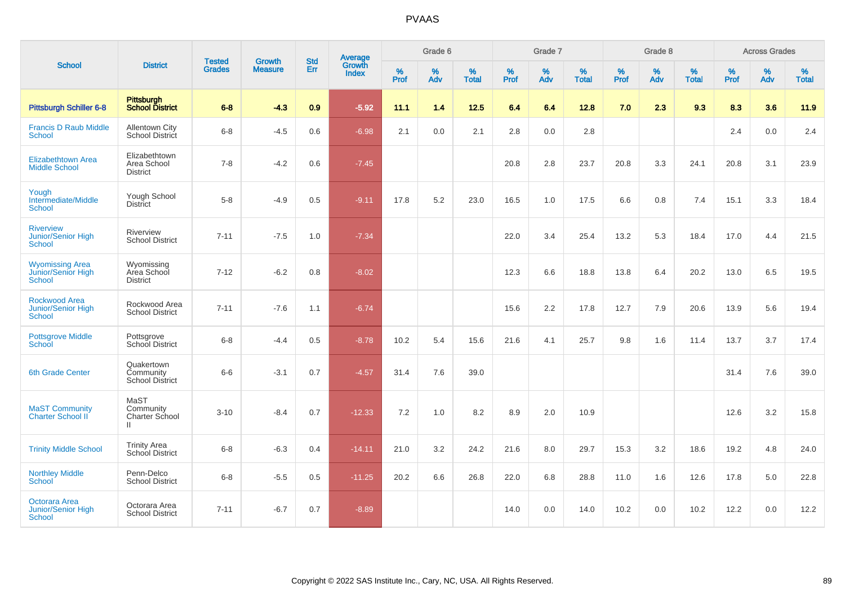| <b>School</b><br><b>Pittsburgh Schiller 6-8</b><br><b>Francis D Raub Middle</b><br><b>School</b><br><b>Elizabethtown Area</b><br><b>Middle School</b><br><b>District</b><br>Yough<br>Intermediate/Middle<br><b>District</b><br><b>School</b><br><b>Riverview</b><br><b>Junior/Senior High</b><br><b>School</b><br><b>Wyomissing Area</b><br>Junior/Senior High<br><b>District</b><br>School<br>Rockwood Area<br>Junior/Senior High<br><b>School</b><br><b>Pottsgrove Middle</b><br>School<br>6th Grade Center<br>MaST<br><b>MaST Community</b><br><b>Charter School II</b><br>Ш |                                                   | <b>Tested</b> | <b>Growth</b>  | <b>Std</b> | <b>Average</b><br>Growth |                  | Grade 6  |                   |                     | Grade 7  |                   |                  | Grade 8  |                   |           | <b>Across Grades</b> |                   |
|---------------------------------------------------------------------------------------------------------------------------------------------------------------------------------------------------------------------------------------------------------------------------------------------------------------------------------------------------------------------------------------------------------------------------------------------------------------------------------------------------------------------------------------------------------------------------------|---------------------------------------------------|---------------|----------------|------------|--------------------------|------------------|----------|-------------------|---------------------|----------|-------------------|------------------|----------|-------------------|-----------|----------------------|-------------------|
|                                                                                                                                                                                                                                                                                                                                                                                                                                                                                                                                                                                 | <b>District</b>                                   | <b>Grades</b> | <b>Measure</b> | Err        | <b>Index</b>             | %<br><b>Prof</b> | %<br>Adv | %<br><b>Total</b> | $\%$<br><b>Prof</b> | %<br>Adv | %<br><b>Total</b> | %<br><b>Prof</b> | %<br>Adv | %<br><b>Total</b> | %<br>Prof | %<br>Adv             | %<br><b>Total</b> |
|                                                                                                                                                                                                                                                                                                                                                                                                                                                                                                                                                                                 | Pittsburgh<br>School District                     | $6 - 8$       | $-4.3$         | 0.9        | $-5.92$                  | 11.1             | 1.4      | $12.5$            | 6.4                 | 6.4      | 12.8              | 7.0              | 2.3      | 9.3               | 8.3       | 3.6                  | 11.9              |
|                                                                                                                                                                                                                                                                                                                                                                                                                                                                                                                                                                                 | <b>Allentown City</b><br>School District          | $6 - 8$       | $-4.5$         | 0.6        | $-6.98$                  | 2.1              | 0.0      | 2.1               | 2.8                 | 0.0      | 2.8               |                  |          |                   | 2.4       | 0.0                  | 2.4               |
|                                                                                                                                                                                                                                                                                                                                                                                                                                                                                                                                                                                 | Elizabethtown<br>Area School                      | $7 - 8$       | $-4.2$         | 0.6        | $-7.45$                  |                  |          |                   | 20.8                | 2.8      | 23.7              | 20.8             | 3.3      | 24.1              | 20.8      | 3.1                  | 23.9              |
|                                                                                                                                                                                                                                                                                                                                                                                                                                                                                                                                                                                 | Yough School                                      | $5-8$         | $-4.9$         | 0.5        | $-9.11$                  | 17.8             | 5.2      | 23.0              | 16.5                | 1.0      | 17.5              | 6.6              | 0.8      | 7.4               | 15.1      | 3.3                  | 18.4              |
|                                                                                                                                                                                                                                                                                                                                                                                                                                                                                                                                                                                 | Riverview<br><b>School District</b>               | $7 - 11$      | $-7.5$         | 1.0        | $-7.34$                  |                  |          |                   | 22.0                | 3.4      | 25.4              | 13.2             | 5.3      | 18.4              | 17.0      | 4.4                  | 21.5              |
|                                                                                                                                                                                                                                                                                                                                                                                                                                                                                                                                                                                 | Wyomissing<br>Area School                         | $7 - 12$      | $-6.2$         | 0.8        | $-8.02$                  |                  |          |                   | 12.3                | 6.6      | 18.8              | 13.8             | 6.4      | 20.2              | 13.0      | 6.5                  | 19.5              |
|                                                                                                                                                                                                                                                                                                                                                                                                                                                                                                                                                                                 | Rockwood Area<br><b>School District</b>           | $7 - 11$      | $-7.6$         | 1.1        | $-6.74$                  |                  |          |                   | 15.6                | 2.2      | 17.8              | 12.7             | 7.9      | 20.6              | 13.9      | 5.6                  | 19.4              |
|                                                                                                                                                                                                                                                                                                                                                                                                                                                                                                                                                                                 | Pottsgrove<br>School District                     | $6 - 8$       | $-4.4$         | 0.5        | $-8.78$                  | 10.2             | 5.4      | 15.6              | 21.6                | 4.1      | 25.7              | 9.8              | 1.6      | 11.4              | 13.7      | 3.7                  | 17.4              |
|                                                                                                                                                                                                                                                                                                                                                                                                                                                                                                                                                                                 | Quakertown<br>Community<br><b>School District</b> | $6-6$         | $-3.1$         | 0.7        | $-4.57$                  | 31.4             | 7.6      | 39.0              |                     |          |                   |                  |          |                   | 31.4      | 7.6                  | 39.0              |
|                                                                                                                                                                                                                                                                                                                                                                                                                                                                                                                                                                                 | Community<br>Charter School                       | $3 - 10$      | $-8.4$         | 0.7        | $-12.33$                 | 7.2              | 1.0      | 8.2               | 8.9                 | 2.0      | 10.9              |                  |          |                   | 12.6      | 3.2                  | 15.8              |
| <b>Trinity Middle School</b>                                                                                                                                                                                                                                                                                                                                                                                                                                                                                                                                                    | <b>Trinity Area</b><br>School District            | $6 - 8$       | $-6.3$         | 0.4        | $-14.11$                 | 21.0             | 3.2      | 24.2              | 21.6                | 8.0      | 29.7              | 15.3             | 3.2      | 18.6              | 19.2      | 4.8                  | 24.0              |
| <b>Northley Middle</b><br><b>School</b>                                                                                                                                                                                                                                                                                                                                                                                                                                                                                                                                         | Penn-Delco<br><b>School District</b>              | $6 - 8$       | $-5.5$         | 0.5        | $-11.25$                 | 20.2             | 6.6      | 26.8              | 22.0                | 6.8      | 28.8              | 11.0             | 1.6      | 12.6              | 17.8      | 5.0                  | 22.8              |
| Octorara Area<br>Junior/Senior High<br><b>School</b>                                                                                                                                                                                                                                                                                                                                                                                                                                                                                                                            | Octorara Area<br><b>School District</b>           | $7 - 11$      | $-6.7$         | 0.7        | $-8.89$                  |                  |          |                   | 14.0                | 0.0      | 14.0              | 10.2             | 0.0      | 10.2              | 12.2      | 0.0                  | 12.2              |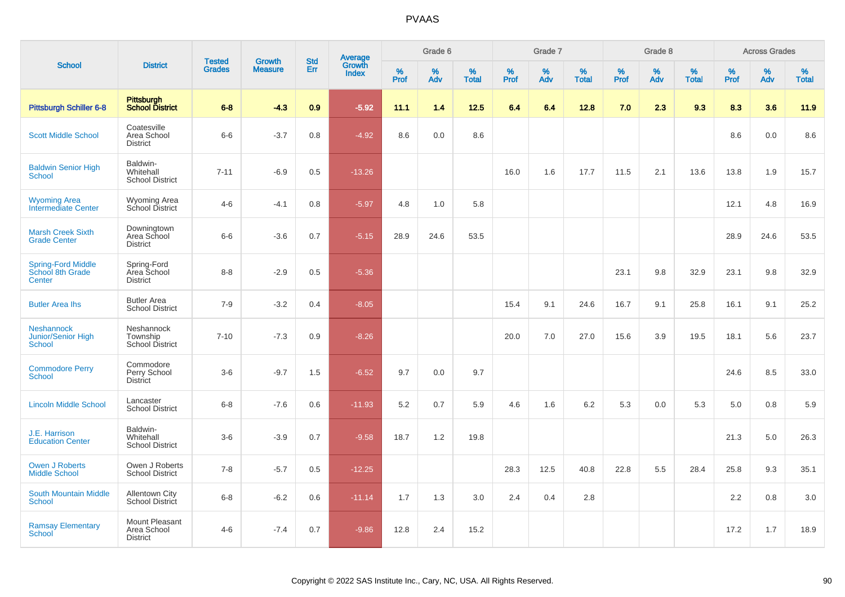| <b>School</b>                                            |                                                  |                                |                          |                          |                                          |                     | Grade 6     |                   |           | Grade 7     |                   |              | Grade 8  |                   |              | <b>Across Grades</b> |                   |
|----------------------------------------------------------|--------------------------------------------------|--------------------------------|--------------------------|--------------------------|------------------------------------------|---------------------|-------------|-------------------|-----------|-------------|-------------------|--------------|----------|-------------------|--------------|----------------------|-------------------|
|                                                          | <b>District</b>                                  | <b>Tested</b><br><b>Grades</b> | Growth<br><b>Measure</b> | <b>Std</b><br><b>Err</b> | <b>Average</b><br>Growth<br><b>Index</b> | $\%$<br><b>Prof</b> | $\%$<br>Adv | %<br><b>Total</b> | %<br>Prof | $\%$<br>Adv | %<br><b>Total</b> | $\%$<br>Prof | %<br>Adv | %<br><b>Total</b> | $\%$<br>Prof | $\%$<br>Adv          | %<br><b>Total</b> |
| <b>Pittsburgh Schiller 6-8</b>                           | Pittsburgh<br><b>School District</b>             | $6 - 8$                        | $-4.3$                   | 0.9                      | $-5.92$                                  | 11.1                | 1.4         | 12.5              | 6.4       | 6.4         | 12.8              | 7.0          | 2.3      | 9.3               | 8.3          | 3.6                  | 11.9              |
| <b>Scott Middle School</b>                               | Coatesville<br>Area School<br><b>District</b>    | $6-6$                          | $-3.7$                   | 0.8                      | $-4.92$                                  | 8.6                 | 0.0         | 8.6               |           |             |                   |              |          |                   | 8.6          | 0.0                  | 8.6               |
| <b>Baldwin Senior High</b><br><b>School</b>              | Baldwin-<br>Whitehall<br><b>School District</b>  | $7 - 11$                       | $-6.9$                   | 0.5                      | $-13.26$                                 |                     |             |                   | 16.0      | 1.6         | 17.7              | 11.5         | 2.1      | 13.6              | 13.8         | 1.9                  | 15.7              |
| <b>Wyoming Area</b><br>Intermediate Center               | <b>Wyoming Area</b><br>School District           | $4-6$                          | $-4.1$                   | 0.8                      | $-5.97$                                  | 4.8                 | 1.0         | 5.8               |           |             |                   |              |          |                   | 12.1         | 4.8                  | 16.9              |
| <b>Marsh Creek Sixth</b><br><b>Grade Center</b>          | Downingtown<br>Area School<br><b>District</b>    | $6-6$                          | $-3.6$                   | 0.7                      | $-5.15$                                  | 28.9                | 24.6        | 53.5              |           |             |                   |              |          |                   | 28.9         | 24.6                 | 53.5              |
| <b>Spring-Ford Middle</b><br>School 8th Grade<br>Center  | Spring-Ford<br>Area School<br><b>District</b>    | $8 - 8$                        | $-2.9$                   | 0.5                      | $-5.36$                                  |                     |             |                   |           |             |                   | 23.1         | 9.8      | 32.9              | 23.1         | 9.8                  | 32.9              |
| <b>Butler Area Ihs</b>                                   | <b>Butler Area</b><br><b>School District</b>     | $7 - 9$                        | $-3.2$                   | 0.4                      | $-8.05$                                  |                     |             |                   | 15.4      | 9.1         | 24.6              | 16.7         | 9.1      | 25.8              | 16.1         | 9.1                  | 25.2              |
| <b>Neshannock</b><br>Junior/Senior High<br><b>School</b> | Neshannock<br>Township<br><b>School District</b> | $7 - 10$                       | $-7.3$                   | 0.9                      | $-8.26$                                  |                     |             |                   | 20.0      | 7.0         | 27.0              | 15.6         | 3.9      | 19.5              | 18.1         | 5.6                  | 23.7              |
| <b>Commodore Perry</b><br><b>School</b>                  | Commodore<br>Perry School<br><b>District</b>     | $3-6$                          | $-9.7$                   | 1.5                      | $-6.52$                                  | 9.7                 | 0.0         | 9.7               |           |             |                   |              |          |                   | 24.6         | 8.5                  | 33.0              |
| <b>Lincoln Middle School</b>                             | Lancaster<br><b>School District</b>              | $6 - 8$                        | $-7.6$                   | 0.6                      | $-11.93$                                 | 5.2                 | 0.7         | 5.9               | 4.6       | 1.6         | 6.2               | 5.3          | 0.0      | 5.3               | 5.0          | 0.8                  | 5.9               |
| J.E. Harrison<br><b>Education Center</b>                 | Baldwin-<br>Whitehall<br><b>School District</b>  | $3-6$                          | $-3.9$                   | 0.7                      | $-9.58$                                  | 18.7                | 1.2         | 19.8              |           |             |                   |              |          |                   | 21.3         | 5.0                  | 26.3              |
| <b>Owen J Roberts</b><br><b>Middle School</b>            | Owen J Roberts<br><b>School District</b>         | $7 - 8$                        | $-5.7$                   | 0.5                      | $-12.25$                                 |                     |             |                   | 28.3      | 12.5        | 40.8              | 22.8         | 5.5      | 28.4              | 25.8         | 9.3                  | 35.1              |
| <b>South Mountain Middle</b><br>School                   | <b>Allentown City</b><br><b>School District</b>  | $6 - 8$                        | $-6.2$                   | 0.6                      | $-11.14$                                 | 1.7                 | 1.3         | 3.0               | 2.4       | 0.4         | 2.8               |              |          |                   | 2.2          | 0.8                  | 3.0               |
| <b>Ramsay Elementary</b><br><b>School</b>                | Mount Pleasant<br>Area School<br><b>District</b> | $4 - 6$                        | $-7.4$                   | 0.7                      | $-9.86$                                  | 12.8                | 2.4         | 15.2              |           |             |                   |              |          |                   | 17.2         | 1.7                  | 18.9              |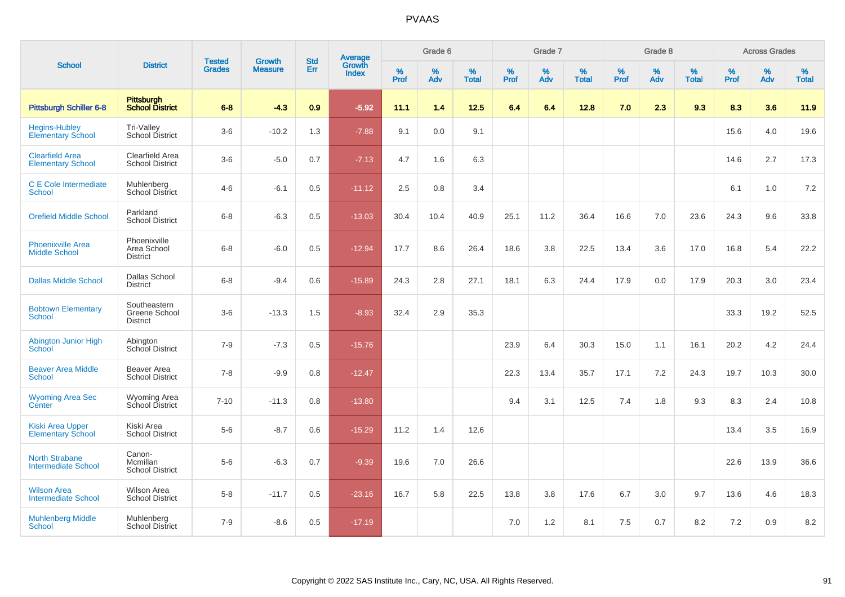| <b>School</b>                                       |                                                  |                                | <b>Growth</b>  | <b>Std</b> |                                          |           | Grade 6     |                   |           | Grade 7     |                   |              | Grade 8  |                   |              | <b>Across Grades</b> |                   |
|-----------------------------------------------------|--------------------------------------------------|--------------------------------|----------------|------------|------------------------------------------|-----------|-------------|-------------------|-----------|-------------|-------------------|--------------|----------|-------------------|--------------|----------------------|-------------------|
|                                                     | <b>District</b>                                  | <b>Tested</b><br><b>Grades</b> | <b>Measure</b> | Err        | <b>Average</b><br>Growth<br><b>Index</b> | %<br>Prof | $\%$<br>Adv | %<br><b>Total</b> | %<br>Prof | $\%$<br>Adv | %<br><b>Total</b> | $\%$<br>Prof | %<br>Adv | %<br><b>Total</b> | $\%$<br>Prof | $\%$<br>Adv          | %<br><b>Total</b> |
| <b>Pittsburgh Schiller 6-8</b>                      | <b>Pittsburgh</b><br><b>School District</b>      | $6 - 8$                        | $-4.3$         | 0.9        | $-5.92$                                  | 11.1      | 1.4         | 12.5              | 6.4       | 6.4         | 12.8              | 7.0          | 2.3      | 9.3               | 8.3          | 3.6                  | 11.9              |
| <b>Hegins-Hubley</b><br><b>Elementary School</b>    | Tri-Valley<br>School District                    | $3-6$                          | $-10.2$        | 1.3        | $-7.88$                                  | 9.1       | 0.0         | 9.1               |           |             |                   |              |          |                   | 15.6         | 4.0                  | 19.6              |
| <b>Clearfield Area</b><br><b>Elementary School</b>  | Clearfield Area<br>School District               | $3-6$                          | $-5.0$         | 0.7        | $-7.13$                                  | 4.7       | 1.6         | 6.3               |           |             |                   |              |          |                   | 14.6         | 2.7                  | 17.3              |
| C E Cole Intermediate<br>School                     | Muhlenberg<br><b>School District</b>             | $4 - 6$                        | $-6.1$         | 0.5        | $-11.12$                                 | 2.5       | 0.8         | 3.4               |           |             |                   |              |          |                   | 6.1          | 1.0                  | 7.2               |
| <b>Orefield Middle School</b>                       | Parkland<br><b>School District</b>               | $6 - 8$                        | $-6.3$         | 0.5        | $-13.03$                                 | 30.4      | 10.4        | 40.9              | 25.1      | 11.2        | 36.4              | 16.6         | 7.0      | 23.6              | 24.3         | 9.6                  | 33.8              |
| <b>Phoenixville Area</b><br><b>Middle School</b>    | Phoenixville<br>Area School<br><b>District</b>   | $6-8$                          | $-6.0$         | 0.5        | $-12.94$                                 | 17.7      | 8.6         | 26.4              | 18.6      | 3.8         | 22.5              | 13.4         | 3.6      | 17.0              | 16.8         | 5.4                  | 22.2              |
| <b>Dallas Middle School</b>                         | Dallas School<br><b>District</b>                 | $6 - 8$                        | $-9.4$         | 0.6        | $-15.89$                                 | 24.3      | 2.8         | 27.1              | 18.1      | 6.3         | 24.4              | 17.9         | 0.0      | 17.9              | 20.3         | 3.0                  | 23.4              |
| <b>Bobtown Elementary</b><br><b>School</b>          | Southeastern<br>Greene School<br><b>District</b> | $3-6$                          | $-13.3$        | 1.5        | $-8.93$                                  | 32.4      | 2.9         | 35.3              |           |             |                   |              |          |                   | 33.3         | 19.2                 | 52.5              |
| Abington Junior High<br><b>School</b>               | Abington<br>School District                      | $7 - 9$                        | $-7.3$         | 0.5        | $-15.76$                                 |           |             |                   | 23.9      | 6.4         | 30.3              | 15.0         | 1.1      | 16.1              | 20.2         | 4.2                  | 24.4              |
| <b>Beaver Area Middle</b><br><b>School</b>          | Beaver Area<br><b>School District</b>            | $7 - 8$                        | $-9.9$         | 0.8        | $-12.47$                                 |           |             |                   | 22.3      | 13.4        | 35.7              | 17.1         | 7.2      | 24.3              | 19.7         | 10.3                 | 30.0              |
| <b>Wyoming Area Sec</b><br>Center                   | Wyoming Area<br>School District                  | $7 - 10$                       | $-11.3$        | 0.8        | $-13.80$                                 |           |             |                   | 9.4       | 3.1         | 12.5              | 7.4          | 1.8      | 9.3               | 8.3          | 2.4                  | 10.8              |
| <b>Kiski Area Upper</b><br><b>Elementary School</b> | Kiski Area<br><b>School District</b>             | $5-6$                          | $-8.7$         | 0.6        | $-15.29$                                 | 11.2      | 1.4         | 12.6              |           |             |                   |              |          |                   | 13.4         | 3.5                  | 16.9              |
| <b>North Strabane</b><br><b>Intermediate School</b> | Canon-<br>Mcmillan<br><b>School District</b>     | $5-6$                          | $-6.3$         | 0.7        | $-9.39$                                  | 19.6      | 7.0         | 26.6              |           |             |                   |              |          |                   | 22.6         | 13.9                 | 36.6              |
| <b>Wilson Area</b><br><b>Intermediate School</b>    | <b>Wilson Area</b><br><b>School District</b>     | $5 - 8$                        | $-11.7$        | 0.5        | $-23.16$                                 | 16.7      | 5.8         | 22.5              | 13.8      | 3.8         | 17.6              | 6.7          | 3.0      | 9.7               | 13.6         | 4.6                  | 18.3              |
| <b>Muhlenberg Middle</b><br>School                  | Muhlenberg<br><b>School District</b>             | $7 - 9$                        | $-8.6$         | 0.5        | $-17.19$                                 |           |             |                   | 7.0       | 1.2         | 8.1               | 7.5          | 0.7      | 8.2               | 7.2          | 0.9                  | 8.2               |